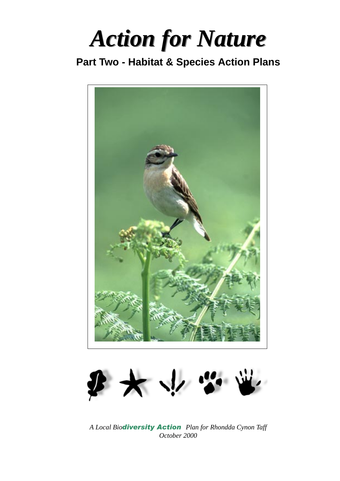*Action for Nature Action for Nature*

# **Part Two - Habitat & Species Action Plans**





A Local Bio**diversity Action** Plan for Rhondda Cynon Taff *October 2000*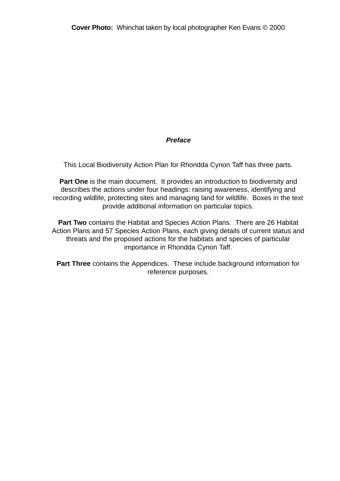### **Preface**

This Local Biodiversity Action Plan for Rhondda Cynon Taff has three parts.

**Part One** is the main document. It provides an introduction to biodiversity and describes the actions under four headings: raising awareness, identifying and recording wildlife, protecting sites and managing land for wildlife. Boxes in the text provide additional information on particular topics.

**Part Two** contains the Habitat and Species Action Plans. There are 26 Habitat Action Plans and 57 Species Action Plans, each giving details of current status and threats and the proposed actions for the habitats and species of particular importance in Rhondda Cynon Taff.

**Part Three** contains the Appendices. These include background information for reference purposes.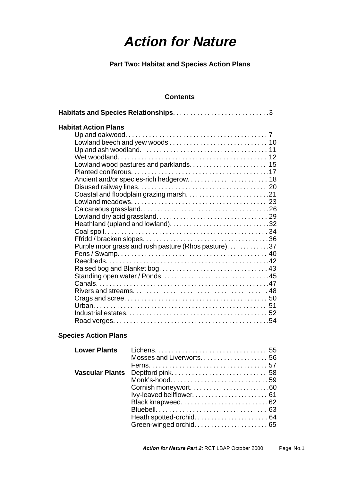# **Action for Nature**

**Part Two: Habitat and Species Action Plans**

### **Contents**

| <b>Habitat Action Plans</b>                           |  |
|-------------------------------------------------------|--|
|                                                       |  |
|                                                       |  |
|                                                       |  |
|                                                       |  |
|                                                       |  |
|                                                       |  |
|                                                       |  |
|                                                       |  |
|                                                       |  |
|                                                       |  |
|                                                       |  |
|                                                       |  |
| Heathland (upland and lowland)32                      |  |
|                                                       |  |
|                                                       |  |
| Purple moor grass and rush pasture (Rhos pasture). 37 |  |
|                                                       |  |
|                                                       |  |
|                                                       |  |
|                                                       |  |
|                                                       |  |
|                                                       |  |
|                                                       |  |
|                                                       |  |
|                                                       |  |
|                                                       |  |

### **Species Action Plans**

| Monk's-hood59       |
|---------------------|
| Cornish moneywort60 |
|                     |
|                     |
|                     |
|                     |
|                     |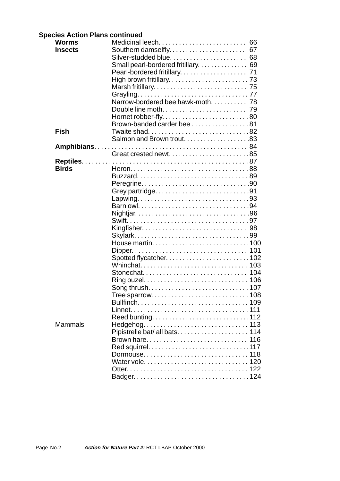### **Species Action Plans continued**

| <b>Worms</b>   | Medicinal leech 66                 |    |
|----------------|------------------------------------|----|
| <b>Insects</b> |                                    |    |
|                | Silver-studded blue 68             |    |
|                | Small pearl-bordered fritillary 69 |    |
|                |                                    |    |
|                |                                    |    |
|                |                                    |    |
|                |                                    |    |
|                | Narrow-bordered bee hawk-moth 78   |    |
|                |                                    |    |
|                |                                    |    |
|                | Brown-banded carder bee81          |    |
| <b>Fish</b>    |                                    |    |
|                | Salmon and Brown trout83           |    |
|                |                                    |    |
|                | Great crested newt85               |    |
|                |                                    |    |
| <b>Birds</b>   |                                    |    |
|                |                                    |    |
|                |                                    |    |
|                | Grey partridge91                   |    |
|                |                                    |    |
|                |                                    |    |
|                |                                    |    |
|                |                                    |    |
|                |                                    |    |
|                |                                    |    |
|                |                                    |    |
|                |                                    |    |
|                |                                    |    |
|                |                                    |    |
|                |                                    |    |
|                |                                    |    |
|                |                                    |    |
|                |                                    |    |
|                |                                    |    |
|                |                                    |    |
|                | Reed bunting112                    |    |
| Mammals        |                                    |    |
|                |                                    |    |
|                | Brown hare                         | 16 |
|                |                                    |    |
|                |                                    |    |
|                |                                    |    |
|                |                                    |    |
|                |                                    |    |
|                |                                    |    |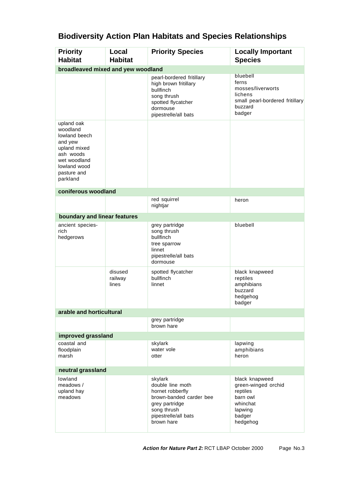| <b>Priority</b><br><b>Habitat</b>                                                                                                          | Local<br><b>Habitat</b>     | <b>Priority Species</b>                                                                                                                           | <b>Locally Important</b><br><b>Species</b>                                                                 |
|--------------------------------------------------------------------------------------------------------------------------------------------|-----------------------------|---------------------------------------------------------------------------------------------------------------------------------------------------|------------------------------------------------------------------------------------------------------------|
| broadleaved mixed and yew woodland                                                                                                         |                             |                                                                                                                                                   |                                                                                                            |
|                                                                                                                                            |                             | pearl-bordered fritillary<br>high brown fritillary<br>bullfinch<br>song thrush<br>spotted flycatcher<br>dormouse<br>pipestrelle/all bats          | bluebell<br>ferns<br>mosses/liverworts<br>lichens<br>small pearl-bordered fritillary<br>buzzard<br>badger  |
| upland oak<br>woodland<br>lowland beech<br>and yew<br>upland mixed<br>ash woods<br>wet woodland<br>lowland wood<br>pasture and<br>parkland |                             |                                                                                                                                                   |                                                                                                            |
| coniferous woodland                                                                                                                        |                             |                                                                                                                                                   |                                                                                                            |
|                                                                                                                                            |                             | red squirrel<br>nightjar                                                                                                                          | heron                                                                                                      |
| boundary and linear features                                                                                                               |                             |                                                                                                                                                   |                                                                                                            |
| ancient species-<br><b>rich</b><br>hedgerows                                                                                               |                             | grey partridge<br>song thrush<br>bullfinch<br>tree sparrow<br>linnet<br>pipestrelle/all bats<br>dormouse                                          | bluebell                                                                                                   |
|                                                                                                                                            | disused<br>railway<br>lines | spotted flycatcher<br>bullfinch<br>linnet                                                                                                         | black knapweed<br>reptiles<br>amphibians<br>buzzard<br>hedgehog<br>badger                                  |
| arable and horticultural                                                                                                                   |                             |                                                                                                                                                   |                                                                                                            |
|                                                                                                                                            |                             | grey partridge<br>brown hare                                                                                                                      |                                                                                                            |
| improved grassland                                                                                                                         |                             |                                                                                                                                                   |                                                                                                            |
| coastal and<br>floodplain<br>marsh                                                                                                         |                             | skylark<br>water vole<br>otter                                                                                                                    | lapwing<br>amphibians<br>heron                                                                             |
| neutral grassland                                                                                                                          |                             |                                                                                                                                                   |                                                                                                            |
| lowland<br>meadows /<br>upland hay<br>meadows                                                                                              |                             | skylark<br>double line moth<br>hornet robberfly<br>brown-banded carder bee<br>grey partridge<br>song thrush<br>pipestrelle/all bats<br>brown hare | black knapweed<br>green-winged orchid<br>reptiles<br>barn owl<br>whinchat<br>lapwing<br>badger<br>hedgehog |

# **Biodiversity Action Plan Habitats and Species Relationships**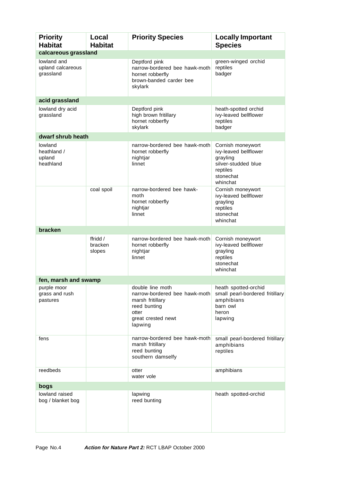| <b>Priority</b><br><b>Habitat</b>             | Local<br><b>Habitat</b>       | <b>Priority Species</b>                                                                                                         | <b>Locally Important</b><br><b>Species</b>                                                                         |
|-----------------------------------------------|-------------------------------|---------------------------------------------------------------------------------------------------------------------------------|--------------------------------------------------------------------------------------------------------------------|
| calcareous grassland                          |                               |                                                                                                                                 |                                                                                                                    |
| lowland and<br>upland calcareous<br>grassland |                               | Deptford pink<br>narrow-bordered bee hawk-moth<br>hornet robberfly<br>brown-banded carder bee<br>skylark                        | green-winged orchid<br>reptiles<br>badger                                                                          |
| acid grassland                                |                               |                                                                                                                                 |                                                                                                                    |
| lowland dry acid<br>grassland                 |                               | Deptford pink<br>high brown fritillary<br>hornet robberfly<br>skylark                                                           | heath-spotted orchid<br>ivy-leaved bellflower<br>reptiles<br>badger                                                |
| dwarf shrub heath                             |                               |                                                                                                                                 |                                                                                                                    |
| lowland<br>heathland /<br>upland<br>heathland |                               | narrow-bordered bee hawk-moth<br>hornet robberfly<br>nightjar<br>linnet                                                         | Cornish moneywort<br>ivy-leaved bellflower<br>grayling<br>silver-studded blue<br>reptiles<br>stonechat<br>whinchat |
|                                               | coal spoil                    | narrow-bordered bee hawk-<br>moth<br>hornet robberfly<br>nightjar<br>linnet                                                     | Cornish moneywort<br>ivy-leaved bellflower<br>grayling<br>reptiles<br>stonechat<br>whinchat                        |
| bracken                                       |                               |                                                                                                                                 |                                                                                                                    |
|                                               | ffridd /<br>bracken<br>slopes | narrow-bordered bee hawk-moth<br>hornet robberfly<br>nightjar<br>linnet                                                         | Cornish moneywort<br>ivy-leaved bellflower<br>grayling<br>reptiles<br>stonechat<br>whinchat                        |
| fen, marsh and swamp                          |                               |                                                                                                                                 |                                                                                                                    |
| purple moor<br>grass and rush<br>pastures     |                               | double line moth<br>narrow-bordered bee hawk-moth<br>marsh fritillary<br>reed bunting<br>otter<br>great crested newt<br>lapwing | heath spotted-orchid<br>small pearl-bordered fritillary<br>amphibians<br>barn owl<br>heron<br>lapwing              |
| fens                                          |                               | narrow-bordered bee hawk-moth<br>marsh fritillary<br>reed bunting<br>southern damselfy                                          | small pearl-bordered fritillary<br>amphibians<br>reptiles                                                          |
| reedbeds                                      |                               | otter<br>water vole                                                                                                             | amphibians                                                                                                         |
| bogs                                          |                               |                                                                                                                                 |                                                                                                                    |
| lowland raised<br>bog / blanket bog           |                               | lapwing<br>reed bunting                                                                                                         | heath spotted-orchid                                                                                               |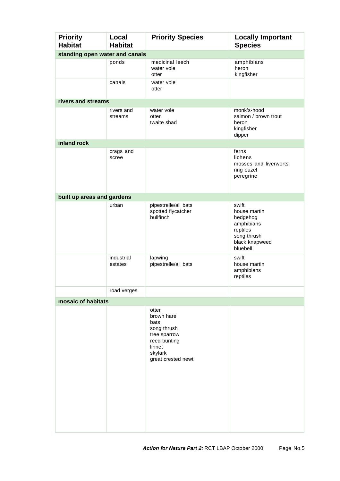| <b>Priority</b><br><b>Habitat</b> | Local<br><b>Habitat</b> | <b>Priority Species</b>                                                                                               | <b>Locally Important</b><br><b>Species</b>                                                               |  |
|-----------------------------------|-------------------------|-----------------------------------------------------------------------------------------------------------------------|----------------------------------------------------------------------------------------------------------|--|
| standing open water and canals    |                         |                                                                                                                       |                                                                                                          |  |
|                                   | ponds                   | medicinal leech<br>water vole<br>otter                                                                                | amphibians<br>heron<br>kingfisher                                                                        |  |
|                                   | canals                  | water vole<br>otter                                                                                                   |                                                                                                          |  |
| rivers and streams                |                         |                                                                                                                       |                                                                                                          |  |
|                                   | rivers and<br>streams   | water vole<br>otter<br>twaite shad                                                                                    | monk's-hood<br>salmon / brown trout<br>heron<br>kingfisher<br>dipper                                     |  |
| inland rock                       |                         |                                                                                                                       |                                                                                                          |  |
|                                   | crags and<br>scree      |                                                                                                                       | ferns<br>lichens<br>mosses and liverworts<br>ring ouzel<br>peregrine                                     |  |
| built up areas and gardens        |                         |                                                                                                                       |                                                                                                          |  |
|                                   | urban                   | pipestrelle/all bats<br>spotted flycatcher<br>bullfinch                                                               | swift<br>house martin<br>hedgehog<br>amphibians<br>reptiles<br>song thrush<br>black knapweed<br>bluebell |  |
|                                   | industrial<br>estates   | lapwing<br>pipestrelle/all bats                                                                                       | swift<br>house martin<br>amphibians<br>reptiles                                                          |  |
|                                   | road verges             |                                                                                                                       |                                                                                                          |  |
| mosaic of habitats                |                         |                                                                                                                       |                                                                                                          |  |
|                                   |                         | otter<br>brown hare<br>bats<br>song thrush<br>tree sparrow<br>reed bunting<br>linnet<br>skylark<br>great crested newt |                                                                                                          |  |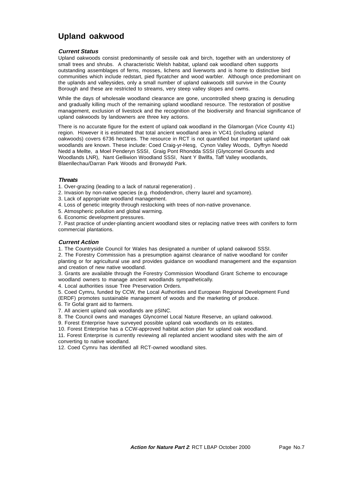### **Upland oakwood**

#### **Current Status**

Upland oakwoods consist predominantly of sessile oak and birch, together with an understorey of small trees and shrubs. A characteristic Welsh habitat, upland oak woodland often supports outstanding assemblages of ferns, mosses, lichens and liverworts and is home to distinctive bird communities which include redstart, pied flycatcher and wood warbler. Although once predominant on the uplands and valleysides, only a small number of upland oakwoods still survive in the County Borough and these are restricted to streams, very steep valley slopes and cwms.

While the days of wholesale woodland clearance are gone, uncontrolled sheep grazing is denuding and gradually killing much of the remaining upland woodland resource. The restoration of positive management, exclusion of livestock and the recognition of the biodiversity and financial significance of upland oakwoods by landowners are three key actions.

There is no accurate figure for the extent of upland oak woodland in the Glamorgan (Vice County 41) region. However it is estimated that total ancient woodland area in VC41 (including upland oakwoods) covers 6736 hectares. The resource in RCT is not quantified but important upland oak woodlands are known. These include: Coed Craig-yr-Hesg, Cynon Valley Woods, Dyffryn Noedd Nedd a Mellte, a Moel Penderyn SSSI, Graig Pont Rhondda SSSI (Glyncornel Grounds and Woodlands LNR), Nant Gelliwion Woodland SSSI, Nant Y Bwllfa, Taff Valley woodlands, Blaenllechau/Darran Park Woods and Bronwydd Park.

#### **Threats**

1. Over-grazing (leading to a lack of natural regeneration) .

- 2. Invasion by non-native species (e.g. rhododendron, cherry laurel and sycamore).
- 3. Lack of appropriate woodland management.
- 4. Loss of genetic integrity through restocking with trees of non-native provenance.
- 5. Atmospheric pollution and global warming.
- 6. Economic development pressures.

7. Past practice of under-planting ancient woodland sites or replacing native trees with conifers to form commercial plantations.

#### **Current Action**

1. The Countryside Council for Wales has designated a number of upland oakwood SSSI.

2. The Forestry Commission has a presumption against clearance of native woodland for conifer planting or for agricultural use and provides guidance on woodland management and the expansion and creation of new native woodland.

3. Grants are available through the Forestry Commission Woodland Grant Scheme to encourage woodland owners to manage ancient woodlands sympathetically.

4. Local authorities issue Tree Preservation Orders.

5. Coed Cymru, funded by CCW, the Local Authorities and European Regional Development Fund (ERDF) promotes sustainable management of woods and the marketing of produce.

6. Tir Gofal grant aid to farmers.

7. All ancient upland oak woodlands are pSINC.

8. The Council owns and manages Glyncornel Local Nature Reserve, an upland oakwood.

9. Forest Enterprise have surveyed possible upland oak woodlands on its estates.

10. Forest Enterprise has a CCW-approved habitat action plan for upland oak woodland.

11. Forest Enterprise is currently reviewing all replanted ancient woodland sites with the aim of converting to native woodland.

12. Coed Cymru has identified all RCT-owned woodland sites.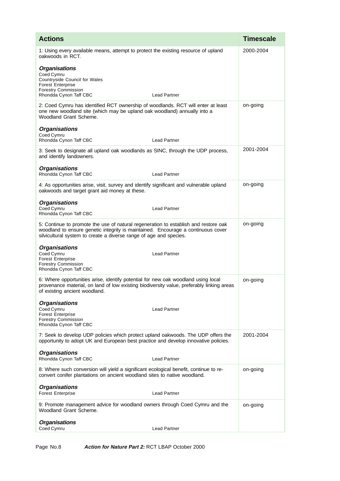| <b>Actions</b>                                                                                                                                                                                                                                | <b>Timescale</b> |
|-----------------------------------------------------------------------------------------------------------------------------------------------------------------------------------------------------------------------------------------------|------------------|
| 1: Using every available means, attempt to protect the existing resource of upland<br>oakwoods in RCT.<br><b>Organisations</b><br>Coed Cymru                                                                                                  | 2000-2004        |
| Countryside Council for Wales<br><b>Forest Enterprise</b><br><b>Forestry Commission</b><br>Rhondda Cynon Taff CBC<br><b>Lead Partner</b>                                                                                                      |                  |
| 2: Coed Cymru has identified RCT ownership of woodlands. RCT will enter at least<br>one new woodland site (which may be upland oak woodland) annually into a<br>Woodland Grant Scheme.                                                        | on-going         |
| <b>Organisations</b><br>Coed Cymru<br>Rhondda Cynon Taff CBC<br><b>Lead Partner</b>                                                                                                                                                           |                  |
| 3: Seek to designate all upland oak woodlands as SINC, through the UDP process,<br>and identify landowners.                                                                                                                                   | 2001-2004        |
| <b>Organisations</b><br>Rhondda Cynon Taff CBC<br><b>Lead Partner</b>                                                                                                                                                                         |                  |
| 4: As opportunities arise, visit, survey and identify significant and vulnerable upland<br>oakwoods and target grant aid money at these.                                                                                                      | on-going         |
| <b>Organisations</b><br>Coed Cymru<br><b>Lead Partner</b><br>Rhondda Cynon Taff CBC                                                                                                                                                           |                  |
| 5: Continue to promote the use of natural regeneration to establish and restore oak<br>woodland to ensure genetic integrity is maintained. Encourage a continuous cover<br>silvicultural system to create a diverse range of age and species. | on-going         |
| <b>Organisations</b><br>Coed Cymru<br><b>Lead Partner</b><br><b>Forest Enterprise</b><br><b>Forestry Commission</b><br>Rhondda Cynon Taff CBC                                                                                                 |                  |
| 6: Where opportunities arise, identify potential for new oak woodland using local<br>provenance material, on land of low existing biodiversity value, preferably linking areas<br>of existing ancient woodland.                               | on-going         |
| <b>Organisations</b><br>Coed Cymru<br><b>Lead Partner</b><br><b>Forest Enterprise</b><br><b>Forestry Commission</b><br>Rhondda Cynon Taff CBC                                                                                                 |                  |
| 7: Seek to develop UDP policies which protect upland oakwoods. The UDP offers the<br>opportunity to adopt UK and European best practice and develop innovative policies.                                                                      | 2001-2004        |
| <b>Organisations</b><br>Rhondda Cynon Taff CBC<br><b>Lead Partner</b>                                                                                                                                                                         |                  |
| 8: Where such conversion will yield a significant ecological benefit, continue to re-<br>convert conifer plantations on ancient woodland sites to native woodland.                                                                            | on-going         |
| <b>Organisations</b><br><b>Forest Enterprise</b><br><b>Lead Partner</b>                                                                                                                                                                       |                  |
| 9: Promote management advice for woodland owners through Coed Cymru and the<br>Woodland Grant Scheme.                                                                                                                                         | on-going         |
| <b>Organisations</b><br>Coed Cymru<br><b>Lead Partner</b>                                                                                                                                                                                     |                  |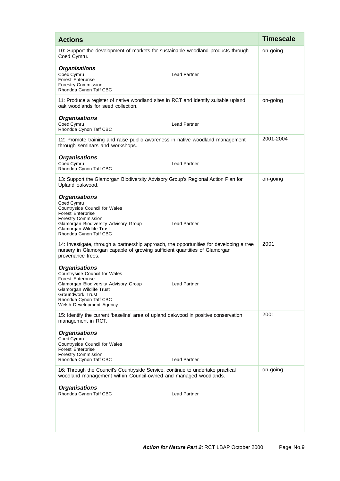| <b>Actions</b>                                                                                                                                                                                                                                          | <b>Timescale</b> |
|---------------------------------------------------------------------------------------------------------------------------------------------------------------------------------------------------------------------------------------------------------|------------------|
| 10: Support the development of markets for sustainable woodland products through<br>Coed Cymru.                                                                                                                                                         | on-going         |
| <b>Organisations</b><br>Coed Cymru<br><b>Lead Partner</b><br><b>Forest Enterprise</b><br><b>Forestry Commission</b><br>Rhondda Cynon Taff CBC                                                                                                           |                  |
| 11: Produce a register of native woodland sites in RCT and identify suitable upland<br>oak woodlands for seed collection.                                                                                                                               | on-going         |
| <b>Organisations</b><br>Coed Cymru<br><b>Lead Partner</b><br>Rhondda Cynon Taff CBC                                                                                                                                                                     |                  |
| 12: Promote training and raise public awareness in native woodland management<br>through seminars and workshops.                                                                                                                                        | 2001-2004        |
| <b>Organisations</b><br>Coed Cymru<br><b>Lead Partner</b><br>Rhondda Cynon Taff CBC                                                                                                                                                                     |                  |
| 13: Support the Glamorgan Biodiversity Advisory Group's Regional Action Plan for<br>Upland oakwood.                                                                                                                                                     | on-going         |
| <b>Organisations</b><br>Coed Cymru<br>Countryside Council for Wales<br><b>Forest Enterprise</b><br><b>Forestry Commission</b><br><b>Lead Partner</b><br>Glamorgan Biodiversity Advisory Group<br>Glamorgan Wildlife Trust<br>Rhondda Cynon Taff CBC     |                  |
| 14: Investigate, through a partnership approach, the opportunities for developing a tree<br>nursery in Glamorgan capable of growing sufficient quantities of Glamorgan<br>provenance trees.                                                             | 2001             |
| <b>Organisations</b><br>Countryside Council for Wales<br><b>Forest Enterprise</b><br>Glamorgan Biodiversity Advisory Group<br><b>Lead Partner</b><br>Glamorgan Wildlife Trust<br>Groundwork Trust<br>Rhondda Cynon Taff CBC<br>Welsh Development Agency |                  |
| 15: Identify the current 'baseline' area of upland oakwood in positive conservation<br>management in RCT.                                                                                                                                               | 2001             |
| <b>Organisations</b><br>Coed Cymru<br>Countryside Council for Wales<br><b>Forest Enterprise</b><br><b>Forestry Commission</b><br>Rhondda Cynon Taff CBC<br><b>Lead Partner</b>                                                                          |                  |
| 16: Through the Council's Countryside Service, continue to undertake practical<br>woodland management within Council-owned and managed woodlands.                                                                                                       | on-going         |
| <b>Organisations</b><br>Rhondda Cynon Taff CBC<br><b>Lead Partner</b>                                                                                                                                                                                   |                  |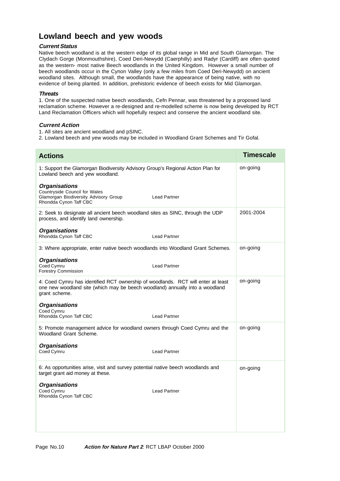### **Lowland beech and yew woods**

#### **Current Status**

Native beech woodland is at the western edge of its global range in Mid and South Glamorgan. The Clydach Gorge (Monmouthshire), Coed Deri-Newydd (Caerphilly) and Radyr (Cardiff) are often quoted as the western- most native Beech woodlands in the United Kingdom. However a small number of beech woodlands occur in the Cynon Valley (only a few miles from Coed Deri-Newydd) on ancient woodland sites. Although small, the woodlands have the appearance of being native, with no evidence of being planted. In addition, prehistoric evidence of beech exists for Mid Glamorgan.

#### **Threats**

1. One of the suspected native beech woodlands, Cefn Pennar, was threatened by a proposed land reclamation scheme. However a re-designed and re-modelled scheme is now being developed by RCT Land Reclamation Officers which will hopefully respect and conserve the ancient woodland site.

#### **Current Action**

1. All sites are ancient woodland and pSINC.

2. Lowland beech and yew woods may be included in Woodland Grant Schemes and Tir Gofal.

| <b>Actions</b>                                                                                                                                                                    | <b>Timescale</b> |
|-----------------------------------------------------------------------------------------------------------------------------------------------------------------------------------|------------------|
| 1: Support the Glamorgan Biodiversity Advisory Group's Regional Action Plan for<br>Lowland beech and yew woodland.                                                                | on-going         |
| <b>Organisations</b><br>Countryside Council for Wales<br>Glamorgan Biodiversity Advisory Group<br><b>Lead Partner</b><br>Rhondda Cynon Taff CBC                                   |                  |
| 2: Seek to designate all ancient beech woodland sites as SINC, through the UDP<br>process, and identify land ownership.                                                           | 2001-2004        |
| <b>Organisations</b><br>Rhondda Cynon Taff CBC<br><b>Lead Partner</b>                                                                                                             |                  |
| 3: Where appropriate, enter native beech woodlands into Woodland Grant Schemes.                                                                                                   | on-going         |
| <b>Organisations</b><br>Coed Cymru<br><b>Lead Partner</b><br><b>Forestry Commission</b>                                                                                           |                  |
| 4: Coed Cymru has identified RCT ownership of woodlands. RCT will enter at least<br>one new woodland site (which may be beech woodland) annually into a woodland<br>grant scheme. | on-going         |
| <b>Organisations</b><br>Coed Cymru<br>Rhondda Cynon Taff CBC<br><b>Lead Partner</b>                                                                                               |                  |
| 5: Promote management advice for woodland owners through Coed Cymru and the<br>Woodland Grant Scheme.                                                                             | on-going         |
| <b>Organisations</b><br>Coed Cymru<br><b>Lead Partner</b>                                                                                                                         |                  |
| 6: As opportunities arise, visit and survey potential native beech woodlands and<br>target grant aid money at these.                                                              | on-going         |
| <b>Organisations</b><br>Coed Cymru<br><b>Lead Partner</b><br>Rhondda Cynon Taff CBC                                                                                               |                  |
|                                                                                                                                                                                   |                  |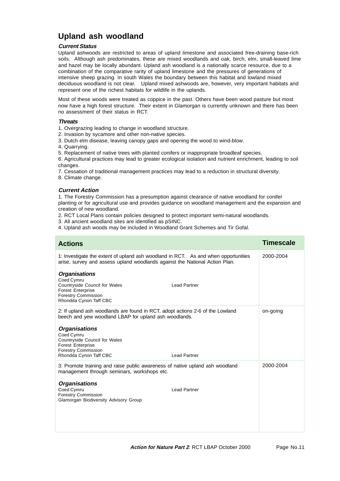### **Upland ash woodland**

#### **Current Status**

Upland ashwoods are restricted to areas of upland limestone and associated free-draining base-rich soils. Although ash predominates, these are mixed woodlands and oak, birch, elm, small-leaved lime and hazel may be locally abundant. Upland ash woodland is a nationally scarce resource, due to a combination of the comparative rarity of upland limestone and the pressures of generations of intensive sheep grazing. In south Wales the boundary between this habitat and lowland mixed deciduous woodland is not clear. Upland mixed ashwoods are, however, very important habitats and represent one of the richest habitats for wildlife in the uplands.

Most of these woods were treated as coppice in the past. Others have been wood pasture but most now have a high forest structure. Their extent in Glamorgan is currently unknown and there has been no assessment of their status in RCT.

#### **Threats**

1. Overgrazing leading to change in woodland structure.

- 2. Invasion by sycamore and other non-native species.
- 3. Dutch elm disease, leaving canopy gaps and opening the wood to wind-blow.
- 4. Quarrying.
- 5. Replacement of native trees with planted conifers or inappropriate broadleaf species.

6. Agricultural practices may lead to greater ecological isolation and nutrient enrichment, leading to soil changes.

- 7. Cessation of traditional management practices may lead to a reduction in structural diversity.
- 8. Climate change.

#### **Current Action**

1. The Forestry Commission has a presumption against clearance of native woodland for conifer planting or for agricultural use and provides guidance on woodland management and the expansion and creation of new woodland.

- 2. RCT Local Plans contain policies designed to protect important semi-natural woodlands.
- 3. All ancient woodland sites are identified as pSINC.
- 4. Upland ash woods may be included in Woodland Grant Schemes and Tir Gofal.

| <b>Actions</b>                                                                                                                                                                 | <b>Timescale</b> |
|--------------------------------------------------------------------------------------------------------------------------------------------------------------------------------|------------------|
| 1: Investigate the extent of upland ash woodland in RCT. As and when opportunities<br>arise, survey and assess upland woodlands against the National Action Plan.              | 2000-2004        |
| <b>Organisations</b><br>Coed Cymru<br>Countryside Council for Wales<br><b>Lead Partner</b><br><b>Forest Enterprise</b><br><b>Forestry Commission</b><br>Rhondda Cynon Taff CBC |                  |
| 2: If upland ash woodlands are found in RCT, adopt actions 2-6 of the Lowland<br>beech and yew woodland LBAP for upland ash woodlands.                                         | on-going         |
| <b>Organisations</b><br>Coed Cymru<br>Countryside Council for Wales<br><b>Forest Enterprise</b><br><b>Forestry Commission</b><br>Rhondda Cynon Taff CBC<br><b>Lead Partner</b> |                  |
| 3: Promote training and raise public awareness of native upland ash woodland<br>management through seminars, workshops etc.                                                    | 2000-2004        |
| <b>Organisations</b><br>Coed Cymru<br><b>Lead Partner</b><br><b>Forestry Commission</b><br>Glamorgan Biodiversity Advisory Group                                               |                  |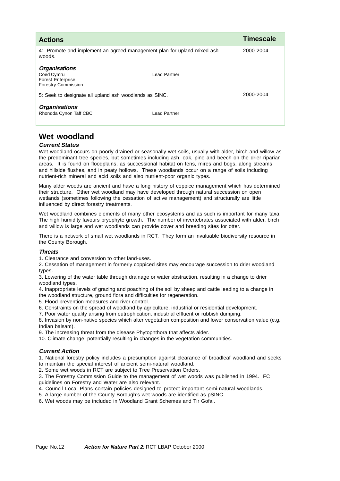| <b>Actions</b>                                                                               |                     | Timescale |
|----------------------------------------------------------------------------------------------|---------------------|-----------|
| 4: Promote and implement an agreed management plan for upland mixed ash<br>woods.            |                     | 2000-2004 |
| <b>Organisations</b><br>Coed Cymru<br><b>Forest Enterprise</b><br><b>Forestry Commission</b> | Lead Partner        |           |
| 5: Seek to designate all upland ash woodlands as SINC.                                       |                     | 2000-2004 |
| <b>Organisations</b><br>Rhondda Cynon Taff CBC                                               | <b>Lead Partner</b> |           |

### **Wet woodland**

#### **Current Status**

Wet woodland occurs on poorly drained or seasonally wet soils, usually with alder, birch and willow as the predominant tree species, but sometimes including ash, oak, pine and beech on the drier riparian areas. It is found on floodplains, as successional habitat on fens, mires and bogs, along streams and hillside flushes, and in peaty hollows. These woodlands occur on a range of soils including nutrient-rich mineral and acid soils and also nutrient-poor organic types.

Many alder woods are ancient and have a long history of coppice management which has determined their structure. Other wet woodland may have developed through natural succession on open wetlands (sometimes following the cessation of active management) and structurally are little influenced by direct forestry treatments.

Wet woodland combines elements of many other ecosystems and as such is important for many taxa. The high humidity favours bryophyte growth. The number of invertebrates associated with alder, birch and willow is large and wet woodlands can provide cover and breeding sites for otter.

There is a network of small wet woodlands in RCT. They form an invaluable biodiversity resource in the County Borough.

#### **Threats**

1. Clearance and conversion to other land-uses.

2. Cessation of management in formerly coppiced sites may encourage succession to drier woodland types.

3. Lowering of the water table through drainage or water abstraction, resulting in a change to drier woodland types.

4. Inappropriate levels of grazing and poaching of the soil by sheep and cattle leading to a change in the woodland structure, ground flora and difficulties for regeneration.

5. Flood prevention measures and river control.

6. Constraints on the spread of woodland by agriculture, industrial or residential development.

7. Poor water quality arising from eutrophication, industrial effluent or rubbish dumping.

8. Invasion by non-native species which alter vegetation composition and lower conservation value (e.g. Indian balsam).

9. The increasing threat from the disease Phytophthora that affects alder.

10. Climate change, potentially resulting in changes in the vegetation communities.

#### **Current Action**

1. National forestry policy includes a presumption against clearance of broadleaf woodland and seeks to maintain the special interest of ancient semi-natural woodland.

2. Some wet woods in RCT are subject to Tree Preservation Orders.

3. The Forestry Commission Guide to the management of wet woods was published in 1994. FC guidelines on Forestry and Water are also relevant.

4. Council Local Plans contain policies designed to protect important semi-natural woodlands.

5. A large number of the County Borough's wet woods are identified as pSINC.

6. Wet woods may be included in Woodland Grant Schemes and Tir Gofal.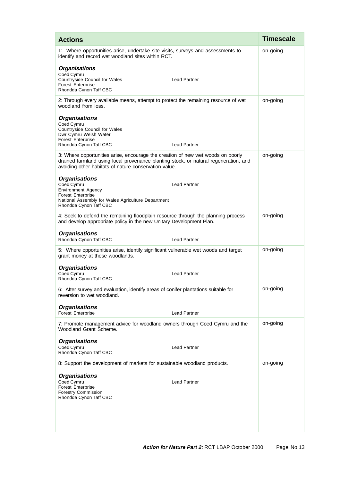| <b>Actions</b>                                                                                                                                                                                                                   | <b>Timescale</b> |
|----------------------------------------------------------------------------------------------------------------------------------------------------------------------------------------------------------------------------------|------------------|
| 1: Where opportunities arise, undertake site visits, surveys and assessments to<br>identify and record wet woodland sites within RCT.                                                                                            | on-going         |
| <b>Organisations</b><br>Coed Cymru<br>Countryside Council for Wales<br><b>Lead Partner</b><br><b>Forest Enterprise</b><br>Rhondda Cynon Taff CBC                                                                                 |                  |
| 2: Through every available means, attempt to protect the remaining resource of wet<br>woodland from loss.                                                                                                                        | on-going         |
| <b>Organisations</b><br>Coed Cymru<br>Countryside Council for Wales<br>Dwr Cymru Welsh Water<br><b>Forest Enterprise</b><br>Rhondda Cynon Taff CBC<br><b>Lead Partner</b>                                                        |                  |
| 3: Where opportunities arise, encourage the creation of new wet woods on poorly<br>drained farmland using local provenance planting stock, or natural regeneration, and<br>avoiding other habitats of nature conservation value. | on-going         |
| <b>Organisations</b><br>Coed Cymru<br><b>Lead Partner</b><br><b>Environment Agency</b><br><b>Forest Enterprise</b><br>National Assembly for Wales Agriculture Department<br>Rhondda Cynon Taff CBC                               |                  |
| 4: Seek to defend the remaining floodplain resource through the planning process<br>and develop appropriate policy in the new Unitary Development Plan.                                                                          | on-going         |
| <b>Organisations</b><br>Rhondda Cynon Taff CBC<br><b>Lead Partner</b>                                                                                                                                                            |                  |
| 5: Where opportunities arise, identify significant vulnerable wet woods and target<br>grant money at these woodlands.                                                                                                            | on-going         |
| <b>Organisations</b><br>Coed Cymru<br><b>Lead Partner</b><br>Rhondda Cynon Taff CBC                                                                                                                                              |                  |
| 6: After survey and evaluation, identify areas of conifer plantations suitable for<br>reversion to wet woodland.                                                                                                                 | on-going         |
| <b>Organisations</b><br><b>Forest Enterprise</b><br><b>Lead Partner</b>                                                                                                                                                          |                  |
| 7: Promote management advice for woodland owners through Coed Cymru and the<br>Woodland Grant Scheme.                                                                                                                            | on-going         |
| <b>Organisations</b><br>Coed Cymru<br><b>Lead Partner</b><br>Rhondda Cynon Taff CBC                                                                                                                                              |                  |
| 8: Support the development of markets for sustainable woodland products.                                                                                                                                                         | on-going         |
| <b>Organisations</b><br>Coed Cymru<br><b>Lead Partner</b><br><b>Forest Enterprise</b><br><b>Forestry Commission</b><br>Rhondda Cynon Taff CBC                                                                                    |                  |
|                                                                                                                                                                                                                                  |                  |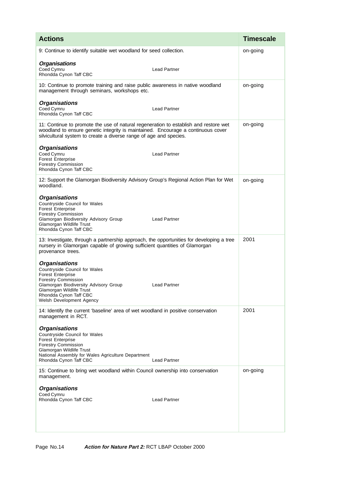| <b>Actions</b>                                                                                                                                                                                                                                                    | <b>Timescale</b> |
|-------------------------------------------------------------------------------------------------------------------------------------------------------------------------------------------------------------------------------------------------------------------|------------------|
| 9: Continue to identify suitable wet woodland for seed collection.                                                                                                                                                                                                | on-going         |
| <b>Organisations</b><br>Coed Cymru<br><b>Lead Partner</b><br>Rhondda Cynon Taff CBC                                                                                                                                                                               |                  |
| 10: Continue to promote training and raise public awareness in native woodland<br>management through seminars, workshops etc.                                                                                                                                     | on-going         |
| <b>Organisations</b><br>Coed Cymru<br><b>Lead Partner</b><br>Rhondda Cynon Taff CBC                                                                                                                                                                               |                  |
| 11: Continue to promote the use of natural regeneration to establish and restore wet<br>woodland to ensure genetic integrity is maintained. Encourage a continuous cover<br>silvicultural system to create a diverse range of age and species.                    | on-going         |
| <b>Organisations</b><br>Coed Cymru<br><b>Lead Partner</b><br><b>Forest Enterprise</b><br><b>Forestry Commission</b><br>Rhondda Cynon Taff CBC                                                                                                                     |                  |
| 12: Support the Glamorgan Biodiversity Advisory Group's Regional Action Plan for Wet<br>woodland.                                                                                                                                                                 | on-going         |
| <b>Organisations</b><br>Countryside Council for Wales<br><b>Forest Enterprise</b><br><b>Forestry Commission</b><br><b>Lead Partner</b><br>Glamorgan Biodiversity Advisory Group<br>Glamorgan Wildlife Trust<br>Rhondda Cynon Taff CBC                             |                  |
| 13: Investigate, through a partnership approach, the opportunities for developing a tree<br>nursery in Glamorgan capable of growing sufficient quantities of Glamorgan<br>provenance trees.                                                                       | 2001             |
| <b>Organisations</b><br>Countryside Council for Wales<br><b>Forest Enterprise</b><br><b>Forestry Commission</b><br>Glamorgan Biodiversity Advisory Group<br><b>Lead Partner</b><br>Glamorgan Wildlife Trust<br>Rhondda Cynon Taff CBC<br>Welsh Development Agency |                  |
| 14: Identify the current 'baseline' area of wet woodland in positive conservation<br>management in RCT.                                                                                                                                                           | 2001             |
| <b>Organisations</b><br>Countryside Council for Wales<br><b>Forest Enterprise</b><br><b>Forestry Commission</b><br>Glamorgan Wildlife Trust<br>National Assembly for Wales Agriculture Department<br><b>Lead Partner</b><br>Rhondda Cynon Taff CBC                |                  |
| 15: Continue to bring wet woodland within Council ownership into conservation<br>management.                                                                                                                                                                      | on-going         |
| <b>Organisations</b><br>Coed Cymru<br>Rhondda Cynon Taff CBC<br><b>Lead Partner</b>                                                                                                                                                                               |                  |
|                                                                                                                                                                                                                                                                   |                  |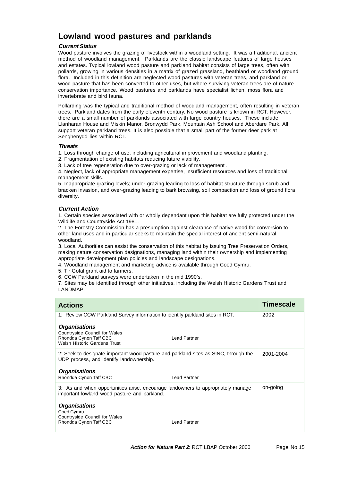### **Lowland wood pastures and parklands**

#### **Current Status**

Wood pasture involves the grazing of livestock within a woodland setting. It was a traditional, ancient method of woodland management. Parklands are the classic landscape features of large houses and estates. Typical lowland wood pasture and parkland habitat consists of large trees, often with pollards, growing in various densities in a matrix of grazed grassland, heathland or woodland ground flora. Included in this definition are neglected wood pastures with veteran trees, and parkland or wood pasture that has been converted to other uses, but where surviving veteran trees are of nature conservation importance. Wood pastures and parklands have specialist lichen, moss flora and invertebrate and bird fauna.

Pollarding was the typical and traditional method of woodland management, often resulting in veteran trees. Parkland dates from the early eleventh century. No wood pasture is known in RCT. However, there are a small number of parklands associated with large country houses. These include Llanharan House and Miskin Manor, Bronwydd Park, Mountain Ash School and Aberdare Park. All support veteran parkland trees. It is also possible that a small part of the former deer park at Senghenydd lies within RCT.

#### **Threats**

1. Loss through change of use, including agricultural improvement and woodland planting.

2. Fragmentation of existing habitats reducing future viability.

3. Lack of tree regeneration due to over-grazing or lack of management .

4. Neglect, lack of appropriate management expertise, insufficient resources and loss of traditional management skills.

5. Inappropriate grazing levels; under-grazing leading to loss of habitat structure through scrub and bracken invasion, and over-grazing leading to bark browsing, soil compaction and loss of ground flora diversity.

#### **Current Action**

1. Certain species associated with or wholly dependant upon this habitat are fully protected under the Wildlife and Countryside Act 1981.

2. The Forestry Commission has a presumption against clearance of native wood for conversion to other land uses and in particular seeks to maintain the special interest of ancient semi-natural woodland.

3. Local Authorities can assist the conservation of this habitat by issuing Tree Preservation Orders, making nature conservation designations, managing land within their ownership and implementing appropriate development plan policies and landscape designations.

4. Woodland management and marketing advice is available through Coed Cymru.

- 5. Tir Gofal grant aid to farmers.
- 6. CCW Parkland surveys were undertaken in the mid 1990's.

7. Sites may be identified through other initiatives, including the Welsh Historic Gardens Trust and LANDMAP.

| <b>Actions</b>                                                                                                                   |                     | Timescale |
|----------------------------------------------------------------------------------------------------------------------------------|---------------------|-----------|
| 1: Review CCW Parkland Survey information to identify parkland sites in RCT.                                                     |                     | 2002      |
| <b>Organisations</b><br>Countryside Council for Wales<br>Rhondda Cynon Taff CBC<br>Welsh Historic Gardens Trust                  | <b>Lead Partner</b> |           |
| 2: Seek to designate important wood pasture and parkland sites as SINC, through the<br>UDP process, and identify landownership.  |                     | 2001-2004 |
| <b>Organisations</b><br>Rhondda Cynon Taff CBC                                                                                   | <b>Lead Partner</b> |           |
| 3: As and when opportunities arise, encourage landowners to appropriately manage<br>important lowland wood pasture and parkland. |                     | on-going  |
| <b>Organisations</b><br>Coed Cymru<br><b>Countryside Council for Wales</b><br>Rhondda Cynon Taff CBC                             | Lead Partner        |           |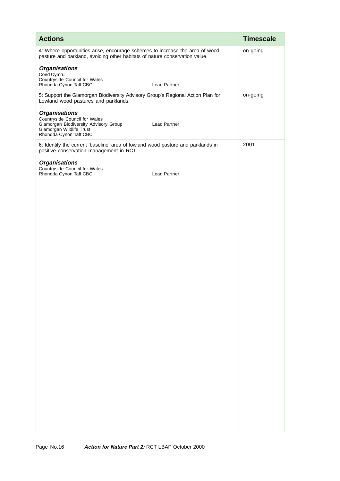| <b>Actions</b>                                                                                                                                                              | <b>Timescale</b> |
|-----------------------------------------------------------------------------------------------------------------------------------------------------------------------------|------------------|
| 4: Where opportunities arise, encourage schemes to increase the area of wood<br>pasture and parkland, avoiding other habitats of nature conservation value.                 | on-going         |
| <b>Organisations</b><br>Coed Cymru<br>Countryside Council for Wales                                                                                                         |                  |
| Rhondda Cynon Taff CBC<br>Lead Partner                                                                                                                                      |                  |
| 5: Support the Glamorgan Biodiversity Advisory Group's Regional Action Plan for<br>Lowland wood pastures and parklands.                                                     | on-going         |
| <b>Organisations</b><br>Countryside Council for Wales<br>Glamorgan Biodiversity Advisory Group<br><b>Lead Partner</b><br>Glamorgan Wildlife Trust<br>Rhondda Cynon Taff CBC |                  |
| 6: Identify the current 'baseline' area of lowland wood pasture and parklands in<br>positive conservation management in RCT.                                                | 2001             |
| <b>Organisations</b><br>Countryside Council for Wales<br>Rhondda Cynon Taff CBC<br>Lead Partner                                                                             |                  |
|                                                                                                                                                                             |                  |
|                                                                                                                                                                             |                  |
|                                                                                                                                                                             |                  |
|                                                                                                                                                                             |                  |
|                                                                                                                                                                             |                  |
|                                                                                                                                                                             |                  |
|                                                                                                                                                                             |                  |
|                                                                                                                                                                             |                  |
|                                                                                                                                                                             |                  |
|                                                                                                                                                                             |                  |
|                                                                                                                                                                             |                  |
|                                                                                                                                                                             |                  |
|                                                                                                                                                                             |                  |
|                                                                                                                                                                             |                  |
|                                                                                                                                                                             |                  |
|                                                                                                                                                                             |                  |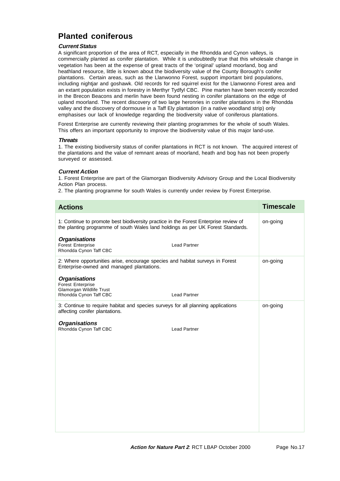## **Planted coniferous**

#### **Current Status**

A significant proportion of the area of RCT, especially in the Rhondda and Cynon valleys, is commercially planted as conifer plantation. While it is undoubtedly true that this wholesale change in vegetation has been at the expense of great tracts of the 'original' upland moorland, bog and heathland resource, little is known about the biodiversity value of the County Borough's conifer plantations. Certain areas, such as the Llanwonno Forest, support important bird populations, including nightjar and goshawk. Old records for red squirrel exist for the Llanwonno Forest area and an extant population exists in forestry in Merthyr Tydfyl CBC. Pine marten have been recently recorded in the Brecon Beacons and merlin have been found nesting in conifer plantations on the edge of upland moorland. The recent discovery of two large heronries in conifer plantations in the Rhondda valley and the discovery of dormouse in a Taff Ely plantation (in a native woodland strip) only emphasises our lack of knowledge regarding the biodiversity value of coniferous plantations.

Forest Enterprise are currently reviewing their planting programmes for the whole of south Wales. This offers an important opportunity to improve the biodiversity value of this major land-use.

#### **Threats**

1. The existing biodiversity status of conifer plantations in RCT is not known. The acquired interest of the plantations and the value of remnant areas of moorland, heath and bog has not been properly surveyed or assessed.

#### **Current Action**

1. Forest Enterprise are part of the Glamorgan Biodiversity Advisory Group and the Local Biodiversity Action Plan process.

2. The planting programme for south Wales is currently under review by Forest Enterprise.

| <b>Actions</b>                                                                                                                                                          | <b>Timescale</b> |
|-------------------------------------------------------------------------------------------------------------------------------------------------------------------------|------------------|
| 1: Continue to promote best biodiversity practice in the Forest Enterprise review of<br>the planting programme of south Wales land holdings as per UK Forest Standards. | on-going         |
| <b>Organisations</b><br>Forest Enterprise<br><b>Lead Partner</b><br>Rhondda Cynon Taff CBC                                                                              |                  |
| 2: Where opportunities arise, encourage species and habitat surveys in Forest<br>Enterprise-owned and managed plantations.                                              | on-going         |
| <b>Organisations</b><br><b>Forest Enterprise</b><br>Glamorgan Wildlife Trust<br>Rhondda Cynon Taff CBC<br><b>Lead Partner</b>                                           |                  |
| 3: Continue to require habitat and species surveys for all planning applications<br>affecting conifer plantations.                                                      | on-going         |
| <b>Organisations</b><br>Rhondda Cynon Taff CBC<br><b>Lead Partner</b>                                                                                                   |                  |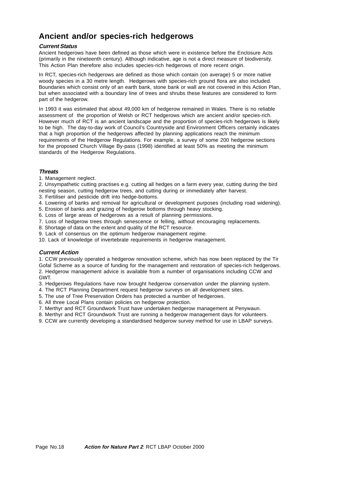### **Ancient and/or species-rich hedgerows**

#### **Current Status**

Ancient hedgerows have been defined as those which were in existence before the Enclosure Acts (primarily in the nineteenth century). Although indicative, age is not a direct measure of biodiversity. This Action Plan therefore also includes species-rich hedgerows of more recent origin.

In RCT, species-rich hedgerows are defined as those which contain (on average) 5 or more native woody species in a 30 metre length. Hedgerows with species-rich ground flora are also included. Boundaries which consist only of an earth bank, stone bank or wall are not covered in this Action Plan, but when associated with a boundary line of trees and shrubs these features are considered to form part of the hedgerow.

In 1993 it was estimated that about 49,000 km of hedgerow remained in Wales. There is no reliable assessment of the proportion of Welsh or RCT hedgerows which are ancient and/or species-rich. However much of RCT is an ancient landscape and the proportion of species-rich hedgerows is likely to be high. The day-to-day work of Council's Countryside and Environment Officers certainly indicates that a high proportion of the hedgerows affected by planning applications reach the minimum requirements of the Hedgerow Regulations. For example, a survey of some 200 hedgerow sections for the proposed Church Village By-pass (1998) identified at least 50% as meeting the minimum standards of the Hedgerow Regulations.

#### **Threats**

1. Management neglect.

2. Unsympathetic cutting practises e.g. cutting all hedges on a farm every year, cutting during the bird nesting season, cutting hedgerow trees, and cutting during or immediately after harvest.

3. Fertiliser and pesticide drift into hedge-bottoms.

4. Lowering of banks and removal for agricultural or development purposes (including road widening).

- 5. Erosion of banks and grazing of hedgerow bottoms through heavy stocking.
- 6. Loss of large areas of hedgerows as a result of planning permissions.
- 7. Loss of hedgerow trees through senescence or felling, without encouraging replacements.
- 8. Shortage of data on the extent and quality of the RCT resource.

9. Lack of consensus on the optimum hedgerow management regime.

10. Lack of knowledge of invertebrate requirements in hedgerow management.

#### **Current Action**

1. CCW previously operated a hedgerow renovation scheme, which has now been replaced by the Tir Gofal Scheme as a source of funding for the management and restoration of species-rich hedgerows. 2. Hedgerow management advice is available from a number of organisations including CCW and GWT.

3. Hedgerows Regulations have now brought hedgerow conservation under the planning system.

4. The RCT Planning Department request hedgerow surveys on all development sites.

5. The use of Tree Preservation Orders has protected a number of hedgerows.

6. All three Local Plans contain policies on hedgerow protection.

7. Merthyr and RCT Groundwork Trust have undertaken hedgerow management at Penywaun.

8. Merthyr and RCT Groundwork Trust are running a hedgerow management days for volunteers.

9. CCW are currently developing a standardised hedgerow survey method for use in LBAP surveys.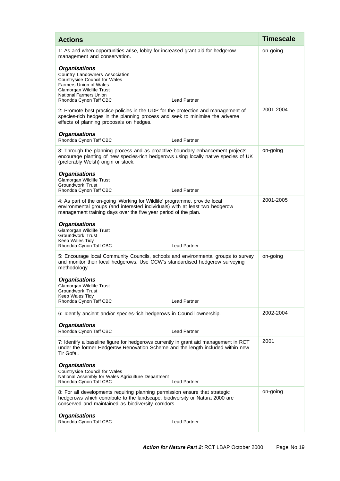| <b>Actions</b>                                                                                                                                                                                                                         | <b>Timescale</b> |
|----------------------------------------------------------------------------------------------------------------------------------------------------------------------------------------------------------------------------------------|------------------|
| 1: As and when opportunities arise, lobby for increased grant aid for hedgerow<br>management and conservation.                                                                                                                         | on-going         |
| <b>Organisations</b><br>Country Landowners Association<br>Countryside Council for Wales<br><b>Farmers Union of Wales</b><br>Glamorgan Wildlife Trust<br><b>National Farmers Union</b><br>Rhondda Cynon Taff CBC<br><b>Lead Partner</b> |                  |
| 2: Promote best practice policies in the UDP for the protection and management of<br>species-rich hedges in the planning process and seek to minimise the adverse<br>effects of planning proposals on hedges.                          | 2001-2004        |
| <b>Organisations</b><br>Rhondda Cynon Taff CBC<br><b>Lead Partner</b>                                                                                                                                                                  |                  |
| 3: Through the planning process and as proactive boundary enhancement projects,<br>encourage planting of new species-rich hedgerows using locally native species of UK<br>(preferably Welsh) origin or stock.                          | on-going         |
| <b>Organisations</b><br>Glamorgan Wildlife Trust<br>Groundwork Trust<br>Rhondda Cynon Taff CBC<br><b>Lead Partner</b>                                                                                                                  |                  |
| 4: As part of the on-going 'Working for Wildlife' programme, provide local<br>environmental groups (and interested individuals) with at least two hedgerow<br>management training days over the five year period of the plan.          | 2001-2005        |
| <b>Organisations</b><br>Glamorgan Wildlife Trust<br><b>Groundwork Trust</b><br>Keep Wales Tidy<br>Rhondda Cynon Taff CBC<br><b>Lead Partner</b>                                                                                        |                  |
| 5: Encourage local Community Councils, schools and environmental groups to survey<br>and monitor their local hedgerows. Use CCW's standardised hedgerow surveying<br>methodology.                                                      | on-going         |
| <b>Organisations</b><br>Glamorgan Wildlife Trust<br><b>Groundwork Trust</b><br>Keep Wales Tidy<br>Rhondda Cynon Taff CBC<br><b>Lead Partner</b>                                                                                        |                  |
| 6: Identify ancient and/or species-rich hedgerows in Council ownership.                                                                                                                                                                | 2002-2004        |
| <b>Organisations</b><br>Rhondda Cynon Taff CBC<br><b>Lead Partner</b>                                                                                                                                                                  |                  |
| 7: Identify a baseline figure for hedgerows currently in grant aid management in RCT<br>under the former Hedgerow Renovation Scheme and the length included within new<br>Tir Gofal.                                                   | 2001             |
| <b>Organisations</b><br>Countryside Council for Wales<br>National Assembly for Wales Agriculture Department<br>Rhondda Cynon Taff CBC<br><b>Lead Partner</b>                                                                           |                  |
| 8: For all developments requiring planning permission ensure that strategic<br>hedgerows which contribute to the landscape, biodiversity or Natura 2000 are<br>conserved and maintained as biodiversity corridors.                     | on-going         |
| <b>Organisations</b><br>Rhondda Cynon Taff CBC<br><b>Lead Partner</b>                                                                                                                                                                  |                  |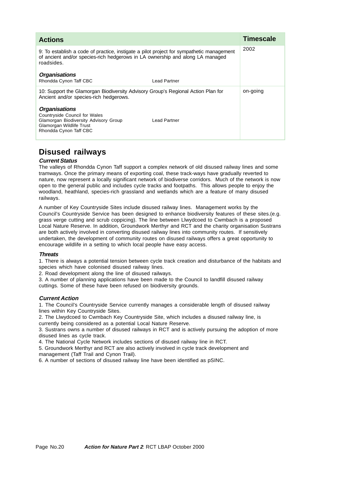| <b>Actions</b>                                                                                                                                                                          |              | <b>Timescale</b> |
|-----------------------------------------------------------------------------------------------------------------------------------------------------------------------------------------|--------------|------------------|
| 9: To establish a code of practice, instigate a pilot project for sympathetic management<br>of ancient and/or species-rich hedgerows in LA ownership and along LA managed<br>roadsides. |              | 2002             |
| <b>Organisations</b><br>Rhondda Cynon Taff CBC                                                                                                                                          | Lead Partner |                  |
| 10: Support the Glamorgan Biodiversity Advisory Group's Regional Action Plan for<br>Ancient and/or species-rich hedgerows.                                                              |              | on-going         |
| <b>Organisations</b><br><b>Countryside Council for Wales</b><br>Glamorgan Biodiversity Advisory Group<br>Glamorgan Wildlife Trust<br>Rhondda Cynon Taff CBC                             | Lead Partner |                  |

### **Disused railways**

#### **Current Status**

The valleys of Rhondda Cynon Taff support a complex network of old disused railway lines and some tramways. Once the primary means of exporting coal, these track-ways have gradually reverted to nature, now represent a locally significant network of biodiverse corridors. Much of the network is now open to the general public and includes cycle tracks and footpaths. This allows people to enjoy the woodland, heathland, species-rich grassland and wetlands which are a feature of many disused railways.

A number of Key Countryside Sites include disused railway lines. Management works by the Council's Countryside Service has been designed to enhance biodiversity features of these sites.(e.g. grass verge cutting and scrub coppicing). The line between Llwydcoed to Cwmbach is a proposed Local Nature Reserve. In addition, Groundwork Merthyr and RCT and the charity organisation Sustrans are both actively involved in converting disused railway lines into community routes. If sensitively undertaken, the development of community routes on disused railways offers a great opportunity to encourage wildlife in a setting to which local people have easy access.

#### **Threats**

1. There is always a potential tension between cycle track creation and disturbance of the habitats and species which have colonised disused railway lines.

2. Road development along the line of disused railways.

3. A number of planning applications have been made to the Council to landfill disused railway cuttings. Some of these have been refused on biodiversity grounds.

#### **Current Action**

1. The Council's Countryside Service currently manages a considerable length of disused railway lines within Key Countryside Sites.

2. The Llwydcoed to Cwmbach Key Countryside Site, which includes a disused railway line, is currently being considered as a potential Local Nature Reserve.

3. Sustrans owns a number of disused railways in RCT and is actively pursuing the adoption of more disused lines as cycle track.

4. The National Cycle Network includes sections of disused railway line in RCT.

5. Groundwork Merthyr and RCT are also actively involved in cycle track development and management (Taff Trail and Cynon Trail).

6. A number of sections of disused railway line have been identified as pSINC.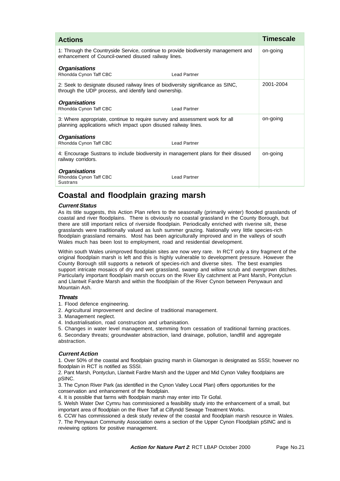| <b>Actions</b>                                                                                                                                 |                     | <b>Timescale</b> |
|------------------------------------------------------------------------------------------------------------------------------------------------|---------------------|------------------|
| 1: Through the Countryside Service, continue to provide biodiversity management and<br>enhancement of Council-owned disused railway lines.     |                     | on-going         |
| <b>Organisations</b><br>Rhondda Cynon Taff CBC                                                                                                 | <b>Lead Partner</b> |                  |
| 2: Seek to designate disused railway lines of biodiversity significance as SINC,<br>through the UDP process, and identify land ownership.      |                     | 2001-2004        |
| <b>Organisations</b><br>Rhondda Cynon Taff CBC                                                                                                 | <b>Lead Partner</b> |                  |
| 3: Where appropriate, continue to require survey and assessment work for all<br>planning applications which impact upon disused railway lines. |                     | on-going         |
| Organisations<br>Rhondda Cynon Taff CBC                                                                                                        | <b>Lead Partner</b> |                  |
| 4: Encourage Sustrans to include biodiversity in management plans for their disused<br>railway corridors.                                      |                     | on-going         |
| <b>Organisations</b><br>Rhondda Cynon Taff CBC<br>Sustrans                                                                                     | <b>Lead Partner</b> |                  |

### **Coastal and floodplain grazing marsh**

#### **Current Status**

As its title suggests, this Action Plan refers to the seasonally (primarily winter) flooded grasslands of coastal and river floodplains. There is obviously no coastal grassland in the County Borough, but there are still important relics of riverside floodplain. Periodically enriched with riverine silt, these grasslands were traditionally valued as lush summer grazing. Nationally very little species-rich floodplain grassland remains. Most has been agriculturally improved and in the valleys of south Wales much has been lost to employment, road and residential development.

Within south Wales unimproved floodplain sites are now very rare. In RCT only a tiny fragment of the original floodplain marsh is left and this is highly vulnerable to development pressure. However the County Borough still supports a network of species-rich and diverse sites. The best examples support intricate mosaics of dry and wet grassland, swamp and willow scrub and overgrown ditches. Particularly important floodplain marsh occurs on the River Ely catchment at Pant Marsh, Pontyclun and Llantwit Fardre Marsh and within the floodplain of the River Cynon between Penywaun and Mountain Ash.

#### **Threats**

1. Flood defence engineering.

2. Agricultural improvement and decline of traditional management.

3. Management neglect.

4. Industrialisation, road construction and urbanisation.

5. Changes in water level management, stemming from cessation of traditional farming practices.

6. Secondary threats; groundwater abstraction, land drainage, pollution, landfill and aggregate abstraction.

#### **Current Action**

1. Over 50% of the coastal and floodplain grazing marsh in Glamorgan is designated as SSSI; however no floodplain in RCT is notified as SSSI.

2. Pant Marsh, Pontyclun, Llantwit Fardre Marsh and the Upper and Mid Cynon Valley floodplains are pSINC.

3. The Cynon River Park (as identified in the Cynon Valley Local Plan) offers opportunities for the conservation and enhancement of the floodplain.

4. It is possible that farms with floodplain marsh may enter into Tir Gofal.

5. Welsh Water Dwr Cymru has commissioned a feasibility study into the enhancement of a small, but important area of floodplain on the River Taff at Cilfyndd Sewage Treatment Works.

6. CCW has commissioned a desk study review of the coastal and floodplain marsh resource in Wales.

7. The Penywaun Community Association owns a section of the Upper Cynon Floodplain pSINC and is reviewing options for positive management.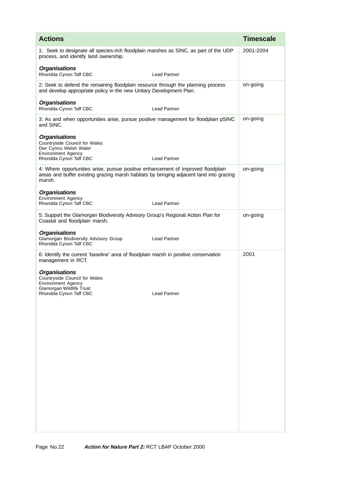| <b>Actions</b>                                                                                                                                                                        | <b>Timescale</b> |
|---------------------------------------------------------------------------------------------------------------------------------------------------------------------------------------|------------------|
| 1: Seek to designate all species-rich floodplain marshes as SINC, as part of the UDP<br>process, and identify land ownership.                                                         | 2001-2004        |
| <b>Organisations</b><br>Rhondda Cynon Taff CBC<br>Lead Partner                                                                                                                        |                  |
| 2: Seek to defend the remaining floodplain resource through the planning process<br>and develop appropriate policy in the new Unitary Development Plan.                               | on-going         |
| <b>Organisations</b><br>Rhondda Cynon Taff CBC<br><b>Lead Partner</b>                                                                                                                 |                  |
| 3: As and when opportunities arise, pursue positive management for floodplain pSINC<br>and SINC.                                                                                      | on-going         |
| <b>Organisations</b><br>Countryside Council for Wales<br>Dwr Cymru Welsh Water<br><b>Environment Agency</b><br>Rhondda Cynon Taff CBC<br><b>Lead Partner</b>                          |                  |
| 4: Where opportunities arise, pursue positive enhancement of improved floodplain<br>areas and buffer existing grazing marsh habitats by bringing adjacent land into grazing<br>marsh. | on-going         |
| <b>Organisations</b><br><b>Environment Agency</b><br>Rhondda Cynon Taff CBC<br>Lead Partner                                                                                           |                  |
| 5: Support the Glamorgan Biodiversity Advisory Group's Regional Action Plan for<br>Coastal and floodplain marsh.                                                                      | on-going         |
| <b>Organisations</b><br>Glamorgan Biodiversity Advisory Group<br><b>Lead Partner</b><br>Rhondda Cynon Taff CBC                                                                        |                  |
| 6: Identify the current 'baseline' area of floodplain marsh in positive conservation<br>management in RCT.                                                                            | 2001             |
| <b>Organisations</b><br>Countryside Council for Wales<br><b>Environment Agency</b><br>Glamorgan Wildlife Trust<br><b>Lead Partner</b><br>Rhondda Cynon Taff CBC                       |                  |
|                                                                                                                                                                                       |                  |
|                                                                                                                                                                                       |                  |
|                                                                                                                                                                                       |                  |
|                                                                                                                                                                                       |                  |
|                                                                                                                                                                                       |                  |
|                                                                                                                                                                                       |                  |
|                                                                                                                                                                                       |                  |
|                                                                                                                                                                                       |                  |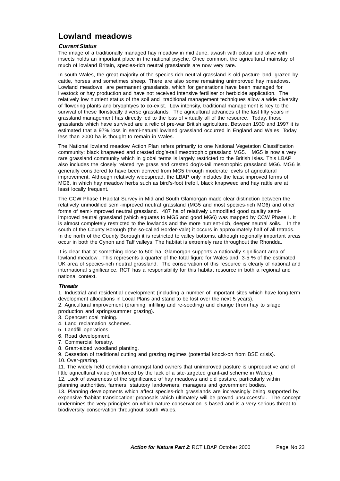### **Lowland meadows**

#### **Current Status**

The image of a traditionally managed hay meadow in mid June, awash with colour and alive with insects holds an important place in the national psyche. Once common, the agricultural mainstay of much of lowland Britain, species-rich neutral grasslands are now very rare.

In south Wales, the great majority of the species-rich neutral grassland is old pasture land, grazed by cattle, horses and sometimes sheep. There are also some remaining unimproved hay meadows. Lowland meadows are permanent grasslands, which for generations have been managed for livestock or hay production and have not received intensive fertiliser or herbicide application. The relatively low nutrient status of the soil and traditional management techniques allow a wide diversity of flowering plants and bryophtyes to co-exist. Low intensity, traditional management is key to the survival of these floristically diverse grasslands. The agricultural advances of the last fifty years in grassland management has directly led to the loss of virtually all of the resource. Today, those grasslands which have survived are a relic of pre-war British agriculture. Between 1930 and 1997 it is estimated that a 97% loss in semi-natural lowland grassland occurred in England and Wales. Today less than 2000 ha is thought to remain in Wales.

The National lowland meadow Action Plan refers primarily to one National Vegetation Classification community: black knapweed and crested dog's-tail mesotrophic grassland MG5. MG5 is now a very rare grassland community which in global terms is largely restricted to the British Isles. This LBAP also includes the closely related rye grass and crested dog's-tail mesotrophic grassland MG6. MG6 is generally considered to have been derived from MG5 through moderate levels of agricultural improvement. Although relatively widespread, the LBAP only includes the least improved forms of MG6, in which hay meadow herbs such as bird's-foot trefoil, black knapweed and hay rattle are at least locally frequent.

The CCW Phase I Habitat Survey in Mid and South Glamorgan made clear distinction between the relatively unmodified semi-improved neutral grassland (MG5 and most species-rich MG6) and other forms of semi-improved neutral grassland. 487 ha of relatively unmodified good quality semiimproved neutral grassland (which equates to MG5 and good MG6) was mapped by CCW Phase I. It is almost completely restricted to the lowlands and the more nutrient-rich, deeper neutral soils. In the south of the County Borough (the so-called Border-Vale) it occurs in approximately half of all tetrads. In the north of the County Borough it is restricted to valley bottoms, although regionally important areas occur in both the Cynon and Taff valleys. The habitat is extremely rare throughout the Rhondda.

It is clear that at something close to 500 ha, Glamorgan supports a nationally significant area of lowland meadow . This represents a quarter of the total figure for Wales and 3-5 % of the estimated UK area of species-rich neutral grassland. The conservation of this resource is clearly of national and international significance. RCT has a responsibility for this habitat resource in both a regional and national context.

#### **Threats**

1. Industrial and residential development (including a number of important sites which have long-term development allocations in Local Plans and stand to be lost over the next 5 years).

- 2. Agricultural improvement (draining, infilling and re-seeding) and change (from hay to silage production and spring/summer grazing).
- 3. Opencast coal mining.
- 4. Land reclamation schemes.
- 5. Landfill operations.
- 6. Road development.
- 7. Commercial forestry.
- 8. Grant-aided woodland planting.
- 9. Cessation of traditional cutting and grazing regimes (potential knock-on from BSE crisis). 10. Over-grazing.
- 11. The widely held conviction amongst land owners that unimproved pasture is unproductive and of little agricultural value (reinforced by the lack of a site-targeted grant-aid scheme in Wales). 12. Lack of awareness of the significance of hay meadows and old pasture, particularly within

planning authorities, farmers, statutory landowners, managers and government bodies.

13. Planning developments which affect species-rich grasslands are increasingly being supported by expensive 'habitat translocation' proposals which ultimately will be proved unsuccessful. The concept undermines the very principles on which nature conservation is based and is a very serious threat to biodiversity conservation throughout south Wales.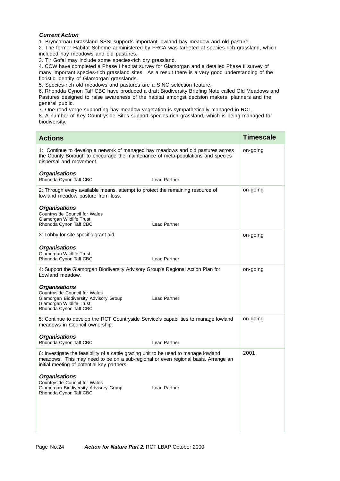#### **Current Action**

1. Bryncarnau Grassland SSSI supports important lowland hay meadow and old pasture.

2. The former Habitat Scheme administered by FRCA was targeted at species-rich grassland, which included hay meadows and old pastures.

3. Tir Gofal may include some species-rich dry grassland.

4. CCW have completed a Phase I habitat survey for Glamorgan and a detailed Phase II survey of many important species-rich grassland sites. As a result there is a very good understanding of the floristic identity of Glamorgan grasslands.

5. Species-rich old meadows and pastures are a SINC selection feature.

6. Rhondda Cynon Taff CBC have produced a draft Biodiversity Briefing Note called Old Meadows and Pastures designed to raise awareness of the habitat amongst decision makers, planners and the general public.

7. One road verge supporting hay meadow vegetation is sympathetically managed in RCT.

8. A number of Key Countryside Sites support species-rich grassland, which is being managed for biodiversity.

| <b>Actions</b>                                                                                                                                                                                                          | <b>Timescale</b> |
|-------------------------------------------------------------------------------------------------------------------------------------------------------------------------------------------------------------------------|------------------|
| 1: Continue to develop a network of managed hay meadows and old pastures across<br>the County Borough to encourage the maintenance of meta-populations and species<br>dispersal and movement.                           | on-going         |
| <b>Organisations</b><br>Rhondda Cynon Taff CBC<br><b>Lead Partner</b>                                                                                                                                                   |                  |
| 2: Through every available means, attempt to protect the remaining resource of<br>lowland meadow pasture from loss.                                                                                                     | on-going         |
| <b>Organisations</b><br>Countryside Council for Wales<br>Glamorgan Wildlife Trust<br><b>Lead Partner</b><br>Rhondda Cynon Taff CBC                                                                                      |                  |
| 3: Lobby for site specific grant aid.                                                                                                                                                                                   | on-going         |
| <b>Organisations</b><br>Glamorgan Wildlife Trust<br>Rhondda Cynon Taff CBC<br><b>Lead Partner</b>                                                                                                                       |                  |
| 4: Support the Glamorgan Biodiversity Advisory Group's Regional Action Plan for<br>Lowland meadow.                                                                                                                      | on-going         |
| <b>Organisations</b><br><b>Countryside Council for Wales</b><br>Glamorgan Biodiversity Advisory Group<br><b>Lead Partner</b><br>Glamorgan Wildlife Trust<br>Rhondda Cynon Taff CBC                                      |                  |
| 5: Continue to develop the RCT Countryside Service's capabilities to manage lowland<br>meadows in Council ownership.                                                                                                    | on-going         |
| <b>Organisations</b><br>Rhondda Cynon Taff CBC<br><b>Lead Partner</b>                                                                                                                                                   |                  |
| 6: Investigate the feasibility of a cattle grazing unit to be used to manage lowland<br>meadows. This may need to be on a sub-regional or even regional basis. Arrange an<br>initial meeting of potential key partners. | 2001             |
| <b>Organisations</b><br>Countryside Council for Wales<br>Glamorgan Biodiversity Advisory Group<br><b>Lead Partner</b><br>Rhondda Cynon Taff CBC                                                                         |                  |
|                                                                                                                                                                                                                         |                  |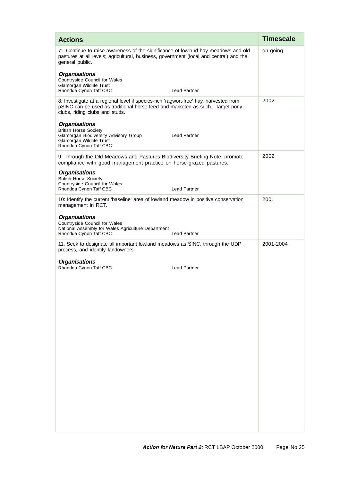| <b>Actions</b>                                                                                                                                                                                           | <b>Timescale</b> |
|----------------------------------------------------------------------------------------------------------------------------------------------------------------------------------------------------------|------------------|
| 7: Continue to raise awareness of the significance of lowland hay meadows and old<br>pastures at all levels; agricultural, business, government (local and central) and the<br>general public.           | on-going         |
| <b>Organisations</b><br>Countryside Council for Wales<br>Glamorgan Wildlife Trust<br><b>Lead Partner</b><br>Rhondda Cynon Taff CBC                                                                       |                  |
| 8: Investigate at a regional level if species-rich 'ragwort-free' hay, harvested from<br>pSINC can be used as traditional horse feed and marketed as such. Target pony<br>clubs, riding clubs and studs. | 2002             |
| <b>Organisations</b><br><b>British Horse Society</b><br>Glamorgan Biodiversity Advisory Group<br><b>Lead Partner</b><br>Glamorgan Wildlife Trust<br>Rhondda Cynon Taff CBC                               |                  |
| 9: Through the Old Meadows and Pastures Biodiversity Briefing Note, promote<br>compliance with good management practice on horse-grazed pastures.                                                        | 2002             |
| <b>Organisations</b><br><b>British Horse Society</b><br>Countryside Council for Wales<br><b>Lead Partner</b><br>Rhondda Cynon Taff CBC                                                                   |                  |
| 10: Identify the current 'baseline' area of lowland meadow in positive conservation<br>management in RCT.                                                                                                | 2001             |
| <b>Organisations</b><br>Countryside Council for Wales<br>National Assembly for Wales Agriculture Department<br><b>Lead Partner</b><br>Rhondda Cynon Taff CBC                                             |                  |
| 11. Seek to designate all important lowland meadows as SINC, through the UDP<br>process, and identify landowners.                                                                                        | 2001-2004        |
| <b>Organisations</b><br>Rhondda Cynon Taff CBC<br><b>Lead Partner</b>                                                                                                                                    |                  |
|                                                                                                                                                                                                          |                  |
|                                                                                                                                                                                                          |                  |
|                                                                                                                                                                                                          |                  |
|                                                                                                                                                                                                          |                  |
|                                                                                                                                                                                                          |                  |
|                                                                                                                                                                                                          |                  |
|                                                                                                                                                                                                          |                  |
|                                                                                                                                                                                                          |                  |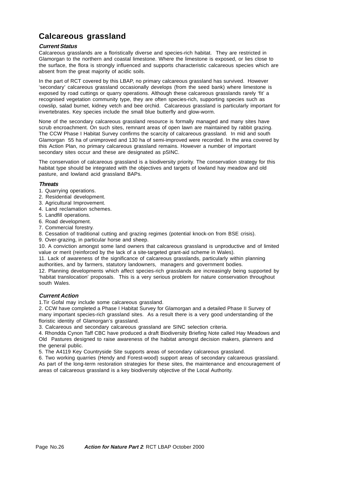## **Calcareous grassland**

#### **Current Status**

Calcareous grasslands are a floristically diverse and species-rich habitat. They are restricted in Glamorgan to the northern and coastal limestone. Where the limestone is exposed, or lies close to the surface, the flora is strongly influenced and supports characteristic calcareous species which are absent from the great majority of acidic soils.

In the part of RCT covered by this LBAP, no primary calcareous grassland has survived. However 'secondary' calcareous grassland occasionally develops (from the seed bank) where limestone is exposed by road cuttings or quarry operations. Although these calcareous grasslands rarely 'fit' a recognised vegetation community type, they are often species-rich, supporting species such as cowslip, salad burnet, kidney vetch and bee orchid. Calcareous grassland is particularly important for invertebrates. Key species include the small blue butterfly and glow-worm.

None of the secondary calcareous grassland resource is formally managed and many sites have scrub encroachment. On such sites, remnant areas of open lawn are maintained by rabbit grazing. The CCW Phase I Habitat Survey confirms the scarcity of calcareous grassland. In mid and south Glamorgan 55 ha of unimproved and 130 ha of semi-improved were recorded. In the area covered by this Action Plan, no primary calcareous grassland remains. However a number of important secondary sites occur and these are designated as pSINC.

The conservation of calcareous grassland is a biodiversity priority. The conservation strategy for this habitat type should be integrated with the objectives and targets of lowland hay meadow and old pasture, and lowland acid grassland BAPs.

#### **Threats**

- 1. Quarrying operations.
- 2. Residential development.
- 3. Agricultural Improvement.
- 4. Land reclamation schemes.
- 5. Landfill operations.
- 6. Road development.
- 7. Commercial forestry.
- 8. Cessation of traditional cutting and grazing regimes (potential knock-on from BSE crisis).
- 9. Over-grazing, in particular horse and sheep.

10. A conviction amongst some land owners that calcareous grassland is unproductive and of limited value or merit (reinforced by the lack of a site-targeted grant-aid scheme in Wales).

11. Lack of awareness of the significance of calcareous grasslands, particularly within planning authorities, and by farmers, statutory landowners, managers and government bodies.

12. Planning developments which affect species-rich grasslands are increasingly being supported by 'habitat translocation' proposals. This is a very serious problem for nature conservation throughout south Wales.

#### **Current Action**

1.Tir Gofal may include some calcareous grassland.

2. CCW have completed a Phase I Habitat Survey for Glamorgan and a detailed Phase II Survey of many important species-rich grassland sites. As a result there is a very good understanding of the floristic identity of Glamorgan's grassland.

3. Calcareous and secondary calcareous grassland are SINC selection criteria.

4. Rhondda Cynon Taff CBC have produced a draft Biodiversity Briefing Note called Hay Meadows and Old Pastures designed to raise awareness of the habitat amongst decision makers, planners and the general public.

5. The A4119 Key Countryside Site supports areas of secondary calcareous grassland.

6. Two working quarries (Hendy and Forest-wood) support areas of secondary calcareous grassland. As part of the long-term restoration strategies for these sites, the maintenance and encouragement of areas of calcareous grassland is a key biodiversity objective of the Local Authority.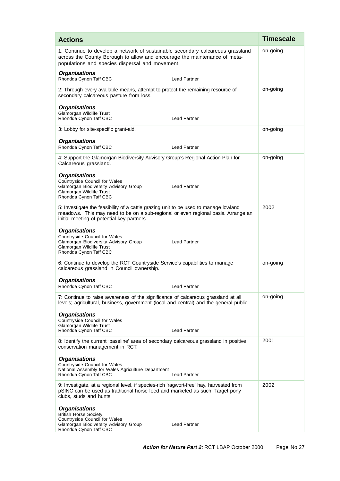| <b>Actions</b>                                                                                                                                                                                                          | <b>Timescale</b> |
|-------------------------------------------------------------------------------------------------------------------------------------------------------------------------------------------------------------------------|------------------|
| 1: Continue to develop a network of sustainable secondary calcareous grassland<br>across the County Borough to allow and encourage the maintenance of meta-<br>populations and species dispersal and movement.          | on-going         |
| <b>Organisations</b><br>Rhondda Cynon Taff CBC<br><b>Lead Partner</b>                                                                                                                                                   |                  |
| 2: Through every available means, attempt to protect the remaining resource of<br>secondary calcareous pasture from loss.                                                                                               | on-going         |
| <b>Organisations</b><br>Glamorgan Wildlife Trust<br>Rhondda Cynon Taff CBC<br><b>Lead Partner</b>                                                                                                                       |                  |
| 3: Lobby for site-specific grant-aid.                                                                                                                                                                                   | on-going         |
| <b>Organisations</b><br>Rhondda Cynon Taff CBC<br><b>Lead Partner</b>                                                                                                                                                   |                  |
| 4: Support the Glamorgan Biodiversity Advisory Group's Regional Action Plan for<br>Calcareous grassland.                                                                                                                | on-going         |
| <b>Organisations</b><br>Countryside Council for Wales<br>Glamorgan Biodiversity Advisory Group<br><b>Lead Partner</b><br>Glamorgan Wildlife Trust<br>Rhondda Cynon Taff CBC                                             |                  |
| 5: Investigate the feasibility of a cattle grazing unit to be used to manage lowland<br>meadows. This may need to be on a sub-regional or even regional basis. Arrange an<br>initial meeting of potential key partners. | 2002             |
| <b>Organisations</b><br>Countryside Council for Wales<br>Glamorgan Biodiversity Advisory Group<br><b>Lead Partner</b><br>Glamorgan Wildlife Trust<br>Rhondda Cynon Taff CBC                                             |                  |
| 6: Continue to develop the RCT Countryside Service's capabilities to manage<br>calcareous grassland in Council ownership.                                                                                               | on-going         |
| <b>Organisations</b><br>Rhondda Cvnon Taff CBC<br>Lead Partner                                                                                                                                                          |                  |
| 7: Continue to raise awareness of the significance of calcareous grassland at all<br>levels; agricultural, business, government (local and central) and the general public.                                             | on-going         |
| <b>Organisations</b><br>Countryside Council for Wales<br>Glamorgan Wildlife Trust<br>Rhondda Cynon Taff CBC<br><b>Lead Partner</b>                                                                                      |                  |
| 8: Identify the current 'baseline' area of secondary calcareous grassland in positive<br>conservation management in RCT.                                                                                                | 2001             |
| <b>Organisations</b><br>Countryside Council for Wales<br>National Assembly for Wales Agriculture Department<br><b>Lead Partner</b><br>Rhondda Cynon Taff CBC                                                            |                  |
| 9: Investigate, at a regional level, if species-rich 'ragwort-free' hay, harvested from<br>pSINC can be used as traditional horse feed and marketed as such. Target pony<br>clubs, studs and hunts.                     | 2002             |
| <b>Organisations</b><br><b>British Horse Society</b><br>Countryside Council for Wales<br>Glamorgan Biodiversity Advisory Group<br><b>Lead Partner</b><br>Rhondda Cynon Taff CBC                                         |                  |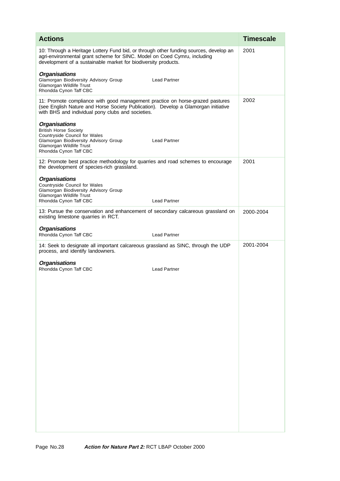| <b>Actions</b>                                                                                                                                                                                                                      | <b>Timescale</b> |
|-------------------------------------------------------------------------------------------------------------------------------------------------------------------------------------------------------------------------------------|------------------|
| 10: Through a Heritage Lottery Fund bid, or through other funding sources, develop an<br>agri-environmental grant scheme for SINC. Model on Coed Cymru, including<br>development of a sustainable market for biodiversity products. | 2001             |
| <b>Organisations</b><br>Glamorgan Biodiversity Advisory Group<br><b>Lead Partner</b><br>Glamorgan Wildlife Trust<br>Rhondda Cynon Taff CBC                                                                                          |                  |
| 11: Promote compliance with good management practice on horse-grazed pastures<br>(see English Nature and Horse Society Publication). Develop a Glamorgan initiative<br>with BHS and individual pony clubs and societies.            | 2002             |
| <b>Organisations</b><br><b>British Horse Society</b><br>Countryside Council for Wales<br><b>Lead Partner</b><br>Glamorgan Biodiversity Advisory Group<br>Glamorgan Wildlife Trust<br>Rhondda Cynon Taff CBC                         |                  |
| 12: Promote best practice methodology for quarries and road schemes to encourage<br>the development of species-rich grassland.                                                                                                      | 2001             |
| <b>Organisations</b><br>Countryside Council for Wales<br>Glamorgan Biodiversity Advisory Group<br><b>Glamorgan Wildlife Trust</b><br><b>Lead Partner</b><br>Rhondda Cynon Taff CBC                                                  |                  |
| 13: Pursue the conservation and enhancement of secondary calcareous grassland on<br>existing limestone quarries in RCT.                                                                                                             | 2000-2004        |
| <b>Organisations</b><br>Rhondda Cynon Taff CBC<br><b>Lead Partner</b>                                                                                                                                                               |                  |
| 14: Seek to designate all important calcareous grassland as SINC, through the UDP<br>process, and identify landowners.                                                                                                              | 2001-2004        |
| <b>Organisations</b><br>Rhondda Cynon Taff CBC<br><b>Lead Partner</b>                                                                                                                                                               |                  |
|                                                                                                                                                                                                                                     |                  |
|                                                                                                                                                                                                                                     |                  |
|                                                                                                                                                                                                                                     |                  |
|                                                                                                                                                                                                                                     |                  |
|                                                                                                                                                                                                                                     |                  |
|                                                                                                                                                                                                                                     |                  |
|                                                                                                                                                                                                                                     |                  |
|                                                                                                                                                                                                                                     |                  |
|                                                                                                                                                                                                                                     |                  |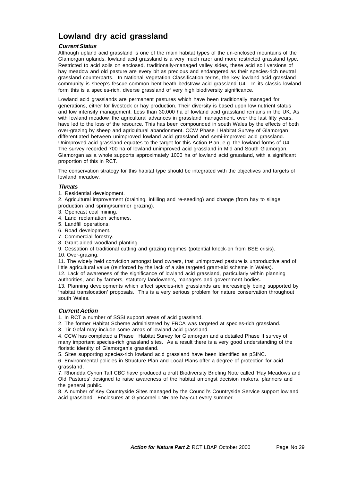### **Lowland dry acid grassland**

#### **Current Status**

Although upland acid grassland is one of the main habitat types of the un-enclosed mountains of the Glamorgan uplands, lowland acid grassland is a very much rarer and more restricted grassland type. Restricted to acid soils on enclosed, traditionally-managed valley sides, these acid soil versions of hay meadow and old pasture are every bit as precious and endangered as their species-rich neutral grassland counterparts. In National Vegetation Classification terms, the key lowland acid grassland community is sheep's fescue-common bent-heath bedstraw acid grassland U4. In its classic lowland form this is a species-rich, diverse grassland of very high biodiversity significance.

Lowland acid grasslands are permanent pastures which have been traditionally managed for generations, either for livestock or hay production. Their diversity is based upon low nutrient status and low intensity management. Less than 30,000 ha of lowland acid grassland remains in the UK. As with lowland meadow, the agricultural advances in grassland management, over the last fifty years, have led to the loss of the resource. This has been compounded in south Wales by the effects of both over-grazing by sheep and agricultural abandonment. CCW Phase I Habitat Survey of Glamorgan differentiated between unimproved lowland acid grassland and semi-improved acid grassland. Unimproved acid grassland equates to the target for this Action Plan, e.g. the lowland forms of U4. The survey recorded 700 ha of lowland unimproved acid grassland in Mid and South Glamorgan. Glamorgan as a whole supports approximately 1000 ha of lowland acid grassland, with a significant proportion of this in RCT.

The conservation strategy for this habitat type should be integrated with the objectives and targets of lowland meadow.

#### **Threats**

1. Residential development.

2. Agricultural improvement (draining, infilling and re-seeding) and change (from hay to silage production and spring/summer grazing).

- 3. Opencast coal mining.
- 4. Land reclamation schemes.
- 5. Landfill operations.
- 6. Road development.
- 7. Commercial forestry.
- 8. Grant-aided woodland planting.

9. Cessation of traditional cutting and grazing regimes (potential knock-on from BSE crisis).

10. Over-grazing.

11. The widely held conviction amongst land owners, that unimproved pasture is unproductive and of little agricultural value (reinforced by the lack of a site targeted grant-aid scheme in Wales).

12. Lack of awareness of the significance of lowland acid grassland, particularly within planning authorities, and by farmers, statutory landowners, managers and government bodies.

13. Planning developments which affect species-rich grasslands are increasingly being supported by 'habitat translocation' proposals. This is a very serious problem for nature conservation throughout south Wales.

#### **Current Action**

1. In RCT a number of SSSI support areas of acid grassland.

2. The former Habitat Scheme administered by FRCA was targeted at species-rich grassland.

3. Tir Gofal may include some areas of lowland acid grassland.

4. CCW has completed a Phase I Habitat Survey for Glamorgan and a detailed Phase II survey of many important species-rich grassland sites. As a result there is a very good understanding of the floristic identity of Glamorgan's grassland.

5. Sites supporting species-rich lowland acid grassland have been identified as pSINC.

6. Environmental policies in Structure Plan and Local Plans offer a degree of protection for acid grassland.

7. Rhondda Cynon Taff CBC have produced a draft Biodiversity Briefing Note called 'Hay Meadows and Old Pastures' designed to raise awareness of the habitat amongst decision makers, planners and the general public.

8. A number of Key Countryside Sites managed by the Council's Countryside Service support lowland acid grassland. Enclosures at Glyncornel LNR are hay-cut every summer.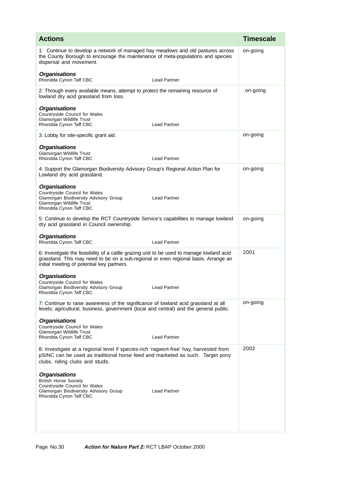| <b>Actions</b>                                                                                                                                                                                                                 | <b>Timescale</b> |
|--------------------------------------------------------------------------------------------------------------------------------------------------------------------------------------------------------------------------------|------------------|
| 1: Continue to develop a network of managed hay meadows and old pastures across<br>the County Borough to encourage the maintenance of meta-populations and species<br>dispersal and movement.                                  | on-going         |
| <b>Organisations</b><br>Rhondda Cynon Taff CBC<br><b>Lead Partner</b>                                                                                                                                                          |                  |
| 2: Through every available means, attempt to protect the remaining resource of<br>lowland dry acid grassland from loss.                                                                                                        | on-going         |
| <b>Organisations</b><br>Countryside Council for Wales<br>Glamorgan Wildlife Trust<br>Rhondda Cynon Taff CBC<br><b>Lead Partner</b>                                                                                             |                  |
| 3: Lobby for site-specific grant aid.                                                                                                                                                                                          | on-going         |
| <b>Organisations</b><br>Glamorgan Wildlife Trust<br>Rhondda Cynon Taff CBC<br><b>Lead Partner</b>                                                                                                                              |                  |
| 4: Support the Glamorgan Biodiversity Advisory Group's Regional Action Plan for<br>Lowland dry acid grassland.                                                                                                                 | on-going         |
| <b>Organisations</b><br>Countryside Council for Wales<br>Glamorgan Biodiversity Advisory Group<br><b>Lead Partner</b><br>Glamorgan Wildlife Trust<br>Rhondda Cynon Taff CBC                                                    |                  |
| 5: Continue to develop the RCT Countryside Service's capabilities to manage lowland<br>dry acid grassland in Council ownership.                                                                                                | on-going         |
| <b>Organisations</b><br>Rhondda Cynon Taff CBC<br>Lead Partner                                                                                                                                                                 |                  |
| 6: Investigate the feasibility of a cattle grazing unit to be used to manage lowland acid<br>grassland. This may need to be on a sub-regional or even regional basis. Arrange an<br>initial meeting of potential key partners. | 2001             |
| <b>Organisations</b><br>Countryside Council for Wales<br>Glamorgan Biodiversity Advisory Group<br><b>Lead Partner</b><br>Rhondda Cynon Taff CBC                                                                                |                  |
| 7: Continue to raise awareness of the significance of lowland acid grassland at all<br>levels; agricultural, business, government (local and central) and the general public.                                                  | on-going         |
| <b>Organisations</b><br>Countryside Council for Wales<br>Glamorgan Wildlife Trust<br>Rhondda Cynon Taff CBC<br><b>Lead Partner</b>                                                                                             |                  |
| 8: Investigate at a regional level if species-rich 'ragwort-free' hay, harvested from<br>pSINC can be used as traditional horse feed and marketed as such. Target pony<br>clubs, riding clubs and studs.                       | 2002             |
| <b>Organisations</b><br><b>British Horse Society</b><br>Countryside Council for Wales<br>Glamorgan Biodiversity Advisory Group<br><b>Lead Partner</b><br>Rhondda Cynon Taff CBC                                                |                  |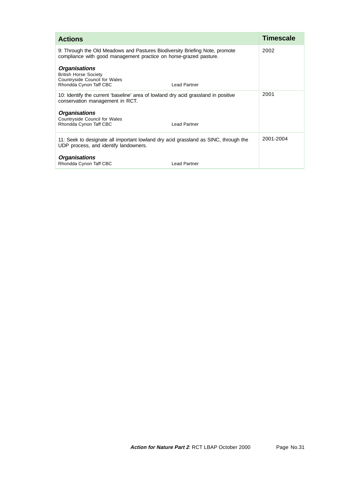| <b>Actions</b>                                                                                                                                   | <b>Timescale</b> |
|--------------------------------------------------------------------------------------------------------------------------------------------------|------------------|
| 9: Through the Old Meadows and Pastures Biodiversity Briefing Note, promote<br>compliance with good management practice on horse-grazed pasture. | 2002             |
| <b>Organisations</b><br><b>British Horse Society</b><br>Countryside Council for Wales<br>Rhondda Cynon Taff CBC<br><b>Lead Partner</b>           |                  |
| 10: Identify the current 'baseline' area of lowland dry acid grassland in positive<br>conservation management in RCT.                            | 2001             |
| <b>Organisations</b><br><b>Countryside Council for Wales</b><br>Rhondda Cynon Taff CBC<br><b>Lead Partner</b>                                    |                  |
| 11: Seek to designate all important lowland dry acid grassland as SINC, through the<br>UDP process, and identify landowners.                     | 2001-2004        |
| <b>Organisations</b><br>Rhondda Cynon Taff CBC<br><b>Lead Partner</b>                                                                            |                  |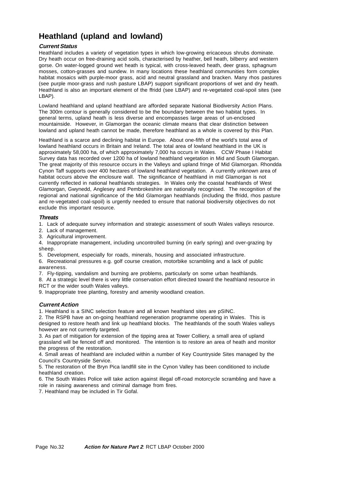### **Heathland (upland and lowland)**

#### **Current Status**

Heathland includes a variety of vegetation types in which low-growing ericaceous shrubs dominate. Dry heath occur on free-draining acid soils, characterised by heather, bell heath, bilberry and western gorse. On water-logged ground wet heath is typical, with cross-leaved heath, deer grass, sphagnum mosses, cotton-grasses and sundew. In many locations these heathland communities form complex habitat mosaics with purple-moor grass, acid and neutral grassland and bracken. Many rhos pastures (see purple moor-grass and rush pasture LBAP) support significant proportions of wet and dry heath. Heathland is also an important element of the ffridd (see LBAP) and re-vegetated coal-spoil sites (see LBAP).

Lowland heathland and upland heathland are afforded separate National Biodiversity Action Plans. The 300m contour is generally considered to be the boundary between the two habitat types. In general terms, upland heath is less diverse and encompasses large areas of un-enclosed mountainside. However, in Glamorgan the oceanic climate means that clear distinction between lowland and upland heath cannot be made, therefore heathland as a whole is covered by this Plan.

Heathland is a scarce and declining habitat in Europe. About one-fifth of the world's total area of lowland heathland occurs in Britain and Ireland. The total area of lowland heathland in the UK is approximately 58,000 ha, of which approximately 7,000 ha occurs in Wales. CCW Phase I Habitat Survey data has recorded over 1200 ha of lowland heathland vegetation in Mid and South Glamorgan. The great majority of this resource occurs in the Valleys and upland fringe of Mid Glamorgan. Rhondda Cynon Taff supports over 400 hectares of lowland heathland vegetation. A currently unknown area of habitat occurs above the enclosure wall. The significance of heathland in mid Glamorgan is not currently reflected in national heathlands strategies. In Wales only the coastal heathlands of West Glamorgan, Gwynedd, Anglesey and Pembrokeshire are nationally recognised. The recognition of the regional and national significance of the Mid Glamorgan heathlands (including the ffridd, rhos pasture and re-vegetated coal-spoil) is urgently needed to ensure that national biodiversity objectives do not exclude this important resource.

#### **Threats**

1. Lack of adequate survey information and strategic assessment of south Wales valleys resource.

- 2. Lack of management.
- 3. Agricultural improvement.

4. Inappropriate management, including uncontrolled burning (in early spring) and over-grazing by sheep.

- 5. Development, especially for roads, minerals, housing and associated infrastructure.
- 6. Recreational pressures e.g. golf course creation, motorbike scrambling and a lack of public awareness.

7. Fly-tipping, vandalism and burning are problems, particularly on some urban heathlands.

8. At a strategic level there is very little conservation effort directed toward the heathland resource in RCT or the wider south Wales valleys.

9. Inappropriate tree planting, forestry and amenity woodland creation.

#### **Current Action**

1. Heathland is a SINC selection feature and all known heathland sites are pSINC.

2. The RSPB have an on-going heathland regeneration programme operating in Wales. This is designed to restore heath and link up heathland blocks. The heathlands of the south Wales valleys however are not currently targeted.

3. As part of mitigation for extension of the tipping area at Tower Colliery, a small area of upland grassland will be fenced off and monitored. The intention is to restore an area of heath and monitor the progress of the restoration.

4. Small areas of heathland are included within a number of Key Countryside Sites managed by the Council's Countryside Service.

5. The restoration of the Bryn Pica landfill site in the Cynon Valley has been conditioned to include heathland creation.

6. The South Wales Police will take action against illegal off-road motorcycle scrambling and have a role in raising awareness and criminal damage from fires.

7. Heathland may be included in Tir Gofal.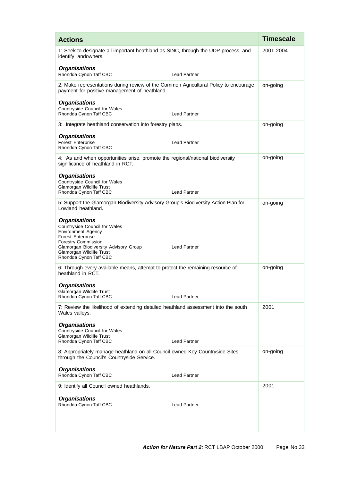| <b>Actions</b>                                                                                                                                                                                                                                                     | <b>Timescale</b> |
|--------------------------------------------------------------------------------------------------------------------------------------------------------------------------------------------------------------------------------------------------------------------|------------------|
| 1: Seek to designate all important heathland as SINC, through the UDP process, and<br>identify landowners.                                                                                                                                                         | 2001-2004        |
| <b>Organisations</b><br>Rhondda Cynon Taff CBC<br><b>Lead Partner</b>                                                                                                                                                                                              |                  |
| 2: Make representations during review of the Common Agricultural Policy to encourage<br>payment for positive management of heathland.                                                                                                                              | on-going         |
| <b>Organisations</b><br>Countryside Council for Wales<br>Rhondda Cynon Taff CBC<br><b>Lead Partner</b>                                                                                                                                                             |                  |
| 3: Integrate heathland conservation into forestry plans.                                                                                                                                                                                                           | on-going         |
| <b>Organisations</b><br><b>Forest Enterprise</b><br><b>Lead Partner</b><br>Rhondda Cynon Taff CBC                                                                                                                                                                  |                  |
| 4: As and when opportunities arise, promote the regional/national biodiversity<br>significance of heathland in RCT.                                                                                                                                                | on-going         |
| <b>Organisations</b><br>Countryside Council for Wales<br>Glamorgan Wildlife Trust<br>Rhondda Cynon Taff CBC<br><b>Lead Partner</b>                                                                                                                                 |                  |
| 5: Support the Glamorgan Biodiversity Advisory Group's Biodiversity Action Plan for<br>Lowland heathland.                                                                                                                                                          | on-going         |
| <b>Organisations</b><br>Countryside Council for Wales<br><b>Environment Agency</b><br><b>Forest Enterprise</b><br><b>Forestry Commission</b><br>Glamorgan Biodiversity Advisory Group<br><b>Lead Partner</b><br>Glamorgan Wildlife Trust<br>Rhondda Cynon Taff CBC |                  |
| 6: Through every available means, attempt to protect the remaining resource of<br>heathland in RCT.                                                                                                                                                                | on-going         |
| <b>Organisations</b><br>Glamorgan Wildlife Trust<br>Rhondda Cynon Taff CBC<br><b>Lead Partner</b>                                                                                                                                                                  |                  |
| 7: Review the likelihood of extending detailed heathland assessment into the south<br>Wales valleys.                                                                                                                                                               | 2001             |
| <b>Organisations</b><br>Countryside Council for Wales<br>Glamorgan Wildlife Trust<br>Rhondda Cynon Taff CBC<br><b>Lead Partner</b>                                                                                                                                 |                  |
| 8: Appropriately manage heathland on all Council owned Key Countryside Sites<br>through the Council's Countryside Service.                                                                                                                                         | on-going         |
| <b>Organisations</b><br>Rhondda Cynon Taff CBC<br><b>Lead Partner</b>                                                                                                                                                                                              |                  |
| 9: Identify all Council owned heathlands.                                                                                                                                                                                                                          | 2001             |
| <b>Organisations</b><br>Rhondda Cynon Taff CBC<br><b>Lead Partner</b>                                                                                                                                                                                              |                  |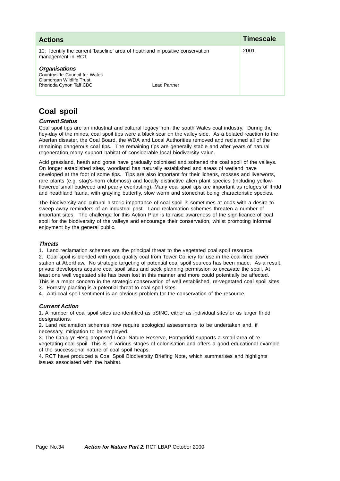| <b>Actions</b>                                                                                                              |  | Timescale |
|-----------------------------------------------------------------------------------------------------------------------------|--|-----------|
| 10: Identify the current 'baseline' area of heathland in positive conservation<br>management in RCT.                        |  | 2001      |
| <b>Organisations</b><br>Countryside Council for Wales<br>Glamorgan Wildlife Trust<br>Rhondda Cynon Taff CBC<br>Lead Partner |  |           |

# **Coal spoil**

## **Current Status**

Coal spoil tips are an industrial and cultural legacy from the south Wales coal industry. During the hey-day of the mines, coal spoil tips were a black scar on the valley side. As a belated reaction to the Aberfan disaster, the Coal Board, the WDA and Local Authorities removed and reclaimed all of the remaining dangerous coal tips. The remaining tips are generally stable and after years of natural regeneration many support habitat of considerable local biodiversity value.

Acid grassland, heath and gorse have gradually colonised and softened the coal spoil of the valleys. On longer established sites, woodland has naturally established and areas of wetland have developed at the foot of some tips. Tips are also important for their lichens, mosses and liverworts, rare plants (e.g. stag's-horn clubmoss) and locally distinctive alien plant species (including yellowflowered small cudweed and pearly everlasting). Many coal spoil tips are important as refuges of ffridd and heathland fauna, with grayling butterfly, slow worm and stonechat being characteristic species.

The biodiversity and cultural historic importance of coal spoil is sometimes at odds with a desire to sweep away reminders of an industrial past. Land reclamation schemes threaten a number of important sites. The challenge for this Action Plan is to raise awareness of the significance of coal spoil for the biodiversity of the valleys and encourage their conservation, whilst promoting informal enjoyment by the general public.

## **Threats**

1. Land reclamation schemes are the principal threat to the vegetated coal spoil resource.

2. Coal spoil is blended with good quality coal from Tower Colliery for use in the coal-fired power station at Aberthaw. No strategic targeting of potential coal spoil sources has been made. As a result, private developers acquire coal spoil sites and seek planning permission to excavate the spoil. At least one well vegetated site has been lost in this manner and more could potentially be affected. This is a major concern in the strategic conservation of well established, re-vegetated coal spoil sites.

3. Forestry planting is a potential threat to coal spoil sites. 4. Anti-coal spoil sentiment is an obvious problem for the conservation of the resource.

## **Current Action**

1. A number of coal spoil sites are identified as pSINC, either as individual sites or as larger ffridd designations.

2. Land reclamation schemes now require ecological assessments to be undertaken and, if necessary, mitigation to be employed.

3. The Craig-yr-Hesg proposed Local Nature Reserve, Pontypridd supports a small area of revegetating coal spoil. This is in various stages of colonisation and offers a good educational example of the successional nature of coal spoil heaps.

4. RCT have produced a Coal Spoil Biodiversity Briefing Note, which summarises and highlights issues associated with the habitat.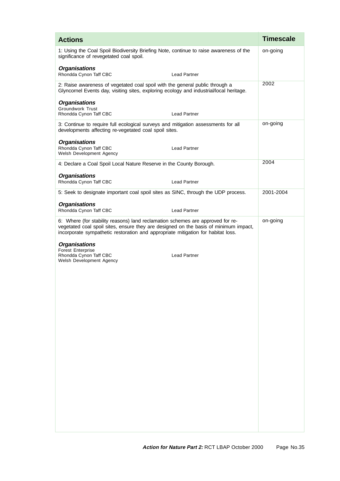| <b>Actions</b>                                                                                                                                                                                                                                             | <b>Timescale</b> |
|------------------------------------------------------------------------------------------------------------------------------------------------------------------------------------------------------------------------------------------------------------|------------------|
| 1: Using the Coal Spoil Biodiversity Briefing Note, continue to raise awareness of the<br>significance of revegetated coal spoil.                                                                                                                          | on-going         |
| <b>Organisations</b><br>Rhondda Cynon Taff CBC<br><b>Lead Partner</b>                                                                                                                                                                                      |                  |
| 2: Raise awareness of vegetated coal spoil with the general public through a<br>Glyncornel Events day, visiting sites, exploring ecology and industrial/local heritage.                                                                                    | 2002             |
| <b>Organisations</b><br><b>Groundwork Trust</b><br><b>Lead Partner</b><br>Rhondda Cynon Taff CBC                                                                                                                                                           |                  |
| 3: Continue to require full ecological surveys and mitigation assessments for all<br>developments affecting re-vegetated coal spoil sites.                                                                                                                 | on-going         |
| <b>Organisations</b><br>Rhondda Cynon Taff CBC<br><b>Lead Partner</b><br>Welsh Development Agency                                                                                                                                                          |                  |
| 4: Declare a Coal Spoil Local Nature Reserve in the County Borough.                                                                                                                                                                                        | 2004             |
| <b>Organisations</b><br>Rhondda Cynon Taff CBC<br><b>Lead Partner</b>                                                                                                                                                                                      |                  |
| 5: Seek to designate important coal spoil sites as SINC, through the UDP process.                                                                                                                                                                          | 2001-2004        |
| <b>Organisations</b><br>Rhondda Cynon Taff CBC<br><b>Lead Partner</b>                                                                                                                                                                                      |                  |
| 6: Where (for stability reasons) land reclamation schemes are approved for re-<br>vegetated coal spoil sites, ensure they are designed on the basis of minimum impact,<br>incorporate sympathetic restoration and appropriate mitigation for habitat loss. | on-going         |
| <b>Organisations</b><br><b>Forest Enterprise</b>                                                                                                                                                                                                           |                  |
| Rhondda Cynon Taff CBC<br><b>Lead Partner</b><br>Welsh Development Agency                                                                                                                                                                                  |                  |
|                                                                                                                                                                                                                                                            |                  |
|                                                                                                                                                                                                                                                            |                  |
|                                                                                                                                                                                                                                                            |                  |
|                                                                                                                                                                                                                                                            |                  |
|                                                                                                                                                                                                                                                            |                  |
|                                                                                                                                                                                                                                                            |                  |
|                                                                                                                                                                                                                                                            |                  |
|                                                                                                                                                                                                                                                            |                  |
|                                                                                                                                                                                                                                                            |                  |
|                                                                                                                                                                                                                                                            |                  |
|                                                                                                                                                                                                                                                            |                  |
|                                                                                                                                                                                                                                                            |                  |
|                                                                                                                                                                                                                                                            |                  |
|                                                                                                                                                                                                                                                            |                  |
|                                                                                                                                                                                                                                                            |                  |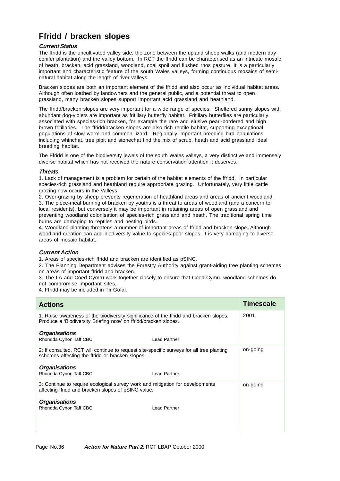# **Ffridd / bracken slopes**

## **Current Status**

The ffridd is the uncultivated valley side, the zone between the upland sheep walks (and modern day conifer plantation) and the valley bottom. In RCT the ffridd can be characterised as an intricate mosaic of heath, bracken, acid grassland, woodland, coal spoil and flushed rhos pasture. It is a particularly important and characteristic feature of the south Wales valleys, forming continuous mosaics of seminatural habitat along the length of river valleys.

Bracken slopes are both an important element of the ffridd and also occur as individual habitat areas. Although often loathed by landowners and the general public, and a potential threat to open grassland, many bracken slopes support important acid grassland and heathland.

The ffridd/bracken slopes are very important for a wide range of species. Sheltered sunny slopes with abundant dog-violets are important as fritillary butterfly habitat. Fritillary butterflies are particularly associated with species-rich bracken, for example the rare and elusive pearl-bordered and high brown fritillaries. The ffridd/bracken slopes are also rich reptile habitat, supporting exceptional populations of slow worm and common lizard. Regionally important breeding bird populations, including whinchat, tree pipit and stonechat find the mix of scrub, heath and acid grassland ideal breeding habitat.

The Ffridd is one of the biodiversity jewels of the south Wales valleys, a very distinctive and immensely diverse habitat which has not received the nature conservation attention it deserves.

### **Threats**

1. Lack of management is a problem for certain of the habitat elements of the ffridd. In particular species-rich grassland and heathland require appropriate grazing. Unfortunately, very little cattle grazing now occurs in the Valleys.

2. Over-grazing by sheep prevents regeneration of heathland areas and areas of ancient woodland. 3. The piece-meal burning of bracken by youths is a threat to areas of woodland (and a concern to local residents), but conversely it may be important in retaining areas of open grassland and preventing woodland colonisation of species-rich grassland and heath. The traditional spring time burns are damaging to reptiles and nesting birds.

4. Woodland planting threatens a number of important areas of ffridd and bracken slope. Although woodland creation can add biodiversity value to species-poor slopes, it is very damaging to diverse areas of mosaic habitat.

## **Current Action**

1. Areas of species-rich ffridd and bracken are identified as pSINC.

2. The Planning Department advises the Forestry Authority against grant-aiding tree planting schemes on areas of important ffridd and bracken.

3. The LA and Coed Cymru work together closely to ensure that Coed Cymru woodland schemes do not compromise important sites.

4. Ffridd may be included in Tir Gofal.

| <b>Actions</b>                                                                                                                                            |                     | <b>Timescale</b> |
|-----------------------------------------------------------------------------------------------------------------------------------------------------------|---------------------|------------------|
| 1: Raise awareness of the biodiversity significance of the ffridd and bracken slopes.<br>Produce a 'Biodiversity Briefing note' on ffridd/bracken slopes. |                     | 2001             |
| <b>Organisations</b><br>Rhondda Cynon Taff CBC                                                                                                            | <b>Lead Partner</b> |                  |
| 2: If consulted, RCT will continue to request site-specific surveys for all tree planting<br>schemes affecting the ffridd or bracken slopes.              |                     | on-going         |
| <b>Organisations</b><br>Rhondda Cynon Taff CBC                                                                                                            | <b>Lead Partner</b> |                  |
| 3: Continue to require ecological survey work and mitigation for developments<br>affecting ffridd and bracken slopes of pSINC value.                      |                     | on-going         |
| <b>Organisations</b><br>Rhondda Cynon Taff CBC                                                                                                            | <b>Lead Partner</b> |                  |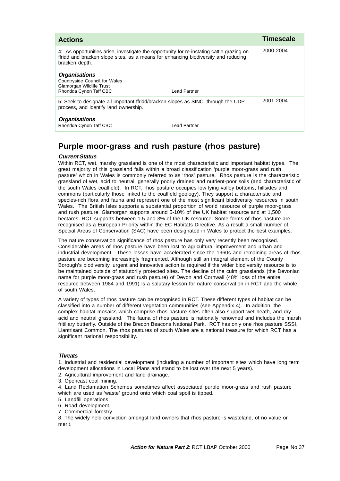| <b>Actions</b>                                                                                                                                                                                    |  | <b>Timescale</b> |
|---------------------------------------------------------------------------------------------------------------------------------------------------------------------------------------------------|--|------------------|
| 4: As opportunities arise, investigate the opportunity for re-instating cattle grazing on<br>ffridd and bracken slope sites, as a means for enhancing biodiversity and reducing<br>bracken depth. |  | 2000-2004        |
| <b>Organisations</b><br><b>Countryside Council for Wales</b><br>Glamorgan Wildlife Trust<br>Rhondda Cynon Taff CBC<br>Lead Partner                                                                |  |                  |
| 5: Seek to designate all important ffridd/bracken slopes as SINC, through the UDP<br>process, and identify land ownership.                                                                        |  | 2001-2004        |
| <b>Organisations</b><br>Rhondda Cynon Taff CBC<br>Lead Partner                                                                                                                                    |  |                  |

# **Purple moor-grass and rush pasture (rhos pasture)**

### **Current Status**

Within RCT, wet, marshy grassland is one of the most characteristic and important habitat types. The great majority of this grassland falls within a broad classification 'purple moor-grass and rush pasture' which in Wales is commonly referred to as 'rhos' pasture. Rhos pasture is the characteristic grassland of wet, acid to neutral, generally poorly drained and nutrient-poor soils (and characteristic of the south Wales coalfield). In RCT, rhos pasture occupies low lying valley bottoms, hillsides and commons (particularly those linked to the coalfield geology). They support a characteristic and species-rich flora and fauna and represent one of the most significant biodiversity resources in south Wales. The British Isles supports a substantial proportion of world resource of purple moor-grass and rush pasture. Glamorgan supports around 5-10% of the UK habitat resource and at 1,500 hectares, RCT supports between 1.5 and 3% of the UK resource. Some forms of rhos pasture are recognised as a European Priority within the EC Habitats Directive. As a result a small number of Special Areas of Conservation (SAC) have been designated in Wales to protect the best examples.

The nature conservation significance of rhos pasture has only very recently been recognised. Considerable areas of rhos pasture have been lost to agricultural improvement and urban and industrial development. These losses have accelerated since the 1960s and remaining areas of rhos pasture are becoming increasingly fragmented. Although still an integral element of the County Borough's biodiversity, urgent and innovative action is required if the wider biodiversity resource is to be maintained outside of statutorily protected sites. The decline of the culm grasslands (the Devonian name for purple moor-grass and rush pasture) of Devon and Cornwall (48% loss of the entire resource between 1984 and 1991) is a salutary lesson for nature conservation in RCT and the whole of south Wales.

A variety of types of rhos pasture can be recognised in RCT. These different types of habitat can be classified into a number of different vegetation communities (see Appendix 4). In addition, the complex habitat mosaics which comprise rhos pasture sites often also support wet heath, and dry acid and neutral grassland. The fauna of rhos pasture is nationally renowned and includes the marsh fritillary butterfly. Outside of the Brecon Beacons National Park, RCT has only one rhos pasture SSSI, Llantrisant Common. The rhos pastures of south Wales are a national treasure for which RCT has a significant national responsibility.

#### **Threats**

1. Industrial and residential development (including a number of important sites which have long term development allocations in Local Plans and stand to be lost over the next 5 years).

- 2. Agricultural improvement and land drainage.
- 3. Opencast coal mining.

4. Land Reclamation Schemes sometimes affect associated purple moor-grass and rush pasture which are used as 'waste' ground onto which coal spoil is tipped.

- 5. Landfill operations.
- 6. Road development.
- 7. Commercial forestry.

8. The widely held conviction amongst land owners that rhos pasture is wasteland, of no value or merit.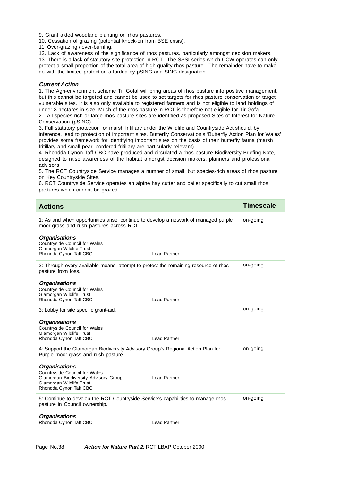9. Grant aided woodland planting on rhos pastures.

10. Cessation of grazing (potential knock-on from BSE crisis).

11. Over-grazing / over-burning.

12. Lack of awareness of the significance of rhos pastures, particularly amongst decision makers. 13. There is a lack of statutory site protection in RCT. The SSSI series which CCW operates can only protect a small proportion of the total area of high quality rhos pasture. The remainder have to make

do with the limited protection afforded by pSINC and SINC designation.

## **Current Action**

1. The Agri-environment scheme Tir Gofal will bring areas of rhos pasture into positive management, but this cannot be targeted and cannot be used to set targets for rhos pasture conservation or target vulnerable sites. It is also only available to registered farmers and is not eligible to land holdings of under 3 hectares in size. Much of the rhos pasture in RCT is therefore not eligible for Tir Gofal. 2. All species-rich or large rhos pasture sites are identified as proposed Sites of Interest for Nature Conservation (pSINC).

3. Full statutory protection for marsh fritillary under the Wildlife and Countryside Act should, by inference, lead to protection of important sites. Butterfly Conservation's 'Butterfly Action Plan for Wales' provides some framework for identifying important sites on the basis of their butterfly fauna (marsh fritillary and small pearl-bordered fritillary are particularly relevant).

4. Rhondda Cynon Taff CBC have produced and circulated a rhos pasture Biodiversity Briefing Note, designed to raise awareness of the habitat amongst decision makers, planners and professional advisors.

5. The RCT Countryside Service manages a number of small, but species-rich areas of rhos pasture on Key Countryside Sites.

6. RCT Countryside Service operates an alpine hay cutter and bailer specifically to cut small rhos pastures which cannot be grazed.

| <b>Actions</b>                                                                                                                                                              |  | <b>Timescale</b> |
|-----------------------------------------------------------------------------------------------------------------------------------------------------------------------------|--|------------------|
| 1: As and when opportunities arise, continue to develop a network of managed purple<br>moor-grass and rush pastures across RCT.                                             |  | on-going         |
| <b>Organisations</b><br>Countryside Council for Wales<br>Glamorgan Wildlife Trust<br>Rhondda Cynon Taff CBC<br><b>Lead Partner</b>                                          |  |                  |
| 2: Through every available means, attempt to protect the remaining resource of rhos<br>pasture from loss.                                                                   |  | on-going         |
| <b>Organisations</b><br>Countryside Council for Wales<br>Glamorgan Wildlife Trust<br>Rhondda Cynon Taff CBC<br><b>Lead Partner</b>                                          |  |                  |
| 3: Lobby for site specific grant-aid.                                                                                                                                       |  | on-going         |
| <b>Organisations</b><br>Countryside Council for Wales<br>Glamorgan Wildlife Trust<br>Rhondda Cynon Taff CBC<br><b>Lead Partner</b>                                          |  |                  |
| 4: Support the Glamorgan Biodiversity Advisory Group's Regional Action Plan for<br>Purple moor-grass and rush pasture.                                                      |  | on-going         |
| <b>Organisations</b><br>Countryside Council for Wales<br>Glamorgan Biodiversity Advisory Group<br><b>Lead Partner</b><br>Glamorgan Wildlife Trust<br>Rhondda Cynon Taff CBC |  |                  |
| 5: Continue to develop the RCT Countryside Service's capabilities to manage rhos<br>pasture in Council ownership.                                                           |  | on-going         |
| <b>Organisations</b><br>Rhondda Cynon Taff CBC<br><b>Lead Partner</b>                                                                                                       |  |                  |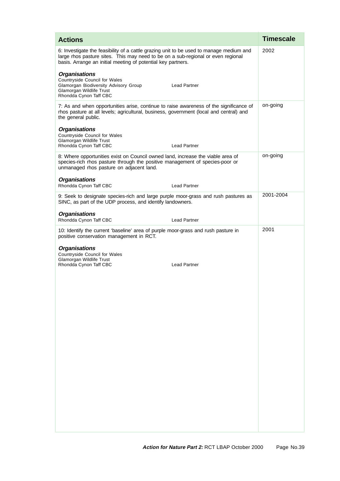| <b>Actions</b>                                                                                                                                                                                                                              | <b>Timescale</b> |
|---------------------------------------------------------------------------------------------------------------------------------------------------------------------------------------------------------------------------------------------|------------------|
| 6: Investigate the feasibility of a cattle grazing unit to be used to manage medium and<br>large rhos pasture sites. This may need to be on a sub-regional or even regional<br>basis. Arrange an initial meeting of potential key partners. | 2002             |
| <b>Organisations</b><br>Countryside Council for Wales<br><b>Lead Partner</b><br>Glamorgan Biodiversity Advisory Group<br>Glamorgan Wildlife Trust<br>Rhondda Cynon Taff CBC                                                                 |                  |
| 7: As and when opportunities arise, continue to raise awareness of the significance of<br>rhos pasture at all levels; agricultural, business, government (local and central) and<br>the general public.                                     | on-going         |
| <b>Organisations</b><br>Countryside Council for Wales<br>Glamorgan Wildlife Trust<br><b>Lead Partner</b><br>Rhondda Cynon Taff CBC                                                                                                          |                  |
| 8: Where opportunities exist on Council owned land, increase the viable area of<br>species-rich rhos pasture through the positive management of species-poor or<br>unmanaged rhos pasture on adjacent land.                                 | on-going         |
| <b>Organisations</b><br>Rhondda Cynon Taff CBC<br><b>Lead Partner</b>                                                                                                                                                                       |                  |
| 9: Seek to designate species-rich and large purple moor-grass and rush pastures as<br>SINC, as part of the UDP process, and identify landowners.                                                                                            | 2001-2004        |
| <b>Organisations</b><br>Rhondda Cynon Taff CBC<br><b>Lead Partner</b>                                                                                                                                                                       |                  |
| 10: Identify the current 'baseline' area of purple moor-grass and rush pasture in<br>positive conservation management in RCT.                                                                                                               | 2001             |
| <b>Organisations</b><br>Countryside Council for Wales<br>Glamorgan Wildlife Trust<br>Rhondda Cynon Taff CBC<br><b>Lead Partner</b>                                                                                                          |                  |
|                                                                                                                                                                                                                                             |                  |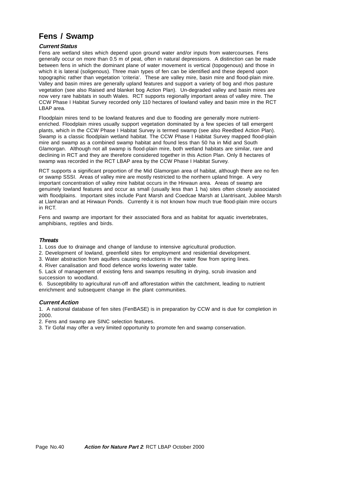# **Fens / Swamp**

## **Current Status**

Fens are wetland sites which depend upon ground water and/or inputs from watercourses. Fens generally occur on more than 0.5 m of peat, often in natural depressions. A distinction can be made between fens in which the dominant plane of water movement is vertical (topogenous) and those in which it is lateral (soligenous). Three main types of fen can be identified and these depend upon topographic rather than vegetation 'criteria'. These are valley mire, basin mire and flood-plain mire. Valley and basin mires are generally upland features and support a variety of bog and rhos pasture vegetation (see also Raised and blanket bog Action Plan). Un-degraded valley and basin mires are now very rare habitats in south Wales. RCT supports regionally important areas of valley mire. The CCW Phase I Habitat Survey recorded only 110 hectares of lowland valley and basin mire in the RCT LBAP area.

Floodplain mires tend to be lowland features and due to flooding are generally more nutrientenriched. Floodplain mires usually support vegetation dominated by a few species of tall emergent plants, which in the CCW Phase I Habitat Survey is termed swamp (see also Reedbed Action Plan). Swamp is a classic floodplain wetland habitat. The CCW Phase I Habitat Survey mapped flood-plain mire and swamp as a combined swamp habitat and found less than 50 ha in Mid and South Glamorgan. Although not all swamp is flood-plain mire, both wetland habitats are similar, rare and declining in RCT and they are therefore considered together in this Action Plan. Only 8 hectares of swamp was recorded in the RCT LBAP area by the CCW Phase I Habitat Survey.

RCT supports a significant proportion of the Mid Glamorgan area of habitat, although there are no fen or swamp SSSI. Areas of valley mire are mostly restricted to the northern upland fringe. A very important concentration of valley mire habitat occurs in the Hirwaun area. Areas of swamp are genuinely lowland features and occur as small (usually less than 1 ha) sites often closely associated with floodplains. Important sites include Pant Marsh and Coedcae Marsh at Llantrisant, Jubilee Marsh at Llanharan and at Hirwaun Ponds. Currently it is not known how much true flood-plain mire occurs in RCT.

Fens and swamp are important for their associated flora and as habitat for aquatic invertebrates, amphibians, reptiles and birds.

#### **Threats**

1. Loss due to drainage and change of landuse to intensive agricultural production.

- 2. Development of lowland, greenfield sites for employment and residential development.
- 3. Water abstraction from aquifers causing reductions in the water flow from spring lines.
- 4. River canalisation and flood defence works lowering water table.

5. Lack of management of existing fens and swamps resulting in drying, scrub invasion and succession to woodland.

6. Susceptibility to agricultural run-off and afforestation within the catchment, leading to nutrient enrichment and subsequent change in the plant communities.

#### **Current Action**

1. A national database of fen sites (FenBASE) is in preparation by CCW and is due for completion in 2000.

2. Fens and swamp are SINC selection features.

3. Tir Gofal may offer a very limited opportunity to promote fen and swamp conservation.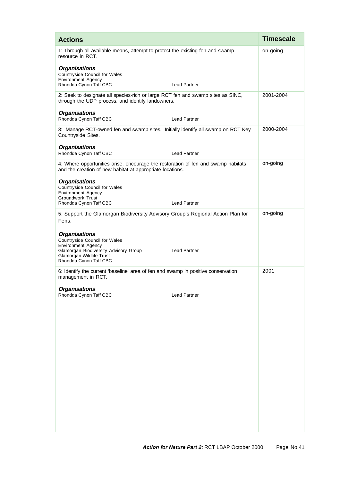| <b>Actions</b>                                                                                                                                                                                           | <b>Timescale</b> |
|----------------------------------------------------------------------------------------------------------------------------------------------------------------------------------------------------------|------------------|
| 1: Through all available means, attempt to protect the existing fen and swamp<br>resource in RCT.                                                                                                        | on-going         |
| <b>Organisations</b><br>Countryside Council for Wales<br><b>Environment Agency</b><br>Rhondda Cynon Taff CBC<br><b>Lead Partner</b>                                                                      |                  |
| 2: Seek to designate all species-rich or large RCT fen and swamp sites as SINC,<br>through the UDP process, and identify landowners.                                                                     | 2001-2004        |
| <b>Organisations</b><br>Rhondda Cynon Taff CBC<br><b>Lead Partner</b>                                                                                                                                    |                  |
| 3: Manage RCT-owned fen and swamp sites. Initially identify all swamp on RCT Key<br>Countryside Sites.                                                                                                   | 2000-2004        |
| <b>Organisations</b><br>Rhondda Cynon Taff CBC<br><b>Lead Partner</b>                                                                                                                                    |                  |
| 4: Where opportunities arise, encourage the restoration of fen and swamp habitats<br>and the creation of new habitat at appropriate locations.                                                           | on-going         |
| <b>Organisations</b><br>Countryside Council for Wales<br><b>Environment Agency</b><br>Groundwork Trust<br>Rhondda Cynon Taff CBC<br><b>Lead Partner</b>                                                  |                  |
| 5: Support the Glamorgan Biodiversity Advisory Group's Regional Action Plan for<br>Fens.                                                                                                                 | on-going         |
| <b>Organisations</b><br>Countryside Council for Wales<br><b>Environment Agency</b><br>Glamorgan Biodiversity Advisory Group<br><b>Lead Partner</b><br>Glamorgan Wildlife Trust<br>Rhondda Cynon Taff CBC |                  |
| 6: Identify the current 'baseline' area of fen and swamp in positive conservation<br>management in RCT.                                                                                                  | 2001             |
| <b>Organisations</b><br>Rhondda Cynon Taff CBC<br><b>Lead Partner</b>                                                                                                                                    |                  |
|                                                                                                                                                                                                          |                  |
|                                                                                                                                                                                                          |                  |
|                                                                                                                                                                                                          |                  |
|                                                                                                                                                                                                          |                  |
|                                                                                                                                                                                                          |                  |
|                                                                                                                                                                                                          |                  |
|                                                                                                                                                                                                          |                  |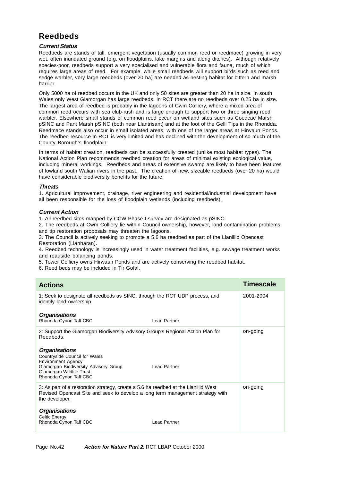# **Reedbeds**

## **Current Status**

Reedbeds are stands of tall, emergent vegetation (usually common reed or reedmace) growing in very wet, often inundated ground (e.g. on floodplains, lake margins and along ditches). Although relatively species-poor, reedbeds support a very specialised and vulnerable flora and fauna, much of which requires large areas of reed. For example, while small reedbeds will support birds such as reed and sedge warbler, very large reedbeds (over 20 ha) are needed as nesting habitat for bittern and marsh harrier.

Only 5000 ha of reedbed occurs in the UK and only 50 sites are greater than 20 ha in size. In south Wales only West Glamorgan has large reedbeds. In RCT there are no reedbeds over 0.25 ha in size. The largest area of reedbed is probably in the lagoons of Cwm Colliery, where a mixed area of common reed occurs with sea club-rush and is large enough to support two or three singing reed warbler. Elsewhere small stands of common reed occur on wetland sites such as Coedcae Marsh pSINC and Pant Marsh pSINC (both near Llantrisant) and at the foot of the Gelli Tips in the Rhondda. Reedmace stands also occur in small isolated areas, with one of the larger areas at Hirwaun Ponds. The reedbed resource in RCT is very limited and has declined with the development of so much of the County Borough's floodplain.

In terms of habitat creation, reedbeds can be successfully created (unlike most habitat types). The National Action Plan recommends reedbed creation for areas of minimal existing ecological value, including mineral workings. Reedbeds and areas of extensive swamp are likely to have been features of lowland south Walian rivers in the past. The creation of new, sizeable reedbeds (over 20 ha) would have considerable biodiversity benefits for the future.

## **Threats**

1. Agricultural improvement, drainage, river engineering and residential/industrial development have all been responsible for the loss of floodplain wetlands (including reedbeds).

## **Current Action**

1. All reedbed sites mapped by CCW Phase I survey are designated as pSINC.

2. The reedbeds at Cwm Colliery lie within Council ownership, however, land contamination problems and tip restoration proposals may threaten the lagoons.

3. The Council is actively seeking to promote a 5.6 ha reedbed as part of the Llanillid Opencast Restoration (Llanharan).

4. Reedbed technology is increasingly used in water treatment facilities, e.g. sewage treatment works and roadside balancing ponds.

5. Tower Colliery owns Hirwaun Ponds and are actively conserving the reedbed habitat.

6. Reed beds may be included in Tir Gofal.

| <b>Actions</b>                                                                                                                                                                          | <b>Timescale</b> |
|-----------------------------------------------------------------------------------------------------------------------------------------------------------------------------------------|------------------|
| 1: Seek to designate all reedbeds as SINC, through the RCT UDP process, and<br>identify land ownership.                                                                                 | 2001-2004        |
| <b>Organisations</b>                                                                                                                                                                    |                  |
| Rhondda Cynon Taff CBC<br><b>Lead Partner</b>                                                                                                                                           |                  |
| 2: Support the Glamorgan Biodiversity Advisory Group's Regional Action Plan for<br>Reedbeds.                                                                                            | on-going         |
| <b>Organisations</b><br>Countryside Council for Wales<br><b>Environment Agency</b><br>Glamorgan Biodiversity Advisory Group<br><b>Lead Partner</b>                                      |                  |
| Glamorgan Wildlife Trust<br>Rhondda Cynon Taff CBC                                                                                                                                      |                  |
| 3: As part of a restoration strategy, create a 5.6 ha reedbed at the Llanillid West<br>Revised Opencast Site and seek to develop a long term management strategy with<br>the developer. | on-going         |
| <b>Organisations</b><br>Celtic Energy<br>Rhondda Cynon Taff CBC<br><b>Lead Partner</b>                                                                                                  |                  |
|                                                                                                                                                                                         |                  |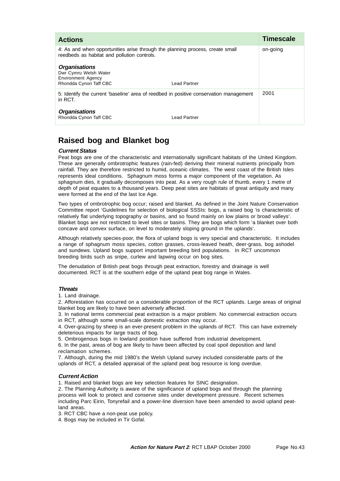| <b>Actions</b>                                                                                                               |              | <b>Timescale</b> |
|------------------------------------------------------------------------------------------------------------------------------|--------------|------------------|
| 4: As and when opportunities arise through the planning process, create small<br>reedbeds as habitat and pollution controls. |              | on-going         |
| <b>Organisations</b><br>Dwr Cymru Welsh Water<br><b>Environment Agency</b><br>Rhondda Cynon Taff CBC                         | Lead Partner |                  |
| 5: Identify the current 'baseline' area of reedbed in positive conservation management<br>in RCT.                            |              | 2001             |
| <b>Organisations</b><br>Rhondda Cynon Taff CBC                                                                               | Lead Partner |                  |

# **Raised bog and Blanket bog**

## **Current Status**

Peat bogs are one of the characteristic and internationally significant habitats of the United Kingdom. These are generally ombrotrophic features (rain-fed) deriving their mineral nutrients principally from rainfall. They are therefore restricted to humid, oceanic climates. The west coast of the British Isles represents ideal conditions. Sphagnum moss forms a major component of the vegetation. As sphagnum dies, it gradually decomposes into peat. As a very rough rule of thumb, every 1 metre of depth of peat equates to a thousand years. Deep peat sites are habitats of great antiquity and many were formed at the end of the last Ice Age.

Two types of ombrotrophic bog occur; raised and blanket. As defined in the Joint Nature Conservation Committee report 'Guidelines for selection of biological SSSIs: bogs, a raised bog 'is characteristic of relatively flat underlying topography or basins, and so found mainly on low plains or broad valleys'. Blanket bogs are not restricted to level sites or basins. They are bogs which form 'a blanket over both concave and convex surface, on level to moderately sloping ground in the uplands'.

Although relatively species-poor, the flora of upland bogs is very special and characteristic. It includes a range of sphagnum moss species, cotton grasses, cross-leaved heath, deer-grass, bog ashodel and sundews. Upland bogs support important breeding bird populations. In RCT uncommon breeding birds such as snipe, curlew and lapwing occur on bog sites.

The denudation of British peat bogs through peat extraction, forestry and drainage is well documented. RCT is at the southern edge of the upland peat bog range in Wales.

## **Threats**

1. Land drainage.

2. Afforestation has occurred on a considerable proportion of the RCT uplands. Large areas of original blanket bog are likely to have been adversely affected.

3. In national terms commercial peat extraction is a major problem. No commercial extraction occurs in RCT, although some small-scale domestic extraction may occur.

4. Over-grazing by sheep is an ever-present problem in the uplands of RCT. This can have extremely deleterious impacts for large tracts of bog.

5. Ombrogenous bogs in lowland position have suffered from industrial development.

6. In the past, areas of bog are likely to have been affected by coal spoil deposition and land reclamation schemes.

7. Although, during the mid 1980's the Welsh Upland survey included considerable parts of the uplands of RCT, a detailed appraisal of the upland peat bog resource is long overdue.

## **Current Action**

1. Raised and blanket bogs are key selection features for SINC designation.

2. The Planning Authority is aware of the significance of upland bogs and through the planning process will look to protect and conserve sites under development pressure. Recent schemes including Parc Eirin, Tonyrefail and a power-line diversion have been amended to avoid upland peatland areas.

3. RCT CBC have a non-peat use policy.

4. Bogs may be included in Tir Gofal.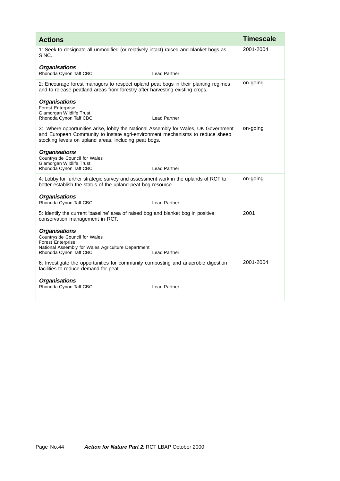| <b>Actions</b>                                                                                                                                                                                                               |                     | <b>Timescale</b> |
|------------------------------------------------------------------------------------------------------------------------------------------------------------------------------------------------------------------------------|---------------------|------------------|
| 1: Seek to designate all unmodified (or relatively intact) raised and blanket bogs as<br>SINC.                                                                                                                               |                     | 2001-2004        |
| <b>Organisations</b><br>Rhondda Cynon Taff CBC                                                                                                                                                                               | <b>Lead Partner</b> |                  |
| 2: Encourage forest managers to respect upland peat bogs in their planting regimes<br>and to release peatland areas from forestry after harvesting existing crops.                                                           |                     | on-going         |
| <b>Organisations</b><br><b>Forest Enterprise</b><br>Glamorgan Wildlife Trust<br>Rhondda Cynon Taff CBC                                                                                                                       | <b>Lead Partner</b> |                  |
| 3: Where opportunities arise, lobby the National Assembly for Wales, UK Government<br>and European Community to instate agri-environment mechanisms to reduce sheep<br>stocking levels on upland areas, including peat bogs. |                     | on-going         |
| <b>Organisations</b><br>Countryside Council for Wales<br>Glamorgan Wildlife Trust<br>Rhondda Cynon Taff CBC                                                                                                                  | <b>Lead Partner</b> |                  |
| 4: Lobby for further strategic survey and assessment work in the uplands of RCT to<br>better establish the status of the upland peat bog resource.                                                                           |                     | on-going         |
| <b>Organisations</b><br>Rhondda Cynon Taff CBC                                                                                                                                                                               | <b>Lead Partner</b> |                  |
| 5: Identify the current 'baseline' area of raised bog and blanket bog in positive<br>conservation management in RCT.                                                                                                         |                     | 2001             |
| <b>Organisations</b><br>Countryside Council for Wales<br><b>Forest Enterprise</b><br>National Assembly for Wales Agriculture Department<br>Rhondda Cynon Taff CBC                                                            | <b>Lead Partner</b> |                  |
| 6: Investigate the opportunities for community composting and anaerobic digestion<br>facilities to reduce demand for peat.                                                                                                   |                     | 2001-2004        |
| <b>Organisations</b><br>Rhondda Cynon Taff CBC                                                                                                                                                                               | <b>Lead Partner</b> |                  |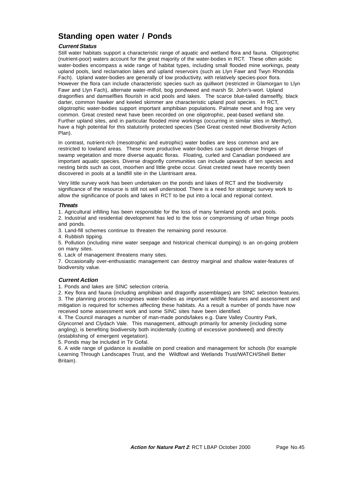## **Standing open water / Ponds**

## **Current Status**

Still water habitats support a characteristic range of aquatic and wetland flora and fauna. Oligotrophic (nutrient-poor) waters account for the great majority of the water-bodies in RCT. These often acidic water-bodies encompass a wide range of habitat types, including small flooded mine workings, peaty upland pools, land reclamation lakes and upland reservoirs (such as Llyn Fawr and Twyn Rhondda Fach). Upland water-bodies are generally of low productivity, with relatively species-poor flora. However the flora can include characteristic species such as quillwort (restricted in Glamorgan to Llyn Fawr and Llyn Fach), alternate water-milfoil, bog pondweed and marsh St. John's-wort. Upland dragonflies and damselflies flourish in acid pools and lakes. The scarce blue-tailed damselfly, black darter, common hawker and keeled skimmer are characteristic upland pool species. In RCT, oligotrophic water-bodies support important amphibian populations. Palmate newt and frog are very common. Great crested newt have been recorded on one oligotrophic, peat-based wetland site. Further upland sites, and in particular flooded mine workings (occurring in similar sites in Merthyr), have a high potential for this statutorily protected species (See Great crested newt Biodiversity Action Plan).

In contrast, nutrient-rich (mesotrophic and eutrophic) water bodies are less common and are restricted to lowland areas. These more productive water-bodies can support dense fringes of swamp vegetation and more diverse aquatic floras. Floating, curled and Canadian pondweed are important aquatic species. Diverse dragonfly communities can include upwards of ten species and nesting birds such as coot, moorhen and little grebe occur. Great crested newt have recently been discovered in pools at a landfill site in the Llantrisant area.

Very little survey work has been undertaken on the ponds and lakes of RCT and the biodiversity significance of the resource is still not well understood. There is a need for strategic survey work to allow the significance of pools and lakes in RCT to be put into a local and regional context.

#### **Threats**

1. Agricultural infilling has been responsible for the loss of many farmland ponds and pools.

2. Industrial and residential development has led to the loss or compromising of urban fringe pools and ponds.

3. Land-fill schemes continue to threaten the remaining pond resource.

4. Rubbish tipping.

5. Pollution (including mine water seepage and historical chemical dumping) is an on-going problem on many sites.

6. Lack of management threatens many sites.

7. Occasionally over-enthusiastic management can destroy marginal and shallow water-features of biodiversity value.

## **Current Action**

1. Ponds and lakes are SINC selection criteria.

2. Key flora and fauna (including amphibian and dragonfly assemblages) are SINC selection features. 3. The planning process recognises water-bodies as important wildlife features and assessment and mitigation is required for schemes affecting these habitats. As a result a number of ponds have now received some assessment work and some SINC sites have been identified.

4. The Council manages a number of man-made ponds/lakes e.g. Dare Valley Country Park, Glyncornel and Clydach Vale. This management, although primarily for amenity (including some angling), is benefiting biodiversity both incidentally (cutting of excessive pondweed) and directly (establishing of emergent vegetation).

5. Ponds may be included in Tir Gofal.

6. A wide range of guidance is available on pond creation and management for schools (for example Learning Through Landscapes Trust, and the Wildfowl and Wetlands Trust/WATCH/Shell Better Britain).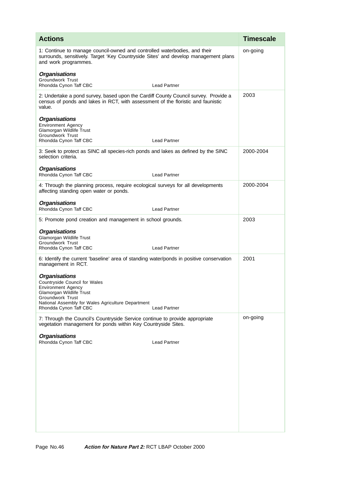| <b>Actions</b>                                                                                                                                                                                                                     | <b>Timescale</b> |
|------------------------------------------------------------------------------------------------------------------------------------------------------------------------------------------------------------------------------------|------------------|
| 1: Continue to manage council-owned and controlled waterbodies, and their<br>surrounds, sensitively. Target 'Key Countryside Sites' and develop management plans<br>and work programmes.                                           | on-going         |
| <b>Organisations</b><br><b>Groundwork Trust</b><br>Rhondda Cynon Taff CBC<br><b>Lead Partner</b>                                                                                                                                   |                  |
| 2: Undertake a pond survey, based upon the Cardiff County Council survey. Provide a<br>census of ponds and lakes in RCT, with assessment of the floristic and faunistic<br>value.                                                  | 2003             |
| <b>Organisations</b><br><b>Environment Agency</b><br>Glamorgan Wildlife Trust<br><b>Groundwork Trust</b><br>Rhondda Cynon Taff CBC<br><b>Lead Partner</b>                                                                          |                  |
| 3: Seek to protect as SINC all species-rich ponds and lakes as defined by the SINC<br>selection criteria.                                                                                                                          | 2000-2004        |
| <b>Organisations</b><br>Rhondda Cynon Taff CBC<br><b>Lead Partner</b>                                                                                                                                                              |                  |
| 4: Through the planning process, require ecological surveys for all developments<br>affecting standing open water or ponds.                                                                                                        | 2000-2004        |
| <b>Organisations</b><br>Rhondda Cynon Taff CBC<br><b>Lead Partner</b>                                                                                                                                                              |                  |
| 5: Promote pond creation and management in school grounds.                                                                                                                                                                         | 2003             |
| <b>Organisations</b><br>Glamorgan Wildlife Trust<br><b>Groundwork Trust</b><br>Rhondda Cynon Taff CBC<br><b>Lead Partner</b>                                                                                                       |                  |
| 6: Identify the current 'baseline' area of standing water/ponds in positive conservation<br>management in RCT.                                                                                                                     | 2001             |
| <b>Organisations</b><br>Countryside Council for Wales<br>Environment Agency<br>Glamorgan Wildlife Trust<br><b>Groundwork Trust</b><br>National Assembly for Wales Agriculture Department<br>Rhondda Cynon Taff CBC<br>Lead Partner |                  |
| 7: Through the Council's Countryside Service continue to provide appropriate<br>vegetation management for ponds within Key Countryside Sites.                                                                                      | on-going         |
| <b>Organisations</b><br>Rhondda Cynon Taff CBC<br><b>Lead Partner</b>                                                                                                                                                              |                  |
|                                                                                                                                                                                                                                    |                  |
|                                                                                                                                                                                                                                    |                  |
|                                                                                                                                                                                                                                    |                  |
|                                                                                                                                                                                                                                    |                  |
|                                                                                                                                                                                                                                    |                  |
|                                                                                                                                                                                                                                    |                  |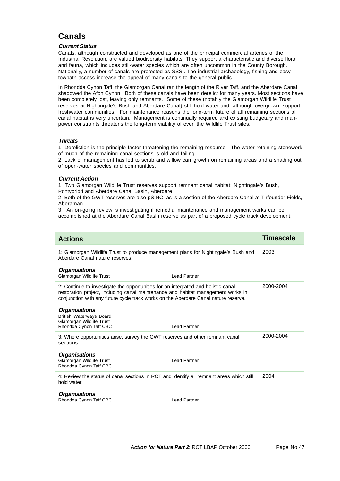# **Canals**

### **Current Status**

Canals, although constructed and developed as one of the principal commercial arteries of the Industrial Revolution, are valued biodiversity habitats. They support a characteristic and diverse flora and fauna, which includes still-water species which are often uncommon in the County Borough. Nationally, a number of canals are protected as SSSI. The industrial archaeology, fishing and easy towpath access increase the appeal of many canals to the general public.

In Rhondda Cynon Taff, the Glamorgan Canal ran the length of the River Taff, and the Aberdare Canal shadowed the Afon Cynon. Both of these canals have been derelict for many years. Most sections have been completely lost, leaving only remnants. Some of these (notably the Glamorgan Wildlife Trust reserves at Nightingale's Bush and Aberdare Canal) still hold water and, although overgrown, support freshwater communities. For maintenance reasons the long-term future of all remaining sections of canal habitat is very uncertain. Management is continually required and existing budgetary and manpower constraints threatens the long-term viability of even the Wildlife Trust sites.

### **Threats**

1. Dereliction is the principle factor threatening the remaining resource. The water-retaining stonework of much of the remaining canal sections is old and failing.

2. Lack of management has led to scrub and willow carr growth on remaining areas and a shading out of open-water species and communities.

### **Current Action**

1. Two Glamorgan Wildlife Trust reserves support remnant canal habitat: Nightingale's Bush, Pontypridd and Aberdare Canal Basin, Aberdare.

2. Both of the GWT reserves are also pSINC, as is a section of the Aberdare Canal at Tirfounder Fields, Aberaman.

3. An on-going review is investigating if remedial maintenance and management works can be accomplished at the Aberdare Canal Basin reserve as part of a proposed cycle track development.

| <b>Actions</b>                                                                                                                                                                                                                                               | <b>Timescale</b> |
|--------------------------------------------------------------------------------------------------------------------------------------------------------------------------------------------------------------------------------------------------------------|------------------|
| 1: Glamorgan Wildlife Trust to produce management plans for Nightingale's Bush and<br>Aberdare Canal nature reserves.                                                                                                                                        | 2003             |
| <b>Organisations</b><br>Glamorgan Wildlife Trust<br><b>Lead Partner</b>                                                                                                                                                                                      |                  |
| 2: Continue to investigate the opportunities for an integrated and holistic canal<br>restoration project, including canal maintenance and habitat management works in<br>conjunction with any future cycle track works on the Aberdare Canal nature reserve. | 2000-2004        |
| <b>Organisations</b><br>British Waterways Board<br>Glamorgan Wildlife Trust<br>Rhondda Cynon Taff CBC<br><b>Lead Partner</b>                                                                                                                                 |                  |
| 3: Where opportunities arise, survey the GWT reserves and other remnant canal<br>sections.                                                                                                                                                                   | 2000-2004        |
| <b>Organisations</b><br>Glamorgan Wildlife Trust<br><b>Lead Partner</b><br>Rhondda Cynon Taff CBC                                                                                                                                                            |                  |
| 4: Review the status of canal sections in RCT and identify all remnant areas which still<br>hold water.                                                                                                                                                      | 2004             |
| <b>Organisations</b><br>Rhondda Cynon Taff CBC<br><b>Lead Partner</b>                                                                                                                                                                                        |                  |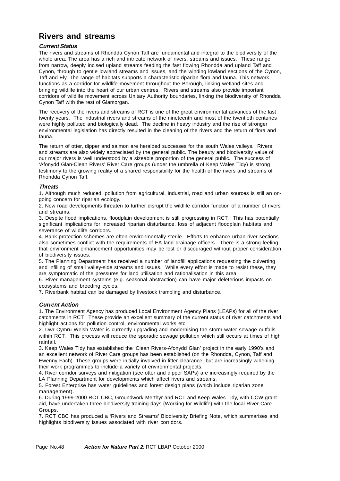# **Rivers and streams**

## **Current Status**

The rivers and streams of Rhondda Cynon Taff are fundamental and integral to the biodiversity of the whole area. The area has a rich and intricate network of rivers, streams and issues. These range from narrow, deeply incised upland streams feeding the fast flowing Rhondda and upland Taff and Cynon, through to gentle lowland streams and issues, and the winding lowland sections of the Cynon, Taff and Ely. The range of habitats supports a characteristic riparian flora and fauna. This network functions as a corridor for wildlife movement throughout the Borough, linking wetland sites and bringing wildlife into the heart of our urban centres. Rivers and streams also provide important corridors of wildlife movement across Unitary Authority boundaries, linking the biodiversity of Rhondda Cynon Taff with the rest of Glamorgan.

The recovery of the rivers and streams of RCT is one of the great environmental advances of the last twenty years. The industrial rivers and streams of the nineteenth and most of the twentieth centuries were highly polluted and biologically dead. The decline in heavy industry and the rise of stronger environmental legislation has directly resulted in the cleaning of the rivers and the return of flora and fauna.

The return of otter, dipper and salmon are heralded successes for the south Wales valleys. Rivers and streams are also widely appreciated by the general public. The beauty and biodiversity value of our major rivers is well understood by a sizeable proportion of the general public. The success of 'Afonydd Glan-Clean Rivers' River Care groups (under the umbrella of Keep Wales Tidy) is strong testimony to the growing reality of a shared responsibility for the health of the rivers and streams of Rhondda Cynon Taff.

## **Threats**

1. Although much reduced, pollution from agricultural, industrial, road and urban sources is still an ongoing concern for riparian ecology.

2. New road developments threaten to further disrupt the wildlife corridor function of a number of rivers and streams.

3. Despite flood implications, floodplain development is still progressing in RCT. This has potentially significant implications for increased riparian disturbance, loss of adjacent floodplain habitats and severance of wildlife corridors.

4. Bank protection schemes are often environmentally sterile. Efforts to enhance urban river sections also sometimes conflict with the requirements of EA land drainage officers. There is a strong feeling that environment enhancement opportunities may be lost or discouraged without proper consideration of biodiversity issues.

5. The Planning Department has received a number of landfill applications requesting the culverting and infilling of small valley-side streams and issues. While every effort is made to resist these, they are symptomatic of the pressures for land utilisation and rationalisation in this area.

6. River management systems (e.g. seasonal abstraction) can have major deleterious impacts on ecosystems and breeding cycles.

7. Riverbank habitat can be damaged by livestock trampling and disturbance.

## **Current Action**

1. The Environment Agency has produced Local Environment Agency Plans (LEAPs) for all of the river catchments in RCT. These provide an excellent summary of the current status of river catchments and highlight actions for pollution control, environmental works etc.

2. Dwr Cymru Welsh Water is currently upgrading and modernising the storm water sewage outfalls within RCT. This process will reduce the sporadic sewage pollution which still occurs at times of high rainfall.

3. Keep Wales Tidy has established the 'Clean Rivers-Afonydd Glan' project in the early 1990's and an excellent network of River Care groups has been established (on the Rhondda, Cynon, Taff and Ewenny Fach). These groups were initially involved in litter clearance, but are increasingly widening their work programmes to include a variety of environmental projects.

4. River corridor surveys and mitigation (see otter and dipper SAPs) are increasingly required by the LA Planning Department for developments which affect rivers and streams.

5. Forest Enterprise has water guidelines and forest design plans (which include riparian zone management).

6. During 1999-2000 RCT CBC, Groundwork Merthyr and RCT and Keep Wales Tidy, with CCW grant aid, have undertaken three biodiversity training days (Working for Wildlife) with the local River Care Groups.

7. RCT CBC has produced a 'Rivers and Streams' Biodiversity Briefing Note, which summarises and highlights biodiversity issues associated with river corridors.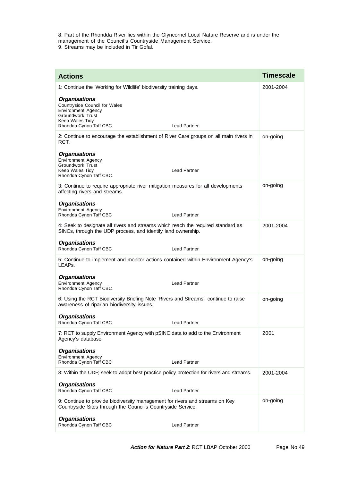8. Part of the Rhondda River lies within the Glyncornel Local Nature Reserve and is under the management of the Council's Countryside Management Service. 9. Streams may be included in Tir Gofal.

| <b>Actions</b>                                                                                                                                                                    | <b>Timescale</b> |
|-----------------------------------------------------------------------------------------------------------------------------------------------------------------------------------|------------------|
| 1: Continue the 'Working for Wildlife' biodiversity training days.                                                                                                                | 2001-2004        |
| <b>Organisations</b><br>Countryside Council for Wales<br><b>Environment Agency</b><br><b>Groundwork Trust</b><br>Keep Wales Tidy<br>Rhondda Cynon Taff CBC<br><b>Lead Partner</b> |                  |
| 2: Continue to encourage the establishment of River Care groups on all main rivers in<br>RCT.                                                                                     | on-going         |
| <b>Organisations</b><br>Environment Agency<br><b>Groundwork Trust</b><br><b>Lead Partner</b><br>Keep Wales Tidy<br>Rhondda Cynon Taff CBC                                         |                  |
| 3: Continue to require appropriate river mitigation measures for all developments<br>affecting rivers and streams.                                                                | on-going         |
| <b>Organisations</b><br><b>Environment Agency</b><br>Rhondda Cynon Taff CBC<br><b>Lead Partner</b>                                                                                |                  |
| 4: Seek to designate all rivers and streams which reach the required standard as<br>SINCs, through the UDP process, and identify land ownership.                                  | 2001-2004        |
| <b>Organisations</b><br>Rhondda Cynon Taff CBC<br><b>Lead Partner</b>                                                                                                             |                  |
| 5: Continue to implement and monitor actions contained within Environment Agency's<br>LEAP <sub>S</sub> .                                                                         | on-going         |
| <b>Organisations</b><br><b>Environment Agency</b><br><b>Lead Partner</b><br>Rhondda Cynon Taff CBC                                                                                |                  |
| 6: Using the RCT Biodiversity Briefing Note 'Rivers and Streams', continue to raise<br>awareness of riparian biodiversity issues.                                                 | on-going         |
| <b>Organisations</b><br>Rhondda Cynon Taff CBC<br><b>Lead Partner</b>                                                                                                             |                  |
| 7: RCT to supply Environment Agency with pSINC data to add to the Environment<br>Agency's database.                                                                               | 2001             |
| <b>Organisations</b><br><b>Environment Agency</b><br>Rhondda Cynon Taff CBC<br><b>Lead Partner</b>                                                                                |                  |
| 8: Within the UDP, seek to adopt best practice policy protection for rivers and streams.                                                                                          | 2001-2004        |
| <b>Organisations</b><br>Rhondda Cynon Taff CBC<br>Lead Partner                                                                                                                    |                  |
| 9: Continue to provide biodiversity management for rivers and streams on Key<br>Countryside Sites through the Council's Countryside Service.                                      | on-going         |
| <b>Organisations</b><br>Rhondda Cynon Taff CBC<br><b>Lead Partner</b>                                                                                                             |                  |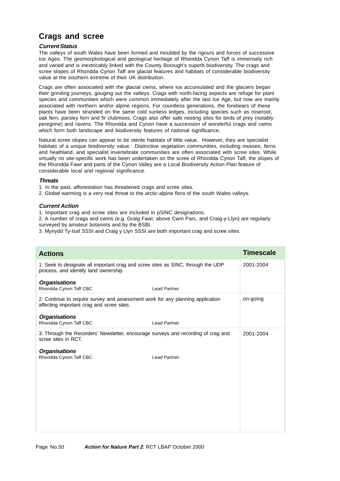# **Crags and scree**

## **Current Status**

The valleys of south Wales have been formed and moulded by the rigours and forces of successive Ice Ages. The geomorphological and geological heritage of Rhondda Cynon Taff is immensely rich and varied and is inextricably linked with the County Borough's superb biodiversity. The crags and scree slopes of Rhondda Cynon Taff are glacial features and habitats of considerable biodiversity value at the southern extreme of their UK distribution.

Crags are often associated with the glacial cwms, where ice accumulated and the glaciers began their grinding journeys, gouging out the valleys. Crags with north-facing aspects are refuge for plant species and communities which were common immediately after the last Ice Age, but now are mainly associated with northern and/or alpine regions. For countless generations, the forebears of these plants have been stranded on the same cold sunless ledges, including species such as roseroot, oak fern, parsley fern and fir clubmoss. Crags also offer safe nesting sites for birds of prey (notably peregrine) and ravens. The Rhondda and Cynon have a succession of wonderful crags and cwms which form both landscape and biodiversity features of national significance.

Natural scree slopes can appear to be sterile habitats of little value. However, they are specialist habitats of a unique biodiversity value. Distinctive vegetation communities, including mosses, ferns and heathland, and specialist invertebrate communities are often associated with scree sites. While virtually no site-specific work has been undertaken on the scree of Rhondda Cynon Taff, the slopes of the Rhondda Fawr and parts of the Cynon Valley are a Local Biodiversity Action Plan feature of considerable local and regional significance.

### **Threats**

1. In the past, afforestation has threatened crags and scree sites.

2. Global warming is a very real threat to the arctic-alpine flora of the south Wales valleys.

## **Current Action**

1. Important crag and scree sites are included in pSINC designations.

2. A number of crags and cwms (e.g. Graig Fawr, above Cwm Parc, and Craig-y-Llyn) are regularly surveyed by amateur botanists and by the BSBI.

3. Mynydd Ty-Isaf SSSI and Craig y Llyn SSSI are both important crag and scree sites.

| <b>Actions</b>                                                                                                              |                     | <b>Timescale</b> |
|-----------------------------------------------------------------------------------------------------------------------------|---------------------|------------------|
| 1: Seek to designate all important crag and scree sites as SINC, through the UDP<br>process, and identify land ownership.   |                     | 2001-2004        |
| <b>Organisations</b><br>Rhondda Cynon Taff CBC                                                                              | <b>Lead Partner</b> |                  |
| 2: Continue to require survey and assessment work for any planning application<br>affecting important crag and scree sites. |                     | on-going         |
| <b>Organisations</b><br>Rhondda Cynon Taff CBC                                                                              | <b>Lead Partner</b> |                  |
| 3: Through the Recorders' Newsletter, encourage surveys and recording of crag and<br>scree sites in RCT.                    |                     | 2001-2004        |
| <b>Organisations</b><br>Rhondda Cynon Taff CBC                                                                              | <b>Lead Partner</b> |                  |
|                                                                                                                             |                     |                  |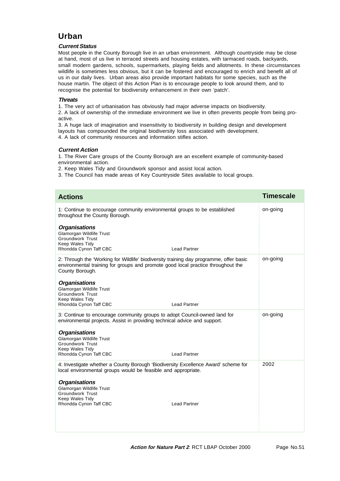# **Urban**

## **Current Status**

Most people in the County Borough live in an urban environment. Although countryside may be close at hand, most of us live in terraced streets and housing estates, with tarmaced roads, backyards, small modern gardens, schools, supermarkets, playing fields and allotments. In these circumstances wildlife is sometimes less obvious, but it can be fostered and encouraged to enrich and benefit all of us in our daily lives. Urban areas also provide important habitats for some species, such as the house martin. The object of this Action Plan is to encourage people to look around them, and to recognise the potential for biodiversity enhancement in their own 'patch'.

## **Threats**

1. The very act of urbanisation has obviously had major adverse impacts on biodiversity.

2. A lack of ownership of the immediate environment we live in often prevents people from being proactive.

3. A huge lack of imagination and insensitivity to biodiversity in building design and development layouts has compounded the original biodiversity loss associated with development. 4. A lack of community resources and information stifles action.

## **Current Action**

1. The River Care groups of the County Borough are an excellent example of community-based environmental action.

2. Keep Wales Tidy and Groundwork sponsor and assist local action.

3. The Council has made areas of Key Countryside Sites available to local groups.

| <b>Actions</b>                                                                                                                                                                                | <b>Timescale</b> |
|-----------------------------------------------------------------------------------------------------------------------------------------------------------------------------------------------|------------------|
| 1: Continue to encourage community environmental groups to be established<br>throughout the County Borough.                                                                                   | on-going         |
| <b>Organisations</b><br>Glamorgan Wildlife Trust<br><b>Groundwork Trust</b><br>Keep Wales Tidy<br>Rhondda Cynon Taff CBC<br><b>Lead Partner</b>                                               |                  |
| 2: Through the 'Working for Wildlife' biodiversity training day programme, offer basic<br>environmental training for groups and promote good local practice throughout the<br>County Borough. | on-going         |
| <b>Organisations</b><br><b>Glamorgan Wildlife Trust</b><br><b>Groundwork Trust</b><br>Keep Wales Tidy<br>Rhondda Cynon Taff CBC<br><b>Lead Partner</b>                                        |                  |
| 3: Continue to encourage community groups to adopt Council-owned land for<br>environmental projects. Assist in providing technical advice and support.                                        | on-going         |
| <b>Organisations</b><br>Glamorgan Wildlife Trust<br><b>Groundwork Trust</b><br>Keep Wales Tidy<br>Rhondda Cynon Taff CBC<br><b>Lead Partner</b>                                               |                  |
| 4: Investigate whether a County Borough 'Biodiversity Excellence Award' scheme for<br>local environmental groups would be feasible and appropriate.                                           | 2002             |
| <b>Organisations</b><br>Glamorgan Wildlife Trust<br><b>Groundwork Trust</b><br>Keep Wales Tidy<br><b>Lead Partner</b><br>Rhondda Cynon Taff CBC                                               |                  |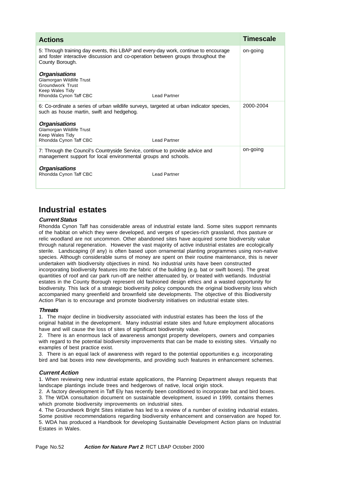| <b>Actions</b>                                                                                                                                                                             |                     | Timescale |
|--------------------------------------------------------------------------------------------------------------------------------------------------------------------------------------------|---------------------|-----------|
| 5: Through training day events, this LBAP and every-day work, continue to encourage<br>and foster interactive discussion and co-operation between groups throughout the<br>County Borough. |                     | on-going  |
| <b>Organisations</b><br>Glamorgan Wildlife Trust<br>Groundwork Trust<br>Keep Wales Tidy<br>Rhondda Cynon Taff CBC                                                                          | Lead Partner        |           |
| 6: Co-ordinate a series of urban wildlife surveys, targeted at urban indicator species,<br>such as house martin, swift and hedgehog.                                                       |                     | 2000-2004 |
| <b>Organisations</b><br>Glamorgan Wildlife Trust<br>Keep Wales Tidy<br>Rhondda Cynon Taff CBC                                                                                              | <b>Lead Partner</b> |           |
| 7: Through the Council's Countryside Service, continue to provide advice and<br>management support for local environmental groups and schools.                                             |                     | on-going  |
| <b>Organisations</b><br>Rhondda Cynon Taff CBC                                                                                                                                             | <b>Lead Partner</b> |           |

## **Industrial estates**

## **Current Status**

Rhondda Cynon Taff has considerable areas of industrial estate land. Some sites support remnants of the habitat on which they were developed, and verges of species-rich grassland, rhos pasture or relic woodland are not uncommon. Other abandoned sites have acquired some biodiversity value through natural regeneration. However the vast majority of active industrial estates are ecologically sterile. Landscaping (if any) is often based upon ornamental planting programmes using non-native species. Although considerable sums of money are spent on their routine maintenance, this is never undertaken with biodiversity objectives in mind. No industrial units have been constructed incorporating biodiversity features into the fabric of the building (e.g. bat or swift boxes). The great quantities of roof and car park run-off are neither attenuated by, or treated with wetlands. Industrial estates in the County Borough represent old fashioned design ethics and a wasted opportunity for biodiversity. This lack of a strategic biodiversity policy compounds the original biodiversity loss which accompanied many greenfield and brownfield site developments. The objective of this Biodiversity Action Plan is to encourage and promote biodiversity initiatives on industrial estate sites.

#### **Threats**

1. The major decline in biodiversity associated with industrial estates has been the loss of the original habitat in the development. Many industrial estate sites and future employment allocations have and will cause the loss of sites of significant biodiversity value.

2. There is an enormous lack of awareness amongst property developers, owners and companies with regard to the potential biodiversity improvements that can be made to existing sites. Virtually no examples of best practice exist.

3. There is an equal lack of awareness with regard to the potential opportunities e.g. incorporating bird and bat boxes into new developments, and providing such features in enhancement schemes.

## **Current Action**

1. When reviewing new industrial estate applications, the Planning Department always requests that landscape plantings include trees and hedgerows of native, local origin stock.

2. A factory development in Taff Ely has recently been conditioned to incorporate bat and bird boxes.

3. The WDA consultation document on sustainable development, issued in 1999, contains themes which promote biodiversity improvements on industrial sites.

4. The Groundwork Bright Sites initiative has led to a review of a number of existing industrial estates. Some positive recommendations regarding biodiversity enhancement and conservation are hoped for. 5. WDA has produced a Handbook for developing Sustainable Development Action plans on Industrial Estates in Wales.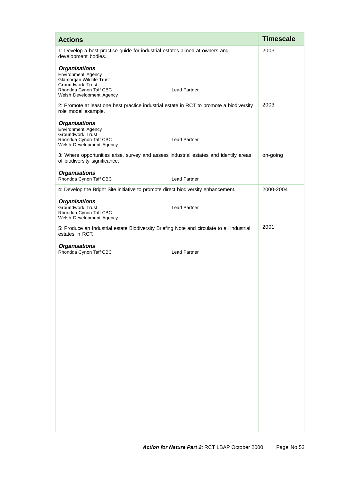| <b>Actions</b>                                                                                                         |                     | <b>Timescale</b> |
|------------------------------------------------------------------------------------------------------------------------|---------------------|------------------|
| 1: Develop a best practice guide for industrial estates aimed at owners and<br>development bodies.                     |                     | 2003             |
| <b>Organisations</b><br>Environment Agency                                                                             |                     |                  |
| Glamorgan Wildlife Trust<br>Groundwork Trust<br>Rhondda Cynon Taff CBC<br>Welsh Development Agency                     | <b>Lead Partner</b> |                  |
| 2: Promote at least one best practice industrial estate in RCT to promote a biodiversity<br>role model example.        |                     | 2003             |
| <b>Organisations</b><br><b>Environment Agency</b>                                                                      |                     |                  |
| Groundwork Trust<br>Rhondda Cynon Taff CBC<br>Welsh Development Agency                                                 | <b>Lead Partner</b> |                  |
| 3: Where opportunities arise, survey and assess industrial estates and identify areas<br>of biodiversity significance. |                     | on-going         |
| <b>Organisations</b><br>Rhondda Cynon Taff CBC                                                                         | <b>Lead Partner</b> |                  |
| 4: Develop the Bright Site initiative to promote direct biodiversity enhancement.                                      |                     | 2000-2004        |
| <b>Organisations</b><br>Groundwork Trust<br>Rhondda Cynon Taff CBC<br>Welsh Development Agency                         | <b>Lead Partner</b> |                  |
| 5: Produce an Industrial estate Biodiversity Briefing Note and circulate to all industrial<br>estates in RCT.          |                     | 2001             |
| <b>Organisations</b><br>Rhondda Cynon Taff CBC                                                                         | <b>Lead Partner</b> |                  |
|                                                                                                                        |                     |                  |
|                                                                                                                        |                     |                  |
|                                                                                                                        |                     |                  |
|                                                                                                                        |                     |                  |
|                                                                                                                        |                     |                  |
|                                                                                                                        |                     |                  |
|                                                                                                                        |                     |                  |
|                                                                                                                        |                     |                  |
|                                                                                                                        |                     |                  |
|                                                                                                                        |                     |                  |
|                                                                                                                        |                     |                  |
|                                                                                                                        |                     |                  |
|                                                                                                                        |                     |                  |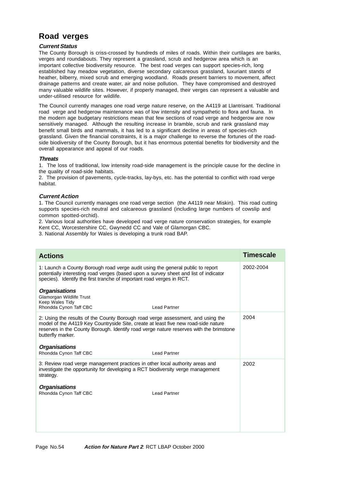# **Road verges**

## **Current Status**

The County Borough is criss-crossed by hundreds of miles of roads. Within their curtilages are banks, verges and roundabouts. They represent a grassland, scrub and hedgerow area which is an important collective biodiversity resource. The best road verges can support species-rich, long established hay meadow vegetation, diverse secondary calcareous grassland, luxuriant stands of heather, bilberry, mixed scrub and emerging woodland. Roads present barriers to movement, affect drainage patterns and create water, air and noise pollution. They have compromised and destroyed many valuable wildlife sites. However, if properly managed, their verges can represent a valuable and under-utilised resource for wildlife.

The Council currently manages one road verge nature reserve, on the A4119 at Llantrisant. Traditional road verge and hedgerow maintenance was of low intensity and sympathetic to flora and fauna. In the modern age budgetary restrictions mean that few sections of road verge and hedgerow are now sensitively managed. Although the resulting increase in bramble, scrub and rank grassland may benefit small birds and mammals, it has led to a significant decline in areas of species-rich grassland. Given the financial constraints, it is a major challenge to reverse the fortunes of the roadside biodiversity of the County Borough, but it has enormous potential benefits for biodiversity and the overall appearance and appeal of our roads.

#### **Threats**

1. The loss of traditional, low intensity road-side management is the principle cause for the decline in the quality of road-side habitats.

2. The provision of pavements, cycle-tracks, lay-bys, etc. has the potential to conflict with road verge habitat.

## **Current Action**

1. The Council currently manages one road verge section (the A4119 near Miskin). This road cutting supports species-rich neutral and calcareous grassland (including large numbers of cowslip and common spotted-orchid).

2. Various local authorities have developed road verge nature conservation strategies, for example Kent CC, Worcestershire CC, Gwynedd CC and Vale of Glamorgan CBC.

3. National Assembly for Wales is developing a trunk road BAP.

| <b>Actions</b>                                                                                                                                                                                                                                                                       | <b>Timescale</b> |
|--------------------------------------------------------------------------------------------------------------------------------------------------------------------------------------------------------------------------------------------------------------------------------------|------------------|
|                                                                                                                                                                                                                                                                                      |                  |
| 1: Launch a County Borough road verge audit using the general public to report<br>potentially interesting road verges (based upon a survey sheet and list of indicator<br>species). Identify the first tranche of important road verges in RCT.                                      | 2002-2004        |
| <b>Organisations</b><br>Glamorgan Wildlife Trust<br>Keep Wales Tidy<br>Rhondda Cynon Taff CBC<br><b>Lead Partner</b>                                                                                                                                                                 |                  |
| 2: Using the results of the County Borough road verge assessment, and using the<br>model of the A4119 Key Countryside Site, create at least five new road-side nature<br>reserves in the County Borough. Identify road verge nature reserves with the brimstone<br>butterfly marker. | 2004             |
| <b>Organisations</b>                                                                                                                                                                                                                                                                 |                  |
| Rhondda Cynon Taff CBC<br><b>Lead Partner</b>                                                                                                                                                                                                                                        |                  |
| 3: Review road verge management practices in other local authority areas and<br>investigate the opportunity for developing a RCT biodiversity verge management<br>strategy.                                                                                                          | 2002             |
| <b>Organisations</b><br>Rhondda Cynon Taff CBC<br><b>Lead Partner</b>                                                                                                                                                                                                                |                  |
|                                                                                                                                                                                                                                                                                      |                  |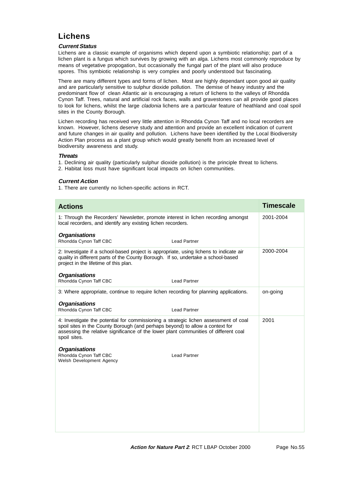## **Lichens**

## **Current Status**

Lichens are a classic example of organisms which depend upon a symbiotic relationship; part of a lichen plant is a fungus which survives by growing with an alga. Lichens most commonly reproduce by means of vegetative propogation, but occasionally the fungal part of the plant will also produce spores. This symbiotic relationship is very complex and poorly understood but fascinating.

There are many different types and forms of lichen. Most are highly dependant upon good air quality and are particularly sensitive to sulphur dioxide pollution. The demise of heavy industry and the predominant flow of clean Atlantic air is encouraging a return of lichens to the valleys of Rhondda Cynon Taff. Trees, natural and artificial rock faces, walls and gravestones can all provide good places to look for lichens, whilst the large *cladonia* lichens are a particular feature of heathland and coal spoil sites in the County Borough.

Lichen recording has received very little attention in Rhondda Cynon Taff and no local recorders are known. However, lichens deserve study and attention and provide an excellent indication of current and future changes in air quality and pollution. Lichens have been identified by the Local Biodiversity Action Plan process as a plant group which would greatly benefit from an increased level of biodiversity awareness and study.

### **Threats**

- 1. Declining air quality (particularly sulphur dioxide pollution) is the principle threat to lichens.
- 2. Habitat loss must have significant local impacts on lichen communities.

## **Current Action**

1. There are currently no lichen-specific actions in RCT.

| <b>Actions</b>                                                                                                                                                                                                                                                                |                     | <b>Timescale</b> |
|-------------------------------------------------------------------------------------------------------------------------------------------------------------------------------------------------------------------------------------------------------------------------------|---------------------|------------------|
| 1: Through the Recorders' Newsletter, promote interest in lichen recording amongst<br>local recorders, and identify any existing lichen recorders.                                                                                                                            |                     | 2001-2004        |
| <b>Organisations</b><br>Rhondda Cynon Taff CBC                                                                                                                                                                                                                                | <b>Lead Partner</b> |                  |
| 2: Investigate if a school-based project is appropriate, using lichens to indicate air<br>quality in different parts of the County Borough. If so, undertake a school-based<br>project in the lifetime of this plan.                                                          |                     | 2000-2004        |
| <b>Organisations</b><br>Rhondda Cynon Taff CBC                                                                                                                                                                                                                                | <b>Lead Partner</b> |                  |
| 3: Where appropriate, continue to require lichen recording for planning applications.                                                                                                                                                                                         |                     | on-going         |
| <b>Organisations</b><br>Rhondda Cynon Taff CBC                                                                                                                                                                                                                                | <b>Lead Partner</b> |                  |
| 4: Investigate the potential for commissioning a strategic lichen assessment of coal<br>spoil sites in the County Borough (and perhaps beyond) to allow a context for<br>assessing the relative significance of the lower plant communities of different coal<br>spoil sites. |                     | 2001             |
| <b>Organisations</b><br>Rhondda Cynon Taff CBC<br>Welsh Development Agency                                                                                                                                                                                                    | <b>Lead Partner</b> |                  |
|                                                                                                                                                                                                                                                                               |                     |                  |
|                                                                                                                                                                                                                                                                               |                     |                  |
|                                                                                                                                                                                                                                                                               |                     |                  |
|                                                                                                                                                                                                                                                                               |                     |                  |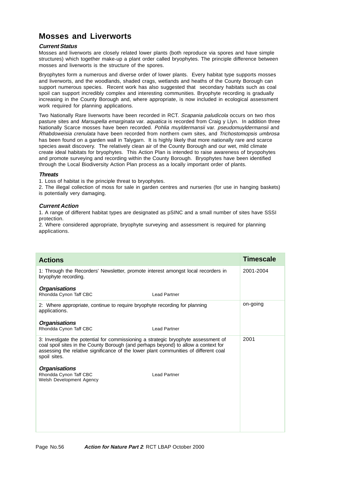# **Mosses and Liverworts**

## **Current Status**

Mosses and liverworts are closely related lower plants (both reproduce via spores and have simple structures) which together make-up a plant order called bryophytes. The principle difference between mosses and liverworts is the structure of the spores.

Bryophytes form a numerous and diverse order of lower plants. Every habitat type supports mosses and liverworts, and the woodlands, shaded crags, wetlands and heaths of the County Borough can support numerous species. Recent work has also suggested that secondary habitats such as coal spoil can support incredibly complex and interesting communities. Bryophyte recording is gradually increasing in the County Borough and, where appropriate, is now included in ecological assessment work required for planning applications.

Two Nationally Rare liverworts have been recorded in RCT. Scapania paludicola occurs on two rhos pasture sites and Marsupella emarginata var. aquatica is recorded from Craig y Llyn. In addition three Nationally Scarce mosses have been recorded. Pohlia muyldermansii var. pseudomuyldermansii and Rhabdoweisia crenulata have been recorded from northern cwm sites, and Trichostomopsis umbrosa has been found on a garden wall in Talygarn. It is highly likely that more nationally rare and scarce species await discovery. The relatively clean air of the County Borough and our wet, mild climate create ideal habitats for bryophytes. This Action Plan is intended to raise awareness of bryopohytes and promote surveying and recording within the County Borough. Bryophytes have been identified through the Local Biodiversity Action Plan process as a locally important order of plants.

## **Threats**

1. Loss of habitat is the principle threat to bryophytes.

2. The illegal collection of moss for sale in garden centres and nurseries (for use in hanging baskets) is potentially very damaging.

## **Current Action**

1. A range of different habitat types are designated as pSINC and a small number of sites have SSSI protection.

2. Where considered appropriate, bryophyte surveying and assessment is required for planning applications.

| <b>Actions</b>                                                                                                                                                                                                                                                                   | <b>Timescale</b> |
|----------------------------------------------------------------------------------------------------------------------------------------------------------------------------------------------------------------------------------------------------------------------------------|------------------|
| 1: Through the Recorders' Newsletter, promote interest amongst local recorders in<br>bryophyte recording.                                                                                                                                                                        | 2001-2004        |
| <b>Organisations</b><br>Rhondda Cynon Taff CBC<br><b>Lead Partner</b>                                                                                                                                                                                                            |                  |
| 2: Where appropriate, continue to require bryophyte recording for planning<br>applications.                                                                                                                                                                                      | on-going         |
| <b>Organisations</b><br>Rhondda Cynon Taff CBC<br><b>Lead Partner</b>                                                                                                                                                                                                            |                  |
| 3: Investigate the potential for commissioning a strategic bryophyte assessment of<br>coal spoil sites in the County Borough (and perhaps beyond) to allow a context for<br>assessing the relative significance of the lower plant communities of different coal<br>spoil sites. | 2001             |
| <b>Organisations</b><br>Rhondda Cynon Taff CBC<br><b>Lead Partner</b><br>Welsh Development Agency                                                                                                                                                                                |                  |
|                                                                                                                                                                                                                                                                                  |                  |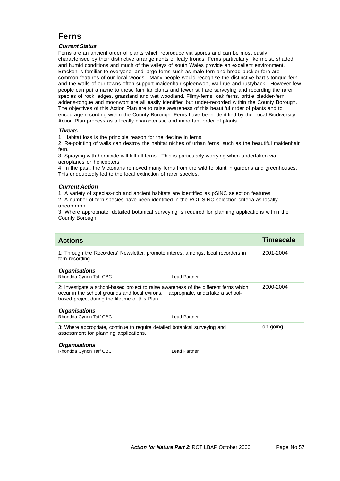# **Ferns**

## **Current Status**

Ferns are an ancient order of plants which reproduce via spores and can be most easily characterised by their distinctive arrangements of leafy fronds. Ferns particularly like moist, shaded and humid conditions and much of the valleys of south Wales provide an excellent environment. Bracken is familiar to everyone, and large ferns such as male-fern and broad buckler-fern are common features of our local woods. Many people would recognise the distinctive hart's-tongue fern and the walls of our towns often support maidenhair spleenwort, wall-rue and rustyback. However few people can put a name to these familiar plants and fewer still are surveying and recording the rarer species of rock ledges, grassland and wet woodland. Filmy-ferns, oak ferns, brittle bladder-fern, adder's-tongue and moonwort are all easily identified but under-recorded within the County Borough. The objectives of this Action Plan are to raise awareness of this beautiful order of plants and to encourage recording within the County Borough. Ferns have been identified by the Local Biodiversity Action Plan process as a locally characteristic and important order of plants.

## **Threats**

1. Habitat loss is the principle reason for the decline in ferns.

2. Re-pointing of walls can destroy the habitat niches of urban ferns, such as the beautiful maidenhair fern.

3. Spraying with herbicide will kill all ferns. This is particularly worrying when undertaken via aeroplanes or helicopters.

4. In the past, the Victorians removed many ferns from the wild to plant in gardens and greenhouses. This undoubtedly led to the local extinction of rarer species.

## **Current Action**

1. A variety of species-rich and ancient habitats are identified as pSINC selection features. 2. A number of fern species have been identified in the RCT SINC selection criteria as locally uncommon.

3. Where appropriate, detailed botanical surveying is required for planning applications within the County Borough.

| <b>Actions</b>                                                                                                                                                                                                                 |                     | <b>Timescale</b> |
|--------------------------------------------------------------------------------------------------------------------------------------------------------------------------------------------------------------------------------|---------------------|------------------|
| 1: Through the Recorders' Newsletter, promote interest amongst local recorders in<br>fern recording.                                                                                                                           |                     | 2001-2004        |
| <b>Organisations</b><br>Rhondda Cynon Taff CBC                                                                                                                                                                                 | <b>Lead Partner</b> |                  |
| 2: Investigate a school-based project to raise awareness of the different ferns which<br>occur in the school grounds and local evirons. If appropriate, undertake a school-<br>based project during the lifetime of this Plan. |                     | 2000-2004        |
| <b>Organisations</b><br>Rhondda Cynon Taff CBC                                                                                                                                                                                 | <b>Lead Partner</b> |                  |
| 3: Where appropriate, continue to require detailed botanical surveying and<br>assessment for planning applications.                                                                                                            |                     | on-going         |
| <b>Organisations</b><br>Rhondda Cynon Taff CBC                                                                                                                                                                                 | <b>Lead Partner</b> |                  |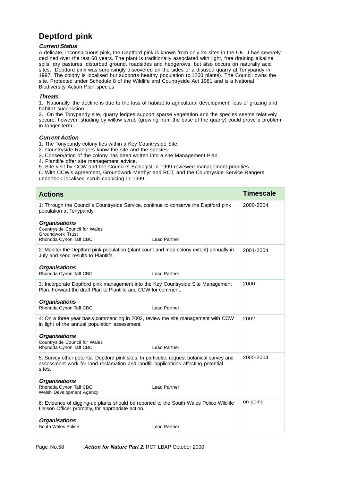# **Deptford pink**

#### **Current Status**

A delicate, inconspicuous pink, the Deptford pink is known from only 24 sites in the UK. It has severely declined over the last 60 years. The plant is traditionally associated with light, free draining alkaline soils, dry pastures, disturbed ground, roadsides and hedgerows, but also occurs on naturally acid sites. Deptford pink was surprisingly discovered on the sides of a disused quarry at Tonypandy in 1997. The colony is localised but supports healthy population (c.1200 plants). The Council owns the site. Protected under Schedule 8 of the Wildlife and Countryside Act 1981 and is a National Biodiversity Action Plan species.

#### **Threats**

1. Nationally, the decline is due to the loss of habitat to agricultural development, loss of grazing and habitat succession.

2. On the Tonypandy site, quarry ledges support sparse vegetation and the species seems relatively secure, however, shading by willow scrub (growing from the base of the quarry) could prove a problem in longer-term.

### **Current Action**

1. The Tonypandy colony lies within a Key Countryside Site.

- 2. Countryside Rangers know the site and the species.
- 3. Conservation of the colony has been written into a site Management Plan.
- 4. Plantlife offer site management advice.
- 5. Site visit by CCW and the Council's Ecologist in 1999 reviewed management priorities.

6. With CCW's agreement, Groundwork Merthyr and RCT, and the Countryside Service Rangers undertook localised scrub coppicing in 1999.

| <b>Actions</b>                                                                                                                                                                             |                     | <b>Timescale</b> |
|--------------------------------------------------------------------------------------------------------------------------------------------------------------------------------------------|---------------------|------------------|
| 1: Through the Council's Countryside Service, continue to conserve the Deptford pink<br>population at Tonypandy.                                                                           |                     | 2000-2004        |
| <b>Organisations</b><br>Countryside Council for Wales<br>Groundwork Trust<br>Rhondda Cynon Taff CBC                                                                                        | <b>Lead Partner</b> |                  |
| 2: Monitor the Deptford pink population (plant count and map colony extent) annually in<br>July and send results to Plantlife.                                                             |                     | 2001-2004        |
| <b>Organisations</b><br>Rhondda Cynon Taff CBC                                                                                                                                             | <b>Lead Partner</b> |                  |
| 3: Incorporate Deptford pink management into the Key Countryside Site Management<br>Plan. Forward the draft Plan to Plantlife and CCW for comment.                                         |                     | 2000             |
| <b>Organisations</b><br>Rhondda Cynon Taff CBC                                                                                                                                             | <b>Lead Partner</b> |                  |
| 4: On a three year basis commencing in 2002, review the site management with CCW<br>in light of the annual population assessment.                                                          |                     | 2002             |
| <b>Organisations</b><br>Countryside Council for Wales<br>Rhondda Cynon Taff CBC                                                                                                            | <b>Lead Partner</b> |                  |
| 5: Survey other potential Deptford pink sites. In particular, request botanical survey and<br>assessment work for land reclamation and landfill applications affecting potential<br>sites. |                     | 2000-2004        |
| <b>Organisations</b><br>Rhondda Cynon Taff CBC<br>Welsh Development Agency                                                                                                                 | <b>Lead Partner</b> |                  |
| 6: Evidence of digging-up plants should be reported to the South Wales Police Wildlife<br>Liaison Officer promptly, for appropriate action.                                                |                     | on-going         |
| <b>Organisations</b><br>South Wales Police                                                                                                                                                 | <b>Lead Partner</b> |                  |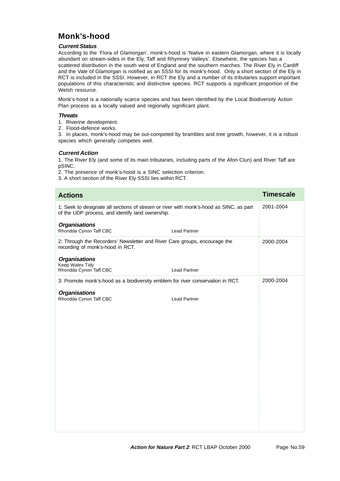# **Monk's-hood**

## **Current Status**

According to the 'Flora of Glamorgan', monk's-hood is 'Native in eastern Glamorgan, where it is locally abundant on stream-sides in the Ely, Taff and Rhymney Valleys'. Elsewhere, the species has a scattered distribution in the south west of England and the southern marches. The River Ely in Cardiff and the Vale of Glamorgan is notified as an SSSI for its monk's-hood. Only a short section of the Ely in RCT is included in the SSSI. However, in RCT the Ely and a number of its tributaries support important populations of this characteristic and distinctive species. RCT supports a significant proportion of the Welsh resource.

Monk's-hood is a nationally scarce species and has been identified by the Local Biodiversity Action Plan process as a locally valued and regionally significant plant.

### **Threats**

- 1. Riverine development.
- 2. Flood-defence works.

3. In places, monk's-hood may be out-competed by brambles and tree growth, however, it is a robust species which generally competes well.

## **Current Action**

1. The River Ely (and some of its main tributaries, including parts of the Afon Clun) and River Taff are pSINC.

- 2. The presence of monk's-hood is a SINC selection criterion.
- 3. A short section of the River Ely SSSI lies within RCT.

| <b>Actions</b>                                                                                                                             |                     | <b>Timescale</b> |
|--------------------------------------------------------------------------------------------------------------------------------------------|---------------------|------------------|
| 1: Seek to designate all sections of stream or river with monk's-hood as SINC, as part<br>of the UDP process, and identify land ownership. |                     | 2001-2004        |
| <b>Organisations</b><br>Rhondda Cynon Taff CBC                                                                                             | <b>Lead Partner</b> |                  |
| 2: Through the Recorders' Newsletter and River Care groups, encourage the<br>recording of monk's-hood in RCT.                              |                     | 2000-2004        |
| <b>Organisations</b><br>Keep Wales Tidy<br>Rhondda Cynon Taff CBC                                                                          | <b>Lead Partner</b> |                  |
| 3: Promote monk's-hood as a biodiversity emblem for river conservation in RCT.                                                             |                     | 2000-2004        |
| <b>Organisations</b><br>Rhondda Cynon Taff CBC                                                                                             | <b>Lead Partner</b> |                  |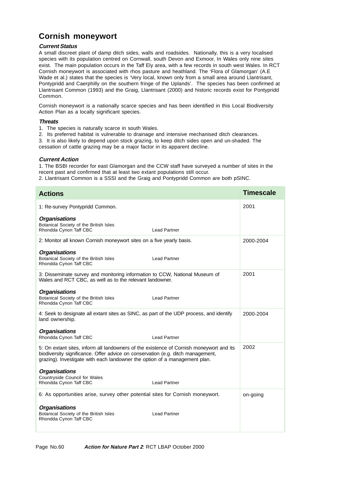# **Cornish moneywort**

## **Current Status**

A small discreet plant of damp ditch sides, walls and roadsides. Nationally, this is a very localised species with its population centred on Cornwall, south Devon and Exmoor. In Wales only nine sites exist. The main population occurs in the Taff Ely area, with a few records in south west Wales. In RCT Cornish moneywort is associated with rhos pasture and heathland. The 'Flora of Glamorgan' (A.E Wade et al.) states that the species is 'Very local, known only from a small area around Llantrisant, Pontypridd and Caerphilly on the southern fringe of the Uplands'. The species has been confirmed at Llantrisant Common (1993) and the Graig, Llantrisant (2000) and historic records exist for Pontypridd Common.

Cornish moneywort is a nationally scarce species and has been identified in this Local Biodiversity Action Plan as a locally significant species.

### **Threats**

- 1. The species is naturally scarce in south Wales.
- 2. Its preferred habitat is vulnerable to drainage and intensive mechanised ditch clearances.

3. It is also likely to depend upon stock grazing, to keep ditch sides open and un-shaded. The cessation of cattle grazing may be a major factor in its apparent decline.

## **Current Action**

1. The BSBI recorder for east Glamorgan and the CCW staff have surveyed a number of sites in the recent past and confirmed that at least two extant populations still occur.

2. Llantrisant Common is a SSSI and the Graig and Pontypridd Common are both pSINC.

| <b>Actions</b>                                                                                                                                                                                                                                           |                     | <b>Timescale</b> |
|----------------------------------------------------------------------------------------------------------------------------------------------------------------------------------------------------------------------------------------------------------|---------------------|------------------|
| 1: Re-survey Pontypridd Common.                                                                                                                                                                                                                          |                     | 2001             |
| <b>Organisations</b><br>Botanical Society of the British Isles<br>Rhondda Cynon Taff CBC                                                                                                                                                                 | <b>Lead Partner</b> |                  |
| 2: Monitor all known Cornish moneywort sites on a five yearly basis.                                                                                                                                                                                     |                     | 2000-2004        |
| <b>Organisations</b><br>Botanical Society of the British Isles<br>Rhondda Cynon Taff CBC                                                                                                                                                                 | <b>Lead Partner</b> |                  |
| 3: Disseminate survey and monitoring information to CCW, National Museum of<br>Wales and RCT CBC, as well as to the relevant landowner.                                                                                                                  |                     | 2001             |
| <b>Organisations</b><br>Botanical Society of the British Isles<br>Rhondda Cynon Taff CBC                                                                                                                                                                 | <b>Lead Partner</b> |                  |
| 4: Seek to designate all extant sites as SINC, as part of the UDP process, and identify<br>land ownership.                                                                                                                                               |                     | 2000-2004        |
| <b>Organisations</b><br>Rhondda Cynon Taff CBC                                                                                                                                                                                                           | <b>Lead Partner</b> |                  |
| 5: On extant sites, inform all landowners of the existence of Cornish moneywort and its<br>biodiversity significance. Offer advice on conservation (e.g. ditch management,<br>grazing). Investigate with each landowner the option of a management plan. |                     | 2002             |
| <b>Organisations</b><br>Countryside Council for Wales<br>Rhondda Cynon Taff CBC                                                                                                                                                                          | <b>Lead Partner</b> |                  |
| 6: As opportunities arise, survey other potential sites for Cornish moneywort.                                                                                                                                                                           |                     | on-going         |
| <b>Organisations</b><br>Botanical Society of the British Isles<br>Rhondda Cynon Taff CBC                                                                                                                                                                 | <b>Lead Partner</b> |                  |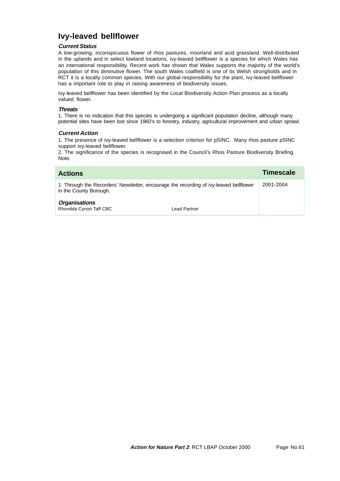# **Ivy-leaved bellflower**

## **Current Status**

A low-growing, inconspicuous flower of rhos pastures, moorland and acid grassland. Well-distributed in the uplands and in select lowland locations, ivy-leaved bellflower is a species for which Wales has an international responsibility. Recent work has shown that Wales supports the majority of the world's population of this diminutive flower. The south Wales coalfield is one of its Welsh strongholds and in RCT it is a locally common species. With our global responsibility for the plant, ivy-leaved bellflower has a important role to play in raising awareness of biodiversity issues.

Ivy-leaved bellflower has been identified by the Local Biodiversity Action Plan process as a locally valued flower.

#### **Threats**

1. There is no indication that this species is undergoing a significant population decline, although many potential sites have been lost since 1960's to forestry, industry, agricultural improvement and urban sprawl.

### **Current Action**

1. The presence of ivy-leaved bellflower is a selection criterion for pSINC. Many rhos pasture pSINC support ivy-leaved bellflower.

2. The significance of the species is recognised in the Council's Rhos Pasture Biodiversity Briefing Note.

| <b>Actions</b>                                                                                                   |              | Timescale |
|------------------------------------------------------------------------------------------------------------------|--------------|-----------|
| 1: Through the Recorders' Newsletter, encourage the recording of ivy-leaved beliflower<br>in the County Borough. |              | 2001-2004 |
| <b>Organisations</b><br>Rhondda Cynon Taff CBC                                                                   | Lead Partner |           |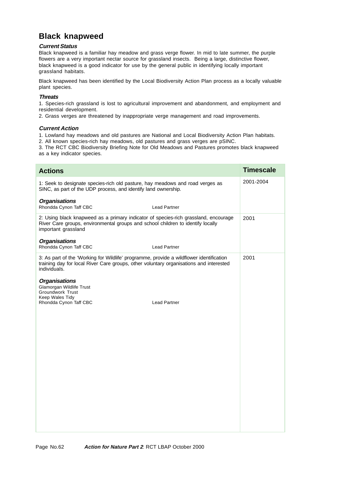# **Black knapweed**

## **Current Status**

Black knapweed is a familiar hay meadow and grass verge flower. In mid to late summer, the purple flowers are a very important nectar source for grassland insects. Being a large, distinctive flower, black knapweed is a good indicator for use by the general public in identifying locally important grassland habitats.

Black knapweed has been identified by the Local Biodiversity Action Plan process as a locally valuable plant species.

## **Threats**

1. Species-rich grassland is lost to agricultural improvement and abandonment, and employment and residential development.

2. Grass verges are threatened by inappropriate verge management and road improvements.

## **Current Action**

1. Lowland hay meadows and old pastures are National and Local Biodiversity Action Plan habitats.

2. All known species-rich hay meadows, old pastures and grass verges are pSINC.

3. The RCT CBC Biodiversity Briefing Note for Old Meadows and Pastures promotes black knapweed as a key indicator species.

| <b>Actions</b>                                                                                                                                                                                    | <b>Timescale</b> |
|---------------------------------------------------------------------------------------------------------------------------------------------------------------------------------------------------|------------------|
| 1: Seek to designate species-rich old pasture, hay meadows and road verges as<br>SINC, as part of the UDP process, and identify land ownership.                                                   | 2001-2004        |
| <b>Organisations</b><br>Rhondda Cynon Taff CBC<br><b>Lead Partner</b>                                                                                                                             |                  |
| 2: Using black knapweed as a primary indicator of species-rich grassland, encourage<br>River Care groups, environmental groups and school children to identify locally<br>important grassland     | 2001             |
| <b>Organisations</b><br>Rhondda Cynon Taff CBC<br>Lead Partner                                                                                                                                    |                  |
| 3: As part of the 'Working for Wildlife' programme, provide a wildflower identification<br>training day for local River Care groups, other voluntary organisations and interested<br>individuals. | 2001             |
| <b>Organisations</b><br><b>Glamorgan Wildlife Trust</b><br><b>Groundwork Trust</b><br>Keep Wales Tidy<br>Rhondda Cynon Taff CBC<br><b>Lead Partner</b>                                            |                  |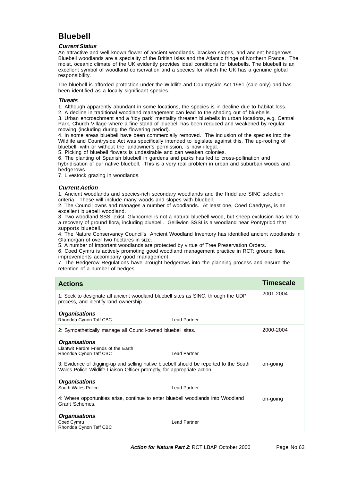# **Bluebell**

### **Current Status**

An attractive and well known flower of ancient woodlands, bracken slopes, and ancient hedgerows. Bluebell woodlands are a speciality of the British Isles and the Atlantic fringe of Northern France. The moist, oceanic climate of the UK evidently provides ideal conditions for bluebells. The bluebell is an excellent symbol of woodland conservation and a species for which the UK has a genuine global responsibility.

The bluebell is afforded protection under the Wildlife and Countryside Act 1981 (sale only) and has been identified as a locally significant species.

#### **Threats**

1. Although apparently abundant in some locations, the species is in decline due to habitat loss.

2. A decline in traditional woodland management can lead to the shading out of bluebells.

3. Urban encroachment and a 'tidy park' mentality threaten bluebells in urban locations, e.g. Central Park, Church Village where a fine stand of bluebell has been reduced and weakened by regular mowing (including during the flowering period).

4. In some areas bluebell have been commercially removed. The inclusion of the species into the Wildlife and Countryside Act was specifically intended to legislate against this. The up-rooting of bluebell, with or without the landowner's permission, is now illegal.

5. Picking of bluebell flowers is undesirable and can weaken colonies.

6. The planting of Spanish bluebell in gardens and parks has led to cross-pollination and hybridisation of our native bluebell. This is a very real problem in urban and suburban woods and hedgerows.

7. Livestock grazing in woodlands.

## **Current Action**

1. Ancient woodlands and species-rich secondary woodlands and the ffridd are SINC selection criteria. These will include many woods and slopes with bluebell.

2. The Council owns and manages a number of woodlands. At least one, Coed Caedyrys, is an excellent bluebell woodland.

3. Two woodland SSSI exist. Glyncornel is not a natural bluebell wood, but sheep exclusion has led to a recovery of ground flora, including bluebell. Gelliwion SSSI is a woodland near Pontypridd that supports bluebell.

4. The Nature Conservancy Council's Ancient Woodland Inventory has identified ancient woodlands in Glamorgan of over two hectares in size.

5. A number of important woodlands are protected by virtue of Tree Preservation Orders.

6. Coed Cymru is actively promoting good woodland management practice in RCT; ground flora improvements accompany good management.

7. The Hedgerow Regulations have brought hedgerows into the planning process and ensure the retention of a number of hedges.

| <b>Actions</b>                                                                                                                                                   |  | <b>Timescale</b> |
|------------------------------------------------------------------------------------------------------------------------------------------------------------------|--|------------------|
| 1: Seek to designate all ancient woodland bluebell sites as SINC, through the UDP<br>process, and identify land ownership.                                       |  | 2001-2004        |
| <b>Organisations</b><br>Rhondda Cynon Taff CBC<br><b>Lead Partner</b>                                                                                            |  |                  |
| 2: Sympathetically manage all Council-owned bluebell sites.                                                                                                      |  | 2000-2004        |
| <b>Organisations</b><br>Llantwit Fardre Friends of the Earth<br><b>Lead Partner</b><br>Rhondda Cynon Taff CBC                                                    |  |                  |
| 3: Evidence of digging-up and selling native bluebell should be reported to the South<br>Wales Police Wildlife Liaison Officer promptly, for appropriate action. |  | on-going         |
| <b>Organisations</b><br>South Wales Police<br><b>Lead Partner</b>                                                                                                |  |                  |
| 4: Where opportunities arise, continue to enter bluebell woodlands into Woodland<br>Grant Schemes.                                                               |  | on-going         |
| <b>Organisations</b><br>Coed Cymru<br><b>Lead Partner</b><br>Rhondda Cynon Taff CBC                                                                              |  |                  |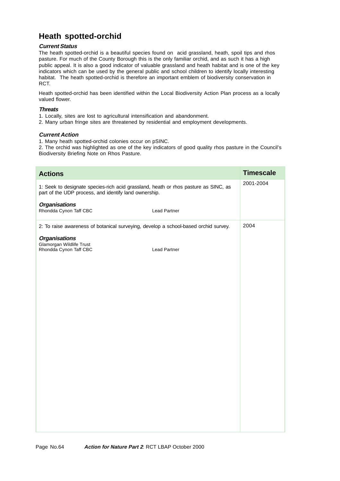# **Heath spotted-orchid**

## **Current Status**

The heath spotted-orchid is a beautiful species found on acid grassland, heath, spoil tips and rhos pasture. For much of the County Borough this is the only familiar orchid, and as such it has a high public appeal. It is also a good indicator of valuable grassland and heath habitat and is one of the key indicators which can be used by the general public and school children to identify locally interesting habitat. The heath spotted-orchid is therefore an important emblem of biodiversity conservation in RCT.

Heath spotted-orchid has been identified within the Local Biodiversity Action Plan process as a locally valued flower.

## **Threats**

1. Locally, sites are lost to agricultural intensification and abandonment.

2. Many urban fringe sites are threatened by residential and employment developments.

## **Current Action**

1. Many heath spotted-orchid colonies occur on pSINC.

2. The orchid was highlighted as one of the key indicators of good quality rhos pasture in the Council's Biodiversity Briefing Note on Rhos Pasture.

| <b>Actions</b>                                                                                                                               |                     | <b>Timescale</b> |
|----------------------------------------------------------------------------------------------------------------------------------------------|---------------------|------------------|
| 1: Seek to designate species-rich acid grassland, heath or rhos pasture as SINC, as<br>part of the UDP process, and identify land ownership. |                     | 2001-2004        |
| <b>Organisations</b><br>Rhondda Cynon Taff CBC                                                                                               | <b>Lead Partner</b> |                  |
| 2: To raise awareness of botanical surveying, develop a school-based orchid survey.                                                          |                     | 2004             |
| <b>Organisations</b><br>Glamorgan Wildlife Trust<br>Rhondda Cynon Taff CBC                                                                   | <b>Lead Partner</b> |                  |
|                                                                                                                                              |                     |                  |
|                                                                                                                                              |                     |                  |
|                                                                                                                                              |                     |                  |
|                                                                                                                                              |                     |                  |
|                                                                                                                                              |                     |                  |
|                                                                                                                                              |                     |                  |
|                                                                                                                                              |                     |                  |
|                                                                                                                                              |                     |                  |
|                                                                                                                                              |                     |                  |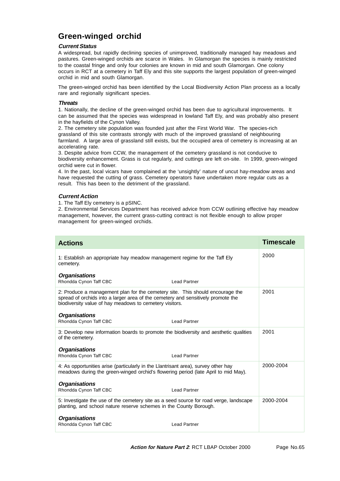# **Green-winged orchid**

## **Current Status**

A widespread, but rapidly declining species of unimproved, traditionally managed hay meadows and pastures. Green-winged orchids are scarce in Wales. In Glamorgan the species is mainly restricted to the coastal fringe and only four colonies are known in mid and south Glamorgan. One colony occurs in RCT at a cemetery in Taff Ely and this site supports the largest population of green-winged orchid in mid and south Glamorgan.

The green-winged orchid has been identified by the Local Biodiversity Action Plan process as a locally rare and regionally significant species.

### **Threats**

1. Nationally, the decline of the green-winged orchid has been due to agricultural improvements. It can be assumed that the species was widespread in lowland Taff Ely, and was probably also present in the hayfields of the Cynon Valley.

2. The cemetery site population was founded just after the First World War. The species-rich grassland of this site contrasts strongly with much of the improved grassland of neighbouring farmland. A large area of grassland still exists, but the occupied area of cemetery is increasing at an accelerating rate.

3. Despite advice from CCW, the management of the cemetery grassland is not conducive to biodiversity enhancement. Grass is cut regularly, and cuttings are left on-site. In 1999, green-winged orchid were cut in flower.

4. In the past, local vicars have complained at the 'unsightly' nature of uncut hay-meadow areas and have requested the cutting of grass. Cemetery operators have undertaken more regular cuts as a result. This has been to the detriment of the grassland.

## **Current Action**

1. The Taff Ely cemetery is a pSINC.

2. Environmental Services Department has received advice from CCW outlining effective hay meadow management, however, the current grass-cutting contract is not flexible enough to allow proper management for green-winged orchids.

| <b>Actions</b>                                                                                                                                                                                                                                       | <b>Timescale</b> |
|------------------------------------------------------------------------------------------------------------------------------------------------------------------------------------------------------------------------------------------------------|------------------|
| 1: Establish an appropriate hay meadow management regime for the Taff Ely<br>cemetery.                                                                                                                                                               | 2000             |
| <b>Organisations</b><br>Rhondda Cynon Taff CBC<br><b>Lead Partner</b>                                                                                                                                                                                |                  |
| 2: Produce a management plan for the cemetery site. This should encourage the<br>spread of orchids into a larger area of the cemetery and sensitively promote the<br>biodiversity value of hay meadows to cemetery visitors.<br><b>Organisations</b> | 2001             |
| Rhondda Cynon Taff CBC<br><b>Lead Partner</b>                                                                                                                                                                                                        |                  |
| 3: Develop new information boards to promote the biodiversity and aesthetic qualities<br>of the cemetery.                                                                                                                                            | 2001             |
| <b>Organisations</b>                                                                                                                                                                                                                                 |                  |
| Rhondda Cynon Taff CBC<br><b>Lead Partner</b>                                                                                                                                                                                                        |                  |
| 4: As opportunities arise (particularly in the Llantrisant area), survey other hay<br>meadows during the green-winged orchid's flowering period (late April to mid May).                                                                             | 2000-2004        |
| <b>Organisations</b><br>Rhondda Cynon Taff CBC<br><b>Lead Partner</b>                                                                                                                                                                                |                  |
| 5: Investigate the use of the cemetery site as a seed source for road verge, landscape<br>planting, and school nature reserve schemes in the County Borough.                                                                                         | 2000-2004        |
| <b>Organisations</b><br>Rhondda Cynon Taff CBC<br><b>Lead Partner</b>                                                                                                                                                                                |                  |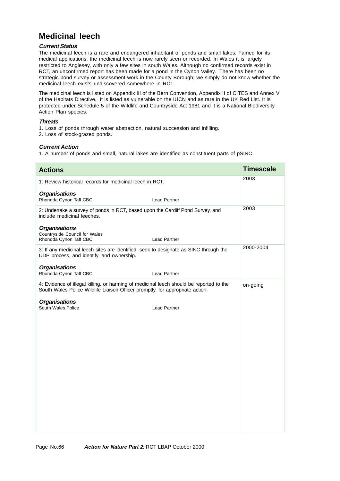# **Medicinal leech**

## **Current Status**

The medicinal leech is a rare and endangered inhabitant of ponds and small lakes. Famed for its medical applications, the medicinal leech is now rarely seen or recorded. In Wales it is largely restricted to Anglesey, with only a few sites in south Wales. Although no confirmed records exist in RCT, an unconfirmed report has been made for a pond in the Cynon Valley. There has been no strategic pond survey or assessment work in the County Borough; we simply do not know whether the medicinal leech exists undiscovered somewhere in RCT.

The medicinal leech is listed on Appendix III of the Bern Convention, Appendix II of CITES and Annex V of the Habitats Directive. It is listed as vulnerable on the IUCN and as rare in the UK Red List. It is protected under Schedule 5 of the Wildlife and Countryside Act 1981 and it is a National Biodiversity Action Plan species.

### **Threats**

1. Loss of ponds through water abstraction, natural succession and infilling.

2. Loss of stock-grazed ponds.

## **Current Action**

1. A number of ponds and small, natural lakes are identified as constituent parts of pSINC.

| <b>Actions</b>                                                                                                                                                           |                     | <b>Timescale</b> |
|--------------------------------------------------------------------------------------------------------------------------------------------------------------------------|---------------------|------------------|
| 1: Review historical records for medicinal leech in RCT.                                                                                                                 |                     | 2003             |
| <b>Organisations</b><br>Rhondda Cynon Taff CBC                                                                                                                           | <b>Lead Partner</b> |                  |
| 2: Undertake a survey of ponds in RCT, based upon the Cardiff Pond Survey, and<br>include medicinal leeches.                                                             |                     | 2003             |
| <b>Organisations</b><br>Countryside Council for Wales<br>Rhondda Cynon Taff CBC                                                                                          | <b>Lead Partner</b> |                  |
| 3: If any medicinal leech sites are identified, seek to designate as SINC through the<br>UDP process, and identify land ownership.                                       |                     | 2000-2004        |
| <b>Organisations</b><br>Rhondda Cynon Taff CBC                                                                                                                           | <b>Lead Partner</b> |                  |
| 4: Evidence of illegal killing, or harming of medicinal leech should be reported to the<br>South Wales Police Wildlife Liaison Officer promptly, for appropriate action. | on-going            |                  |
| <b>Organisations</b><br>South Wales Police                                                                                                                               | <b>Lead Partner</b> |                  |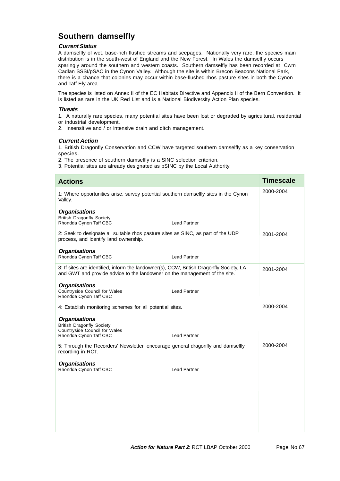# **Southern damselfly**

## **Current Status**

A damselfly of wet, base-rich flushed streams and seepages. Nationally very rare, the species main distribution is in the south-west of England and the New Forest. In Wales the damselfly occurs sparingly around the southern and western coasts. Southern damselfly has been recorded at Cwm Cadlan SSSI/pSAC in the Cynon Valley. Although the site is within Brecon Beacons National Park, there is a chance that colonies may occur within base-flushed rhos pasture sites in both the Cynon and Taff Ely area.

The species is listed on Annex II of the EC Habitats Directive and Appendix II of the Bern Convention. It is listed as rare in the UK Red List and is a National Biodiversity Action Plan species.

## **Threats**

1. A naturally rare species, many potential sites have been lost or degraded by agricultural, residential or industrial development.

2. Insensitive and / or intensive drain and ditch management.

### **Current Action**

1. British Dragonfly Conservation and CCW have targeted southern damselfly as a key conservation species.

2. The presence of southern damselfly is a SINC selection criterion.

3. Potential sites are already designated as pSINC by the Local Authority.

| <b>Actions</b>                                                                                                                                                        | <b>Timescale</b> |
|-----------------------------------------------------------------------------------------------------------------------------------------------------------------------|------------------|
| 1: Where opportunities arise, survey potential southern damselfly sites in the Cynon<br>Valley.                                                                       | 2000-2004        |
| <b>Organisations</b><br><b>British Dragonfly Society</b><br>Rhondda Cynon Taff CBC<br>Lead Partner                                                                    |                  |
| 2: Seek to designate all suitable rhos pasture sites as SINC, as part of the UDP<br>process, and identify land ownership.<br><b>Organisations</b>                     | 2001-2004        |
| Rhondda Cynon Taff CBC<br>Lead Partner                                                                                                                                |                  |
| 3: If sites are identified, inform the landowner(s), CCW, British Dragonfly Society, LA<br>and GWT and provide advice to the landowner on the management of the site. | 2001-2004        |
| <b>Organisations</b><br>Countryside Council for Wales<br>Lead Partner<br>Rhondda Cynon Taff CBC                                                                       |                  |
| 4: Establish monitoring schemes for all potential sites.                                                                                                              | 2000-2004        |
| <b>Organisations</b><br><b>British Dragonfly Society</b><br>Countryside Council for Wales<br>Rhondda Cynon Taff CBC<br><b>Lead Partner</b>                            |                  |
| 5: Through the Recorders' Newsletter, encourage general dragonfly and damselfly<br>recording in RCT.                                                                  | 2000-2004        |
| <b>Organisations</b><br>Rhondda Cynon Taff CBC<br><b>Lead Partner</b>                                                                                                 |                  |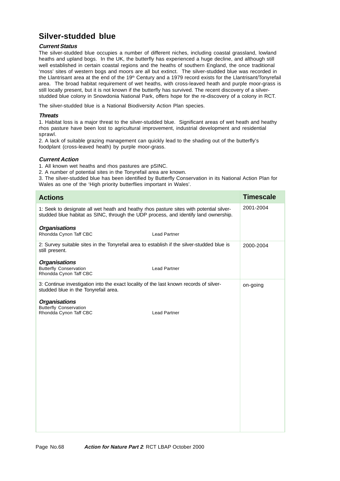# **Silver-studded blue**

## **Current Status**

The silver-studded blue occupies a number of different niches, including coastal grassland, lowland heaths and upland bogs. In the UK, the butterfly has experienced a huge decline, and although still well established in certain coastal regions and the heaths of southern England, the once traditional 'moss' sites of western bogs and moors are all but extinct. The silver-studded blue was recorded in the Llantrisant area at the end of the  $19<sup>th</sup>$  Century and a 1979 record exists for the Llantrisant/Tonyrefail area. The broad habitat requirement of wet heaths, with cross-leaved heath and purple moor-grass is still locally present, but it is not known if the butterfly has survived. The recent discovery of a silverstudded blue colony in Snowdonia National Park, offers hope for the re-discovery of a colony in RCT.

The silver-studded blue is a National Biodiversity Action Plan species.

## **Threats**

1. Habitat loss is a major threat to the silver-studded blue. Significant areas of wet heath and heathy rhos pasture have been lost to agricultural improvement, industrial development and residential sprawl.

2. A lack of suitable grazing management can quickly lead to the shading out of the butterfly's foodplant (cross-leaved heath) by purple moor-grass.

## **Current Action**

1. All known wet heaths and rhos pastures are pSINC.

2. A number of potential sites in the Tonyrefail area are known.

3. The silver-studded blue has been identified by Butterfly Conservation in its National Action Plan for Wales as one of the 'High priority butterflies important in Wales'.

| <b>Actions</b>                                                                                                                                                                 |                     | <b>Timescale</b> |
|--------------------------------------------------------------------------------------------------------------------------------------------------------------------------------|---------------------|------------------|
| 1: Seek to designate all wet heath and heathy rhos pasture sites with potential silver-<br>studded blue habitat as SINC, through the UDP process, and identify land ownership. |                     | 2001-2004        |
| <b>Organisations</b><br>Rhondda Cynon Taff CBC                                                                                                                                 | <b>Lead Partner</b> |                  |
| 2: Survey suitable sites in the Tonyrefail area to establish if the silver-studded blue is<br>still present.                                                                   |                     | 2000-2004        |
| <b>Organisations</b><br><b>Butterfly Conservation</b><br>Rhondda Cynon Taff CBC                                                                                                | <b>Lead Partner</b> |                  |
| 3: Continue investigation into the exact locality of the last known records of silver-<br>studded blue in the Tonyrefail area.                                                 |                     | on-going         |
| <b>Organisations</b><br><b>Butterfly Conservation</b><br>Rhondda Cynon Taff CBC                                                                                                | <b>Lead Partner</b> |                  |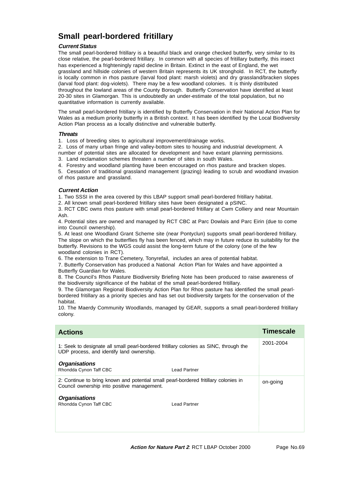# **Small pearl-bordered fritillary**

## **Current Status**

The small pearl-bordered fritillary is a beautiful black and orange checked butterfly, very similar to its close relative, the pearl-bordered fritillary. In common with all species of fritillary butterfly, this insect has experienced a frighteningly rapid decline in Britain. Extinct in the east of England, the wet grassland and hillside colonies of western Britain represents its UK stronghold. In RCT, the butterfly is locally common in rhos pasture (larval food plant: marsh violets) and dry grassland/bracken slopes (larval food plant: dog-violets). There may be a few woodland colonies. It is thinly distributed throughout the lowland areas of the County Borough. Butterfly Conservation have identified at least 20-30 sites in Glamorgan. This is undoubtedly an under-estimate of the total population, but no quantitative information is currently available.

The small pearl-bordered fritillary is identified by Butterfly Conservation in their National Action Plan for Wales as a medium priority butterfly in a British context. It has been identified by the Local Biodiversity Action Plan process as a locally distinctive and vulnerable butterfly.

### **Threats**

1. Loss of breeding sites to agricultural improvement/drainage works.

2. Loss of many urban fringe and valley-bottom sites to housing and industrial development. A number of potential sites are allocated for development and have extant planning permissions.

3. Land reclamation schemes threaten a number of sites in south Wales.

4. Forestry and woodland planting have been encouraged on rhos pasture and bracken slopes.

5. Cessation of traditional grassland management (grazing) leading to scrub and woodland invasion of rhos pasture and grassland.

## **Current Action**

1. Two SSSI in the area covered by this LBAP support small pearl-bordered fritillary habitat.

2. All known small pearl-bordered fritillary sites have been designated a pSINC.

3. RCT CBC owns rhos pasture with small pearl-bordered fritillary at Cwm Colliery and near Mountain Ash.

4. Potential sites are owned and managed by RCT CBC at Parc Dowlais and Parc Eirin (due to come into Council ownership).

5. At least one Woodland Grant Scheme site (near Pontyclun) supports small pearl-bordered fritillary. The slope on which the butterflies fly has been fenced, which may in future reduce its suitability for the butterfly. Revisions to the WGS could assist the long-term future of the colony (one of the few woodland colonies in RCT).

6. The extension to Trane Cemetery, Tonyrefail, includes an area of potential habitat.

7. Butterfly Conservation has produced a National Action Plan for Wales and have appointed a Butterfly Guardian for Wales.

8. The Council's Rhos Pasture Biodiversity Briefing Note has been produced to raise awareness of the biodiversity significance of the habitat of the small pearl-bordered fritillary.

9. The Glamorgan Regional Biodiversity Action Plan for Rhos pasture has identified the small pearlbordered fritillary as a priority species and has set out biodiversity targets for the conservation of the habitat.

10. The Maerdy Community Woodlands, managed by GEAR, supports a small pearl-bordered fritillary colony.

| <b>Actions</b>                                                                                                                      |                     | <b>Timescale</b> |
|-------------------------------------------------------------------------------------------------------------------------------------|---------------------|------------------|
| 1: Seek to designate all small pearl-bordered fritillary colonies as SINC, through the<br>UDP process, and identify land ownership. |                     | 2001-2004        |
| <b>Organisations</b><br>Rhondda Cynon Taff CBC                                                                                      | <b>Lead Partner</b> |                  |
| 2: Continue to bring known and potential small pearl-bordered fritillary colonies in<br>Council ownership into positive management. |                     | on-going         |
| <b>Organisations</b><br>Rhondda Cynon Taff CBC                                                                                      | <b>Lead Partner</b> |                  |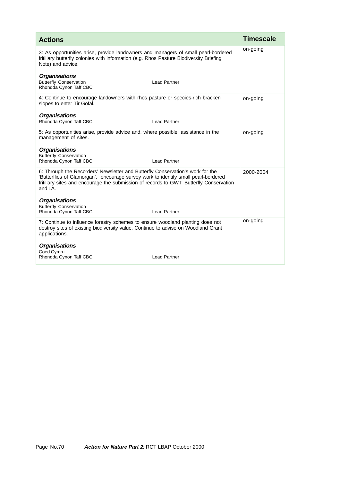| <b>Actions</b>                                                                                                                                                                                                                                                                | <b>Timescale</b> |
|-------------------------------------------------------------------------------------------------------------------------------------------------------------------------------------------------------------------------------------------------------------------------------|------------------|
| 3: As opportunities arise, provide landowners and managers of small pearl-bordered<br>fritillary butterfly colonies with information (e.g. Rhos Pasture Biodiversity Briefing<br>Note) and advice.                                                                            | on-going         |
| <b>Organisations</b><br><b>Butterfly Conservation</b><br><b>Lead Partner</b><br>Rhondda Cynon Taff CBC                                                                                                                                                                        |                  |
| 4: Continue to encourage landowners with rhos pasture or species-rich bracken<br>slopes to enter Tir Gofal.                                                                                                                                                                   | on-going         |
| <b>Organisations</b><br>Rhondda Cynon Taff CBC<br><b>Lead Partner</b>                                                                                                                                                                                                         |                  |
| 5: As opportunities arise, provide advice and, where possible, assistance in the<br>management of sites.                                                                                                                                                                      | on-going         |
| <b>Organisations</b><br><b>Butterfly Conservation</b><br>Rhondda Cynon Taff CBC<br><b>Lead Partner</b>                                                                                                                                                                        |                  |
| 6: Through the Recorders' Newsletter and Butterfly Conservation's work for the<br>'Butterflies of Glamorgan', encourage survey work to identify small pearl-bordered<br>fritillary sites and encourage the submission of records to GWT, Butterfly Conservation<br>and $LA$ . | 2000-2004        |
| <b>Organisations</b><br><b>Butterfly Conservation</b><br>Rhondda Cynon Taff CBC<br><b>Lead Partner</b>                                                                                                                                                                        |                  |
| 7: Continue to influence forestry schemes to ensure woodland planting does not<br>destroy sites of existing biodiversity value. Continue to advise on Woodland Grant<br>applications.                                                                                         | on-going         |
| <b>Organisations</b><br>Coed Cymru<br>Rhondda Cynon Taff CBC<br><b>Lead Partner</b>                                                                                                                                                                                           |                  |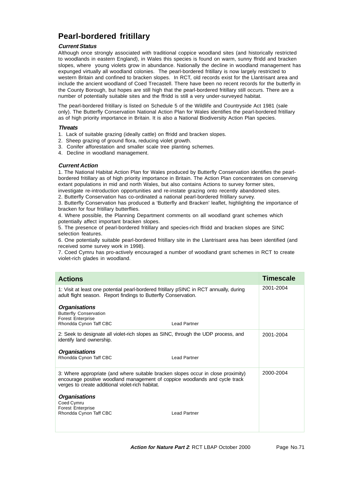# **Pearl-bordered fritillary**

# **Current Status**

Although once strongly associated with traditional coppice woodland sites (and historically restricted to woodlands in eastern England), in Wales this species is found on warm, sunny ffridd and bracken slopes, where young violets grow in abundance. Nationally the decline in woodland management has expunged virtually all woodland colonies. The pearl-bordered fritillary is now largely restricted to western Britain and confined to bracken slopes. In RCT, old records exist for the Llantrisant area and include the ancient woodland of Coed Trecastell. There have been no recent records for the butterfly in the County Borough, but hopes are still high that the pearl-bordered fritillary still occurs. There are a number of potentially suitable sites and the ffridd is still a very under-surveyed habitat.

The pearl-bordered fritillary is listed on Schedule 5 of the Wildlife and Countryside Act 1981 (sale only). The Butterfly Conservation National Action Plan for Wales identifies the pearl-bordered fritillary as of high priority importance in Britain. It is also a National Biodiversity Action Plan species.

### **Threats**

- 1. Lack of suitable grazing (ideally cattle) on ffridd and bracken slopes.
- 2. Sheep grazing of ground flora, reducing violet growth.
- 3. Conifer afforestation and smaller scale tree planting schemes.
- 4. Decline in woodland management.

## **Current Action**

1. The National Habitat Action Plan for Wales produced by Butterfly Conservation identifies the pearlbordered fritillary as of high priority importance in Britain. The Action Plan concentrates on conserving extant populations in mid and north Wales, but also contains Actions to survey former sites, investigate re-introduction opportunities and re-instate grazing onto recently abandoned sites.

2. Butterfly Conservation has co-ordinated a national pearl-bordered fritillary survey.

3. Butterfly Conservation has produced a 'Butterfly and Bracken' leaflet, highlighting the importance of bracken for four fritillary butterflies.

4. Where possible, the Planning Department comments on all woodland grant schemes which potentially affect important bracken slopes.

5. The presence of pearl-bordered fritillary and species-rich ffridd and bracken slopes are SINC selection features.

6. One potentially suitable pearl-bordered fritillary site in the Llantrisant area has been identified (and received some survey work in 1998).

7. Coed Cymru has pro-actively encouraged a number of woodland grant schemes in RCT to create violet-rich glades in woodland.

| <b>Actions</b>                                                                                                                                                                                                       | Timescale |
|----------------------------------------------------------------------------------------------------------------------------------------------------------------------------------------------------------------------|-----------|
| 1: Visit at least one potential pearl-bordered fritillary pSINC in RCT annually, during<br>adult flight season. Report findings to Butterfly Conservation.                                                           | 2001-2004 |
| <b>Organisations</b><br><b>Butterfly Conservation</b><br><b>Forest Enterprise</b><br>Rhondda Cynon Taff CBC<br><b>Lead Partner</b>                                                                                   |           |
| 2: Seek to designate all violet-rich slopes as SINC, through the UDP process, and<br>identify land ownership.                                                                                                        | 2001-2004 |
| Organisations<br>Rhondda Cynon Taff CBC<br><b>Lead Partner</b>                                                                                                                                                       |           |
| 3: Where appropriate (and where suitable bracken slopes occur in close proximity)<br>encourage positive woodland management of coppice woodlands and cycle track<br>verges to create additional violet-rich habitat. | 2000-2004 |
| <b>Organisations</b><br>Coed Cymru<br><b>Forest Enterprise</b><br>Rhondda Cynon Taff CBC<br><b>Lead Partner</b>                                                                                                      |           |
|                                                                                                                                                                                                                      |           |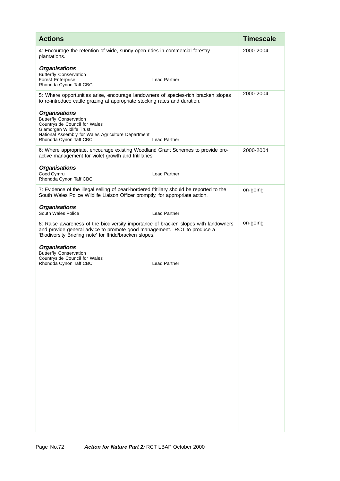| <b>Actions</b>                                                                                                                                                                                                            |                     | <b>Timescale</b> |
|---------------------------------------------------------------------------------------------------------------------------------------------------------------------------------------------------------------------------|---------------------|------------------|
| 4: Encourage the retention of wide, sunny open rides in commercial forestry<br>plantations.                                                                                                                               |                     | 2000-2004        |
| <b>Organisations</b><br><b>Butterfly Conservation</b><br><b>Forest Enterprise</b><br>Rhondda Cynon Taff CBC                                                                                                               | <b>Lead Partner</b> |                  |
| 5: Where opportunities arise, encourage landowners of species-rich bracken slopes<br>to re-introduce cattle grazing at appropriate stocking rates and duration.                                                           |                     | 2000-2004        |
| <b>Organisations</b><br><b>Butterfly Conservation</b><br>Countryside Council for Wales<br>Glamorgan Wildlife Trust<br>National Assembly for Wales Agriculture Department<br>Rhondda Cynon Taff CBC                        | <b>Lead Partner</b> |                  |
| 6: Where appropriate, encourage existing Woodland Grant Schemes to provide pro-<br>active management for violet growth and fritillaries.                                                                                  |                     | 2000-2004        |
| <b>Organisations</b><br>Coed Cymru<br>Rhondda Cynon Taff CBC                                                                                                                                                              | <b>Lead Partner</b> |                  |
| 7: Evidence of the illegal selling of pearl-bordered fritillary should be reported to the<br>South Wales Police Wildlife Liaison Officer promptly, for appropriate action.                                                |                     | on-going         |
| <b>Organisations</b><br>South Wales Police                                                                                                                                                                                | <b>Lead Partner</b> |                  |
| 8: Raise awareness of the biodiversity importance of bracken slopes with landowners<br>and provide general advice to promote good management. RCT to produce a<br>'Biodiversity Briefing note' for ffridd/bracken slopes. |                     | on-going         |
| <b>Organisations</b><br><b>Butterfly Conservation</b><br>Countryside Council for Wales<br>Rhondda Cynon Taff CBC                                                                                                          | <b>Lead Partner</b> |                  |
|                                                                                                                                                                                                                           |                     |                  |
|                                                                                                                                                                                                                           |                     |                  |
|                                                                                                                                                                                                                           |                     |                  |
|                                                                                                                                                                                                                           |                     |                  |
|                                                                                                                                                                                                                           |                     |                  |
|                                                                                                                                                                                                                           |                     |                  |
|                                                                                                                                                                                                                           |                     |                  |
|                                                                                                                                                                                                                           |                     |                  |
|                                                                                                                                                                                                                           |                     |                  |
|                                                                                                                                                                                                                           |                     |                  |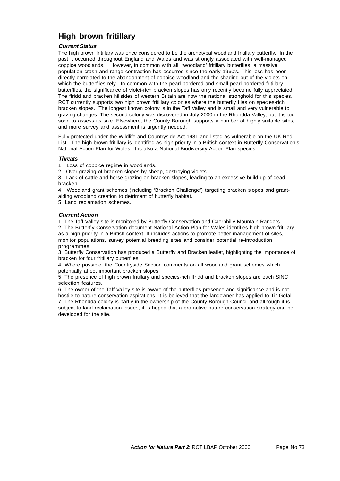# **High brown fritillary**

## **Current Status**

The high brown fritillary was once considered to be the archetypal woodland fritillary butterfly. In the past it occurred throughout England and Wales and was strongly associated with well-managed coppice woodlands. However, in common with all 'woodland' fritillary butterflies, a massive population crash and range contraction has occurred since the early 1960's. This loss has been directly correlated to the abandonment of coppice woodland and the shading out of the violets on which the butterflies rely. In common with the pearl-bordered and small pearl-bordered fritillary butterflies, the significance of violet-rich bracken slopes has only recently become fully appreciated. The ffridd and bracken hillsides of western Britain are now the national stronghold for this species. RCT currently supports two high brown fritillary colonies where the butterfly flies on species-rich bracken slopes. The longest known colony is in the Taff Valley and is small and very vulnerable to grazing changes. The second colony was discovered in July 2000 in the Rhondda Valley, but it is too soon to assess its size. Elsewhere, the County Borough supports a number of highly suitable sites, and more survey and assessment is urgently needed.

Fully protected under the Wildlife and Countryside Act 1981 and listed as vulnerable on the UK Red List. The high brown fritillary is identified as high priority in a British context in Butterfly Conservation's National Action Plan for Wales. It is also a National Biodiversity Action Plan species.

### **Threats**

1. Loss of coppice regime in woodlands.

2. Over-grazing of bracken slopes by sheep, destroying violets.

3. Lack of cattle and horse grazing on bracken slopes, leading to an excessive build-up of dead bracken.

4. Woodland grant schemes (including 'Bracken Challenge') targeting bracken slopes and grantaiding woodland creation to detriment of butterfly habitat.

5. Land reclamation schemes.

## **Current Action**

1. The Taff Valley site is monitored by Butterfly Conservation and Caerphilly Mountain Rangers.

2. The Butterfly Conservation document National Action Plan for Wales identifies high brown fritillary as a high priority in a British context. It includes actions to promote better management of sites, monitor populations, survey potential breeding sites and consider potential re-introduction programmes.

3. Butterfly Conservation has produced a Butterfly and Bracken leaflet, highlighting the importance of bracken for four fritillary butterflies.

4. Where possible, the Countryside Section comments on all woodland grant schemes which potentially affect important bracken slopes.

5. The presence of high brown fritillary and species-rich ffridd and bracken slopes are each SINC selection features.

6. The owner of the Taff Valley site is aware of the butterflies presence and significance and is not hostile to nature conservation aspirations. It is believed that the landowner has applied to Tir Gofal. 7. The Rhondda colony is partly in the ownership of the County Borough Council and although it is subject to land reclamation issues, it is hoped that a pro-active nature conservation strategy can be developed for the site.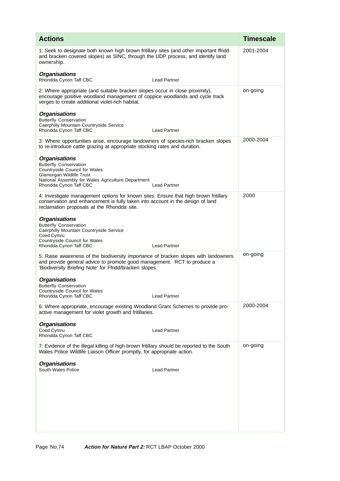| <b>Actions</b>                                                                                                                                                                                                            |                     | <b>Timescale</b> |
|---------------------------------------------------------------------------------------------------------------------------------------------------------------------------------------------------------------------------|---------------------|------------------|
| 1: Seek to designate both known high brown fritillary sites (and other important ffridd<br>and bracken covered slopes) as SINC, through the UDP process, and identify land<br>ownership.                                  |                     | 2001-2004        |
| <b>Organisations</b><br>Rhondda Cynon Taff CBC                                                                                                                                                                            | <b>Lead Partner</b> |                  |
| 2: Where appropriate (and suitable bracken slopes occur in close proximity),<br>encourage positive woodland management of coppice woodlands and cycle track<br>verges to create additional violet-rich habitat.           |                     | on-going         |
| <b>Organisations</b><br><b>Butterfly Conservation</b><br>Caerphilly Mountain Countryside Service<br>Rhondda Cynon Taff CBC                                                                                                | <b>Lead Partner</b> |                  |
| 3: Where opportunities arise, encourage landowners of species-rich bracken slopes<br>to re-introduce cattle grazing at appropriate stocking rates and duration.                                                           |                     | 2000-2004        |
| <b>Organisations</b><br><b>Butterfly Conservation</b><br>Countryside Council for Wales<br>Glamorgan Wildlife Trust<br>National Assembly for Wales Agriculture Department<br>Rhondda Cynon Taff CBC                        | <b>Lead Partner</b> |                  |
| 4: Investigate management options for known sites. Ensure that high brown fritillary<br>conservation and enhancement is fully taken into account in the design of land<br>reclamation proposals at the Rhondda site.      |                     | 2000             |
| <b>Organisations</b><br><b>Butterfly Conservation</b><br>Caerphilly Mountain Countryside Service<br>Coed Cymru<br>Countryside Council for Wales<br>Rhondda Cynon Taff CBC                                                 | <b>Lead Partner</b> |                  |
| 5: Raise awareness of the biodiversity importance of bracken slopes with landowners<br>and provide general advice to promote good management. RCT to produce a<br>'Biodiversity Briefing Note' for Ffridd/bracken slopes. |                     | on-going         |
| <b>Organisations</b><br><b>Butterfly Conservation</b><br>Countryside Council for Wales<br>Rhondda Cynon Taff CBC                                                                                                          | Lead Partner        |                  |
| 6: Where appropriate, encourage existing Woodland Grant Schemes to provide pro-<br>active management for violet growth and fritillaries.                                                                                  |                     | 2000-2004        |
| <b>Organisations</b><br>Coed Cymru<br>Rhondda Cynon Taff CBC                                                                                                                                                              | <b>Lead Partner</b> |                  |
| 7: Evidence of the illegal killing of high brown fritillary should be reported to the South<br>Wales Police Wildlife Liaison Officer promptly, for appropriate action.                                                    |                     | on-going         |
| <b>Organisations</b><br>South Wales Police                                                                                                                                                                                | <b>Lead Partner</b> |                  |
|                                                                                                                                                                                                                           |                     |                  |
|                                                                                                                                                                                                                           |                     |                  |
|                                                                                                                                                                                                                           |                     |                  |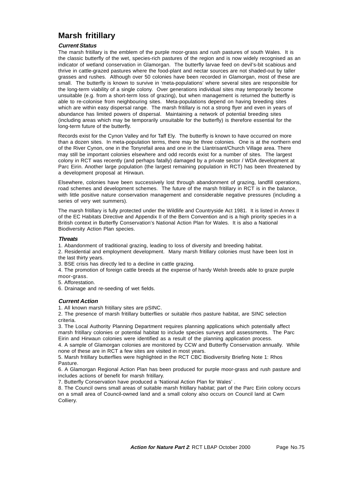# **Marsh fritillary**

### **Current Status**

The marsh fritillary is the emblem of the purple moor-grass and rush pastures of south Wales. It is the classic butterfly of the wet, species-rich pastures of the region and is now widely recognised as an indicator of wetland conservation in Glamorgan. The butterfly larvae feed on devil's-bit scabious and thrive in cattle-grazed pastures where the food-plant and nectar sources are not shaded-out by taller grasses and rushes. Although over 50 colonies have been recorded in Glamorgan, most of these are small. The butterfly is known to survive in 'meta-populations' where several sites are responsible for the long-term viability of a single colony. Over generations individual sites may temporarily become unsuitable (e.g. from a short-term loss of grazing), but when management is returned the butterfly is able to re-colonise from neighbouring sites. Meta-populations depend on having breeding sites which are within easy dispersal range. The marsh fritillary is not a strong flyer and even in years of abundance has limited powers of dispersal. Maintaining a network of potential breeding sites (including areas which may be temporarily unsuitable for the butterfly) is therefore essential for the long-term future of the butterfly.

Records exist for the Cynon Valley and for Taff Ely. The butterfly is known to have occurred on more than a dozen sites. In meta-population terms, there may be three colonies. One is at the northern end of the River Cynon, one in the Tonyrefail area and one in the Llantrisant/Church Village area. There may still be important colonies elsewhere and odd records exist for a number of sites. The largest colony in RCT was recently (and perhaps fatally) damaged by a private sector / WDA development at Parc Eirin. Another large population (the largest remaining population in RCT) has been threatened by a development proposal at Hirwaun.

Elsewhere, colonies have been successively lost through abandonment of grazing, landfill operations, road schemes and development schemes. The future of the marsh fritillary in RCT is in the balance, with little positive nature conservation management and considerable negative pressures (including a series of very wet summers).

The marsh fritillary is fully protected under the Wildlife and Countryside Act 1981. It is listed in Annex II of the EC Habitats Directive and Appendix II of the Bern Convention and is a high priority species in a British context in Butterfly Conservation's National Action Plan for Wales. It is also a National Biodiversity Action Plan species.

#### **Threats**

1. Abandonment of traditional grazing, leading to loss of diversity and breeding habitat.

2. Residential and employment development. Many marsh fritillary colonies must have been lost in the last thirty years.

3. BSE crisis has directly led to a decline in cattle grazing.

4. The promotion of foreign cattle breeds at the expense of hardy Welsh breeds able to graze purple moor-grass.

5. Afforestation.

6. Drainage and re-seeding of wet fields.

## **Current Action**

1. All known marsh fritillary sites are pSINC.

2. The presence of marsh fritillary butterflies or suitable rhos pasture habitat, are SINC selection criteria.

3. The Local Authority Planning Department requires planning applications which potentially affect marsh fritillary colonies or potential habitat to include species surveys and assessments. The Parc Eirin and Hirwaun colonies were identified as a result of the planning application process.

4. A sample of Glamorgan colonies are monitored by CCW and Butterfly Conservation annually. While none of these are in RCT a few sites are visited in most years.

5. Marsh fritillary butterflies were highlighted in the RCT CBC Biodiversity Briefing Note 1: Rhos Pasture.

6. A Glamorgan Regional Action Plan has been produced for purple moor-grass and rush pasture and includes actions of benefit for marsh fritillary.

7. Butterfly Conservation have produced a 'National Action Plan for Wales' .

8. The Council owns small areas of suitable marsh fritillary habitat; part of the Parc Eirin colony occurs on a small area of Council-owned land and a small colony also occurs on Council land at Cwm Colliery.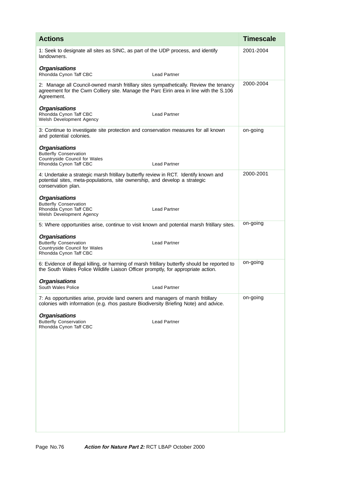| <b>Actions</b>                                                                                                                                                                                 |                     | <b>Timescale</b> |
|------------------------------------------------------------------------------------------------------------------------------------------------------------------------------------------------|---------------------|------------------|
| 1: Seek to designate all sites as SINC, as part of the UDP process, and identify<br>landowners.                                                                                                |                     | 2001-2004        |
| <b>Organisations</b><br>Rhondda Cynon Taff CBC                                                                                                                                                 | <b>Lead Partner</b> |                  |
| 2: Manage all Council-owned marsh fritillary sites sympathetically. Review the tenancy<br>agreement for the Cwm Colliery site. Manage the Parc Eirin area in line with the S.106<br>Agreement. |                     | 2000-2004        |
| <b>Organisations</b><br>Rhondda Cynon Taff CBC<br>Welsh Development Agency                                                                                                                     | <b>Lead Partner</b> |                  |
| 3: Continue to investigate site protection and conservation measures for all known<br>and potential colonies.                                                                                  |                     | on-going         |
| <b>Organisations</b><br><b>Butterfly Conservation</b><br>Countryside Council for Wales<br>Rhondda Cynon Taff CBC                                                                               | <b>Lead Partner</b> |                  |
| 4: Undertake a strategic marsh fritillary butterfly review in RCT. Identify known and<br>potential sites, meta-populations, site ownership, and develop a strategic<br>conservation plan.      |                     | 2000-2001        |
| <b>Organisations</b><br><b>Butterfly Conservation</b><br>Rhondda Cynon Taff CBC<br>Welsh Development Agency                                                                                    | <b>Lead Partner</b> |                  |
| 5: Where opportunities arise, continue to visit known and potential marsh fritillary sites.                                                                                                    |                     | on-going         |
| <b>Organisations</b><br><b>Butterfly Conservation</b><br>Countryside Council for Wales<br>Rhondda Cynon Taff CBC                                                                               | <b>Lead Partner</b> |                  |
| 6: Evidence of illegal killing, or harming of marsh fritillary butterfly should be reported to<br>the South Wales Police Wildlife Liaison Officer promptly, for appropriate action.            |                     | on-going         |
| <b>Organisations</b><br>South Wales Police                                                                                                                                                     | <b>Lead Partner</b> |                  |
| 7: As opportunities arise, provide land owners and managers of marsh fritillary<br>colonies with information (e.g. rhos pasture Biodiversity Briefing Note) and advice.                        |                     | on-going         |
| <b>Organisations</b><br><b>Butterfly Conservation</b><br>Rhondda Cynon Taff CBC                                                                                                                | Lead Partner        |                  |
|                                                                                                                                                                                                |                     |                  |
|                                                                                                                                                                                                |                     |                  |
|                                                                                                                                                                                                |                     |                  |
|                                                                                                                                                                                                |                     |                  |
|                                                                                                                                                                                                |                     |                  |
|                                                                                                                                                                                                |                     |                  |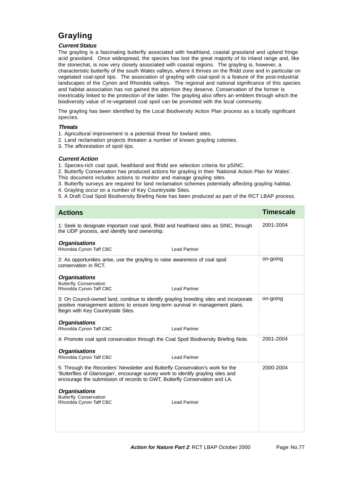# **Grayling**

## **Current Status**

The grayling is a fascinating butterfly associated with heathland, coastal grassland and upland fringe acid grassland. Once widespread, the species has lost the great majority of its inland range and, like the stonechat, is now very closely associated with coastal regions. The grayling is, however, a characteristic butterfly of the south Wales valleys, where it thrives on the ffridd zone and in particular on vegetated coal-spoil tips. The association of grayling with coal-spoil is a feature of the post-industrial landscapes of the Cynon and Rhondda valleys. The regional and national significance of this species and habitat association has not gained the attention they deserve. Conservation of the former is inextricably linked to the protection of the latter. The grayling also offers an emblem through which the biodiversity value of re-vegetated coal spoil can be promoted with the local community.

The grayling has been identified by the Local Biodiversity Action Plan process as a locally significant species.

### **Threats**

- 1. Agricultural improvement is a potential threat for lowland sites.
- 2. Land reclamation projects threaten a number of known grayling colonies.
- 3. The afforestation of spoil tips.

#### **Current Action**

- 1. Species-rich coal spoil, heathland and ffridd are selection criteria for pSINC.
- 2. Butterfly Conservation has produced actions for grayling in their 'National Action Plan for Wales'. This document includes actions to monitor and manage grayling sites.
- 3. Butterfly surveys are required for land reclamation schemes potentially affecting grayling habitat.
- 4. Grayling occur on a number of Key Countryside Sites.
- 5. A Draft Coal Spoil Biodiversity Briefing Note has been produced as part of the RCT LBAP process.

| <b>Actions</b>                                                                                                                                                                                                                                   | <b>Timescale</b> |
|--------------------------------------------------------------------------------------------------------------------------------------------------------------------------------------------------------------------------------------------------|------------------|
| 1: Seek to designate important coal spoil, ffridd and heathland sites as SINC, through<br>the UDP process, and identify land ownership.                                                                                                          | 2001-2004        |
| <b>Organisations</b><br>Rhondda Cynon Taff CBC<br><b>Lead Partner</b>                                                                                                                                                                            |                  |
| 2: As opportunities arise, use the grayling to raise awareness of coal spoil<br>conservation in RCT.                                                                                                                                             | on-going         |
| <b>Organisations</b><br><b>Butterfly Conservation</b><br>Rhondda Cynon Taff CBC<br><b>Lead Partner</b>                                                                                                                                           |                  |
| 3: On Council-owned land, continue to identify grayling breeding sites and incorporate<br>positive management actions to ensure long-term survival in management plans.<br>Begin with Key Countryside Sites.                                     | on-going         |
| <b>Organisations</b><br>Rhondda Cynon Taff CBC<br><b>Lead Partner</b>                                                                                                                                                                            |                  |
| 4: Promote coal spoil conservation through the Coal Spoil Biodiversity Briefing Note.                                                                                                                                                            | 2001-2004        |
| <b>Organisations</b><br>Rhondda Cynon Taff CBC<br><b>Lead Partner</b>                                                                                                                                                                            |                  |
| 5: Through the Recorders' Newsletter and Butterfly Conservation's work for the<br>'Butterflies of Glamorgan', encourage survey work to identify grayling sites and<br>encourage the submission of records to GWT, Butterfly Conservation and LA. | 2000-2004        |
| <b>Organisations</b><br><b>Butterfly Conservation</b><br>Rhondda Cynon Taff CBC<br><b>Lead Partner</b>                                                                                                                                           |                  |
|                                                                                                                                                                                                                                                  |                  |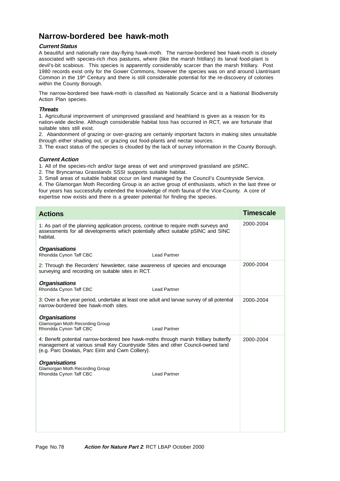# **Narrow-bordered bee hawk-moth**

## **Current Status**

A beautiful and nationally rare day-flying hawk-moth. The narrow-bordered bee hawk-moth is closely associated with species-rich rhos pastures, where (like the marsh fritillary) its larval food-plant is devil's-bit scabious. This species is apparently considerably scarcer than the marsh fritillary. Post 1980 records exist only for the Gower Commons, however the species was on and around Llantrisant Common in the 19<sup>th</sup> Century and there is still considerable potential for the re-discovery of colonies within the County Borough.

The narrow-bordered bee hawk-moth is classified as Nationally Scarce and is a National Biodiversity Action Plan species.

# **Threats**

1. Agricultural improvement of unimproved grassland and heathland is given as a reason for its nation-wide decline. Although considerable habitat loss has occurred in RCT, we are fortunate that suitable sites still exist.

2. Abandonment of grazing or over-grazing are certainly important factors in making sites unsuitable through either shading out, or grazing out food-plants and nectar sources.

3. The exact status of the species is clouded by the lack of survey information in the County Borough.

### **Current Action**

1. All of the species-rich and/or large areas of wet and unimproved grassland are pSINC.

- 2. The Bryncarnau Grasslands SSSI supports suitable habitat.
- 3. Small areas of suitable habitat occur on land managed by the Council's Countryside Service.

4. The Glamorgan Moth Recording Group is an active group of enthusiasts, which in the last three or four years has successfully extended the knowledge of moth fauna of the Vice-County. A core of expertise now exists and there is a greater potential for finding the species.

| <b>Actions</b>                                                                                                                                                                                                                |                     | <b>Timescale</b> |
|-------------------------------------------------------------------------------------------------------------------------------------------------------------------------------------------------------------------------------|---------------------|------------------|
| 1: As part of the planning application process, continue to require moth surveys and<br>assessments for all developments which potentially affect suitable pSINC and SINC<br>habitat.                                         |                     | 2000-2004        |
| <b>Organisations</b><br>Rhondda Cynon Taff CBC                                                                                                                                                                                | <b>Lead Partner</b> |                  |
| 2: Through the Recorders' Newsletter, raise awareness of species and encourage<br>surveying and recording on suitable sites in RCT.                                                                                           |                     | 2000-2004        |
| <b>Organisations</b><br>Rhondda Cynon Taff CBC                                                                                                                                                                                | <b>Lead Partner</b> |                  |
| 3: Over a five year period, undertake at least one adult and larvae survey of all potential<br>narrow-bordered bee hawk-moth sites.                                                                                           |                     | 2000-2004        |
| <b>Organisations</b><br>Glamorgan Moth Recording Group<br>Rhondda Cynon Taff CBC                                                                                                                                              | <b>Lead Partner</b> |                  |
| 4: Benefit potential narrow-bordered bee hawk-moths through marsh fritillary butterfly<br>management at various small Key Countryside Sites and other Council-owned land<br>(e.g. Parc Dowlais, Parc Eirin and Cwm Colliery). |                     | 2000-2004        |
| <b>Organisations</b><br>Glamorgan Moth Recording Group<br>Rhondda Cynon Taff CBC                                                                                                                                              | <b>Lead Partner</b> |                  |
|                                                                                                                                                                                                                               |                     |                  |
|                                                                                                                                                                                                                               |                     |                  |
|                                                                                                                                                                                                                               |                     |                  |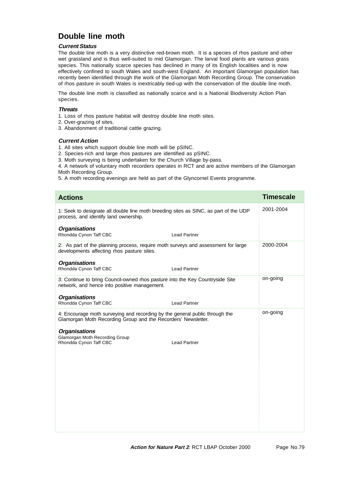# **Double line moth**

## **Current Status**

The double line moth is a very distinctive red-brown moth. It is a species of rhos pasture and other wet grassland and is thus well-suited to mid Glamorgan. The larval food plants are various grass species. This nationally scarce species has declined in many of its English localities and is now effectively confined to south Wales and south-west England. An important Glamorgan population has recently been identified through the work of the Glamorgan Moth Recording Group. The conservation of rhos pasture in south Wales is inextricably tied-up with the conservation of the double line moth.

The double line moth is classified as nationally scarce and is a National Biodiversity Action Plan species.

## **Threats**

- 1. Loss of rhos pasture habitat will destroy double line moth sites.
- 2. Over-grazing of sites.
- 3. Abandonment of traditional cattle grazing.

### **Current Action**

- 1. All sites which support double line moth will be pSINC.
- 2. Species-rich and large rhos pastures are identified as pSINC.
- 3. Moth surveying is being undertaken for the Church Village by-pass.

4. A network of voluntary moth recorders operates in RCT and are active members of the Glamorgan Moth Recording Group.

5. A moth recording evenings are held as part of the Glyncornel Events programme.

| <b>Actions</b>                                                                                                                               |                     | <b>Timescale</b> |
|----------------------------------------------------------------------------------------------------------------------------------------------|---------------------|------------------|
| 1: Seek to designate all double line moth breeding sites as SINC, as part of the UDP<br>process, and identify land ownership.                |                     | 2001-2004        |
| <b>Organisations</b><br>Rhondda Cynon Taff CBC                                                                                               | <b>Lead Partner</b> |                  |
| 2: As part of the planning process, require moth surveys and assessment for large<br>developments affecting rhos pasture sites.              |                     | 2000-2004        |
| <b>Organisations</b><br>Rhondda Cynon Taff CBC                                                                                               | <b>Lead Partner</b> |                  |
| 3: Continue to bring Council-owned rhos pasture into the Key Countryside Site<br>network, and hence into positive management.                |                     | on-going         |
| <b>Organisations</b><br>Rhondda Cynon Taff CBC                                                                                               | <b>Lead Partner</b> |                  |
| 4: Encourage moth surveying and recording by the general public through the<br>Glamorgan Moth Recording Group and the Recorders' Newsletter. |                     | on-going         |
| <b>Organisations</b><br>Glamorgan Moth Recording Group<br>Rhondda Cynon Taff CBC                                                             | <b>Lead Partner</b> |                  |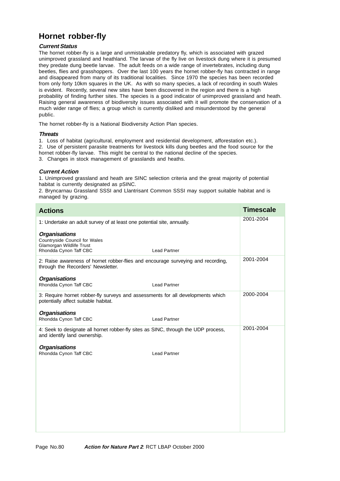# **Hornet robber-fly**

## **Current Status**

The hornet robber-fly is a large and unmistakable predatory fly, which is associated with grazed unimproved grassland and heathland. The larvae of the fly live on livestock dung where it is presumed they predate dung beetle larvae. The adult feeds on a wide range of invertebrates, including dung beetles, flies and grasshoppers. Over the last 100 years the hornet robber-fly has contracted in range and disappeared from many of its traditional localities. Since 1970 the species has been recorded from only forty 10km squares in the UK. As with so many species, a lack of recording in south Wales is evident. Recently, several new sites have been discovered in the region and there is a high probability of finding further sites. The species is a good indicator of unimproved grassland and heath. Raising general awareness of biodiversity issues associated with it will promote the conservation of a much wider range of flies; a group which is currently disliked and misunderstood by the general public.

The hornet robber-fly is a National Biodiversity Action Plan species.

## **Threats**

1. Loss of habitat (agricultural, employment and residential development, afforestation etc.).

2. Use of persistent parasite treatments for livestock kills dung beetles and the food source for the

hornet robber-fly larvae. This might be central to the national decline of the species.

3. Changes in stock management of grasslands and heaths.

# **Current Action**

1. Unimproved grassland and heath are SINC selection criteria and the great majority of potential habitat is currently designated as pSINC.

2. Bryncarnau Grassland SSSI and Llantrisant Common SSSI may support suitable habitat and is managed by grazing.

| <b>Actions</b>                                                                                                          |                     | <b>Timescale</b> |
|-------------------------------------------------------------------------------------------------------------------------|---------------------|------------------|
| 1: Undertake an adult survey of at least one potential site, annually.                                                  |                     | 2001-2004        |
| <b>Organisations</b><br>Countryside Council for Wales<br>Glamorgan Wildlife Trust<br>Rhondda Cynon Taff CBC             | <b>Lead Partner</b> |                  |
| 2: Raise awareness of hornet robber-flies and encourage surveying and recording,<br>through the Recorders' Newsletter.  |                     | 2001-2004        |
| <b>Organisations</b><br>Rhondda Cynon Taff CBC                                                                          | <b>Lead Partner</b> |                  |
| 3: Require hornet robber-fly surveys and assessments for all developments which<br>potentially affect suitable habitat. |                     | 2000-2004        |
| <b>Organisations</b><br>Rhondda Cynon Taff CBC                                                                          | <b>Lead Partner</b> |                  |
| 4: Seek to designate all hornet robber-fly sites as SINC, through the UDP process,<br>and identify land ownership.      |                     | 2001-2004        |
| <b>Organisations</b>                                                                                                    |                     |                  |
| Rhondda Cynon Taff CBC                                                                                                  | <b>Lead Partner</b> |                  |
|                                                                                                                         |                     |                  |
|                                                                                                                         |                     |                  |
|                                                                                                                         |                     |                  |
|                                                                                                                         |                     |                  |
|                                                                                                                         |                     |                  |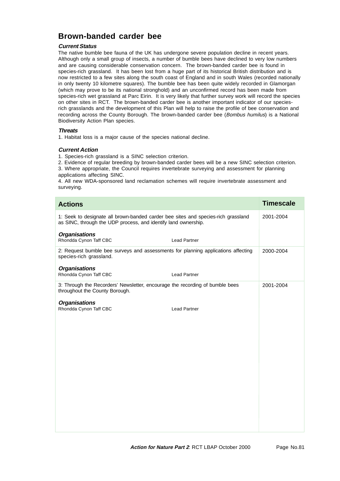# **Brown-banded carder bee**

# **Current Status**

The native bumble bee fauna of the UK has undergone severe population decline in recent years. Although only a small group of insects, a number of bumble bees have declined to very low numbers and are causing considerable conservation concern. The brown-banded carder bee is found in species-rich grassland. It has been lost from a huge part of its historical British distribution and is now restricted to a few sites along the south coast of England and in south Wales (recorded nationally in only twenty 10 kilometre squares). The bumble bee has been quite widely recorded in Glamorgan (which may prove to be its national stronghold) and an unconfirmed record has been made from species-rich wet grassland at Parc Eirin. It is very likely that further survey work will record the species on other sites in RCT. The brown-banded carder bee is another important indicator of our speciesrich grasslands and the development of this Plan will help to raise the profile of bee conservation and recording across the County Borough. The brown-banded carder bee (Bombus humilus) is a National Biodiversity Action Plan species.

### **Threats**

1. Habitat loss is a major cause of the species national decline.

### **Current Action**

1. Species-rich grassland is a SINC selection criterion.

2. Evidence of regular breeding by brown-banded carder bees will be a new SINC selection criterion.

3. Where appropriate, the Council requires invertebrate surveying and assessment for planning applications affecting SINC.

4. All new WDA-sponsored land reclamation schemes will require invertebrate assessment and surveying.

| <b>Actions</b>                                                                                                                                      | <b>Timescale</b> |
|-----------------------------------------------------------------------------------------------------------------------------------------------------|------------------|
| 1: Seek to designate all brown-banded carder bee sites and species-rich grassland<br>as SINC, through the UDP process, and identify land ownership. | 2001-2004        |
| <b>Organisations</b><br>Rhondda Cynon Taff CBC<br><b>Lead Partner</b>                                                                               |                  |
| 2: Request bumble bee surveys and assessments for planning applications affecting<br>species-rich grassland.                                        | 2000-2004        |
| <b>Organisations</b><br>Rhondda Cynon Taff CBC<br><b>Lead Partner</b>                                                                               |                  |
| 3: Through the Recorders' Newsletter, encourage the recording of bumble bees<br>throughout the County Borough.                                      | 2001-2004        |
| <b>Organisations</b><br>Rhondda Cynon Taff CBC<br><b>Lead Partner</b>                                                                               |                  |
|                                                                                                                                                     |                  |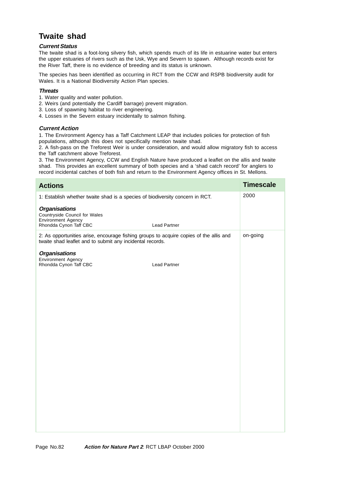# **Twaite shad**

## **Current Status**

The twaite shad is a foot-long silvery fish, which spends much of its life in estuarine water but enters the upper estuaries of rivers such as the Usk, Wye and Severn to spawn. Although records exist for the River Taff, there is no evidence of breeding and its status is unknown.

The species has been identified as occurring in RCT from the CCW and RSPB biodiversity audit for Wales. It is a National Biodiversity Action Plan species.

### **Threats**

- 1. Water quality and water pollution.
- 2. Weirs (and potentially the Cardiff barrage) prevent migration.
- 3. Loss of spawning habitat to river engineering.
- 4. Losses in the Severn estuary incidentally to salmon fishing.

## **Current Action**

1. The Environment Agency has a Taff Catchment LEAP that includes policies for protection of fish populations, although this does not specifically mention twaite shad.

2. A fish-pass on the Treforest Weir is under consideration, and would allow migratory fish to access the Taff catchment above Treforest.

3. The Environment Agency, CCW and English Nature have produced a leaflet on the allis and twaite shad. This provides an excellent summary of both species and a 'shad catch record' for anglers to record incidental catches of both fish and return to the Environment Agency offices in St. Mellons.

| <b>Actions</b>                                                                                                                                      |                     | <b>Timescale</b> |
|-----------------------------------------------------------------------------------------------------------------------------------------------------|---------------------|------------------|
| 1: Establish whether twaite shad is a species of biodiversity concern in RCT.                                                                       |                     | 2000             |
| <b>Organisations</b><br>Countryside Council for Wales<br>Environment Agency<br>Rhondda Cynon Taff CBC                                               | <b>Lead Partner</b> |                  |
| 2: As opportunities arise, encourage fishing groups to acquire copies of the allis and<br>twaite shad leaflet and to submit any incidental records. |                     | on-going         |
| <b>Organisations</b><br>Environment Agency<br>Rhondda Cynon Taff CBC                                                                                | <b>Lead Partner</b> |                  |
|                                                                                                                                                     |                     |                  |
|                                                                                                                                                     |                     |                  |
|                                                                                                                                                     |                     |                  |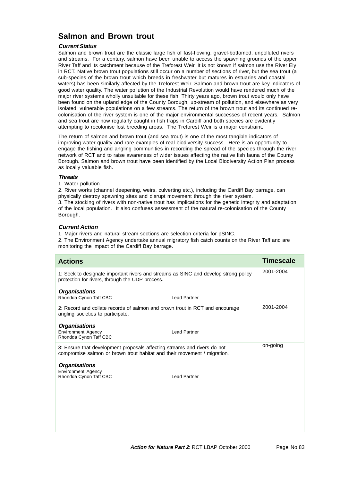# **Salmon and Brown trout**

# **Current Status**

Salmon and brown trout are the classic large fish of fast-flowing, gravel-bottomed, unpolluted rivers and streams. For a century, salmon have been unable to access the spawning grounds of the upper River Taff and its catchment because of the Treforest Weir. It is not known if salmon use the River Ely in RCT. Native brown trout populations still occur on a number of sections of river, but the sea trout (a sub-species of the brown trout which breeds in freshwater but matures in estuaries and coastal waters) has been similarly affected by the Treforest Weir. Salmon and brown trout are key indicators of good water quality. The water pollution of the Industrial Revolution would have rendered much of the major river systems wholly unsuitable for these fish. Thirty years ago, brown trout would only have been found on the upland edge of the County Borough, up-stream of pollution, and elsewhere as very isolated, vulnerable populations on a few streams. The return of the brown trout and its continued recolonisation of the river system is one of the major environmental successes of recent years. Salmon and sea trout are now regularly caught in fish traps in Cardiff and both species are evidently attempting to recolonise lost breeding areas. The Treforest Weir is a major constraint.

The return of salmon and brown trout (and sea trout) is one of the most tangible indicators of improving water quality and rare examples of real biodiversity success. Here is an opportunity to engage the fishing and angling communities in recording the spread of the species through the river network of RCT and to raise awareness of wider issues affecting the native fish fauna of the County Borough. Salmon and brown trout have been identified by the Local Biodiversity Action Plan process as locally valuable fish.

### **Threats**

1. Water pollution.

2. River works (channel deepening, weirs, culverting etc.), including the Cardiff Bay barrage, can physically destroy spawning sites and disrupt movement through the river system. 3. The stocking of rivers with non-native trout has implications for the genetic integrity and adaptation of the local population. It also confuses assessment of the natural re-colonisation of the County

Borough.

### **Current Action**

1. Major rivers and natural stream sections are selection criteria for pSINC.

2. The Environment Agency undertake annual migratory fish catch counts on the River Taff and are monitoring the impact of the Cardiff Bay barrage.

| <b>Actions</b>                                                                                                                                       | <b>Timescale</b> |
|------------------------------------------------------------------------------------------------------------------------------------------------------|------------------|
| 1: Seek to designate important rivers and streams as SINC and develop strong policy<br>protection for rivers, through the UDP process.               | 2001-2004        |
| <b>Organisations</b>                                                                                                                                 |                  |
| Rhondda Cynon Taff CBC<br><b>Lead Partner</b>                                                                                                        |                  |
| 2: Record and collate records of salmon and brown trout in RCT and encourage<br>angling societies to participate.                                    | 2001-2004        |
| <b>Organisations</b>                                                                                                                                 |                  |
| <b>Environment Agency</b><br><b>Lead Partner</b><br>Rhondda Cynon Taff CBC                                                                           |                  |
| 3: Ensure that development proposals affecting streams and rivers do not<br>compromise salmon or brown trout habitat and their movement / migration. | on-going         |
| <b>Organisations</b>                                                                                                                                 |                  |
| <b>Environment Agency</b><br>Rhondda Cynon Taff CBC<br><b>Lead Partner</b>                                                                           |                  |
|                                                                                                                                                      |                  |
|                                                                                                                                                      |                  |
|                                                                                                                                                      |                  |
|                                                                                                                                                      |                  |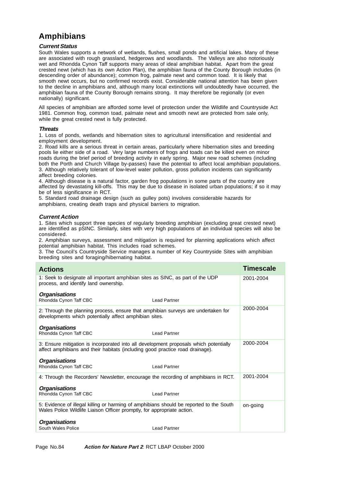# **Amphibians**

### **Current Status**

South Wales supports a network of wetlands, flushes, small ponds and artificial lakes. Many of these are associated with rough grassland, hedgerows and woodlands. The Valleys are also notoriously wet and Rhondda Cynon Taff supports many areas of ideal amphibian habitat. Apart from the great crested newt (which has its own Action Plan), the amphibian fauna of the County Borough includes (in descending order of abundance); common frog, palmate newt and common toad. It is likely that smooth newt occurs, but no confirmed records exist. Considerable national attention has been given to the decline in amphibians and, although many local extinctions will undoubtedly have occurred, the amphibian fauna of the County Borough remains strong. It may therefore be regionally (or even nationally) significant.

All species of amphibian are afforded some level of protection under the Wildlife and Countryside Act 1981. Common frog, common toad, palmate newt and smooth newt are protected from sale only, while the great crested newt is fully protected.

#### **Threats**

1. Loss of ponds, wetlands and hibernation sites to agricultural intensification and residential and employment development.

2. Road kills are a serious threat in certain areas, particularly where hibernation sites and breeding pools lie either side of a road. Very large numbers of frogs and toads can be killed even on minor roads during the brief period of breeding activity in early spring. Major new road schemes (including both the Porth and Church Village by-passes) have the potential to affect local amphibian populations. 3. Although relatively tolerant of low-level water pollution, gross pollution incidents can significantly affect breeding colonies.

4. Although disease is a natural factor, garden frog populations in some parts of the country are affected by devastating kill-offs. This may be due to disease in isolated urban populations; if so it may be of less significance in RCT.

5. Standard road drainage design (such as gulley pots) involves considerable hazards for amphibians, creating death traps and physical barriers to migration.

### **Current Action**

1. Sites which support three species of regularly breeding amphibian (excluding great crested newt) are identified as pSINC. Similarly, sites with very high populations of an individual species will also be considered.

2. Amphibian surveys, assessment and mitigation is required for planning applications which affect potential amphibian habitat. This includes road schemes.

3. The Council's Countryside Service manages a number of Key Countryside Sites with amphibian breeding sites and foraging/hibernating habitat.

| <b>Actions</b>                                                                                                                                                         |                     | <b>Timescale</b> |
|------------------------------------------------------------------------------------------------------------------------------------------------------------------------|---------------------|------------------|
| 1: Seek to designate all important amphibian sites as SINC, as part of the UDP<br>process, and identify land ownership.                                                |                     | 2001-2004        |
| <b>Organisations</b><br>Rhondda Cynon Taff CBC                                                                                                                         | <b>Lead Partner</b> |                  |
| 2: Through the planning process, ensure that amphibian surveys are undertaken for<br>developments which potentially affect amphibian sites.                            |                     | 2000-2004        |
| <b>Organisations</b><br>Rhondda Cynon Taff CBC                                                                                                                         | <b>Lead Partner</b> |                  |
| 3: Ensure mitigation is incorporated into all development proposals which potentially<br>affect amphibians and their habitats (including good practice road drainage). |                     | 2000-2004        |
| <b>Organisations</b><br>Rhondda Cynon Taff CBC                                                                                                                         | <b>Lead Partner</b> |                  |
| 4: Through the Recorders' Newsletter, encourage the recording of amphibians in RCT.                                                                                    |                     | 2001-2004        |
| <b>Organisations</b><br>Rhondda Cynon Taff CBC                                                                                                                         | <b>Lead Partner</b> |                  |
| 5: Evidence of illegal killing or harming of amphibians should be reported to the South<br>Wales Police Wildlife Liaison Officer promptly, for appropriate action.     |                     | on-going         |
| <b>Organisations</b><br>South Wales Police                                                                                                                             | <b>Lead Partner</b> |                  |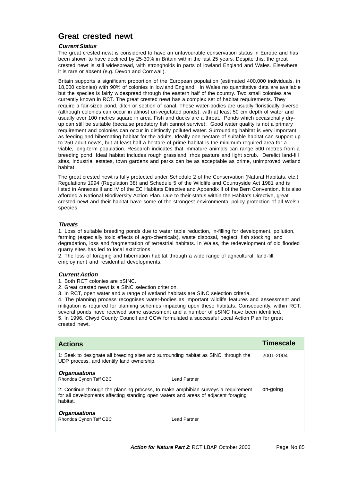# **Great crested newt**

## **Current Status**

The great crested newt is considered to have an unfavourable conservation status in Europe and has been shown to have declined by 25-30% in Britain within the last 25 years. Despite this, the great crested newt is still widespread, with strongholds in parts of lowland England and Wales. Elsewhere it is rare or absent (e.g. Devon and Cornwall).

Britain supports a significant proportion of the European population (estimated 400,000 individuals, in 18,000 colonies) with 90% of colonies in lowland England. In Wales no quantitative data are available but the species is fairly widespread through the eastern half of the country. Two small colonies are currently known in RCT. The great crested newt has a complex set of habitat requirements. They require a fair-sized pond, ditch or section of canal. These water-bodies are usually floristically diverse (although colonies can occur in almost un-vegetated ponds), with at least 50 cm depth of water and usually over 100 metres square in area. Fish and ducks are a threat. Ponds which occasionally dryup can still be suitable (because predatory fish cannot survive). Good water quality is not a primary requirement and colonies can occur in distinctly polluted water. Surrounding habitat is very important as feeding and hibernating habitat for the adults. Ideally one hectare of suitable habitat can support up to 250 adult newts, but at least half a hectare of prime habitat is the minimum required area for a viable, long-term population. Research indicates that immature animals can range 500 metres from a breeding pond. Ideal habitat includes rough grassland, rhos pasture and light scrub. Derelict land-fill sites, industrial estates, town gardens and parks can be as acceptable as prime, unimproved wetland habitat.

The great crested newt is fully protected under Schedule 2 of the Conservation (Natural Habitats, etc.) Regulations 1994 (Regulation 38) and Schedule 5 of the Wildlife and Countryside Act 1981 and is listed in Annexes II and IV of the EC Habitats Directive and Appendix II of the Bern Convention. It is also afforded a National Biodiversity Action Plan. Due to their status within the Habitats Directive, great crested newt and their habitat have some of the strongest environmental policy protection of all Welsh species.

### **Threats**

1. Loss of suitable breeding ponds due to water table reduction, in-filling for development, pollution, farming (especially toxic effects of agro-chemicals), waste disposal, neglect, fish stocking, and degradation, loss and fragmentation of terrestrial habitats. In Wales, the redevelopment of old flooded quarry sites has led to local extinctions.

2. The loss of foraging and hibernation habitat through a wide range of agricultural, land-fill, employment and residential developments.

## **Current Action**

1. Both RCT colonies are pSINC.

- 2. Great crested newt is a SINC selection criterion.
- 3. In RCT, open water and a range of wetland habitats are SINC selection criteria.

4. The planning process recognises water-bodies as important wildlife features and assessment and mitigation is required for planning schemes impacting upon these habitats. Consequently, within RCT, several ponds have received some assessment and a number of pSINC have been identified. 5. In 1996, Clwyd County Council and CCW formulated a successful Local Action Plan for great crested newt.

| <b>Actions</b>                                                                                                                                                                      |               | <b>Timescale</b> |
|-------------------------------------------------------------------------------------------------------------------------------------------------------------------------------------|---------------|------------------|
| 1: Seek to designate all breeding sites and surrounding habitat as SINC, through the<br>UDP process, and identify land ownership.                                                   |               | 2001-2004        |
| <b>Organisations</b><br>Rhondda Cynon Taff CBC                                                                                                                                      | I ead Partner |                  |
| 2: Continue through the planning process, to make amphibian surveys a requirement<br>for all developments affecting standing open waters and areas of adjacent foraging<br>habitat. |               | on-going         |
| <b>Organisations</b><br>Rhondda Cynon Taff CBC                                                                                                                                      | Lead Partner  |                  |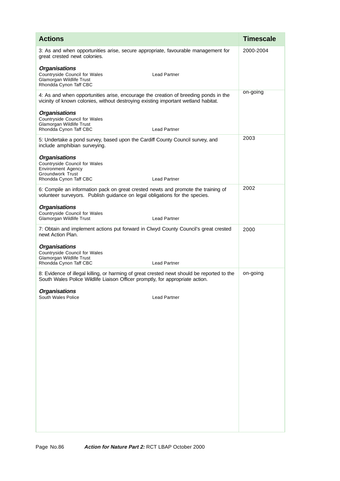| <b>Actions</b>                                                                                                                                                              |                     | <b>Timescale</b> |
|-----------------------------------------------------------------------------------------------------------------------------------------------------------------------------|---------------------|------------------|
| 3: As and when opportunities arise, secure appropriate, favourable management for<br>great crested newt colonies.                                                           |                     | 2000-2004        |
| <b>Organisations</b><br>Countryside Council for Wales<br>Glamorgan Wildlife Trust<br>Rhondda Cynon Taff CBC                                                                 | <b>Lead Partner</b> |                  |
| 4: As and when opportunities arise, encourage the creation of breeding ponds in the<br>vicinity of known colonies, without destroying existing important wetland habitat.   |                     | on-going         |
| <b>Organisations</b><br>Countryside Council for Wales<br>Glamorgan Wildlife Trust<br>Rhondda Cynon Taff CBC                                                                 | <b>Lead Partner</b> |                  |
| 5: Undertake a pond survey, based upon the Cardiff County Council survey, and<br>include amphibian surveying.                                                               |                     | 2003             |
| <b>Organisations</b><br>Countryside Council for Wales<br><b>Environment Agency</b><br><b>Groundwork Trust</b><br>Rhondda Cynon Taff CBC                                     | <b>Lead Partner</b> |                  |
| 6: Compile an information pack on great crested newts and promote the training of<br>volunteer surveyors. Publish guidance on legal obligations for the species.            |                     | 2002             |
| <b>Organisations</b><br>Countryside Council for Wales<br>Glamorgan Wildlife Trust                                                                                           | <b>Lead Partner</b> |                  |
| 7: Obtain and implement actions put forward in Clwyd County Council's great crested<br>newt Action Plan.                                                                    |                     | 2000             |
| <b>Organisations</b><br>Countryside Council for Wales<br>Glamorgan Wildlife Trust<br>Rhondda Cynon Taff CBC                                                                 | <b>Lead Partner</b> |                  |
| 8: Evidence of illegal killing, or harming of great crested newt should be reported to the<br>South Wales Police Wildlife Liaison Officer promptly, for appropriate action. |                     | on-going         |
| <b>Organisations</b><br>South Wales Police                                                                                                                                  | <b>Lead Partner</b> |                  |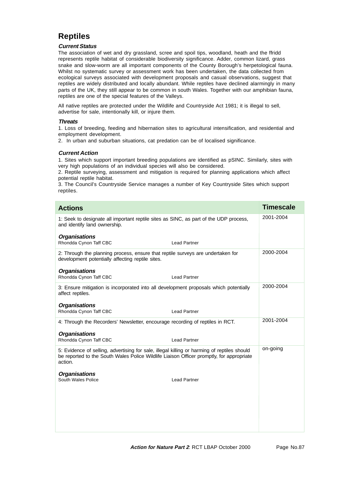# **Reptiles**

## **Current Status**

The association of wet and dry grassland, scree and spoil tips, woodland, heath and the ffridd represents reptile habitat of considerable biodiversity significance. Adder, common lizard, grass snake and slow-worm are all important components of the County Borough's herpetological fauna. Whilst no systematic survey or assessment work has been undertaken, the data collected from ecological surveys associated with development proposals and casual observations, suggest that reptiles are widely distributed and locally abundant. While reptiles have declined alarmingly in many parts of the UK, they still appear to be common in south Wales. Together with our amphibian fauna, reptiles are one of the special features of the Valleys.

All native reptiles are protected under the Wildlife and Countryside Act 1981; it is illegal to sell, advertise for sale, intentionally kill, or injure them.

### **Threats**

1. Loss of breeding, feeding and hibernation sites to agricultural intensification, and residential and employment development.

2. In urban and suburban situations, cat predation can be of localised significance.

## **Current Action**

1. Sites which support important breeding populations are identified as pSINC. Similarly, sites with very high populations of an individual species will also be considered.

2. Reptile surveying, assessment and mitigation is required for planning applications which affect potential reptile habitat.

3. The Council's Countryside Service manages a number of Key Countryside Sites which support reptiles.

| <b>Actions</b>                                                                                                                                                                                     | <b>Timescale</b> |
|----------------------------------------------------------------------------------------------------------------------------------------------------------------------------------------------------|------------------|
| 1: Seek to designate all important reptile sites as SINC, as part of the UDP process,<br>and identify land ownership.                                                                              | 2001-2004        |
| <b>Organisations</b><br>Rhondda Cynon Taff CBC<br><b>Lead Partner</b>                                                                                                                              |                  |
| 2: Through the planning process, ensure that reptile surveys are undertaken for<br>development potentially affecting reptile sites.                                                                | 2000-2004        |
| <b>Organisations</b><br>Rhondda Cynon Taff CBC<br><b>Lead Partner</b>                                                                                                                              |                  |
| 3: Ensure mitigation is incorporated into all development proposals which potentially<br>affect reptiles.                                                                                          | 2000-2004        |
| <b>Organisations</b><br>Rhondda Cynon Taff CBC<br><b>Lead Partner</b>                                                                                                                              |                  |
| 4: Through the Recorders' Newsletter, encourage recording of reptiles in RCT.                                                                                                                      | 2001-2004        |
| <b>Organisations</b><br>Rhondda Cynon Taff CBC<br><b>Lead Partner</b>                                                                                                                              |                  |
| 5: Evidence of selling, advertising for sale, illegal killing or harming of reptiles should<br>be reported to the South Wales Police Wildlife Liaison Officer promptly, for appropriate<br>action. | on-going         |
| <b>Organisations</b><br>South Wales Police<br><b>Lead Partner</b>                                                                                                                                  |                  |
|                                                                                                                                                                                                    |                  |
|                                                                                                                                                                                                    |                  |
|                                                                                                                                                                                                    |                  |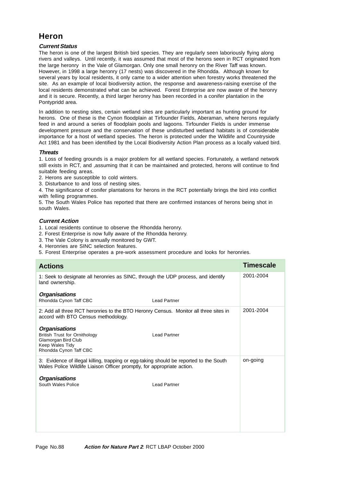# **Heron**

# **Current Status**

The heron is one of the largest British bird species. They are regularly seen laboriously flying along rivers and valleys. Until recently, it was assumed that most of the herons seen in RCT originated from the large heronry in the Vale of Glamorgan. Only one small heronry on the River Taff was known. However, in 1998 a large heronry (17 nests) was discovered in the Rhondda. Although known for several years by local residents, it only came to a wider attention when forestry works threatened the site. As an example of local biodiversity action, the response and awareness-raising exercise of the local residents demonstrated what can be achieved. Forest Enterprise are now aware of the heronry and it is secure. Recently, a third larger heronry has been recorded in a conifer plantation in the Pontypridd area.

In addition to nesting sites, certain wetland sites are particularly important as hunting ground for herons. One of these is the Cynon floodplain at Tirfounder Fields, Aberaman, where herons regularly feed in and around a series of floodplain pools and lagoons. Tirfounder Fields is under immense development pressure and the conservation of these undisturbed wetland habitats is of considerable importance for a host of wetland species. The heron is protected under the Wildlife and Countryside Act 1981 and has been identified by the Local Biodiversity Action Plan process as a locally valued bird.

### **Threats**

1. Loss of feeding grounds is a major problem for all wetland species. Fortunately, a wetland network still exists in RCT, and ,assuming that it can be maintained and protected, herons will continue to find suitable feeding areas.

- 2. Herons are susceptible to cold winters.
- 3. Disturbance to and loss of nesting sites.

4. The significance of conifer plantations for herons in the RCT potentially brings the bird into conflict with felling programmes.

5. The South Wales Police has reported that there are confirmed instances of herons being shot in south Wales.

## **Current Action**

1. Local residents continue to observe the Rhondda heronry.

- 2. Forest Enterprise is now fully aware of the Rhondda heronry.
- 3. The Vale Colony is annually monitored by GWT.
- 4. Heronries are SINC selection features.
- 5. Forest Enterprise operates a pre-work assessment procedure and looks for heronries.

| <b>Actions</b>                                                                                                                                                    | <b>Timescale</b> |
|-------------------------------------------------------------------------------------------------------------------------------------------------------------------|------------------|
| 1: Seek to designate all heronries as SINC, through the UDP process, and identify<br>land ownership.                                                              | 2001-2004        |
| <b>Organisations</b><br>Rhondda Cynon Taff CBC<br><b>Lead Partner</b>                                                                                             |                  |
| 2: Add all three RCT heronries to the BTO Heronry Census. Monitor all three sites in<br>accord with BTO Census methodology.                                       | 2001-2004        |
| <b>Organisations</b><br><b>British Trust for Ornithology</b><br><b>Lead Partner</b><br>Glamorgan Bird Club<br>Keep Wales Tidy<br>Rhondda Cynon Taff CBC           |                  |
| 3: Evidence of illegal killing, trapping or egg-taking should be reported to the South<br>Wales Police Wildlife Liaison Officer promptly, for appropriate action. | on-going         |
| <b>Organisations</b><br>South Wales Police<br><b>Lead Partner</b>                                                                                                 |                  |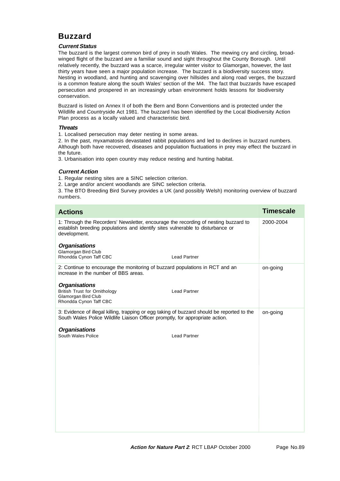# **Buzzard**

# **Current Status**

The buzzard is the largest common bird of prey in south Wales. The mewing cry and circling, broadwinged flight of the buzzard are a familiar sound and sight throughout the County Borough. Until relatively recently, the buzzard was a scarce, irregular winter visitor to Glamorgan, however, the last thirty years have seen a major population increase. The buzzard is a biodiversity success story. Nesting in woodland, and hunting and scavenging over hillsides and along road verges, the buzzard is a common feature along the south Wales' section of the M4. The fact that buzzards have escaped persecution and prospered in an increasingly urban environment holds lessons for biodiversity conservation.

Buzzard is listed on Annex II of both the Bern and Bonn Conventions and is protected under the Wildlife and Countryside Act 1981. The buzzard has been identified by the Local Biodiversity Action Plan process as a locally valued and characteristic bird.

### **Threats**

1. Localised persecution may deter nesting in some areas.

2. In the past, myxamatosis devastated rabbit populations and led to declines in buzzard numbers. Although both have recovered, diseases and population fluctuations in prey may effect the buzzard in the future.

3. Urbanisation into open country may reduce nesting and hunting habitat.

# **Current Action**

1. Regular nesting sites are a SINC selection criterion.

2. Large and/or ancient woodlands are SINC selection criteria.

3. The BTO Breeding Bird Survey provides a UK (and possibly Welsh) monitoring overview of buzzard numbers.

| <b>Actions</b>                                                                                                                                                                        | <b>Timescale</b> |
|---------------------------------------------------------------------------------------------------------------------------------------------------------------------------------------|------------------|
| 1: Through the Recorders' Newsletter, encourage the recording of nesting buzzard to<br>establish breeding populations and identify sites vulnerable to disturbance or<br>development. | 2000-2004        |
| <b>Organisations</b><br>Glamorgan Bird Club<br>Rhondda Cynon Taff CBC<br><b>Lead Partner</b>                                                                                          |                  |
| 2: Continue to encourage the monitoring of buzzard populations in RCT and an<br>increase in the number of BBS areas.                                                                  | on-going         |
| <b>Organisations</b><br><b>British Trust for Ornithology</b><br><b>Lead Partner</b><br>Glamorgan Bird Club<br>Rhondda Cynon Taff CBC                                                  |                  |
| 3: Evidence of illegal killing, trapping or egg taking of buzzard should be reported to the<br>South Wales Police Wildlife Liaison Officer promptly, for appropriate action.          | on-going         |
| <b>Organisations</b><br>South Wales Police<br><b>Lead Partner</b>                                                                                                                     |                  |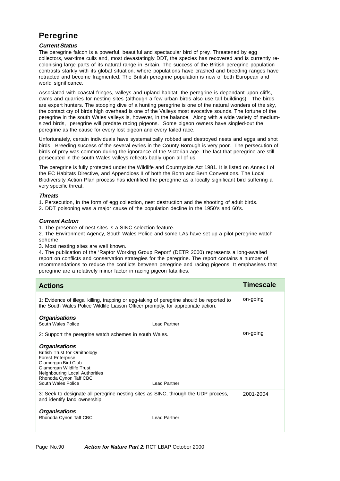# **Peregrine**

## **Current Status**

The peregrine falcon is a powerful, beautiful and spectacular bird of prey. Threatened by egg collectors, war-time culls and, most devastatingly DDT, the species has recovered and is currently recolonising large parts of its natural range in Britain. The success of the British peregrine population contrasts starkly with its global situation, where populations have crashed and breeding ranges have retracted and become fragmented. The British peregrine population is now of both European and world significance.

Associated with coastal fringes, valleys and upland habitat, the peregrine is dependant upon cliffs, cwms and quarries for nesting sites (although a few urban birds also use tall buildings). The birds are expert hunters. The stooping dive of a hunting peregrine is one of the natural wonders of the sky, the contact cry of birds high overhead is one of the Valleys most evocative sounds. The fortune of the peregrine in the south Wales valleys is, however, in the balance. Along with a wide variety of mediumsized birds, peregrine will predate racing pigeons. Some pigeon owners have singled-out the peregrine as the cause for every lost pigeon and every failed race.

Unfortunately, certain individuals have systematically robbed and destroyed nests and eggs and shot birds. Breeding success of the several eyries in the County Borough is very poor. The persecution of birds of prey was common during the ignorance of the Victorian age. The fact that peregrine are still persecuted in the south Wales valleys reflects badly upon all of us.

The peregrine is fully protected under the Wildlife and Countryside Act 1981. It is listed on Annex I of the EC Habitats Directive, and Appendices II of both the Bonn and Bern Conventions. The Local Biodiversity Action Plan process has identified the peregrine as a locally significant bird suffering a very specific threat.

### **Threats**

- 1. Persecution, in the form of egg collection, nest destruction and the shooting of adult birds.
- 2. DDT poisoning was a major cause of the population decline in the 1950's and 60's.

### **Current Action**

1. The presence of nest sites is a SINC selection feature.

2. The Environment Agency, South Wales Police and some LAs have set up a pilot peregrine watch scheme.

3. Most nesting sites are well known.

4. The publication of the 'Raptor Working Group Report' (DETR 2000) represents a long-awaited report on conflicts and conservation strategies for the peregrine. The report contains a number of recommendations to reduce the conflicts between peregrine and racing pigeons. It emphasises that peregrine are a relatively minor factor in racing pigeon fatalities.

| <b>Actions</b>                                                                                                                                                                                                                |                     | <b>Timescale</b> |
|-------------------------------------------------------------------------------------------------------------------------------------------------------------------------------------------------------------------------------|---------------------|------------------|
| 1: Evidence of illegal killing, trapping or egg-taking of peregrine should be reported to<br>the South Wales Police Wildlife Liaison Officer promptly, for appropriate action.                                                |                     | on-going         |
| <b>Organisations</b><br>South Wales Police                                                                                                                                                                                    | Lead Partner        |                  |
| 2: Support the peregrine watch schemes in south Wales.                                                                                                                                                                        |                     | on-going         |
| <b>Organisations</b><br><b>British Trust for Ornithology</b><br><b>Forest Enterprise</b><br>Glamorgan Bird Club<br>Glamorgan Wildlife Trust<br>Neighbouring Local Authorities<br>Rhondda Cynon Taff CBC<br>South Wales Police | <b>Lead Partner</b> |                  |
| 3: Seek to designate all peregrine nesting sites as SINC, through the UDP process,<br>and identify land ownership.                                                                                                            |                     | 2001-2004        |
| <b>Organisations</b><br>Rhondda Cynon Taff CBC                                                                                                                                                                                | <b>Lead Partner</b> |                  |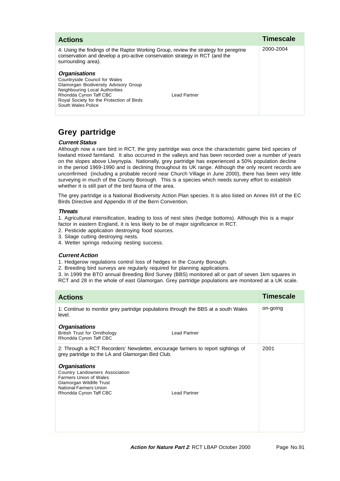| <b>Actions</b>                                                                                                                                                                                                                                | <b>Timescale</b> |
|-----------------------------------------------------------------------------------------------------------------------------------------------------------------------------------------------------------------------------------------------|------------------|
| 4: Using the findings of the Raptor Working Group, review the strategy for peregrine<br>conservation and develop a pro-active conservation strategy in RCT (and the<br>surrounding area).                                                     | 2000-2004        |
| <b>Organisations</b><br>Countryside Council for Wales<br>Glamorgan Biodiversity Advisory Group<br>Neighbouring Local Authorities<br>Rhondda Cynon Taff CBC<br>Lead Partner<br>Royal Society for the Protection of Birds<br>South Wales Police |                  |

# **Grey partridge**

# **Current Status**

Although now a rare bird in RCT, the grey partridge was once the characteristic game bird species of lowland mixed farmland. It also occurred in the valleys and has been recorded over a number of years on the slopes above Llwynypia. Nationally, grey partridge has experienced a 50% population decline in the period 1969-1990 and is declining throughout its UK range. Although the only recent records are unconfirmed (including a probable record near Church Village in June 2000), there has been very little surveying in much of the County Borough. This is a species which needs survey effort to establish whether it is still part of the bird fauna of the area.

The grey partridge is a National Biodiversity Action Plan species. It is also listed on Annex III/I of the EC Birds Directive and Appendix III of the Bern Convention.

## **Threats**

1. Agricultural intensification, leading to loss of nest sites (hedge bottoms). Although this is a major factor in eastern England, it is less likely to be of major significance in RCT.

- 2. Pesticide application destroying food sources.
- 3. Silage cutting destroying nests.
- 4. Wetter springs reducing nesting success.

## **Current Action**

- 1. Hedgerow regulations control loss of hedges in the County Borough.
- 2. Breeding bird surveys are regularly required for planning applications.

3. In 1999 the BTO annual Breeding Bird Survey (BBS) monitored all or part of seven 1km squares in RCT and 28 in the whole of east Glamorgan. Grey partridge populations are monitored at a UK scale.

| <b>Actions</b>                                                                                                                                                                                 | Timescale |
|------------------------------------------------------------------------------------------------------------------------------------------------------------------------------------------------|-----------|
| 1: Continue to monitor grey partridge populations through the BBS at a south Wales<br>level.                                                                                                   | on-going  |
| <b>Organisations</b><br><b>British Trust for Ornithology</b><br><b>Lead Partner</b><br>Rhondda Cynon Taff CBC                                                                                  |           |
| 2: Through a RCT Recorders' Newsletter, encourage farmers to report sightings of<br>grey partridge to the LA and Glamorgan Bird Club.                                                          | 2001      |
| <b>Organisations</b><br>Country Landowners Association<br><b>Farmers Union of Wales</b><br>Glamorgan Wildlife Trust<br>National Farmers Union<br><b>Lead Partner</b><br>Rhondda Cynon Taff CBC |           |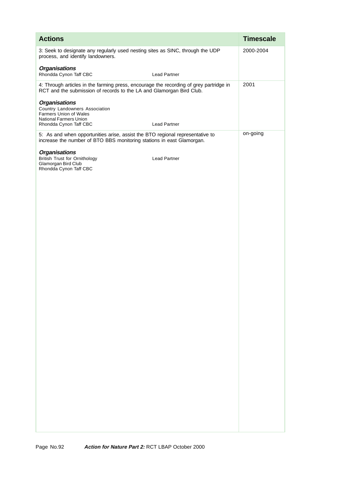| <b>Actions</b>                                                                                                                                                 |                     | <b>Timescale</b> |
|----------------------------------------------------------------------------------------------------------------------------------------------------------------|---------------------|------------------|
| 3: Seek to designate any regularly used nesting sites as SINC, through the UDP<br>process, and identify landowners.                                            |                     | 2000-2004        |
| <b>Organisations</b><br>Rhondda Cynon Taff CBC                                                                                                                 | <b>Lead Partner</b> |                  |
| 4: Through articles in the farming press, encourage the recording of grey partridge in<br>RCT and the submission of records to the LA and Glamorgan Bird Club. |                     | 2001             |
| <b>Organisations</b><br>Country Landowners Association<br>Farmers Union of Wales<br>National Farmers Union<br>Rhondda Cynon Taff CBC                           | <b>Lead Partner</b> |                  |
| 5: As and when opportunities arise, assist the BTO regional representative to<br>increase the number of BTO BBS monitoring stations in east Glamorgan.         |                     | on-going         |
| <b>Organisations</b><br><b>British Trust for Ornithology</b><br>Glamorgan Bird Club<br>Rhondda Cynon Taff CBC                                                  | <b>Lead Partner</b> |                  |
|                                                                                                                                                                |                     |                  |
|                                                                                                                                                                |                     |                  |
|                                                                                                                                                                |                     |                  |
|                                                                                                                                                                |                     |                  |
|                                                                                                                                                                |                     |                  |
|                                                                                                                                                                |                     |                  |
|                                                                                                                                                                |                     |                  |
|                                                                                                                                                                |                     |                  |
|                                                                                                                                                                |                     |                  |
|                                                                                                                                                                |                     |                  |
|                                                                                                                                                                |                     |                  |
|                                                                                                                                                                |                     |                  |
|                                                                                                                                                                |                     |                  |
|                                                                                                                                                                |                     |                  |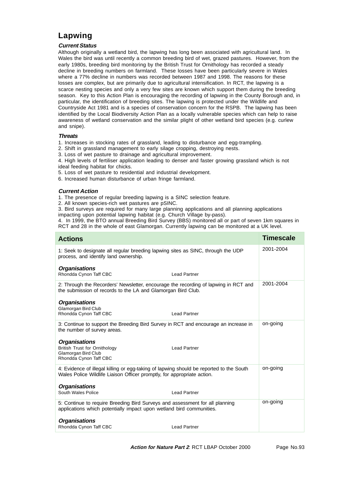# **Lapwing**

## **Current Status**

Although originally a wetland bird, the lapwing has long been associated with agricultural land. In Wales the bird was until recently a common breeding bird of wet, grazed pastures. However, from the early 1980s, breeding bird monitoring by the British Trust for Ornithology has recorded a steady decline in breeding numbers on farmland. These losses have been particularly severe in Wales where a 77% decline in numbers was recorded between 1987 and 1998. The reasons for these losses are complex, but are primarily due to agricultural intensification. In RCT, the lapwing is a scarce nesting species and only a very few sites are known which support them during the breeding season. Key to this Action Plan is encouraging the recording of lapwing in the County Borough and, in particular, the identification of breeding sites. The lapwing is protected under the Wildlife and Countryside Act 1981 and is a species of conservation concern for the RSPB. The lapwing has been identified by the Local Biodiversity Action Plan as a locally vulnerable species which can help to raise awareness of wetland conservation and the similar plight of other wetland bird species (e.g. curlew and snipe).

## **Threats**

- 1. Increases in stocking rates of grassland, leading to disturbance and egg-trampling.
- 2. Shift in grassland management to early silage cropping, destroying nests.
- 3. Loss of wet pasture to drainage and agricultural improvement.

4. High levels of fertiliser application leading to denser and faster growing grassland which is not ideal feeding habitat for chicks.

- 5. Loss of wet pasture to residential and industrial development.
- 6. Increased human disturbance of urban fringe farmland.

## **Current Action**

- 1. The presence of regular breeding lapwing is a SINC selection feature.
- 2. All known species-rich wet pastures are pSINC.

3. Bird surveys are required for many large planning applications and all planning applications impacting upon potential lapwing habitat (e.g. Church Village by-pass).

4. In 1999, the BTO annual Breeding Bird Survey (BBS) monitored all or part of seven 1km squares in RCT and 28 in the whole of east Glamorgan. Currently lapwing can be monitored at a UK level.

| <b>Actions</b>                                                                                                                                                     | <b>Timescale</b> |
|--------------------------------------------------------------------------------------------------------------------------------------------------------------------|------------------|
| 1: Seek to designate all regular breeding lapwing sites as SINC, through the UDP<br>process, and identify land ownership.                                          | 2001-2004        |
| <b>Organisations</b><br>Rhondda Cynon Taff CBC<br><b>Lead Partner</b>                                                                                              |                  |
| 2: Through the Recorders' Newsletter, encourage the recording of lapwing in RCT and<br>the submission of records to the LA and Glamorgan Bird Club.                | 2001-2004        |
| <b>Organisations</b><br>Glamorgan Bird Club<br>Rhondda Cynon Taff CBC<br><b>Lead Partner</b>                                                                       |                  |
| 3: Continue to support the Breeding Bird Survey in RCT and encourage an increase in<br>the number of survey areas.                                                 | on-going         |
| <b>Organisations</b><br><b>British Trust for Ornithology</b><br><b>Lead Partner</b><br>Glamorgan Bird Club<br>Rhondda Cynon Taff CBC                               |                  |
| 4: Evidence of illegal killing or egg-taking of lapwing should be reported to the South<br>Wales Police Wildlife Liaison Officer promptly, for appropriate action. | on-going         |
| <b>Organisations</b><br>South Wales Police<br><b>Lead Partner</b>                                                                                                  |                  |
| 5: Continue to require Breeding Bird Surveys and assessment for all planning<br>applications which potentially impact upon wetland bird communities.               | on-going         |
| <b>Organisations</b><br>Rhondda Cynon Taff CBC<br><b>Lead Partner</b>                                                                                              |                  |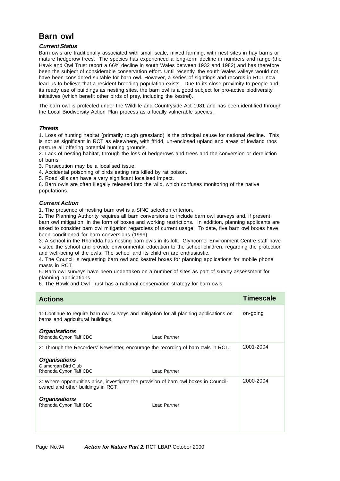# **Barn owl**

## **Current Status**

Barn owls are traditionally associated with small scale, mixed farming, with nest sites in hay barns or mature hedgerow trees. The species has experienced a long-term decline in numbers and range (the Hawk and Owl Trust report a 66% decline in south Wales between 1932 and 1982) and has therefore been the subject of considerable conservation effort. Until recently, the south Wales valleys would not have been considered suitable for barn owl. However, a series of sightings and records in RCT now lead us to believe that a resident breeding population exists. Due to its close proximity to people and its ready use of buildings as nesting sites, the barn owl is a good subject for pro-active biodiversity initiatives (which benefit other birds of prey, including the kestrel).

The barn owl is protected under the Wildlife and Countryside Act 1981 and has been identified through the Local Biodiversity Action Plan process as a locally vulnerable species.

## **Threats**

1. Loss of hunting habitat (primarily rough grassland) is the principal cause for national decline. This is not as significant in RCT as elsewhere, with ffridd, un-enclosed upland and areas of lowland rhos pasture all offering potential hunting grounds.

2. Lack of nesting habitat, through the loss of hedgerows and trees and the conversion or dereliction of barns.

3. Persecution may be a localised issue.

4. Accidental poisoning of birds eating rats killed by rat poison.

5. Road kills can have a very significant localised impact.

6. Barn owls are often illegally released into the wild, which confuses monitoring of the native populations.

## **Current Action**

1. The presence of nesting barn owl is a SINC selection criterion.

2. The Planning Authority requires all barn conversions to include barn owl surveys and, if present, barn owl mitigation, in the form of boxes and working restrictions. In addition, planning applicants are asked to consider barn owl mitigation regardless of current usage. To date, five barn owl boxes have been conditioned for barn conversions (1999).

3. A school in the Rhondda has nesting barn owls in its loft. Glyncornel Environment Centre staff have visited the school and provide environmental education to the school children, regarding the protection and well-being of the owls. The school and its children are enthusiastic.

4. The Council is requesting barn owl and kestrel boxes for planning applications for mobile phone masts in RCT.

5. Barn owl surveys have been undertaken on a number of sites as part of survey assessment for planning applications.

6. The Hawk and Owl Trust has a national conservation strategy for barn owls.

| <b>Actions</b>                                                                                                                                                               |                     | <b>Timescale</b> |
|------------------------------------------------------------------------------------------------------------------------------------------------------------------------------|---------------------|------------------|
| 1: Continue to require barn owl surveys and mitigation for all planning applications on<br>barns and agricultural buildings.                                                 |                     | on-going         |
| <b>Organisations</b><br>Rhondda Cynon Taff CBC                                                                                                                               | <b>Lead Partner</b> |                  |
| 2: Through the Recorders' Newsletter, encourage the recording of barn owls in RCT.<br><b>Organisations</b><br>Glamorgan Bird Club<br>Rhondda Cynon Taff CBC                  | <b>Lead Partner</b> | 2001-2004        |
| 3: Where opportunities arise, investigate the provision of barn owl boxes in Council-<br>owned and other buildings in RCT.<br><b>Organisations</b><br>Rhondda Cynon Taff CBC | <b>Lead Partner</b> | 2000-2004        |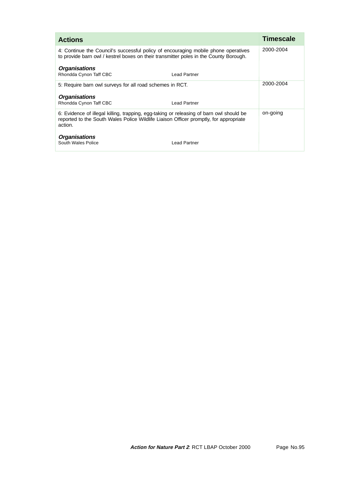| <b>Actions</b>                                                                                                                                                                              | <b>Timescale</b> |
|---------------------------------------------------------------------------------------------------------------------------------------------------------------------------------------------|------------------|
| 4: Continue the Council's successful policy of encouraging mobile phone operatives<br>to provide barn owl / kestrel boxes on their transmitter poles in the County Borough.                 | 2000-2004        |
| <b>Organisations</b><br>Rhondda Cynon Taff CBC<br>Lead Partner                                                                                                                              |                  |
| 5: Require barn owl surveys for all road schemes in RCT.                                                                                                                                    | 2000-2004        |
| <b>Organisations</b><br>Rhondda Cynon Taff CBC<br>Lead Partner                                                                                                                              |                  |
| 6: Evidence of illegal killing, trapping, egg-taking or releasing of barn owl should be<br>reported to the South Wales Police Wildlife Liaison Officer promptly, for appropriate<br>action. | on-going         |
| <b>Organisations</b><br>South Wales Police<br>Lead Partner                                                                                                                                  |                  |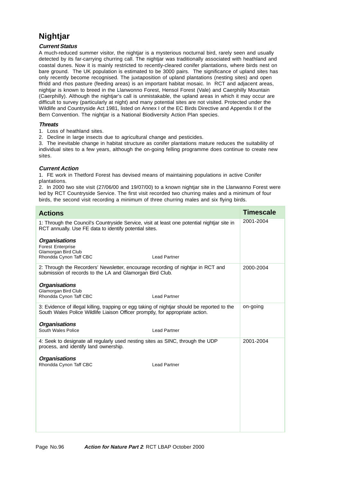# **Nightjar**

# **Current Status**

A much-reduced summer visitor, the nightjar is a mysterious nocturnal bird, rarely seen and usually detected by its far-carrying churring call. The nightjar was traditionally associated with heathland and coastal dunes. Now it is mainly restricted to recently-cleared conifer plantations, where birds nest on bare ground. The UK population is estimated to be 3000 pairs. The significance of upland sites has only recently become recognised. The juxtaposition of upland plantations (nesting sites) and open ffridd and rhos pasture (feeding areas) is an important habitat mosaic. In RCT and adjacent areas, nightjar is known to breed in the Llanwonno Forest, Hensol Forest (Vale) and Caerphilly Mountain (Caerphilly). Although the nightjar's call is unmistakable, the upland areas in which it may occur are difficult to survey (particularly at night) and many potential sites are not visited. Protected under the Wildlife and Countryside Act 1981, listed on Annex I of the EC Birds Directive and Appendix II of the Bern Convention. The nightjar is a National Biodiversity Action Plan species.

## **Threats**

1. Loss of heathland sites.

2. Decline in large insects due to agricultural change and pesticides.

3. The inevitable change in habitat structure as conifer plantations mature reduces the suitability of individual sites to a few years, although the on-going felling programme does continue to create new sites.

# **Current Action**

1. FE work in Thetford Forest has devised means of maintaining populations in active Conifer plantations.

2. In 2000 two site visit (27/06/00 and 19/07/00) to a known nightjar site in the Llanwanno Forest were led by RCT Countryside Service. The first visit recorded two churring males and a minimum of four birds, the second visit recording a minimum of three churring males and six flying birds.

| <b>Actions</b>                                                                                                                                                                | <b>Timescale</b> |
|-------------------------------------------------------------------------------------------------------------------------------------------------------------------------------|------------------|
| 1: Through the Council's Countryside Service, visit at least one potential nightjar site in<br>RCT annually. Use FE data to identify potential sites.                         | 2001-2004        |
| <b>Organisations</b><br><b>Forest Enterprise</b><br>Glamorgan Bird Club<br>Rhondda Cynon Taff CBC<br><b>Lead Partner</b>                                                      |                  |
| 2: Through the Recorders' Newsletter, encourage recording of nightjar in RCT and<br>submission of records to the LA and Glamorgan Bird Club.                                  | 2000-2004        |
| <b>Organisations</b><br>Glamorgan Bird Club<br>Rhondda Cynon Taff CBC<br><b>Lead Partner</b>                                                                                  |                  |
| 3: Evidence of illegal killing, trapping or egg taking of nightjar should be reported to the<br>South Wales Police Wildlife Liaison Officer promptly, for appropriate action. | on-going         |
| <b>Organisations</b><br>South Wales Police<br><b>Lead Partner</b>                                                                                                             |                  |
| 4: Seek to designate all regularly used nesting sites as SINC, through the UDP<br>process, and identify land ownership.                                                       | 2001-2004        |
| <b>Organisations</b><br>Rhondda Cynon Taff CBC<br><b>Lead Partner</b>                                                                                                         |                  |
|                                                                                                                                                                               |                  |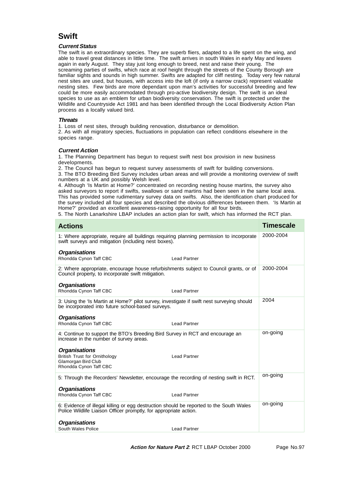# **Swift**

### **Current Status**

The swift is an extraordinary species. They are superb fliers, adapted to a life spent on the wing, and able to travel great distances in little time. The swift arrives in south Wales in early May and leaves again in early August. They stay just long enough to breed, nest and raise their young. The screaming parties of swifts, which race at roof height through the streets of the County Borough are familiar sights and sounds in high summer. Swifts are adapted for cliff nesting. Today very few natural nest sites are used, but houses, with access into the loft (if only a narrow crack) represent valuable nesting sites. Few birds are more dependant upon man's activities for successful breeding and few could be more easily accommodated through pro-active biodiversity design. The swift is an ideal species to use as an emblem for urban biodiversity conservation. The swift is protected under the Wildlife and Countryside Act 1981 and has been identified through the Local Biodiversity Action Plan process as a locally valued bird.

#### **Threats**

1. Loss of nest sites, through building renovation, disturbance or demolition.

2. As with all migratory species, fluctuations in population can reflect conditions elsewhere in the species range.

#### **Current Action**

1. The Planning Department has begun to request swift nest box provision in new business developments.

2. The Council has begun to request survey assessments of swift for building conversions.

3. The BTO Breeding Bird Survey includes urban areas and will provide a monitoring overview of swift numbers at a UK and possibly Welsh level.

4. Although 'Is Martin at Home?' concentrated on recording nesting house martins, the survey also asked surveyors to report if swifts, swallows or sand martins had been seen in the same local area. This has provided some rudimentary survey data on swifts. Also, the identification chart produced for the survey included all four species and described the obvious differences between them. 'Is Martin at Home?' provided an excellent awareness-raising opportunity for all four birds.

5. The North Lanarkshire LBAP includes an action plan for swift, which has informed the RCT plan.

| <b>Actions</b>                                                                                                                                               |                     | <b>Timescale</b> |
|--------------------------------------------------------------------------------------------------------------------------------------------------------------|---------------------|------------------|
| 1: Where appropriate, require all buildings requiring planning permission to incorporate<br>swift surveys and mitigation (including nest boxes).             |                     | 2000-2004        |
| <b>Organisations</b>                                                                                                                                         |                     |                  |
| Rhondda Cynon Taff CBC                                                                                                                                       | <b>Lead Partner</b> |                  |
| 2: Where appropriate, encourage house refurbishments subject to Council grants, or of<br>Council property, to incorporate swift mitigation.                  |                     | 2000-2004        |
| <b>Organisations</b>                                                                                                                                         |                     |                  |
| Rhondda Cynon Taff CBC                                                                                                                                       | <b>Lead Partner</b> |                  |
| 3: Using the 'Is Martin at Home?' pilot survey, investigate if swift nest surveying should<br>be incorporated into future school-based surveys.              |                     | 2004             |
| <b>Organisations</b>                                                                                                                                         |                     |                  |
| Rhondda Cynon Taff CBC                                                                                                                                       | <b>Lead Partner</b> |                  |
| 4: Continue to support the BTO's Breeding Bird Survey in RCT and encourage an<br>increase in the number of survey areas.                                     |                     | on-going         |
| <b>Organisations</b>                                                                                                                                         |                     |                  |
| <b>British Trust for Ornithology</b>                                                                                                                         | <b>Lead Partner</b> |                  |
| Glamorgan Bird Club<br>Rhondda Cynon Taff CBC                                                                                                                |                     |                  |
| 5: Through the Recorders' Newsletter, encourage the recording of nesting swift in RCT.                                                                       |                     | on-going         |
| <b>Organisations</b>                                                                                                                                         |                     |                  |
| Rhondda Cynon Taff CBC                                                                                                                                       | <b>Lead Partner</b> |                  |
| 6: Evidence of illegal killing or egg destruction should be reported to the South Wales<br>Police Wildlife Liaison Officer promptly, for appropriate action. |                     | on-going         |
| <b>Organisations</b>                                                                                                                                         |                     |                  |
| South Wales Police                                                                                                                                           | <b>Lead Partner</b> |                  |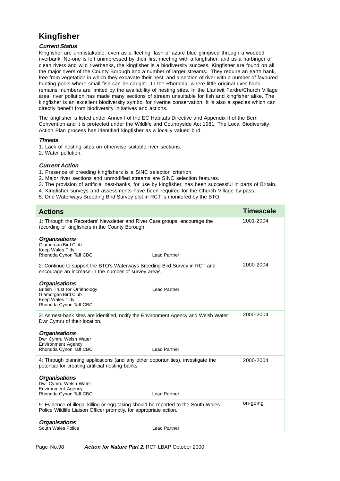# **Kingfisher**

# **Current Status**

Kingfisher are unmistakable, even as a fleeting flash of azure blue glimpsed through a wooded riverbank. No-one is left unimpressed by their first meeting with a kingfisher, and as a harbinger of clean rivers and wild riverbanks, the kingfisher is a biodiversity success. Kingfisher are found on all the major rivers of the County Borough and a number of larger streams. They require an earth bank, free from vegetation in which they excavate their nest, and a section of river with a number of favoured hunting pools where small fish can be caught. In the Rhondda, where little original river bank remains, numbers are limited by the availability of nesting sites. In the Llantwit Fardre/Church Village area, river pollution has made many sections of stream unsuitable for fish and kingfisher alike. The kingfisher is an excellent biodiversity symbol for riverine conservation. It is also a species which can directly benefit from biodiversity initiatives and actions.

The kingfisher is listed under Annex I of the EC Habitats Directive and Appendix II of the Bern Convention and it is protected under the Wildlife and Countryside Act 1981. The Local Biodiversity Action Plan process has identified kingfisher as a locally valued bird.

### **Threats**

- 1. Lack of nesting sites on otherwise suitable river sections.
- 2. Water pollution.

# **Current Action**

- 1. Presence of breeding kingfishers is a SINC selection criterion.
- 2. Major river sections and unmodified streams are SINC selection features.
- 3. The provision of artificial nest-banks, for use by kingfisher, has been successful in parts of Britain.
- 4. Kingfisher surveys and assessments have been required for the Church Village by-pass.
- 5. One Waterways Breeding Bird Survey plot in RCT is monitored by the BTO.

| <b>Actions</b>                                                                                                                                          |                     | <b>Timescale</b> |
|---------------------------------------------------------------------------------------------------------------------------------------------------------|---------------------|------------------|
| 1: Through the Recorders' Newsletter and River Care groups, encourage the<br>recording of kingfishers in the County Borough.                            |                     | 2001-2004        |
| <b>Organisations</b><br>Glamorgan Bird Club<br>Keep Wales Tidy<br>Rhondda Cynon Taff CBC                                                                | <b>Lead Partner</b> |                  |
| 2: Continue to support the BTO's Waterways Breeding Bird Survey in RCT and<br>encourage an increase in the number of survey areas.                      |                     | 2000-2004        |
| <b>Organisations</b><br><b>British Trust for Ornithology</b><br>Glamorgan Bird Club<br>Keep Wales Tidy<br>Rhondda Cynon Taff CBC                        | <b>Lead Partner</b> |                  |
| 3: As nest-bank sites are identified, notify the Environment Agency and Welsh Water<br>Dwr Cymru of their location.                                     |                     | 2000-2004        |
| <b>Organisations</b><br>Dwr Cymru Welsh Water<br><b>Environment Agency</b><br>Rhondda Cynon Taff CBC                                                    | <b>Lead Partner</b> |                  |
| 4: Through planning applications (and any other opportunities), investigate the<br>potential for creating artificial nesting banks.                     |                     | 2000-2004        |
| <b>Organisations</b><br>Dwr Cymru Welsh Water<br><b>Environment Agency</b><br>Rhondda Cynon Taff CBC                                                    | Lead Partner        |                  |
| 5: Evidence of illegal killing or egg-taking should be reported to the South Wales<br>Police Wildlife Liaison Officer promptly, for appropriate action. |                     | on-going         |
| <b>Organisations</b><br>South Wales Police                                                                                                              | Lead Partner        |                  |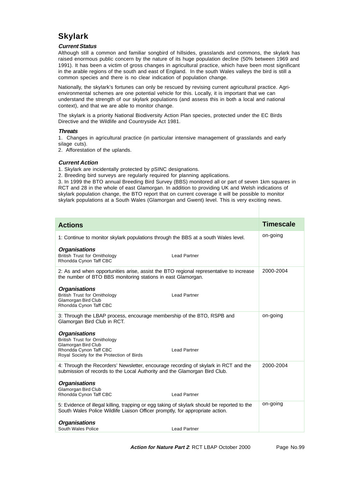# **Skylark**

## **Current Status**

Although still a common and familiar songbird of hillsides, grasslands and commons, the skylark has raised enormous public concern by the nature of its huge population decline (50% between 1969 and 1991). It has been a victim of gross changes in agricultural practice, which have been most significant in the arable regions of the south and east of England. In the south Wales valleys the bird is still a common species and there is no clear indication of population change.

Nationally, the skylark's fortunes can only be rescued by revising current agricultural practice. Agrienvironmental schemes are one potential vehicle for this. Locally, it is important that we can understand the strength of our skylark populations (and assess this in both a local and national context), and that we are able to monitor change.

The skylark is a priority National Biodiversity Action Plan species, protected under the EC Birds Directive and the Wildlife and Countryside Act 1981.

### **Threats**

1. Changes in agricultural practice (in particular intensive management of grasslands and early silage cuts).

2. Afforestation of the uplands.

## **Current Action**

1. Skylark are incidentally protected by pSINC designations.

2. Breeding bird surveys are regularly required for planning applications.

3. In 1999 the BTO annual Breeding Bird Survey (BBS) monitored all or part of seven 1km squares in RCT and 28 in the whole of east Glamorgan. In addition to providing UK and Welsh indications of skylark population change, the BTO report that on current coverage it will be possible to monitor skylark populations at a South Wales (Glamorgan and Gwent) level. This is very exciting news.

| <b>Actions</b>                                                                                                                                                               |                     | <b>Timescale</b> |
|------------------------------------------------------------------------------------------------------------------------------------------------------------------------------|---------------------|------------------|
| 1: Continue to monitor skylark populations through the BBS at a south Wales level.                                                                                           |                     | on-going         |
| <b>Organisations</b><br><b>British Trust for Ornithology</b><br>Rhondda Cynon Taff CBC                                                                                       | <b>Lead Partner</b> |                  |
| 2: As and when opportunities arise, assist the BTO regional representative to increase<br>the number of BTO BBS monitoring stations in east Glamorgan.                       |                     | 2000-2004        |
| <b>Organisations</b><br><b>British Trust for Ornithology</b><br>Glamorgan Bird Club<br>Rhondda Cynon Taff CBC                                                                | <b>Lead Partner</b> |                  |
| 3: Through the LBAP process, encourage membership of the BTO, RSPB and<br>Glamorgan Bird Club in RCT.                                                                        |                     | on-going         |
| <b>Organisations</b><br><b>British Trust for Ornithology</b><br>Glamorgan Bird Club<br>Rhondda Cynon Taff CBC<br>Royal Society for the Protection of Birds                   | <b>Lead Partner</b> |                  |
| 4: Through the Recorders' Newsletter, encourage recording of skylark in RCT and the<br>submission of records to the Local Authority and the Glamorgan Bird Club.             |                     | 2000-2004        |
| <b>Organisations</b><br>Glamorgan Bird Club<br>Rhondda Cynon Taff CBC                                                                                                        | <b>Lead Partner</b> |                  |
| 5: Evidence of illegal killing, trapping or egg taking of skylark should be reported to the<br>South Wales Police Wildlife Liaison Officer promptly, for appropriate action. |                     | on-going         |
| <b>Organisations</b><br>South Wales Police                                                                                                                                   | <b>Lead Partner</b> |                  |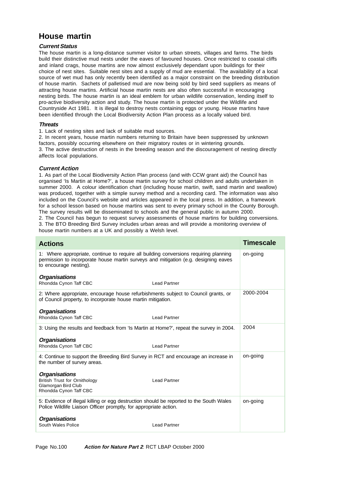# **House martin**

## **Current Status**

The house martin is a long-distance summer visitor to urban streets, villages and farms. The birds build their distinctive mud nests under the eaves of favoured houses. Once restricted to coastal cliffs and inland crags, house martins are now almost exclusively dependant upon buildings for their choice of nest sites. Suitable nest sites and a supply of mud are essential. The availability of a local source of wet mud has only recently been identified as a major constraint on the breeding distribution of house martin. Sachets of palletised mud are now being sold by bird seed suppliers as means of attracting house martins. Artificial house martin nests are also often successful in encouraging nesting birds. The house martin is an ideal emblem for urban wildlife conservation, lending itself to pro-active biodiversity action and study. The house martin is protected under the Wildlife and Countryside Act 1981. It is illegal to destroy nests containing eggs or young. House martins have been identified through the Local Biodiversity Action Plan process as a locally valued bird.

## **Threats**

1. Lack of nesting sites and lack of suitable mud sources.

2. In recent years, house martin numbers returning to Britain have been suppressed by unknown factors, possibly occurring elsewhere on their migratory routes or in wintering grounds. 3. The active destruction of nests in the breeding season and the discouragement of nesting directly affects local populations.

## **Current Action**

1. As part of the Local Biodiversity Action Plan process (and with CCW grant aid) the Council has organised 'Is Martin at Home?', a house martin survey for school children and adults undertaken in summer 2000. A colour identification chart (including house martin, swift, sand martin and swallow) was produced, together with a simple survey method and a recording card. The information was also included on the Council's website and articles appeared in the local press. In addition, a framework for a school lesson based on house martins was sent to every primary school in the County Borough. The survey results will be disseminated to schools and the general public in autumn 2000.

2. The Council has begun to request survey assessments of house martins for building conversions. 3. The BTO Breeding Bird Survey includes urban areas and will provide a monitoring overview of house martin numbers at a UK and possibly a Welsh level.

| <b>Actions</b>                                                                                                                                                                                         |  | <b>Timescale</b> |
|--------------------------------------------------------------------------------------------------------------------------------------------------------------------------------------------------------|--|------------------|
| 1: Where appropriate, continue to require all building conversions requiring planning<br>permission to incorporate house martin surveys and mitigation (e.g. designing eaves<br>to encourage nesting). |  | on-going         |
| <b>Organisations</b><br>Rhondda Cynon Taff CBC<br><b>Lead Partner</b>                                                                                                                                  |  |                  |
| 2: Where appropriate, encourage house refurbishments subject to Council grants, or<br>of Council property, to incorporate house martin mitigation.                                                     |  | 2000-2004        |
| <b>Organisations</b>                                                                                                                                                                                   |  |                  |
| Rhondda Cynon Taff CBC<br><b>Lead Partner</b>                                                                                                                                                          |  |                  |
| 3: Using the results and feedback from 'Is Martin at Home?', repeat the survey in 2004.                                                                                                                |  | 2004             |
| <b>Organisations</b><br>Rhondda Cynon Taff CBC<br><b>Lead Partner</b>                                                                                                                                  |  |                  |
| 4: Continue to support the Breeding Bird Survey in RCT and encourage an increase in<br>the number of survey areas.                                                                                     |  | on-going         |
| <b>Organisations</b><br><b>British Trust for Ornithology</b><br><b>Lead Partner</b><br>Glamorgan Bird Club<br>Rhondda Cynon Taff CBC                                                                   |  |                  |
| 5: Evidence of illegal killing or egg destruction should be reported to the South Wales<br>Police Wildlife Liaison Officer promptly, for appropriate action.                                           |  | on-going         |
| <b>Organisations</b><br>South Wales Police<br><b>Lead Partner</b>                                                                                                                                      |  |                  |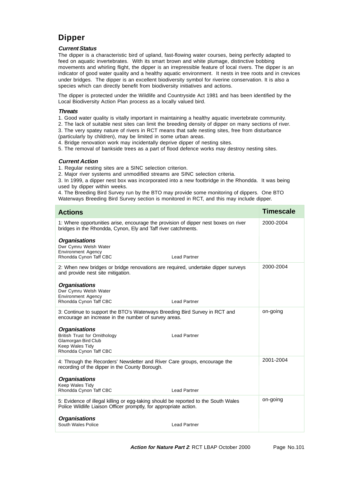# **Dipper**

## **Current Status**

The dipper is a characteristic bird of upland, fast-flowing water courses, being perfectly adapted to feed on aquatic invertebrates. With its smart brown and white plumage, distinctive bobbing movements and whirling flight, the dipper is an irrepressible feature of local rivers. The dipper is an indicator of good water quality and a healthy aquatic environment. It nests in tree roots and in crevices under bridges. The dipper is an excellent biodiversity symbol for riverine conservation. It is also a species which can directly benefit from biodiversity initiatives and actions.

The dipper is protected under the Wildlife and Countryside Act 1981 and has been identified by the Local Biodiversity Action Plan process as a locally valued bird.

## **Threats**

- 1. Good water quality is vitally important in maintaining a healthy aquatic invertebrate community.
- 2. The lack of suitable nest sites can limit the breeding density of dipper on many sections of river.
- 3. The very spatey nature of rivers in RCT means that safe nesting sites, free from disturbance (particularly by children), may be limited in some urban areas.
- 4. Bridge renovation work may incidentally deprive dipper of nesting sites.

5. The removal of bankside trees as a part of flood defence works may destroy nesting sites.

## **Current Action**

- 1. Regular nesting sites are a SINC selection criterion.
- 2. Major river systems and unmodified streams are SINC selection criteria.

3. In 1999, a dipper nest box was incorporated into a new footbridge in the Rhondda. It was being used by dipper within weeks.

4. The Breeding Bird Survey run by the BTO may provide some monitoring of dippers. One BTO Waterways Breeding Bird Survey section is monitored in RCT, and this may include dipper.

| <b>Actions</b>                                                                                                                                          | Timescale |
|---------------------------------------------------------------------------------------------------------------------------------------------------------|-----------|
| 1: Where opportunities arise, encourage the provision of dipper nest boxes on river<br>bridges in the Rhondda, Cynon, Ely and Taff river catchments.    | 2000-2004 |
| <b>Organisations</b><br>Dwr Cymru Welsh Water<br><b>Environment Agency</b><br>Rhondda Cynon Taff CBC<br><b>Lead Partner</b>                             |           |
| 2: When new bridges or bridge renovations are required, undertake dipper surveys<br>and provide nest site mitigation.                                   | 2000-2004 |
| <b>Organisations</b><br>Dwr Cymru Welsh Water<br><b>Environment Agency</b><br>Rhondda Cynon Taff CBC<br><b>Lead Partner</b>                             |           |
| 3: Continue to support the BTO's Waterways Breeding Bird Survey in RCT and<br>encourage an increase in the number of survey areas.                      | on-going  |
| <b>Organisations</b><br><b>British Trust for Ornithology</b><br><b>Lead Partner</b><br>Glamorgan Bird Club<br>Keep Wales Tidy<br>Rhondda Cynon Taff CBC |           |
| 4: Through the Recorders' Newsletter and River Care groups, encourage the<br>recording of the dipper in the County Borough.                             | 2001-2004 |
| <b>Organisations</b><br>Keep Wales Tidy<br>Rhondda Cynon Taff CBC<br><b>Lead Partner</b>                                                                |           |
| 5: Evidence of illegal killing or egg-taking should be reported to the South Wales<br>Police Wildlife Liaison Officer promptly, for appropriate action. | on-going  |
| <b>Organisations</b><br>South Wales Police<br><b>Lead Partner</b>                                                                                       |           |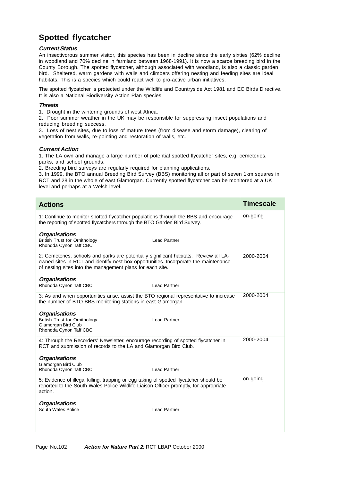# **Spotted flycatcher**

# **Current Status**

An insectivorous summer visitor, this species has been in decline since the early sixties (62% decline in woodland and 70% decline in farmland between 1968-1991). It is now a scarce breeding bird in the County Borough. The spotted flycatcher, although associated with woodland, is also a classic garden bird. Sheltered, warm gardens with walls and climbers offering nesting and feeding sites are ideal habitats. This is a species which could react well to pro-active urban initiatives.

The spotted flycatcher is protected under the Wildlife and Countryside Act 1981 and EC Birds Directive. It is also a National Biodiversity Action Plan species.

### **Threats**

1. Drought in the wintering grounds of west Africa.

2. Poor summer weather in the UK may be responsible for suppressing insect populations and reducing breeding success.

3. Loss of nest sites, due to loss of mature trees (from disease and storm damage), clearing of vegetation from walls, re-pointing and restoration of walls, etc.

### **Current Action**

1. The LA own and manage a large number of potential spotted flycatcher sites, e.g. cemeteries, parks, and school grounds.

2. Breeding bird surveys are regularly required for planning applications.

3. In 1999, the BTO annual Breeding Bird Survey (BBS) monitoring all or part of seven 1km squares in RCT and 28 in the whole of east Glamorgan. Currently spotted flycatcher can be monitored at a UK level and perhaps at a Welsh level.

| <b>Actions</b>                                                                                                                                                                                                                            | <b>Timescale</b> |
|-------------------------------------------------------------------------------------------------------------------------------------------------------------------------------------------------------------------------------------------|------------------|
| 1: Continue to monitor spotted flycatcher populations through the BBS and encourage<br>the reporting of spotted flycatchers through the BTO Garden Bird Survey.                                                                           | on-going         |
| <b>Organisations</b><br><b>British Trust for Ornithology</b><br><b>Lead Partner</b><br>Rhondda Cynon Taff CBC                                                                                                                             |                  |
| 2: Cemeteries, schools and parks are potentially significant habitats. Review all LA-<br>owned sites in RCT and identify nest box opportunities. Incorporate the maintenance<br>of nesting sites into the management plans for each site. | 2000-2004        |
| <b>Organisations</b><br>Rhondda Cynon Taff CBC<br><b>Lead Partner</b>                                                                                                                                                                     |                  |
| 3: As and when opportunities arise, assist the BTO regional representative to increase<br>the number of BTO BBS monitoring stations in east Glamorgan.                                                                                    | 2000-2004        |
| <b>Organisations</b><br><b>British Trust for Ornithology</b><br><b>Lead Partner</b><br>Glamorgan Bird Club<br>Rhondda Cynon Taff CBC                                                                                                      |                  |
| 4: Through the Recorders' Newsletter, encourage recording of spotted flycatcher in<br>RCT and submission of records to the LA and Glamorgan Bird Club.                                                                                    | 2000-2004        |
| <b>Organisations</b><br>Glamorgan Bird Club<br>Rhondda Cynon Taff CBC<br><b>Lead Partner</b>                                                                                                                                              |                  |
| 5: Evidence of illegal killing, trapping or egg taking of spotted flycatcher should be<br>reported to the South Wales Police Wildlife Liaison Officer promptly, for appropriate<br>action.                                                | on-going         |
| <b>Organisations</b><br>South Wales Police<br><b>Lead Partner</b>                                                                                                                                                                         |                  |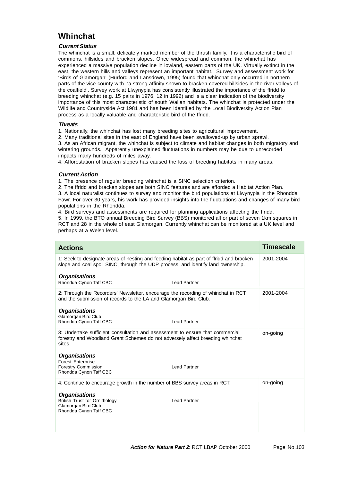# **Whinchat**

# **Current Status**

The whinchat is a small, delicately marked member of the thrush family. It is a characteristic bird of commons, hillsides and bracken slopes. Once widespread and common, the whinchat has experienced a massive population decline in lowland, eastern parts of the UK. Virtually extinct in the east, the western hills and valleys represent an important habitat. Survey and assessment work for 'Birds of Glamorgan' (Hurford and Lansdown, 1995) found that whinchat only occurred in northern parts of the vice-county with 'a strong affinity shown to bracken-covered hillsides in the river valleys of the coalfield'. Survey work at Llwynypia has consistently illustrated the importance of the ffridd to breeding whinchat (e.g. 15 pairs in 1976, 12 in 1992) and is a clear indication of the biodiversity importance of this most characteristic of south Walian habitats. The whinchat is protected under the Wildlife and Countryside Act 1981 and has been identified by the Local Biodiversity Action Plan process as a locally valuable and characteristic bird of the ffridd.

## **Threats**

1. Nationally, the whinchat has lost many breeding sites to agricultural improvement.

2. Many traditional sites in the east of England have been swallowed-up by urban sprawl. 3. As an African migrant, the whinchat is subject to climate and habitat changes in both migratory and wintering grounds. Apparently unexplained fluctuations in numbers may be due to unrecorded impacts many hundreds of miles away.

4. Afforestation of bracken slopes has caused the loss of breeding habitats in many areas.

## **Current Action**

1. The presence of regular breeding whinchat is a SINC selection criterion.

2. The ffridd and bracken slopes are both SINC features and are afforded a Habitat Action Plan. 3. A local naturalist continues to survey and monitor the bird populations at Llwynypia in the Rhondda Fawr. For over 30 years, his work has provided insights into the fluctuations and changes of many bird populations in the Rhondda.

4. Bird surveys and assessments are required for planning applications affecting the ffridd.

5. In 1999, the BTO annual Breeding Bird Survey (BBS) monitored all or part of seven 1km squares in RCT and 28 in the whole of east Glamorgan. Currently whinchat can be monitored at a UK level and perhaps at a Welsh level.

| <b>Actions</b>                                                                                                                                                              | <b>Timescale</b> |
|-----------------------------------------------------------------------------------------------------------------------------------------------------------------------------|------------------|
| 1: Seek to designate areas of nesting and feeding habitat as part of ffridd and bracken<br>slope and coal spoil SINC, through the UDP process, and identify land ownership. | 2001-2004        |
| <b>Organisations</b><br>Rhondda Cynon Taff CBC<br><b>Lead Partner</b>                                                                                                       |                  |
| 2: Through the Recorders' Newsletter, encourage the recording of whinchat in RCT<br>and the submission of records to the LA and Glamorgan Bird Club.                        | 2001-2004        |
| <b>Organisations</b><br>Glamorgan Bird Club<br>Rhondda Cynon Taff CBC<br><b>Lead Partner</b>                                                                                |                  |
| 3: Undertake sufficient consultation and assessment to ensure that commercial<br>forestry and Woodland Grant Schemes do not adversely affect breeding whinchat<br>sites.    | on-going         |
| <b>Organisations</b><br><b>Forest Enterprise</b><br><b>Forestry Commission</b><br><b>Lead Partner</b>                                                                       |                  |
| Rhondda Cynon Taff CBC                                                                                                                                                      |                  |
| 4: Continue to encourage growth in the number of BBS survey areas in RCT.                                                                                                   | on-going         |
| <b>Organisations</b><br><b>British Trust for Ornithology</b><br><b>Lead Partner</b><br>Glamorgan Bird Club<br>Rhondda Cynon Taff CBC                                        |                  |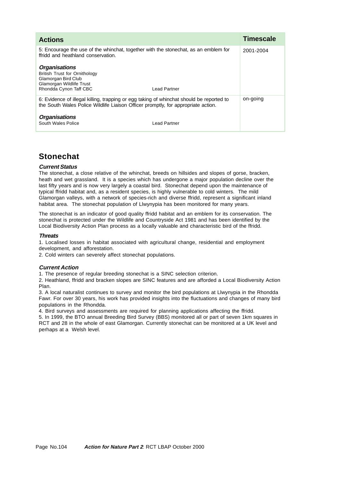| <b>Actions</b>                                                                                                                                                                |              | <b>Timescale</b> |
|-------------------------------------------------------------------------------------------------------------------------------------------------------------------------------|--------------|------------------|
| 5: Encourage the use of the whinchat, together with the stonechat, as an emblem for<br>ffridd and heathland conservation.                                                     |              | 2001-2004        |
| <b>Organisations</b><br><b>British Trust for Ornithology</b><br>Glamorgan Bird Club<br>Glamorgan Wildlife Trust<br>Rhondda Cynon Taff CBC                                     | Lead Partner |                  |
| 6: Evidence of illegal killing, trapping or egg taking of whinchat should be reported to<br>the South Wales Police Wildlife Liaison Officer promptly, for appropriate action. |              | on-going         |
| <b>Organisations</b><br>South Wales Police                                                                                                                                    | Lead Partner |                  |

# **Stonechat**

## **Current Status**

The stonechat, a close relative of the whinchat, breeds on hillsides and slopes of gorse, bracken, heath and wet grassland. It is a species which has undergone a major population decline over the last fifty years and is now very largely a coastal bird. Stonechat depend upon the maintenance of typical ffridd habitat and, as a resident species, is highly vulnerable to cold winters. The mild Glamorgan valleys, with a network of species-rich and diverse ffridd, represent a significant inland habitat area. The stonechat population of Llwynypia has been monitored for many years.

The stonechat is an indicator of good quality ffridd habitat and an emblem for its conservation. The stonechat is protected under the Wildlife and Countryside Act 1981 and has been identified by the Local Biodiversity Action Plan process as a locally valuable and characteristic bird of the ffridd.

## **Threats**

1. Localised losses in habitat associated with agricultural change, residential and employment

development, and afforestation.

2. Cold winters can severely affect stonechat populations.

# **Current Action**

1. The presence of regular breeding stonechat is a SINC selection criterion.

2. Heathland, ffridd and bracken slopes are SINC features and are afforded a Local Biodiversity Action Plan.

3. A local naturalist continues to survey and monitor the bird populations at Llwynypia in the Rhondda Fawr. For over 30 years, his work has provided insights into the fluctuations and changes of many bird populations in the Rhondda.

4. Bird surveys and assessments are required for planning applications affecting the ffridd.

5. In 1999, the BTO annual Breeding Bird Survey (BBS) monitored all or part of seven 1km squares in RCT and 28 in the whole of east Glamorgan. Currently stonechat can be monitored at a UK level and perhaps at a Welsh level.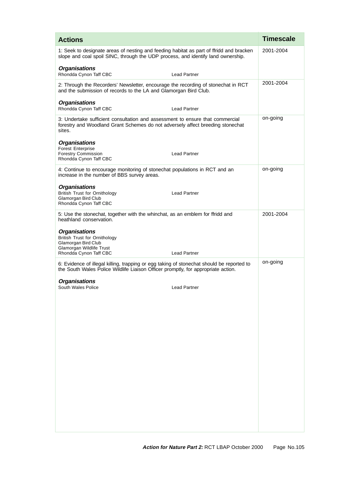| <b>Actions</b>                                                                                                                                                                 | <b>Timescale</b> |
|--------------------------------------------------------------------------------------------------------------------------------------------------------------------------------|------------------|
| 1: Seek to designate areas of nesting and feeding habitat as part of ffridd and bracken<br>slope and coal spoil SINC, through the UDP process, and identify land ownership.    | 2001-2004        |
| <b>Organisations</b><br>Rhondda Cynon Taff CBC<br><b>Lead Partner</b>                                                                                                          |                  |
| 2: Through the Recorders' Newsletter, encourage the recording of stonechat in RCT<br>and the submission of records to the LA and Glamorgan Bird Club.                          | 2001-2004        |
| <b>Organisations</b><br>Rhondda Cynon Taff CBC<br><b>Lead Partner</b>                                                                                                          |                  |
| 3: Undertake sufficient consultation and assessment to ensure that commercial<br>forestry and Woodland Grant Schemes do not adversely affect breeding stonechat<br>sites.      | on-going         |
| <b>Organisations</b>                                                                                                                                                           |                  |
| <b>Forest Enterprise</b><br><b>Forestry Commission</b><br><b>Lead Partner</b><br>Rhondda Cynon Taff CBC                                                                        |                  |
| 4: Continue to encourage monitoring of stonechat populations in RCT and an<br>increase in the number of BBS survey areas.                                                      | on-going         |
| <b>Organisations</b><br><b>British Trust for Ornithology</b><br><b>Lead Partner</b><br>Glamorgan Bird Club<br>Rhondda Cynon Taff CBC                                           |                  |
| 5: Use the stonechat, together with the whinchat, as an emblem for ffridd and<br>heathland conservation.                                                                       | 2001-2004        |
| <b>Organisations</b><br><b>British Trust for Ornithology</b><br>Glamorgan Bird Club<br>Glamorgan Wildlife Trust<br><b>Lead Partner</b><br>Rhondda Cynon Taff CBC               |                  |
| 6: Evidence of illegal killing, trapping or egg taking of stonechat should be reported to<br>the South Wales Police Wildlife Liaison Officer promptly, for appropriate action. | on-going         |
| <b>Organisations</b>                                                                                                                                                           |                  |
| South Wales Police<br><b>Lead Partner</b>                                                                                                                                      |                  |
|                                                                                                                                                                                |                  |
|                                                                                                                                                                                |                  |
|                                                                                                                                                                                |                  |
|                                                                                                                                                                                |                  |
|                                                                                                                                                                                |                  |
|                                                                                                                                                                                |                  |
|                                                                                                                                                                                |                  |
|                                                                                                                                                                                |                  |
|                                                                                                                                                                                |                  |
|                                                                                                                                                                                |                  |
|                                                                                                                                                                                |                  |
|                                                                                                                                                                                |                  |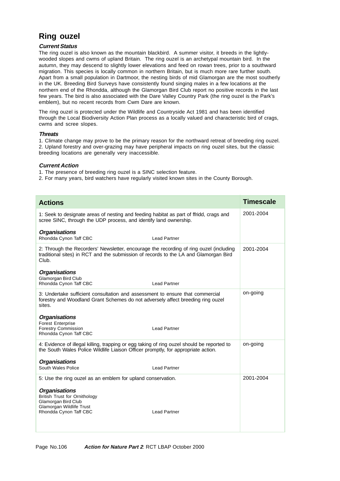## **Ring ouzel**

#### **Current Status**

The ring ouzel is also known as the mountain blackbird. A summer visitor, it breeds in the lightlywooded slopes and cwms of upland Britain. The ring ouzel is an archetypal mountain bird. In the autumn, they may descend to slightly lower elevations and feed on rowan trees, prior to a southward migration. This species is locally common in northern Britain, but is much more rare further south. Apart from a small population in Dartmoor, the nesting birds of mid Glamorgan are the most southerly in the UK. Breeding Bird Surveys have consistently found singing males in a few locations at the northern end of the Rhondda, although the Glamorgan Bird Club report no positive records in the last few years. The bird is also associated with the Dare Valley Country Park (the ring ouzel is the Park's emblem), but no recent records from Cwm Dare are known.

The ring ouzel is protected under the Wildlife and Countryside Act 1981 and has been identified through the Local Biodiversity Action Plan process as a locally valued and characteristic bird of crags, cwms and scree slopes.

#### **Threats**

1. Climate change may prove to be the primary reason for the northward retreat of breeding ring ouzel. 2. Upland forestry and over-grazing may have peripheral impacts on ring ouzel sites, but the classic breeding locations are generally very inaccessible.

#### **Current Action**

- 1. The presence of breeding ring ouzel is a SINC selection feature.
- 2. For many years, bird watchers have regularly visited known sites in the County Borough.

| <b>Actions</b>                                                                                                                                                                          |                     | <b>Timescale</b> |
|-----------------------------------------------------------------------------------------------------------------------------------------------------------------------------------------|---------------------|------------------|
| 1: Seek to designate areas of nesting and feeding habitat as part of ffridd, crags and<br>scree SINC, through the UDP process, and identify land ownership.                             |                     | 2001-2004        |
| <b>Organisations</b><br>Rhondda Cynon Taff CBC                                                                                                                                          | <b>Lead Partner</b> |                  |
| 2: Through the Recorders' Newsletter, encourage the recording of ring ouzel (including<br>traditional sites) in RCT and the submission of records to the LA and Glamorgan Bird<br>Club. |                     | 2001-2004        |
| <b>Organisations</b><br>Glamorgan Bird Club<br>Rhondda Cynon Taff CBC                                                                                                                   | <b>Lead Partner</b> |                  |
| 3: Undertake sufficient consultation and assessment to ensure that commercial<br>forestry and Woodland Grant Schemes do not adversely affect breeding ring ouzel<br>sites.              |                     | on-going         |
| <b>Organisations</b><br><b>Forest Enterprise</b><br><b>Forestry Commission</b><br>Rhondda Cynon Taff CBC                                                                                | <b>Lead Partner</b> |                  |
| 4: Evidence of illegal killing, trapping or egg taking of ring ouzel should be reported to<br>the South Wales Police Wildlife Liaison Officer promptly, for appropriate action.         |                     | on-going         |
| <b>Organisations</b><br>South Wales Police                                                                                                                                              | <b>Lead Partner</b> |                  |
| 5: Use the ring ouzel as an emblem for upland conservation.                                                                                                                             |                     | 2001-2004        |
| <b>Organisations</b><br><b>British Trust for Ornithology</b><br>Glamorgan Bird Club<br>Glamorgan Wildlife Trust<br>Rhondda Cynon Taff CBC                                               | <b>Lead Partner</b> |                  |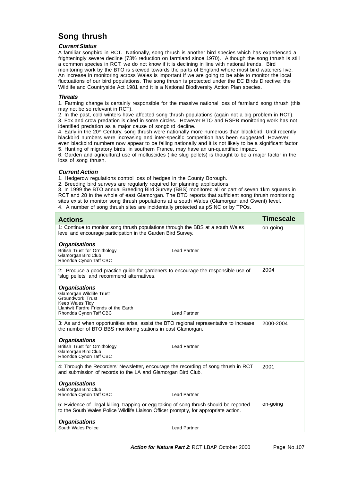## **Song thrush**

#### **Current Status**

A familiar songbird in RCT. Nationally, song thrush is another bird species which has experienced a frighteningly severe decline (73% reduction on farmland since 1970). Although the song thrush is still a common species in RCT, we do not know if it is declining in line with national trends. Bird monitoring work by the BTO is skewed towards the parts of England where most bird watchers live. An increase in monitoring across Wales is important if we are going to be able to monitor the local fluctuations of our bird populations. The song thrush is protected under the EC Birds Directive; the Wildlife and Countryside Act 1981 and it is a National Biodiversity Action Plan species.

#### **Threats**

1. Farming change is certainly responsible for the massive national loss of farmland song thrush (this may not be so relevant in RCT).

2. In the past, cold winters have affected song thrush populations (again not a big problem in RCT). 3. Fox and crow predation is cited in some circles. However BTO and RSPB monitoring work has not identified predation as a major cause of songbird decline.

4. Early in the 20<sup>th</sup> Century, song thrush were nationally more numerous than blackbird. Until recently blackbird numbers were increasing and inter-specific competition has been suggested. However, even blackbird numbers now appear to be falling nationally and it is not likely to be a significant factor. 5. Hunting of migratory birds, in southern France, may have an un-quantified impact.

6. Garden and agricultural use of molluscides (like slug pellets) is thought to be a major factor in the loss of song thrush.

#### **Current Action**

1. Hedgerow regulations control loss of hedges in the County Borough.

2. Breeding bird surveys are regularly required for planning applications.

3. In 1999 the BTO annual Breeding Bird Survey (BBS) monitored all or part of seven 1km squares in RCT and 28 in the whole of east Glamorgan. The BTO reports that sufficient song thrush monitoring sites exist to monitor song thrush populations at a south Wales (Glamorgan and Gwent) level. 4. A number of song thrush sites are incidentally protected as pSINC or by TPOs.

| <b>Actions</b>                                                                                                                                                                   | <b>Timescale</b> |
|----------------------------------------------------------------------------------------------------------------------------------------------------------------------------------|------------------|
| 1: Continue to monitor song thrush populations through the BBS at a south Wales<br>level and encourage participation in the Garden Bird Survey.                                  | on-going         |
| <b>Organisations</b><br><b>British Trust for Ornithology</b><br><b>Lead Partner</b><br>Glamorgan Bird Club                                                                       |                  |
| Rhondda Cynon Taff CBC                                                                                                                                                           |                  |
| 2: Produce a good practice guide for gardeners to encourage the responsible use of<br>'slug pellets' and recommend alternatives.                                                 | 2004             |
| <b>Organisations</b><br><b>Glamorgan Wildlife Trust</b><br><b>Groundwork Trust</b><br>Keep Wales Tidy<br>Llantwit Fardre Friends of the Earth                                    |                  |
| <b>Lead Partner</b><br>Rhondda Cynon Taff CBC                                                                                                                                    |                  |
| 3: As and when opportunities arise, assist the BTO regional representative to increase<br>the number of BTO BBS monitoring stations in east Glamorgan.                           | 2000-2004        |
| <b>Organisations</b><br><b>British Trust for Ornithology</b><br><b>Lead Partner</b><br>Glamorgan Bird Club<br>Rhondda Cynon Taff CBC                                             |                  |
| 4: Through the Recorders' Newsletter, encourage the recording of song thrush in RCT<br>and submission of records to the LA and Glamorgan Bird Club.                              | 2001             |
| <b>Organisations</b><br>Glamorgan Bird Club<br>Rhondda Cynon Taff CBC<br><b>Lead Partner</b>                                                                                     |                  |
| 5: Evidence of illegal killing, trapping or egg taking of song thrush should be reported<br>to the South Wales Police Wildlife Liaison Officer promptly, for appropriate action. | on-going         |
| <b>Organisations</b><br>South Wales Police<br><b>Lead Partner</b>                                                                                                                |                  |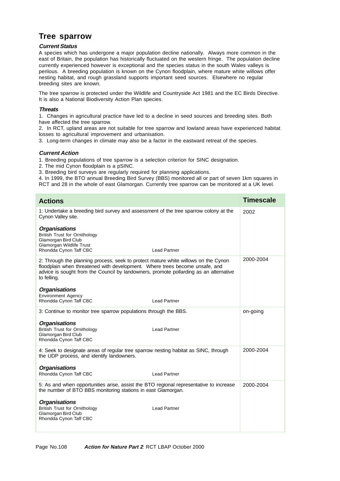### **Tree sparrow**

#### **Current Status**

A species which has undergone a major population decline nationally. Always more common in the east of Britain, the population has historically fluctuated on the western fringe. The population decline currently experienced however is exceptional and the species status in the south Wales valleys is perilous. A breeding population is known on the Cynon floodplain, where mature white willows offer nesting habitat, and rough grassland supports important seed sources. Elsewhere no regular breeding sites are known.

The tree sparrow is protected under the Wildlife and Countryside Act 1981 and the EC Birds Directive. It is also a National Biodiversity Action Plan species.

#### **Threats**

1. Changes in agricultural practice have led to a decline in seed sources and breeding sites. Both have affected the tree sparrow.

2. In RCT, upland areas are not suitable for tree sparrow and lowland areas have experienced habitat losses to agricultural improvement and urbanisation.

3. Long-term changes in climate may also be a factor in the eastward retreat of the species.

#### **Current Action**

1. Breeding populations of tree sparrow is a selection criterion for SINC designation.

2. The mid Cynon floodplain is a pSINC.

3. Breeding bird surveys are regularly required for planning applications.

4. In 1999, the BTO annual Breeding Bird Survey (BBS) monitored all or part of seven 1km squares in RCT and 28 in the whole of east Glamorgan. Currently tree sparrow can be monitored at a UK level.

| <b>Actions</b>                                                                                                                                                                                                                                                            | <b>Timescale</b> |
|---------------------------------------------------------------------------------------------------------------------------------------------------------------------------------------------------------------------------------------------------------------------------|------------------|
| 1: Undertake a breeding bird survey and assessment of the tree sparrow colony at the<br>Cynon Valley site.                                                                                                                                                                | 2002             |
| <b>Organisations</b><br><b>British Trust for Ornithology</b><br>Glamorgan Bird Club<br>Glamorgan Wildlife Trust<br>Rhondda Cynon Taff CBC<br><b>Lead Partner</b>                                                                                                          |                  |
| 2: Through the planning process, seek to protect mature white willows on the Cynon<br>floodplain when threatened with development. Where trees become unsafe, and<br>advice is sought from the Council by landowners, promote pollarding as an alternative<br>to felling. | 2000-2004        |
| <b>Organisations</b><br><b>Environment Agency</b><br>Rhondda Cynon Taff CBC<br><b>Lead Partner</b>                                                                                                                                                                        |                  |
| 3: Continue to monitor tree sparrow populations through the BBS.                                                                                                                                                                                                          | on-going         |
| <b>Organisations</b><br><b>British Trust for Ornithology</b><br><b>Lead Partner</b><br>Glamorgan Bird Club<br>Rhondda Cynon Taff CBC                                                                                                                                      |                  |
| 4: Seek to designate areas of regular tree sparrow nesting habitat as SINC, through<br>the UDP process, and identify landowners.                                                                                                                                          | 2000-2004        |
| <b>Organisations</b><br>Rhondda Cynon Taff CBC<br><b>Lead Partner</b>                                                                                                                                                                                                     |                  |
| 5: As and when opportunities arise, assist the BTO regional representative to increase<br>the number of BTO BBS monitoring stations in east Glamorgan.                                                                                                                    | 2000-2004        |
| <b>Organisations</b><br><b>British Trust for Ornithology</b><br><b>Lead Partner</b><br>Glamorgan Bird Club<br>Rhondda Cynon Taff CBC                                                                                                                                      |                  |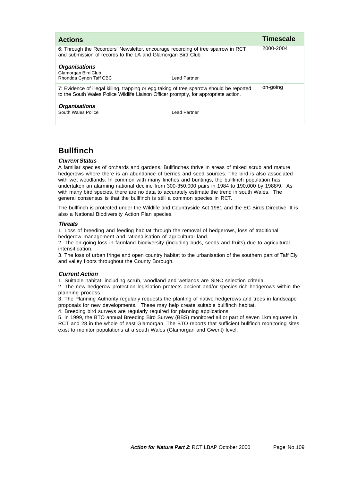| <b>Actions</b>                                                                                                                                                                    |              | <b>Timescale</b> |
|-----------------------------------------------------------------------------------------------------------------------------------------------------------------------------------|--------------|------------------|
| 6: Through the Recorders' Newsletter, encourage recording of tree sparrow in RCT<br>and submission of records to the LA and Glamorgan Bird Club.                                  |              | 2000-2004        |
| <b>Organisations</b><br>Glamorgan Bird Club<br>Rhondda Cynon Taff CBC                                                                                                             | Lead Partner |                  |
| 7: Evidence of illegal killing, trapping or egg taking of tree sparrow should be reported<br>to the South Wales Police Wildlife Liaison Officer promptly, for appropriate action. |              | on-going         |
| <b>Organisations</b><br>South Wales Police                                                                                                                                        | Lead Partner |                  |

## **Bullfinch**

#### **Current Status**

A familiar species of orchards and gardens. Bullfinches thrive in areas of mixed scrub and mature hedgerows where there is an abundance of berries and seed sources. The bird is also associated with wet woodlands. In common with many finches and buntings, the bullfinch population has undertaken an alarming national decline from 300-350,000 pairs in 1984 to 190,000 by 1988/9. As with many bird species, there are no data to accurately estimate the trend in south Wales. The general consensus is that the bullfinch is still a common species in RCT.

The bullfinch is protected under the Wildlife and Countryside Act 1981 and the EC Birds Directive. It is also a National Biodiversity Action Plan species.

#### **Threats**

1. Loss of breeding and feeding habitat through the removal of hedgerows, loss of traditional hedgerow management and rationalisation of agricultural land.

2. The on-going loss in farmland biodiversity (including buds, seeds and fruits) due to agricultural intensification.

3. The loss of urban fringe and open country habitat to the urbanisation of the southern part of Taff Ely and valley floors throughout the County Borough.

#### **Current Action**

1. Suitable habitat, including scrub, woodland and wetlands are SINC selection criteria.

2. The new hedgerow protection legislation protects ancient and/or species-rich hedgerows within the planning process.

3. The Planning Authority regularly requests the planting of native hedgerows and trees in landscape proposals for new developments. These may help create suitable bullfinch habitat.

4. Breeding bird surveys are regularly required for planning applications.

5. In 1999, the BTO annual Breeding Bird Survey (BBS) monitored all or part of seven 1km squares in RCT and 28 in the whole of east Glamorgan. The BTO reports that sufficient bullfinch monitoring sites exist to monitor populations at a south Wales (Glamorgan and Gwent) level.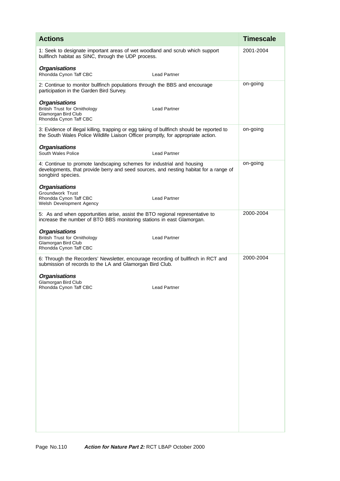| <b>Actions</b>                                                                                                                                                                      |                     | <b>Timescale</b> |
|-------------------------------------------------------------------------------------------------------------------------------------------------------------------------------------|---------------------|------------------|
| 1: Seek to designate important areas of wet woodland and scrub which support<br>bullfinch habitat as SINC, through the UDP process.                                                 |                     | 2001-2004        |
| <b>Organisations</b><br>Rhondda Cynon Taff CBC                                                                                                                                      | <b>Lead Partner</b> |                  |
| 2: Continue to monitor bullfinch populations through the BBS and encourage<br>participation in the Garden Bird Survey.                                                              |                     | on-going         |
| <b>Organisations</b><br><b>British Trust for Ornithology</b><br>Glamorgan Bird Club<br>Rhondda Cynon Taff CBC                                                                       | <b>Lead Partner</b> |                  |
| 3: Evidence of illegal killing, trapping or egg taking of bullfinch should be reported to<br>the South Wales Police Wildlife Liaison Officer promptly, for appropriate action.      |                     | on-going         |
| <b>Organisations</b><br>South Wales Police                                                                                                                                          | <b>Lead Partner</b> |                  |
| 4: Continue to promote landscaping schemes for industrial and housing<br>developments, that provide berry and seed sources, and nesting habitat for a range of<br>songbird species. |                     | on-going         |
| <b>Organisations</b><br><b>Groundwork Trust</b><br>Rhondda Cynon Taff CBC<br>Welsh Development Agency                                                                               | <b>Lead Partner</b> |                  |
| 5: As and when opportunities arise, assist the BTO regional representative to<br>increase the number of BTO BBS monitoring stations in east Glamorgan.                              |                     | 2000-2004        |
| <b>Organisations</b><br><b>British Trust for Ornithology</b><br>Glamorgan Bird Club<br>Rhondda Cynon Taff CBC                                                                       | <b>Lead Partner</b> |                  |
| 6: Through the Recorders' Newsletter, encourage recording of bullfinch in RCT and<br>submission of records to the LA and Glamorgan Bird Club.                                       |                     | 2000-2004        |
| <b>Organisations</b><br>Glamorgan Bird Club                                                                                                                                         |                     |                  |
| Rhondda Cynon Taff CBC                                                                                                                                                              | <b>Lead Partner</b> |                  |
|                                                                                                                                                                                     |                     |                  |
|                                                                                                                                                                                     |                     |                  |
|                                                                                                                                                                                     |                     |                  |
|                                                                                                                                                                                     |                     |                  |
|                                                                                                                                                                                     |                     |                  |
|                                                                                                                                                                                     |                     |                  |
|                                                                                                                                                                                     |                     |                  |
|                                                                                                                                                                                     |                     |                  |
|                                                                                                                                                                                     |                     |                  |
|                                                                                                                                                                                     |                     |                  |
|                                                                                                                                                                                     |                     |                  |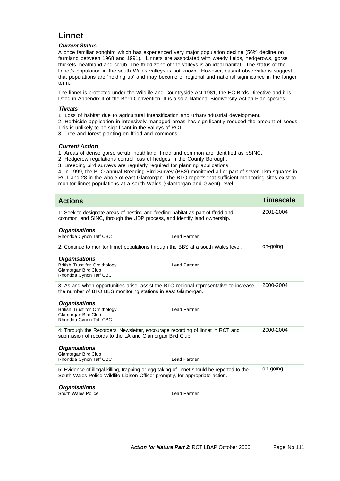# **Linnet**

#### **Current Status**

A once familiar songbird which has experienced very major population decline (56% decline on farmland between 1968 and 1991). Linnets are associated with weedy fields, hedgerows, gorse thickets, heathland and scrub. The ffridd zone of the valleys is an ideal habitat. The status of the linnet's population in the south Wales valleys is not known. However, casual observations suggest that populations are 'holding up' and may become of regional and national significance in the longer term.

The linnet is protected under the Wildlife and Countryside Act 1981, the EC Birds Directive and it is listed in Appendix II of the Bern Convention. It is also a National Biodiversity Action Plan species.

#### **Threats**

- 1. Loss of habitat due to agricultural intensification and urban/industrial development.
- 2. Herbicide application in intensively managed areas has significantly reduced the amount of seeds. This is unlikely to be significant in the valleys of RCT.
- 3. Tree and forest planting on ffridd and commons.

#### **Current Action**

- 1. Areas of dense gorse scrub, heathland, ffridd and common are identified as pSINC.
- 2. Hedgerow regulations control loss of hedges in the County Borough.
- 3. Breeding bird surveys are regularly required for planning applications.

4. In 1999, the BTO annual Breeding Bird Survey (BBS) monitored all or part of seven 1km squares in RCT and 28 in the whole of east Glamorgan. The BTO reports that sufficient monitoring sites exist to monitor linnet populations at a south Wales (Glamorgan and Gwent) level.

| <b>Timescale</b> |
|------------------|
| 2001-2004        |
|                  |
| on-going         |
|                  |
| 2000-2004        |
|                  |
| 2000-2004        |
|                  |
| on-going         |
|                  |
|                  |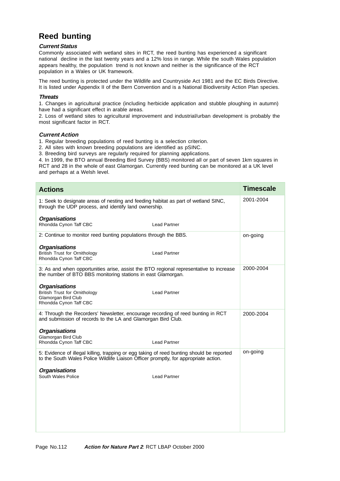# **Reed bunting**

#### **Current Status**

Commonly associated with wetland sites in RCT, the reed bunting has experienced a significant national decline in the last twenty years and a 12% loss in range. While the south Wales population appears healthy, the population trend is not known and neither is the significance of the RCT population in a Wales or UK framework.

The reed bunting is protected under the Wildlife and Countryside Act 1981 and the EC Birds Directive. It is listed under Appendix II of the Bern Convention and is a National Biodiversity Action Plan species.

#### **Threats**

1. Changes in agricultural practice (including herbicide application and stubble ploughing in autumn) have had a significant effect in arable areas.

2. Loss of wetland sites to agricultural improvement and industrial/urban development is probably the most significant factor in RCT.

#### **Current Action**

1. Regular breeding populations of reed bunting is a selection criterion.

2. All sites with known breeding populations are identified as pSINC.

3. Breeding bird surveys are regularly required for planning applications.

4. In 1999, the BTO annual Breeding Bird Survey (BBS) monitored all or part of seven 1km squares in RCT and 28 in the whole of east Glamorgan. Currently reed bunting can be monitored at a UK level and perhaps at a Welsh level.

| <b>Actions</b>                                                                                                                                                                    | <b>Timescale</b> |
|-----------------------------------------------------------------------------------------------------------------------------------------------------------------------------------|------------------|
| 1: Seek to designate areas of nesting and feeding habitat as part of wetland SINC,<br>through the UDP process, and identify land ownership.                                       | 2001-2004        |
| <b>Organisations</b><br>Rhondda Cynon Taff CBC<br><b>Lead Partner</b>                                                                                                             |                  |
| 2: Continue to monitor reed bunting populations through the BBS.                                                                                                                  | on-going         |
| <b>Organisations</b><br><b>British Trust for Ornithology</b><br><b>Lead Partner</b><br>Rhondda Cynon Taff CBC                                                                     |                  |
| 3: As and when opportunities arise, assist the BTO regional representative to increase<br>the number of BTO BBS monitoring stations in east Glamorgan.                            | 2000-2004        |
| <b>Organisations</b><br><b>British Trust for Ornithology</b><br><b>Lead Partner</b><br>Glamorgan Bird Club<br>Rhondda Cynon Taff CBC                                              |                  |
| 4: Through the Recorders' Newsletter, encourage recording of reed bunting in RCT<br>and submission of records to the LA and Glamorgan Bird Club.                                  | 2000-2004        |
| <b>Organisations</b><br>Glamorgan Bird Club<br><b>Lead Partner</b><br>Rhondda Cynon Taff CBC                                                                                      |                  |
| 5: Evidence of illegal killing, trapping or egg taking of reed bunting should be reported<br>to the South Wales Police Wildlife Liaison Officer promptly, for appropriate action. | on-going         |
| <b>Organisations</b><br>South Wales Police<br><b>Lead Partner</b>                                                                                                                 |                  |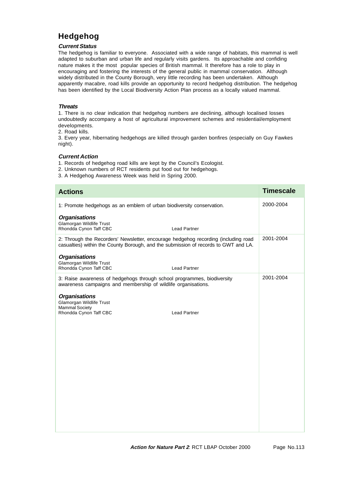# **Hedgehog**

#### **Current Status**

The hedgehog is familiar to everyone. Associated with a wide range of habitats, this mammal is well adapted to suburban and urban life and regularly visits gardens. Its approachable and confiding nature makes it the most popular species of British mammal. It therefore has a role to play in encouraging and fostering the interests of the general public in mammal conservation. Although widely distributed in the County Borough, very little recording has been undertaken. Although apparently macabre, road kills provide an opportunity to record hedgehog distribution. The hedgehog has been identified by the Local Biodiversity Action Plan process as a locally valued mammal.

#### **Threats**

1. There is no clear indication that hedgehog numbers are declining, although localised losses undoubtedly accompany a host of agricultural improvement schemes and residential/employment developments.

2. Road kills.

3. Every year, hibernating hedgehogs are killed through garden bonfires (especially on Guy Fawkes night).

#### **Current Action**

1. Records of hedgehog road kills are kept by the Council's Ecologist.

- 2. Unknown numbers of RCT residents put food out for hedgehogs.
- 3. A Hedgehog Awareness Week was held in Spring 2000.

| <b>Actions</b>                                                                                                                                                            | <b>Timescale</b> |
|---------------------------------------------------------------------------------------------------------------------------------------------------------------------------|------------------|
| 1: Promote hedgehogs as an emblem of urban biodiversity conservation.                                                                                                     | 2000-2004        |
| <b>Organisations</b><br>Glamorgan Wildlife Trust<br>Rhondda Cynon Taff CBC<br><b>Lead Partner</b>                                                                         |                  |
| 2: Through the Recorders' Newsletter, encourage hedgehog recording (including road<br>casualties) within the County Borough, and the submission of records to GWT and LA. | 2001-2004        |
| <b>Organisations</b><br>Glamorgan Wildlife Trust<br>Rhondda Cynon Taff CBC<br><b>Lead Partner</b>                                                                         |                  |
| 3: Raise awareness of hedgehogs through school programmes, biodiversity<br>awareness campaigns and membership of wildlife organisations.                                  | 2001-2004        |
| <b>Organisations</b><br>Glamorgan Wildlife Trust<br><b>Mammal Society</b><br>Rhondda Cynon Taff CBC<br><b>Lead Partner</b>                                                |                  |
|                                                                                                                                                                           |                  |
|                                                                                                                                                                           |                  |
|                                                                                                                                                                           |                  |
|                                                                                                                                                                           |                  |
|                                                                                                                                                                           |                  |
|                                                                                                                                                                           |                  |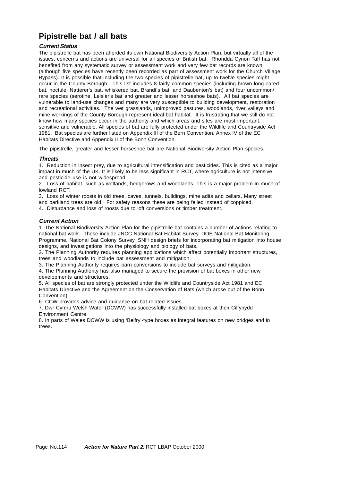# **Pipistrelle bat / all bats**

#### **Current Status**

The pipistrelle bat has been afforded its own National Biodiversity Action Plan, but virtually all of the issues, concerns and actions are universal for all species of British bat. Rhondda Cynon Taff has not benefited from any systematic survey or assessment work and very few bat records are known (although five species have recently been recorded as part of assessment work for the Church Village Bypass). It is possible that including the two species of pipistrelle bat, up to twelve species might occur in the County Borough. This list includes 8 fairly common species (including brown long-eared bat, noctule, Natterer's bat, whiskered bat, Brandt's bat, and Daubenton's bat) and four uncommon/ rare species (serotine, Leisler's bat and greater and lesser horseshoe bats). All bat species are vulnerable to land-use changes and many are very susceptible to building development, restoration and recreational activities. The wet grasslands, unimproved pastures, woodlands, river valleys and mine workings of the County Borough represent ideal bat habitat. It is frustrating that we still do not know how many species occur in the authority and which areas and sites are most important, sensitive and vulnerable. All species of bat are fully protected under the Wildlife and Countryside Act 1981. Bat species are further listed on Appendix III of the Bern Convention, Annex IV of the EC Habitats Directive and Appendix II of the Bonn Convention.

The pipistrelle, greater and lesser horseshoe bat are National Biodiversity Action Plan species.

#### **Threats**

1. Reduction in insect prey, due to agricultural intensification and pesticides. This is cited as a major impact in much of the UK. It is likely to be less significant in RCT, where agriculture is not intensive and pesticide use is not widespread.

2. Loss of habitat, such as wetlands, hedgerows and woodlands. This is a major problem in much of lowland RCT.

3. Loss of winter roosts in old trees, caves, tunnels, buildings, mine adits and cellars. Many street and parkland trees are old. For safety reasons these are being felled instead of coppiced. 4. Disturbance and loss of roosts due to loft conversions or timber treatment.

**Current Action**

1. The National Biodiversity Action Plan for the pipistrelle bat contains a number of actions relating to national bat work. These include JNCC National Bat Habitat Survey, DOE National Bat Monitoring Programme, National Bat Colony Survey, SNH design briefs for incorporating bat mitigation into house designs, and investigations into the physiology and biology of bats.

2. The Planning Authority requires planning applications which affect potentially important structures, trees and woodlands to include bat assessment and mitigation.

3. The Planning Authority requires barn conversions to include bat surveys and mitigation.

4. The Planning Authority has also managed to secure the provision of bat boxes in other new developments and structures.

5. All species of bat are strongly protected under the Wildlife and Countryside Act 1981 and EC Habitats Directive and the Agreement on the Conservation of Bats (which arose out of the Bonn Convention).

6. CCW provides advice and guidance on bat-related issues.

7. Dwr Cymru Welsh Water (DCWW) has successfully installed bat boxes at their Cilfynydd Environment Centre.

8. In parts of Wales DCWW is using 'Belfry'-type boxes as integral features on new bridges and in trees.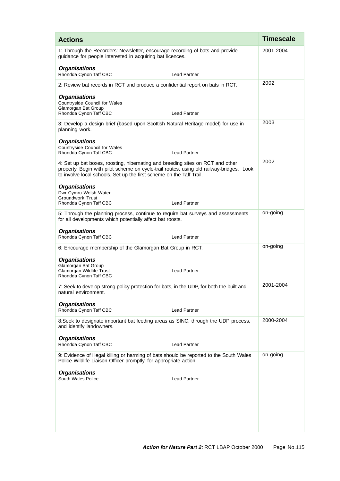| <b>Actions</b>                                                                                                                                                                                                                                     | <b>Timescale</b> |
|----------------------------------------------------------------------------------------------------------------------------------------------------------------------------------------------------------------------------------------------------|------------------|
| 1: Through the Recorders' Newsletter, encourage recording of bats and provide<br>guidance for people interested in acquiring bat licences.                                                                                                         | 2001-2004        |
| <b>Organisations</b><br>Rhondda Cynon Taff CBC<br><b>Lead Partner</b>                                                                                                                                                                              |                  |
| 2: Review bat records in RCT and produce a confidential report on bats in RCT.                                                                                                                                                                     | 2002             |
| <b>Organisations</b><br>Countryside Council for Wales<br><b>Glamorgan Bat Group</b><br>Rhondda Cynon Taff CBC<br><b>Lead Partner</b>                                                                                                               |                  |
| 3: Develop a design brief (based upon Scottish Natural Heritage model) for use in<br>planning work.                                                                                                                                                | 2003             |
| <b>Organisations</b><br><b>Countryside Council for Wales</b><br>Rhondda Cynon Taff CBC<br><b>Lead Partner</b>                                                                                                                                      |                  |
| 4: Set up bat boxes, roosting, hibernating and breeding sites on RCT and other<br>property. Begin with pilot scheme on cycle-trail routes, using old railway-bridges. Look<br>to involve local schools. Set up the first scheme on the Taff Trail. | 2002             |
| <b>Organisations</b><br>Dwr Cymru Welsh Water<br>Groundwork Trust<br>Rhondda Cynon Taff CBC<br><b>Lead Partner</b>                                                                                                                                 |                  |
| 5: Through the planning process, continue to require bat surveys and assessments<br>for all developments which potentially affect bat roosts.                                                                                                      | on-going         |
| <b>Organisations</b><br>Rhondda Cynon Taff CBC<br><b>Lead Partner</b>                                                                                                                                                                              |                  |
| 6: Encourage membership of the Glamorgan Bat Group in RCT.                                                                                                                                                                                         | on-going         |
| <b>Organisations</b><br>Glamorgan Bat Group<br>Glamorgan Wildlife Trust<br><b>Lead Partner</b><br>Rhondda Cynon Taff CBC                                                                                                                           |                  |
| 7: Seek to develop strong policy protection for bats, in the UDP, for both the built and<br>natural environment.                                                                                                                                   | 2001-2004        |
| <b>Organisations</b><br>Rhondda Cynon Taff CBC<br><b>Lead Partner</b>                                                                                                                                                                              |                  |
| 8:Seek to designate important bat feeding areas as SINC, through the UDP process,<br>and identify landowners.                                                                                                                                      | 2000-2004        |
| <b>Organisations</b><br>Rhondda Cynon Taff CBC<br><b>Lead Partner</b>                                                                                                                                                                              |                  |
| 9: Evidence of illegal killing or harming of bats should be reported to the South Wales<br>Police Wildlife Liaison Officer promptly, for appropriate action.                                                                                       | on-going         |
| <b>Organisations</b><br>South Wales Police<br><b>Lead Partner</b>                                                                                                                                                                                  |                  |
|                                                                                                                                                                                                                                                    |                  |
|                                                                                                                                                                                                                                                    |                  |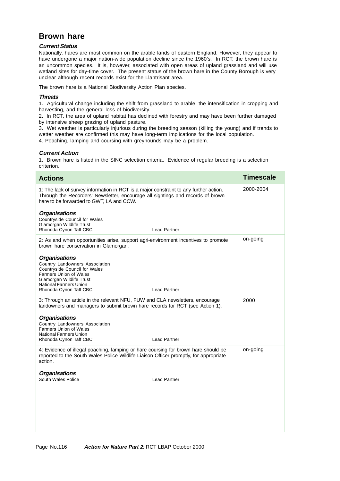### **Brown hare**

#### **Current Status**

Nationally, hares are most common on the arable lands of eastern England. However, they appear to have undergone a major nation-wide population decline since the 1960's. In RCT, the brown hare is an uncommon species. It is, however, associated with open areas of upland grassland and will use wetland sites for day-time cover. The present status of the brown hare in the County Borough is very unclear although recent records exist for the Llantrisant area.

The brown hare is a National Biodiversity Action Plan species.

#### **Threats**

1. Agricultural change including the shift from grassland to arable, the intensification in cropping and harvesting, and the general loss of biodiversity.

2. In RCT, the area of upland habitat has declined with forestry and may have been further damaged by intensive sheep grazing of upland pasture.

3. Wet weather is particularly injurious during the breeding season (killing the young) and if trends to wetter weather are confirmed this may have long-term implications for the local population.

4. Poaching, lamping and coursing with greyhounds may be a problem.

#### **Current Action**

1. Brown hare is listed in the SINC selection criteria. Evidence of regular breeding is a selection criterion.

| <b>Actions</b>                                                                                                                                                                                                                                | <b>Timescale</b> |
|-----------------------------------------------------------------------------------------------------------------------------------------------------------------------------------------------------------------------------------------------|------------------|
| 1: The lack of survey information in RCT is a major constraint to any further action.<br>Through the Recorders' Newsletter, encourage all sightings and records of brown<br>hare to be forwarded to GWT, LA and CCW.                          | 2000-2004        |
| <b>Organisations</b><br>Countryside Council for Wales<br>Glamorgan Wildlife Trust<br><b>Lead Partner</b><br>Rhondda Cynon Taff CBC                                                                                                            |                  |
| 2: As and when opportunities arise, support agri-environment incentives to promote<br>brown hare conservation in Glamorgan.                                                                                                                   | on-going         |
| <b>Organisations</b><br>Country Landowners Association<br><b>Countryside Council for Wales</b><br><b>Farmers Union of Wales</b><br>Glamorgan Wildlife Trust<br><b>National Farmers Union</b><br><b>Lead Partner</b><br>Rhondda Cynon Taff CBC |                  |
| 3: Through an article in the relevant NFU, FUW and CLA newsletters, encourage<br>landowners and managers to submit brown hare records for RCT (see Action 1).                                                                                 | 2000             |
| <b>Organisations</b><br>Country Landowners Association<br><b>Farmers Union of Wales</b><br><b>National Farmers Union</b><br><b>Lead Partner</b><br>Rhondda Cynon Taff CBC                                                                     |                  |
| 4: Evidence of illegal poaching, lamping or hare coursing for brown hare should be<br>reported to the South Wales Police Wildlife Liaison Officer promptly, for appropriate<br>action.                                                        | on-going         |
| <b>Organisations</b><br>South Wales Police<br><b>Lead Partner</b>                                                                                                                                                                             |                  |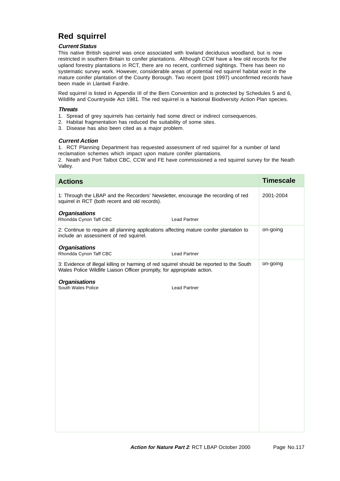# **Red squirrel**

#### **Current Status**

This native British squirrel was once associated with lowland deciduous woodland, but is now restricted in southern Britain to conifer plantations. Although CCW have a few old records for the upland forestry plantations in RCT, there are no recent, confirmed sightings. There has been no systematic survey work. However, considerable areas of potential red squirrel habitat exist in the mature conifer plantation of the County Borough. Two recent (post 1997) unconfirmed records have been made in Llantwit Fardre.

Red squirrel is listed in Appendix III of the Bern Convention and is protected by Schedules 5 and 6, Wildlife and Countryside Act 1981. The red squirrel is a National Biodiversity Action Plan species.

#### **Threats**

- 1. Spread of grey squirrels has certainly had some direct or indirect consequences.
- 2. Habitat fragmentation has reduced the suitability of some sites.
- 3. Disease has also been cited as a major problem.

#### **Current Action**

1. RCT Planning Department has requested assessment of red squirrel for a number of land reclamation schemes which impact upon mature conifer plantations.

2. Neath and Port Talbot CBC, CCW and FE have commissioned a red squirrel survey for the Neath Valley.

| <b>Actions</b>                                                                                                                                                       | <b>Timescale</b> |
|----------------------------------------------------------------------------------------------------------------------------------------------------------------------|------------------|
| 1: Through the LBAP and the Recorders' Newsletter, encourage the recording of red<br>squirrel in RCT (both recent and old records).                                  | 2001-2004        |
| <b>Organisations</b><br>Rhondda Cynon Taff CBC<br><b>Lead Partner</b>                                                                                                |                  |
| 2: Continue to require all planning applications affecting mature conifer plantation to<br>include an assessment of red squirrel.                                    | on-going         |
| <b>Organisations</b><br>Rhondda Cynon Taff CBC<br><b>Lead Partner</b>                                                                                                |                  |
| 3: Evidence of illegal killing or harming of red squirrel should be reported to the South<br>Wales Police Wildlife Liaison Officer promptly, for appropriate action. | on-going         |
| <b>Organisations</b><br>South Wales Police<br><b>Lead Partner</b>                                                                                                    |                  |
|                                                                                                                                                                      |                  |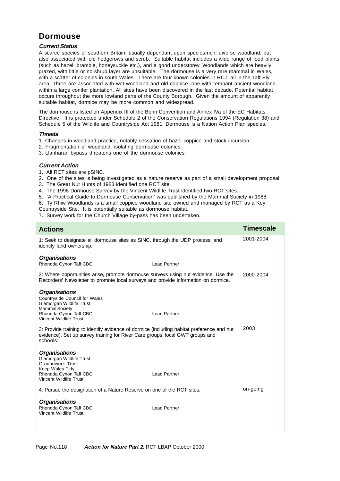### **Dormouse**

#### **Current Status**

A scarce species of southern Britain, usually dependant upon species-rich, diverse woodland, but also associated with old hedgerows and scrub. Suitable habitat includes a wide range of food plants (such as hazel, bramble, honeysuckle etc.), and a good understorey. Woodlands which are heavily grazed, with little or no shrub layer are unsuitable. The dormouse is a very rare mammal in Wales, with a scatter of colonies in south Wales. There are four known colonies in RCT, all in the Taff Ely area. Three are associated with wet woodland and old coppice, one with remnant ancient woodland within a large conifer plantation. All sites have been discovered in the last decade. Potential habitat occurs throughout the more lowland parts of the County Borough. Given the amount of apparently suitable habitat, dormice may be more common and widespread.

The dormouse is listed on Appendix III of the Bonn Convention and Annex IVa of the EC Habitats Directive. It is protected under Schedule 2 of the Conservation Regulations 1994 (Regulation 38) and Schedule 5 of the Wildlife and Countryside Act 1981. Dormouse is a Nation Action Plan species.

#### **Threats**

- 1. Changes in woodland practice, notably cessation of hazel coppice and stock incursion.
- 2. Fragmentation of woodland, isolating dormouse colonies.
- 3. Llanharan bypass threatens one of the dormouse colonies.

#### **Current Action**

- 1. All RCT sites are pSINC.
- 2. One of the sites is being investigated as a nature reserve as part of a small development proposal.
- 3. The Great Nut Hunts of 1983 identified one RCT site.
- 4. The 1998 Dormouse Survey by the Vincent Wildlife Trust identified two RCT sites.
- 5. 'A Practical Guide to Dormouse Conservation' was published by the Mammal Society in 1988.
- 6. Ty Rhiw Woodlands is a small coppice woodland site owned and managed by RCT as a Key
- Countryside Site. It is potentially suitable as dormouse habitat.
- 7. Survey work for the Church Village by-pass has been undertaken.

| <b>Actions</b>                                                                                                                                                                         | <b>Timescale</b> |
|----------------------------------------------------------------------------------------------------------------------------------------------------------------------------------------|------------------|
| 1: Seek to designate all dormouse sites as SINC, through the UDP process, and<br>identify land ownership.                                                                              | 2001-2004        |
| <b>Organisations</b><br>Rhondda Cynon Taff CBC<br><b>Lead Partner</b>                                                                                                                  |                  |
| 2: Where opportunities arise, promote dormouse surveys using nut evidence. Use the<br>Recorders' Newsletter to promote local surveys and provide information on dormice.               | 2000-2004        |
| <b>Organisations</b><br>Countryside Council for Wales<br>Glamorgan Wildlife Trust<br><b>Mammal Society</b>                                                                             |                  |
| Rhondda Cynon Taff CBC<br><b>Lead Partner</b><br>Vincent Wildlife Trust                                                                                                                |                  |
| 3: Provide training to identify evidence of dormice (including habitat preference and nut<br>evidence). Set up survey training for River Care groups, local GWT groups and<br>schools. | 2003             |
| <b>Organisations</b><br><b>Glamorgan Wildlife Trust</b><br><b>Groundwork Trust</b><br>Keep Wales Tidy                                                                                  |                  |
| Rhondda Cynon Taff CBC<br><b>Lead Partner</b><br>Vincent Wildlife Trust                                                                                                                |                  |
| 4: Pursue the designation of a Nature Reserve on one of the RCT sites.                                                                                                                 | on-going         |
| <b>Organisations</b><br>Rhondda Cynon Taff CBC<br><b>Lead Partner</b><br>Vincent Wildlife Trust                                                                                        |                  |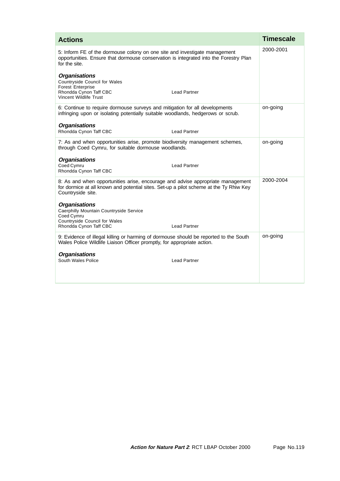| <b>Actions</b>                                                                                                                                                                                 | <b>Timescale</b> |
|------------------------------------------------------------------------------------------------------------------------------------------------------------------------------------------------|------------------|
| 5: Inform FE of the dormouse colony on one site and investigate management<br>opportunities. Ensure that dormouse conservation is integrated into the Forestry Plan<br>for the site.           | 2000-2001        |
| <b>Organisations</b><br>Countryside Council for Wales<br><b>Forest Enterprise</b><br>Rhondda Cynon Taff CBC<br><b>Lead Partner</b><br>Vincent Wildlife Trust                                   |                  |
| 6: Continue to require dormouse surveys and mitigation for all developments<br>infringing upon or isolating potentially suitable woodlands, hedgerows or scrub.                                | on-going         |
| <b>Organisations</b><br>Rhondda Cynon Taff CBC<br><b>Lead Partner</b>                                                                                                                          |                  |
| 7: As and when opportunities arise, promote biodiversity management schemes,<br>through Coed Cymru, for suitable dormouse woodlands.                                                           | on-going         |
| <b>Organisations</b><br>Coed Cymru<br><b>Lead Partner</b><br>Rhondda Cynon Taff CBC                                                                                                            |                  |
| 8: As and when opportunities arise, encourage and advise appropriate management<br>for dormice at all known and potential sites. Set-up a pilot scheme at the Ty Rhiw Key<br>Countryside site. | 2000-2004        |
| <b>Organisations</b><br>Caerphilly Mountain Countryside Service<br>Coed Cymru<br><b>Countryside Council for Wales</b><br>Rhondda Cynon Taff CBC<br><b>Lead Partner</b>                         |                  |
| 9: Evidence of illegal killing or harming of dormouse should be reported to the South<br>Wales Police Wildlife Liaison Officer promptly, for appropriate action.                               | on-going         |
| <b>Organisations</b><br>South Wales Police<br><b>Lead Partner</b>                                                                                                                              |                  |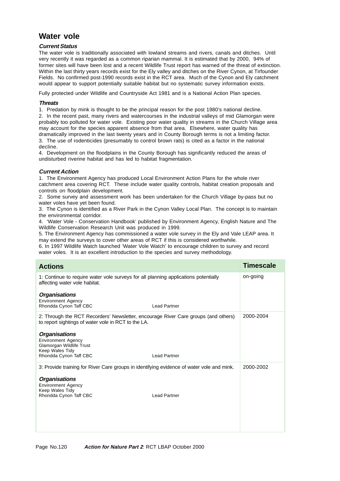### **Water vole**

#### **Current Status**

The water vole is traditionally associated with lowland streams and rivers, canals and ditches. Until very recently it was regarded as a common riparian mammal. It is estimated that by 2000, 94% of former sites will have been lost and a recent Wildlife Trust report has warned of the threat of extinction. Within the last thirty years records exist for the Ely valley and ditches on the River Cynon, at Tirfounder Fields. No confirmed post-1990 records exist in the RCT area. Much of the Cynon and Ely catchment would appear to support potentially suitable habitat but no systematic survey information exists.

Fully protected under Wildlife and Countryside Act 1981 and is a National Action Plan species.

#### **Threats**

1. Predation by mink is thought to be the principal reason for the post 1980's national decline.

2. In the recent past, many rivers and watercourses in the industrial valleys of mid Glamorgan were probably too polluted for water vole. Existing poor water quality in streams in the Church Village area may account for the species apparent absence from that area. Elsewhere, water quality has dramatically improved in the last twenty years and in County Borough terms is not a limiting factor. 3. The use of rodenticides (presumably to control brown rats) is cited as a factor in the national decline.

4. Development on the floodplains in the County Borough has significantly reduced the areas of undisturbed riverine habitat and has led to habitat fragmentation.

#### **Current Action**

1. The Environment Agency has produced Local Environment Action Plans for the whole river catchment area covering RCT. These include water quality controls, habitat creation proposals and controls on floodplain development.

2. Some survey and assessment work has been undertaken for the Church Village by-pass but no water voles have yet been found.

3. The Cynon is identified as a River Park in the Cynon Valley Local Plan. The concept is to maintain the environmental corridor.

4. 'Water Vole - Conservation Handbook' published by Environment Agency, English Nature and The Wildlife Conservation Research Unit was produced in 1999.

5. The Environment Agency has commissioned a water vole survey in the Ely and Vale LEAP area. It may extend the surveys to cover other areas of RCT if this is considered worthwhile.

6. In 1997 Wildlife Watch launched 'Water Vole Watch' to encourage children to survey and record water voles. It is an excellent introduction to the species and survey methodology.

| <b>Actions</b>                                                                                                                                    | Timescale |
|---------------------------------------------------------------------------------------------------------------------------------------------------|-----------|
| 1: Continue to require water vole surveys for all planning applications potentially<br>affecting water vole habitat.                              | on-going  |
| <b>Organisations</b><br><b>Environment Agency</b><br>Rhondda Cynon Taff CBC<br><b>Lead Partner</b>                                                |           |
| 2: Through the RCT Recorders' Newsletter, encourage River Care groups (and others)<br>to report sightings of water vole in RCT to the LA.         | 2000-2004 |
| <b>Organisations</b><br><b>Environment Agency</b><br>Glamorgan Wildlife Trust<br>Keep Wales Tidy<br>Rhondda Cynon Taff CBC<br><b>Lead Partner</b> |           |
| 3: Provide training for River Care groups in identifying evidence of water vole and mink.                                                         | 2000-2002 |
| <b>Organisations</b><br><b>Environment Agency</b><br>Keep Wales Tidy<br>Rhondda Cynon Taff CBC<br><b>Lead Partner</b>                             |           |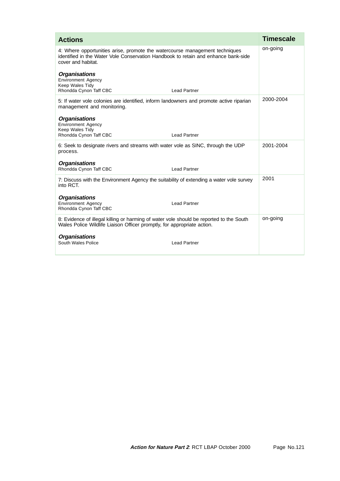| <b>Actions</b>                                                                                                                                                                          | <b>Timescale</b> |
|-----------------------------------------------------------------------------------------------------------------------------------------------------------------------------------------|------------------|
| 4: Where opportunities arise, promote the watercourse management techniques<br>identified in the Water Vole Conservation Handbook to retain and enhance bank-side<br>cover and habitat. | on-going         |
| <b>Organisations</b><br><b>Environment Agency</b><br>Keep Wales Tidy<br>Rhondda Cynon Taff CBC<br><b>Lead Partner</b>                                                                   |                  |
| 5: If water vole colonies are identified, inform landowners and promote active riparian<br>management and monitoring.                                                                   | 2000-2004        |
| <b>Organisations</b><br><b>Environment Agency</b><br>Keep Wales Tidy<br><b>Lead Partner</b><br>Rhondda Cynon Taff CBC                                                                   |                  |
| 6: Seek to designate rivers and streams with water vole as SINC, through the UDP<br>process.                                                                                            | 2001-2004        |
| <b>Organisations</b><br>Rhondda Cynon Taff CBC<br><b>Lead Partner</b>                                                                                                                   |                  |
| 7: Discuss with the Environment Agency the suitability of extending a water vole survey<br>into RCT.                                                                                    | 2001             |
| <b>Organisations</b><br><b>Environment Agency</b><br>Lead Partner<br>Rhondda Cynon Taff CBC                                                                                             |                  |
| 8: Evidence of illegal killing or harming of water vole should be reported to the South<br>Wales Police Wildlife Liaison Officer promptly, for appropriate action.                      | on-going         |
| <b>Organisations</b><br>South Wales Police<br><b>Lead Partner</b>                                                                                                                       |                  |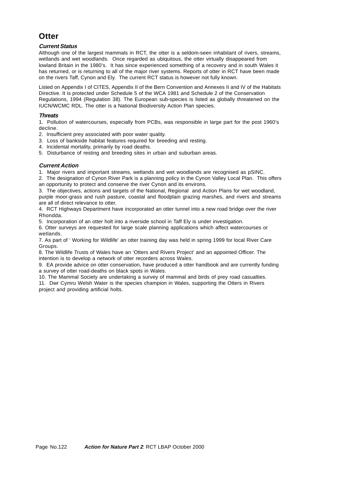### **Otter**

#### **Current Status**

Although one of the largest mammals in RCT, the otter is a seldom-seen inhabitant of rivers, streams, wetlands and wet woodlands. Once regarded as ubiquitous, the otter virtually disappeared from lowland Britain in the 1980's. It has since experienced something of a recovery and in south Wales it has returned, or is returning to all of the major river systems. Reports of otter in RCT have been made on the rivers Taff, Cynon and Ely. The current RCT status is however not fully known.

Listed on Appendix I of CITES, Appendix II of the Bern Convention and Annexes II and IV of the Habitats Directive. It is protected under Schedule 5 of the WCA 1981 and Schedule 2 of the Conservation Regulations, 1994 (Regulation 38). The European sub-species is listed as globally threatened on the IUCN/WCMC RDL. The otter is a National Biodiversity Action Plan species.

#### **Threats**

1. Pollution of watercourses, especially from PCBs, was responsible in large part for the post 1960's decline.

2. Insufficient prey associated with poor water quality.

- 3. Loss of bankside habitat features required for breeding and resting.
- 4. Incidental mortality, primarily by road deaths.

5. Disturbance of resting and breeding sites in urban and suburban areas.

#### **Current Action**

1. Major rivers and important streams, wetlands and wet woodlands are recognised as pSINC.

2. The designation of Cynon River Park is a planning policy in the Cynon Valley Local Plan. This offers an opportunity to protect and conserve the river Cynon and its environs.

3. The objectives, actions and targets of the National, Regional and Action Plans for wet woodland, purple moor-grass and rush pasture, coastal and floodplain grazing marshes, and rivers and streams are all of direct relevance to otter.

4. RCT Highways Department have incorporated an otter tunnel into a new road bridge over the river Rhondda.

5. Incorporation of an otter holt into a riverside school in Taff Ely is under investigation.

6. Otter surveys are requested for large scale planning applications which affect watercourses or wetlands.

7. As part of ' Working for Wildlife' an otter training day was held in spring 1999 for local River Care Groups.

8. The Wildlife Trusts of Wales have an 'Otters and Rivers Project' and an appointed Officer. The intention is to develop a network of otter recorders across Wales.

9. EA provide advice on otter conservation, have produced a otter handbook and are currently funding a survey of otter road-deaths on black spots in Wales.

10. The Mammal Society are undertaking a survey of mammal and birds of prey road casualties. 11. Dwr Cymru Welsh Water is the species champion in Wales, supporting the Otters in Rivers project and providing artificial holts.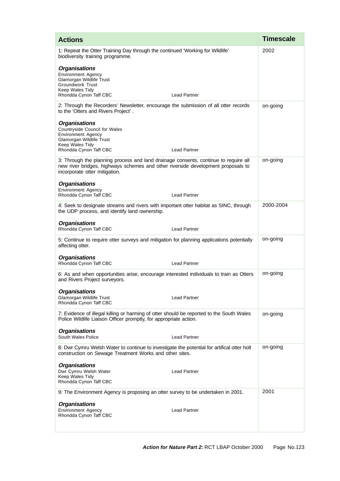| <b>Actions</b>                                                                                                                                                                                                                   | <b>Timescale</b> |
|----------------------------------------------------------------------------------------------------------------------------------------------------------------------------------------------------------------------------------|------------------|
| 1: Repeat the Otter Training Day through the continued 'Working for Wildlife'<br>biodiversity training programme.<br><b>Organisations</b><br><b>Environment Agency</b><br>Glamorgan Wildlife Trust                               | 2002             |
| <b>Groundwork Trust</b><br>Keep Wales Tidy<br>Rhondda Cynon Taff CBC<br><b>Lead Partner</b>                                                                                                                                      |                  |
| 2: Through the Recorders' Newsletter, encourage the submission of all otter records<br>to the 'Otters and Rivers Project'.                                                                                                       | on-going         |
| <b>Organisations</b><br>Countryside Council for Wales<br><b>Environment Agency</b><br>Glamorgan Wildlife Trust<br>Keep Wales Tidy<br>Rhondda Cynon Taff CBC<br><b>Lead Partner</b>                                               |                  |
| 3: Through the planning process and land drainage consents, continue to require all<br>new river bridges, highways schemes and other riverside development proposals to<br>incorporate otter mitigation.<br><b>Organisations</b> | on-going         |
| <b>Environment Agency</b><br>Rhondda Cynon Taff CBC<br><b>Lead Partner</b>                                                                                                                                                       |                  |
| 4: Seek to designate streams and rivers with important otter habitat as SINC, through<br>the UDP process, and identify land ownership.                                                                                           | 2000-2004        |
| <b>Organisations</b><br>Rhondda Cynon Taff CBC<br><b>Lead Partner</b>                                                                                                                                                            |                  |
| 5: Continue to require otter surveys and mitigation for planning applications potentially<br>affecting otter.                                                                                                                    | on-going         |
| <b>Organisations</b><br>Rhondda Cynon Taff CBC<br><b>Lead Partner</b>                                                                                                                                                            |                  |
| 6: As and when opportunities arise, encourage interested individuals to train as Otters<br>and Rivers Project surveyors.                                                                                                         | on-going         |
| <b>Organisations</b><br>Glamorgan Wildlife Trust<br><b>Lead Partner</b><br>Rhondda Cynon Taff CBC                                                                                                                                |                  |
| 7: Evidence of illegal killing or harming of otter should be reported to the South Wales<br>Police Wildlife Liaison Officer promptly, for appropriate action.                                                                    | on-going         |
| <b>Organisations</b><br>South Wales Police<br><b>Lead Partner</b>                                                                                                                                                                |                  |
| 8: Dwr Cymru Welsh Water to continue to investigate the potential for artifical otter holt<br>construction on Sewage Treatment Works and other sites.                                                                            | on-going         |
| <b>Organisations</b><br>Dwr Cymru Welsh Water<br><b>Lead Partner</b><br>Keep Wales Tidy<br>Rhondda Cynon Taff CBC                                                                                                                |                  |
| 9: The Environment Agency is proposing an otter survey to be undertaken in 2001.                                                                                                                                                 | 2001             |
| <b>Organisations</b><br><b>Environment Agency</b><br><b>Lead Partner</b><br>Rhondda Cynon Taff CBC                                                                                                                               |                  |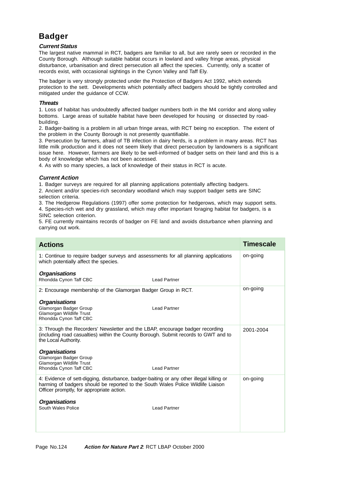# **Badger**

#### **Current Status**

The largest native mammal in RCT, badgers are familiar to all, but are rarely seen or recorded in the County Borough. Although suitable habitat occurs in lowland and valley fringe areas, physical disturbance, urbanisation and direct persecution all affect the species. Currently, only a scatter of records exist, with occasional sightings in the Cynon Valley and Taff Ely.

The badger is very strongly protected under the Protection of Badgers Act 1992, which extends protection to the sett. Developments which potentially affect badgers should be tightly controlled and mitigated under the guidance of CCW.

#### **Threats**

1. Loss of habitat has undoubtedly affected badger numbers both in the M4 corridor and along valley bottoms. Large areas of suitable habitat have been developed for housing or dissected by roadbuilding.

2. Badger-baiting is a problem in all urban fringe areas, with RCT being no exception. The extent of the problem in the County Borough is not presently quantifiable.

3. Persecution by farmers, afraid of TB infection in dairy herds, is a problem in many areas. RCT has little milk production and it does not seem likely that direct persecution by landowners is a significant issue here. However, farmers are likely to be well-informed of badger setts on their land and this is a body of knowledge which has not been accessed.

4. As with so many species, a lack of knowledge of their status in RCT is acute.

#### **Current Action**

1. Badger surveys are required for all planning applications potentially affecting badgers.

2. Ancient and/or species-rich secondary woodland which may support badger setts are SINC selection criteria.

3. The Hedgerow Regulations (1997) offer some protection for hedgerows, which may support setts.

4. Species-rich wet and dry grassland, which may offer important foraging habitat for badgers, is a SINC selection criterion.

5. FE currently maintains records of badger on FE land and avoids disturbance when planning and carrying out work.

| <b>Actions</b>                                                                                                                                                                                                            |                     | <b>Timescale</b> |
|---------------------------------------------------------------------------------------------------------------------------------------------------------------------------------------------------------------------------|---------------------|------------------|
| 1: Continue to require badger surveys and assessments for all planning applications<br>which potentially affect the species.                                                                                              |                     | on-going         |
| <b>Organisations</b><br>Rhondda Cynon Taff CBC                                                                                                                                                                            | <b>Lead Partner</b> |                  |
| 2: Encourage membership of the Glamorgan Badger Group in RCT.                                                                                                                                                             |                     | on-going         |
| <b>Organisations</b><br>Glamorgan Badger Group<br>Glamorgan Wildlife Trust<br>Rhondda Cynon Taff CBC                                                                                                                      | <b>Lead Partner</b> |                  |
| 3: Through the Recorders' Newsletter and the LBAP, encourage badger recording<br>(including road casualties) within the County Borough. Submit records to GWT and to<br>the Local Authority.                              |                     | 2001-2004        |
| <b>Organisations</b><br>Glamorgan Badger Group<br>Glamorgan Wildlife Trust<br>Rhondda Cynon Taff CBC                                                                                                                      | <b>Lead Partner</b> |                  |
| 4: Evidence of sett-digging, disturbance, badger-baiting or any other illegal killing or<br>harming of badgers should be reported to the South Wales Police Wildlife Liaison<br>Officer promptly, for appropriate action. |                     | on-going         |
| <b>Organisations</b><br>South Wales Police                                                                                                                                                                                | <b>Lead Partner</b> |                  |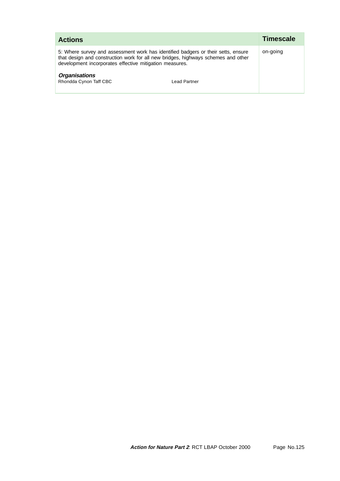| <b>Actions</b>                                                                                                                                                                                                                    | <b>Timescale</b> |  |
|-----------------------------------------------------------------------------------------------------------------------------------------------------------------------------------------------------------------------------------|------------------|--|
| 5: Where survey and assessment work has identified badgers or their setts, ensure<br>that design and construction work for all new bridges, highways schemes and other<br>development incorporates effective mitigation measures. | on-going         |  |
| <b>Organisations</b><br>Rhondda Cynon Taff CBC<br>Lead Partner                                                                                                                                                                    |                  |  |